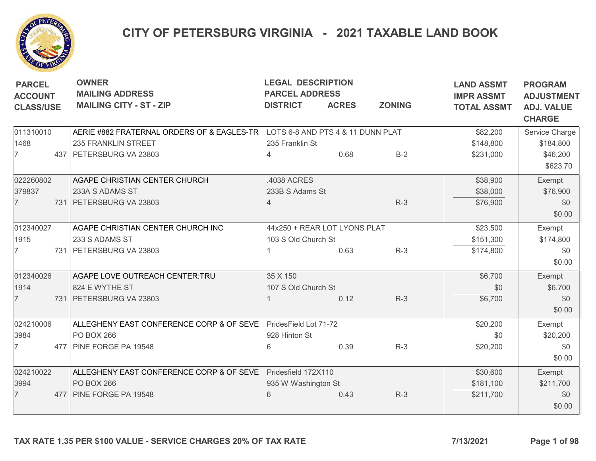

## CITY OF PETERSBURG VIRGINIA - 2021 TAXABLE LAND BOOK

| <b>PARCEL</b><br><b>ACCOUNT</b><br><b>CLASS/USE</b> |  | <b>OWNER</b><br><b>MAILING ADDRESS</b><br><b>MAILING CITY - ST - ZIP</b>     | <b>LEGAL DESCRIPTION</b><br><b>PARCEL ADDRESS</b><br><b>DISTRICT</b><br><b>ACRES</b><br><b>ZONING</b> |      |       | <b>LAND ASSMT</b><br><b>IMPR ASSMT</b><br><b>TOTAL ASSMT</b> | <b>PROGRAM</b><br><b>ADJUSTMENT</b><br><b>ADJ. VALUE</b><br><b>CHARGE</b> |
|-----------------------------------------------------|--|------------------------------------------------------------------------------|-------------------------------------------------------------------------------------------------------|------|-------|--------------------------------------------------------------|---------------------------------------------------------------------------|
| 011310010                                           |  | AERIE #882 FRATERNAL ORDERS OF & EAGLES-TR LOTS 6-8 AND PTS 4 & 11 DUNN PLAT |                                                                                                       |      |       | \$82,200                                                     | Service Charge                                                            |
| 1468                                                |  | 235 FRANKLIN STREET                                                          | 235 Franklin St                                                                                       |      |       | \$148,800                                                    | \$184,800                                                                 |
| $\overline{7}$                                      |  | 437 PETERSBURG VA 23803                                                      | 4                                                                                                     | 0.68 | $B-2$ | \$231,000                                                    | \$46,200                                                                  |
|                                                     |  |                                                                              |                                                                                                       |      |       |                                                              | \$623.70                                                                  |
| 022260802                                           |  | AGAPE CHRISTIAN CENTER CHURCH                                                | .4038 ACRES                                                                                           |      |       | \$38,900                                                     | Exempt                                                                    |
| 379837                                              |  | 233A S ADAMS ST                                                              | 233B S Adams St                                                                                       |      |       | \$38,000                                                     | \$76,900                                                                  |
| $\overline{7}$                                      |  | 731 PETERSBURG VA 23803                                                      | 4                                                                                                     |      | $R-3$ | \$76,900                                                     | \$0                                                                       |
|                                                     |  |                                                                              |                                                                                                       |      |       |                                                              | \$0.00                                                                    |
| 012340027                                           |  | AGAPE CHRISTIAN CENTER CHURCH INC                                            | 44x250 + REAR LOT LYONS PLAT                                                                          |      |       | \$23,500                                                     | Exempt                                                                    |
| 1915                                                |  | 233 S ADAMS ST                                                               | 103 S Old Church St                                                                                   |      |       | \$151,300                                                    | \$174,800                                                                 |
| $\overline{7}$                                      |  | 731 PETERSBURG VA 23803                                                      |                                                                                                       | 0.63 | $R-3$ | \$174,800                                                    | \$0                                                                       |
|                                                     |  |                                                                              |                                                                                                       |      |       |                                                              | \$0.00                                                                    |
| 012340026                                           |  | AGAPE LOVE OUTREACH CENTER:TRU                                               | 35 X 150                                                                                              |      |       | \$6,700                                                      | Exempt                                                                    |
| 1914                                                |  | 824 E WYTHE ST                                                               | 107 S Old Church St                                                                                   |      |       | \$0                                                          | \$6,700                                                                   |
| $\overline{7}$                                      |  | 731 PETERSBURG VA 23803                                                      |                                                                                                       | 0.12 | $R-3$ | \$6,700                                                      | \$0                                                                       |
|                                                     |  |                                                                              |                                                                                                       |      |       |                                                              | \$0.00                                                                    |
| 024210006                                           |  | ALLEGHENY EAST CONFERENCE CORP & OF SEVE PridesField Lot 71-72               |                                                                                                       |      |       | \$20,200                                                     | Exempt                                                                    |
| 3984                                                |  | <b>PO BOX 266</b>                                                            | 928 Hinton St                                                                                         |      |       | \$0                                                          | \$20,200                                                                  |
| $\overline{7}$                                      |  | 477 PINE FORGE PA 19548                                                      | 6                                                                                                     | 0.39 | $R-3$ | \$20,200                                                     | \$0                                                                       |
|                                                     |  |                                                                              |                                                                                                       |      |       |                                                              | \$0.00                                                                    |
| 024210022                                           |  | ALLEGHENY EAST CONFERENCE CORP & OF SEVE Pridesfield 172X110                 |                                                                                                       |      |       | \$30,600                                                     | Exempt                                                                    |
| 3994                                                |  | <b>PO BOX 266</b>                                                            | 935 W Washington St                                                                                   |      |       | \$181,100                                                    | \$211,700                                                                 |
| $\overline{7}$                                      |  | 477   PINE FORGE PA 19548                                                    | 6                                                                                                     | 0.43 | $R-3$ | \$211,700                                                    | \$0                                                                       |
|                                                     |  |                                                                              |                                                                                                       |      |       |                                                              | \$0.00                                                                    |
|                                                     |  | TAX RATE 1.35 PER \$100 VALUE - SERVICE CHARGES 20% OF TAX RATE              |                                                                                                       |      |       | 7/13/2021                                                    | Page 1 of 98                                                              |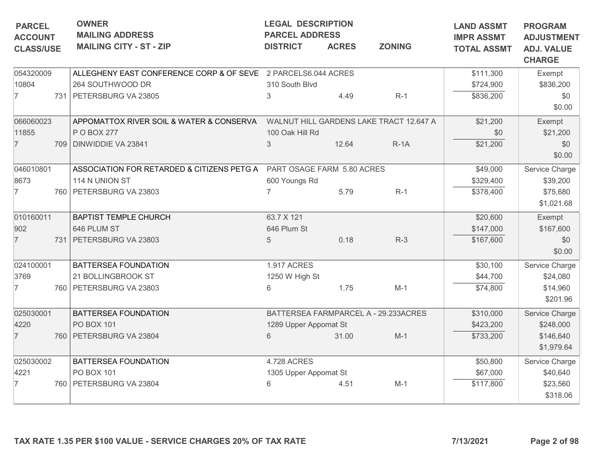| <b>PARCEL</b><br><b>ACCOUNT</b> |  | <b>OWNER</b><br><b>MAILING ADDRESS</b>                                  | <b>LEGAL DESCRIPTION</b><br><b>PARCEL ADDRESS</b> |       | <b>LAND ASSMT</b><br><b>IMPR ASSMT</b>  | <b>PROGRAM</b><br><b>ADJUSTMENT</b> |                                    |  |
|---------------------------------|--|-------------------------------------------------------------------------|---------------------------------------------------|-------|-----------------------------------------|-------------------------------------|------------------------------------|--|
| <b>CLASS/USE</b>                |  | <b>MAILING CITY - ST - ZIP</b>                                          | <b>ACRES</b><br><b>ZONING</b><br><b>DISTRICT</b>  |       |                                         | <b>TOTAL ASSMT</b>                  | <b>ADJ. VALUE</b><br><b>CHARGE</b> |  |
| 054320009                       |  | ALLEGHENY EAST CONFERENCE CORP & OF SEVE 2 PARCELS6.044 ACRES           |                                                   |       |                                         | \$111,300                           | Exempt                             |  |
| 10804                           |  | 264 SOUTHWOOD DR                                                        | 310 South Blvd                                    |       |                                         | \$724,900                           | \$836,200                          |  |
| $\overline{7}$                  |  | 731 PETERSBURG VA 23805                                                 | 3                                                 | 4.49  | $R-1$                                   | \$836,200                           | \$0<br>\$0.00                      |  |
| 066060023                       |  | APPOMATTOX RIVER SOIL & WATER & CONSERVA                                |                                                   |       | WALNUT HILL GARDENS LAKE TRACT 12.647 A | \$21,200                            | Exempt                             |  |
| 11855                           |  | P O BOX 277                                                             | 100 Oak Hill Rd                                   |       |                                         | \$0                                 | \$21,200                           |  |
| $\overline{7}$                  |  | 709 DINWIDDIE VA 23841                                                  | 3                                                 | 12.64 | $R-1A$                                  | \$21,200                            | \$0<br>\$0.00                      |  |
| 046010801                       |  | ASSOCIATION FOR RETARDED & CITIZENS PETG A   PART OSAGE FARM 5.80 ACRES |                                                   |       | \$49,000                                | Service Charge                      |                                    |  |
| 8673                            |  | 114 N UNION ST                                                          | 600 Youngs Rd                                     |       |                                         | \$329,400                           | \$39,200                           |  |
| $\overline{7}$                  |  | 760 PETERSBURG VA 23803                                                 |                                                   | 5.79  | $R-1$                                   | \$378,400                           | \$75,680<br>\$1,021.68             |  |
| 010160011                       |  | <b>BAPTIST TEMPLE CHURCH</b>                                            | 63.7 X 121                                        |       |                                         | \$20,600                            | Exempt                             |  |
| 902                             |  | 646 PLUM ST                                                             | 646 Plum St                                       |       |                                         | \$147,000                           | \$167,600                          |  |
| $\overline{7}$                  |  | 731 PETERSBURG VA 23803                                                 | 5                                                 | 0.18  | $R-3$                                   | \$167,600                           | \$0<br>\$0.00                      |  |
| 024100001                       |  | <b>BATTERSEA FOUNDATION</b>                                             | <b>1.917 ACRES</b>                                |       |                                         | \$30,100                            | Service Charge                     |  |
| 3769                            |  | 21 BOLLINGBROOK ST                                                      | 1250 W High St                                    |       |                                         | \$44,700                            | \$24,080                           |  |
| 7                               |  | 760 PETERSBURG VA 23803                                                 | 6                                                 | 1.75  | $M-1$                                   | \$74,800                            | \$14,960<br>\$201.96               |  |
| 025030001                       |  | BATTERSEA FOUNDATION                                                    |                                                   |       | BATTERSEA FARMPARCEL A - 29.233ACRES    | \$310,000                           | Service Charge                     |  |
| 4220                            |  | PO BOX 101                                                              | 1289 Upper Appomat St                             |       |                                         | \$423,200                           | \$248,000                          |  |
| $\overline{7}$                  |  | 760 PETERSBURG VA 23804                                                 | 6                                                 | 31.00 | $M-1$                                   | \$733,200                           | \$146,640<br>\$1,979.64            |  |
| 025030002                       |  | BATTERSEA FOUNDATION                                                    | <b>4.728 ACRES</b>                                |       |                                         | \$50,800                            | Service Charge                     |  |
| 4221                            |  | PO BOX 101                                                              | 1305 Upper Appomat St                             |       |                                         | \$67,000                            | \$40,640                           |  |
| 7                               |  | 760 PETERSBURG VA 23804                                                 | 6                                                 | 4.51  | $M-1$                                   | \$117,800                           | \$23,560<br>\$318.06               |  |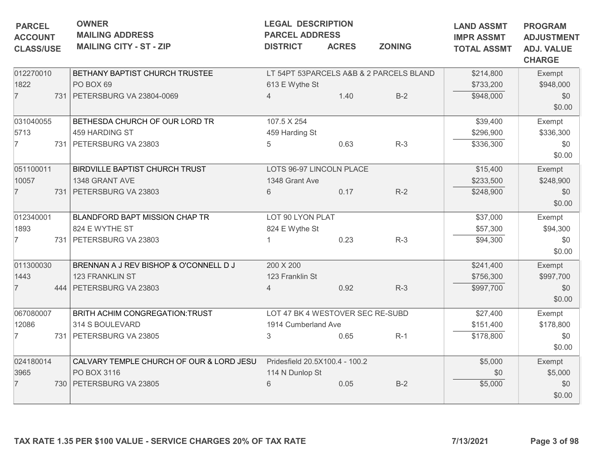| <b>PARCEL</b><br><b>ACCOUNT</b> |  | <b>OWNER</b><br><b>MAILING ADDRESS</b>                          | <b>LEGAL DESCRIPTION</b><br><b>PARCEL ADDRESS</b> |              | <b>LAND ASSMT</b><br><b>IMPR ASSMT</b>  | <b>PROGRAM</b><br><b>ADJUSTMENT</b> |                                    |  |
|---------------------------------|--|-----------------------------------------------------------------|---------------------------------------------------|--------------|-----------------------------------------|-------------------------------------|------------------------------------|--|
| <b>CLASS/USE</b>                |  | <b>MAILING CITY - ST - ZIP</b>                                  | <b>DISTRICT</b>                                   | <b>ACRES</b> | <b>ZONING</b>                           | <b>TOTAL ASSMT</b>                  | <b>ADJ. VALUE</b><br><b>CHARGE</b> |  |
| 012270010                       |  | BETHANY BAPTIST CHURCH TRUSTEE                                  |                                                   |              | LT 54PT 53PARCELS A&B & 2 PARCELS BLAND | \$214,800                           | Exempt                             |  |
| 1822                            |  | PO BOX 69                                                       | 613 E Wythe St                                    |              |                                         | \$733,200                           | \$948,000                          |  |
| $\overline{7}$                  |  | 731   PETERSBURG VA 23804-0069                                  | 4                                                 | 1.40         | $B-2$                                   | \$948,000                           | \$0<br>\$0.00                      |  |
| 031040055                       |  | BETHESDA CHURCH OF OUR LORD TR                                  | 107.5 X 254                                       |              |                                         | \$39,400                            | Exempt                             |  |
| 5713                            |  | 459 HARDING ST                                                  | 459 Harding St                                    |              |                                         | \$296,900                           | \$336,300                          |  |
| $\overline{7}$                  |  | 731 PETERSBURG VA 23803                                         | 5                                                 | 0.63         | $R-3$                                   | \$336,300                           | \$0<br>\$0.00                      |  |
| 051100011                       |  | BIRDVILLE BAPTIST CHURCH TRUST                                  | LOTS 96-97 LINCOLN PLACE                          |              |                                         | \$15,400                            | Exempt                             |  |
| 10057                           |  | 1348 GRANT AVE                                                  | 1348 Grant Ave                                    |              |                                         | \$233,500                           | \$248,900                          |  |
| $\overline{7}$                  |  | 731 PETERSBURG VA 23803                                         | 6                                                 | 0.17         | $R-2$                                   | \$248,900                           | \$0<br>\$0.00                      |  |
| 012340001                       |  | <b>BLANDFORD BAPT MISSION CHAP TR</b>                           | LOT 90 LYON PLAT                                  |              |                                         | \$37,000                            | Exempt                             |  |
| 1893                            |  | 824 E WYTHE ST                                                  | 824 E Wythe St                                    |              |                                         | \$57,300                            | \$94,300                           |  |
| $\overline{7}$                  |  | 731 PETERSBURG VA 23803                                         |                                                   | 0.23         | $R-3$                                   | \$94,300                            | \$0<br>\$0.00                      |  |
| 011300030                       |  | BRENNAN A J REV BISHOP & O'CONNELL D J                          | 200 X 200                                         |              |                                         | \$241,400                           | Exempt                             |  |
| 1443                            |  | 123 FRANKLIN ST                                                 | 123 Franklin St                                   |              |                                         | \$756,300                           | \$997,700                          |  |
| $\overline{7}$                  |  | 444 PETERSBURG VA 23803                                         | 4                                                 | 0.92         | $R-3$                                   | \$997,700                           | \$0                                |  |
|                                 |  |                                                                 |                                                   |              |                                         |                                     | \$0.00                             |  |
| 067080007                       |  | BRITH ACHIM CONGREGATION: TRUST                                 | LOT 47 BK 4 WESTOVER SEC RE-SUBD                  |              |                                         | \$27,400                            | Exempt                             |  |
| 12086                           |  | 314 S BOULEVARD                                                 | 1914 Cumberland Ave                               |              |                                         | \$151,400                           | \$178,800                          |  |
| $\overline{7}$                  |  | 731 PETERSBURG VA 23805                                         | 3                                                 | 0.65         | $R-1$                                   | \$178,800                           | \$0<br>\$0.00                      |  |
| 024180014                       |  | CALVARY TEMPLE CHURCH OF OUR & LORD JESU                        | Pridesfield 20.5X100.4 - 100.2                    |              |                                         | \$5,000                             | Exempt                             |  |
| 3965                            |  | PO BOX 3116                                                     | 114 N Dunlop St                                   |              |                                         | \$0                                 | \$5,000                            |  |
| $\overline{7}$                  |  | 730 PETERSBURG VA 23805                                         | 6                                                 | 0.05         | $B-2$                                   | \$5,000                             | \$0                                |  |
|                                 |  | TAX RATE 1.35 PER \$100 VALUE - SERVICE CHARGES 20% OF TAX RATE |                                                   |              |                                         | 7/13/2021                           | \$0.00<br>Page 3 of 98             |  |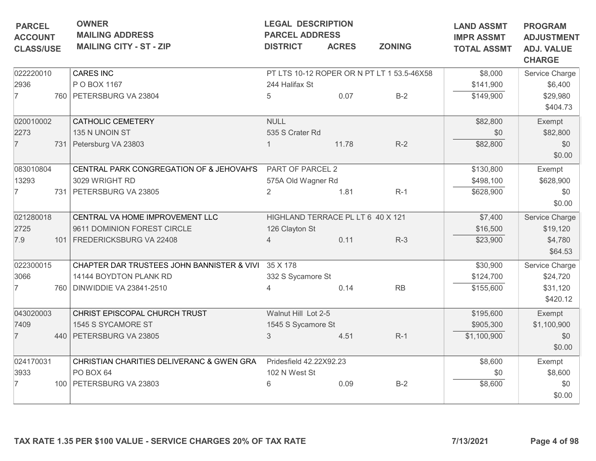| <b>PARCEL</b>                      |  | <b>OWNER</b><br><b>MAILING ADDRESS</b>                          | <b>LEGAL DESCRIPTION</b><br><b>PARCEL ADDRESS</b> |              |                                            | <b>LAND ASSMT</b>                       | <b>PROGRAM</b>                                          |
|------------------------------------|--|-----------------------------------------------------------------|---------------------------------------------------|--------------|--------------------------------------------|-----------------------------------------|---------------------------------------------------------|
| <b>ACCOUNT</b><br><b>CLASS/USE</b> |  | <b>MAILING CITY - ST - ZIP</b>                                  | <b>DISTRICT</b>                                   | <b>ACRES</b> | <b>ZONING</b>                              | <b>IMPR ASSMT</b><br><b>TOTAL ASSMT</b> | <b>ADJUSTMENT</b><br><b>ADJ. VALUE</b><br><b>CHARGE</b> |
| 022220010                          |  | <b>CARES INC</b>                                                |                                                   |              | PT LTS 10-12 ROPER OR N PT LT 1 53.5-46X58 | \$8,000                                 | Service Charge                                          |
| 2936                               |  | P O BOX 1167                                                    | 244 Halifax St                                    |              |                                            | \$141,900                               | \$6,400                                                 |
| 7                                  |  | 760 PETERSBURG VA 23804                                         | 5                                                 | 0.07         | $B-2$                                      | \$149,900                               | \$29,980                                                |
|                                    |  |                                                                 |                                                   |              |                                            |                                         | \$404.73                                                |
| 020010002                          |  | <b>CATHOLIC CEMETERY</b>                                        | <b>NULL</b>                                       |              |                                            | \$82,800                                | Exempt                                                  |
| 2273                               |  | 135 N UNOIN ST                                                  | 535 S Crater Rd                                   |              |                                            | \$0                                     | \$82,800                                                |
| $\overline{7}$                     |  | 731 Petersburg VA 23803                                         |                                                   | 11.78        | $R-2$                                      | \$82,800                                | \$0                                                     |
|                                    |  |                                                                 |                                                   |              |                                            |                                         | \$0.00                                                  |
| 083010804                          |  | CENTRAL PARK CONGREGATION OF & JEHOVAH'S                        | PART OF PARCEL 2                                  |              | \$130,800                                  | Exempt                                  |                                                         |
| 13293                              |  | 3029 WRIGHT RD                                                  | 575A Old Wagner Rd                                |              |                                            | \$498,100                               | \$628,900                                               |
| $\overline{7}$                     |  | 731   PETERSBURG VA 23805                                       | $\overline{2}$                                    | 1.81         | $R-1$                                      | \$628,900                               | \$0                                                     |
|                                    |  |                                                                 |                                                   |              |                                            |                                         | \$0.00                                                  |
| 021280018                          |  | CENTRAL VA HOME IMPROVEMENT LLC                                 | HIGHLAND TERRACE PL LT 6 40 X 121                 |              |                                            | \$7,400                                 | Service Charge                                          |
| 2725                               |  | 9611 DOMINION FOREST CIRCLE                                     | 126 Clayton St                                    |              |                                            | \$16,500                                | \$19,120                                                |
| 7.9                                |  | 101   FREDERICKSBURG VA 22408                                   | 4                                                 | 0.11         | $R-3$                                      | \$23,900                                | \$4,780                                                 |
|                                    |  |                                                                 |                                                   |              |                                            |                                         | \$64.53                                                 |
| 022300015                          |  | CHAPTER DAR TRUSTEES JOHN BANNISTER & VIVI                      | 35 X 178                                          |              |                                            | \$30,900                                | Service Charge                                          |
| 3066                               |  | 14144 BOYDTON PLANK RD                                          | 332 S Sycamore St                                 |              |                                            | \$124,700                               | \$24,720                                                |
| 7                                  |  | 760 DINWIDDIE VA 23841-2510                                     |                                                   | 0.14         | <b>RB</b>                                  | \$155,600                               | \$31,120                                                |
|                                    |  |                                                                 |                                                   |              |                                            |                                         | \$420.12                                                |
| 043020003                          |  | CHRIST EPISCOPAL CHURCH TRUST                                   | Walnut Hill Lot 2-5                               |              |                                            | \$195,600                               | Exempt                                                  |
| 7409                               |  | 1545 S SYCAMORE ST                                              | 1545 S Sycamore St                                |              |                                            | \$905,300                               | \$1,100,900                                             |
| $\overline{7}$                     |  | 440   PETERSBURG VA 23805                                       | 3                                                 | 4.51         | $R-1$                                      | \$1,100,900                             | \$0                                                     |
|                                    |  |                                                                 |                                                   |              |                                            |                                         | \$0.00                                                  |
| 024170031                          |  | CHRISTIAN CHARITIES DELIVERANC & GWEN GRA                       | Pridesfield 42.22X92.23                           |              |                                            | \$8,600                                 | Exempt                                                  |
| 3933                               |  | PO BOX 64                                                       | 102 N West St                                     |              |                                            | \$0                                     | \$8,600                                                 |
| 7                                  |  | 100 PETERSBURG VA 23803                                         | 6                                                 | 0.09         | $B-2$                                      | \$8,600                                 | \$0                                                     |
|                                    |  |                                                                 |                                                   |              |                                            |                                         | \$0.00                                                  |
|                                    |  | TAX RATE 1.35 PER \$100 VALUE - SERVICE CHARGES 20% OF TAX RATE |                                                   |              |                                            | 7/13/2021                               | Page 4 of 98                                            |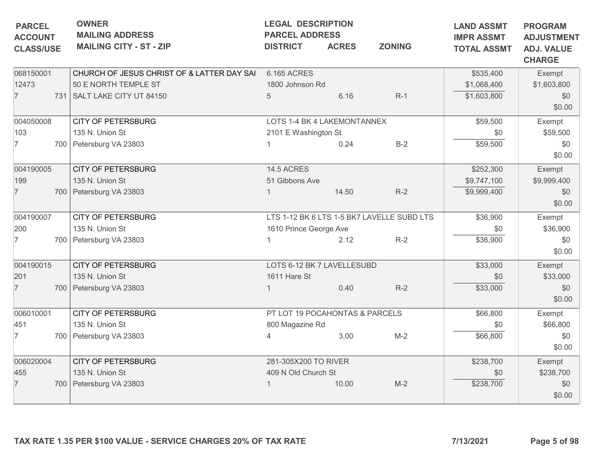|                                    | <b>OWNER</b><br><b>LEGAL DESCRIPTION</b><br><b>PARCEL</b><br><b>MAILING ADDRESS</b><br><b>PARCEL ADDRESS</b> |                                                  |       |                                            | <b>LAND ASSMT</b><br><b>IMPR ASSMT</b> | <b>PROGRAM</b>                                          |  |
|------------------------------------|--------------------------------------------------------------------------------------------------------------|--------------------------------------------------|-------|--------------------------------------------|----------------------------------------|---------------------------------------------------------|--|
| <b>ACCOUNT</b><br><b>CLASS/USE</b> | <b>MAILING CITY - ST - ZIP</b>                                                                               | <b>ZONING</b><br><b>DISTRICT</b><br><b>ACRES</b> |       |                                            | <b>TOTAL ASSMT</b>                     | <b>ADJUSTMENT</b><br><b>ADJ. VALUE</b><br><b>CHARGE</b> |  |
| 068150001                          | CHURCH OF JESUS CHRIST OF & LATTER DAY SAI                                                                   | 6.165 ACRES                                      |       |                                            | \$535,400                              | Exempt                                                  |  |
| 12473                              | 50 E NORTH TEMPLE ST                                                                                         | 1800 Johnson Rd                                  |       |                                            | \$1,068,400                            | \$1,603,800                                             |  |
| $\overline{7}$                     | 731   SALT LAKE CITY UT 84150                                                                                | 5                                                | 6.16  | $R-1$                                      | \$1,603,800                            | \$0<br>\$0.00                                           |  |
| 004050008                          | <b>CITY OF PETERSBURG</b>                                                                                    | LOTS 1-4 BK 4 LAKEMONTANNEX                      |       |                                            | \$59,500                               | Exempt                                                  |  |
| 103                                | 135 N. Union St                                                                                              | 2101 E Washington St                             |       |                                            | \$0                                    | \$59,500                                                |  |
| $\overline{7}$                     | 700 Petersburg VA 23803                                                                                      |                                                  | 0.24  | $B-2$                                      | \$59,500                               | \$0<br>\$0.00                                           |  |
| 004190005                          | <b>CITY OF PETERSBURG</b>                                                                                    | <b>14.5 ACRES</b>                                |       | \$252,300                                  | Exempt                                 |                                                         |  |
| 199                                | 135 N. Union St                                                                                              | 51 Gibbons Ave                                   |       |                                            | \$9,747,100                            | \$9,999,400                                             |  |
| $\overline{7}$                     | 700 Petersburg VA 23803                                                                                      |                                                  | 14.50 | $R-2$                                      | \$9,999,400                            | \$0<br>\$0.00                                           |  |
| 004190007                          | <b>CITY OF PETERSBURG</b>                                                                                    |                                                  |       | LTS 1-12 BK 6 LTS 1-5 BK7 LAVELLE SUBD LTS | \$36,900                               | Exempt                                                  |  |
| 200                                | 135 N. Union St                                                                                              | 1610 Prince George Ave                           |       |                                            | \$0                                    | \$36,900                                                |  |
| $\overline{7}$                     | 700 Petersburg VA 23803                                                                                      |                                                  | 2.12  | $R-2$                                      | \$36,900                               | \$0<br>\$0.00                                           |  |
| 004190015                          | <b>CITY OF PETERSBURG</b>                                                                                    | LOTS 6-12 BK 7 LAVELLESUBD                       |       |                                            | \$33,000                               | Exempt                                                  |  |
| 201                                | 135 N. Union St                                                                                              | 1611 Hare St                                     |       |                                            | \$0                                    | \$33,000                                                |  |
| $\overline{7}$                     | 700 Petersburg VA 23803                                                                                      |                                                  | 0.40  | $R-2$                                      | \$33,000                               | \$0<br>\$0.00                                           |  |
| 006010001                          | <b>CITY OF PETERSBURG</b>                                                                                    | PT LOT 19 POCAHONTAS & PARCELS                   |       |                                            | \$66,800                               | Exempt                                                  |  |
| 451                                | 135 N. Union St                                                                                              | 800 Magazine Rd                                  |       |                                            | \$0                                    | \$66,800                                                |  |
| 7                                  | 700 Petersburg VA 23803                                                                                      | 4                                                | 3.00  | $M-2$                                      | \$66,800                               | \$0<br>\$0.00                                           |  |
| 006020004                          | <b>CITY OF PETERSBURG</b>                                                                                    | 281-305X200 TO RIVER                             |       |                                            | \$238,700                              | Exempt                                                  |  |
| 455                                | 135 N. Union St                                                                                              | 409 N Old Church St                              |       |                                            | \$0                                    | \$238,700                                               |  |
| 7                                  | 700 Petersburg VA 23803                                                                                      |                                                  | 10.00 | $M-2$                                      | \$238,700                              | \$0<br>\$0.00                                           |  |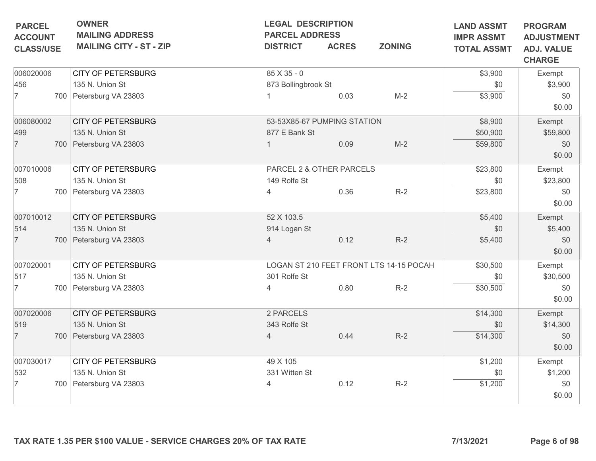| <b>PARCEL</b><br><b>ACCOUNT</b> | <b>OWNER</b><br><b>MAILING ADDRESS</b> | <b>LEGAL DESCRIPTION</b><br><b>PARCEL ADDRESS</b> |              |               | <b>LAND ASSMT</b><br><b>IMPR ASSMT</b><br><b>TOTAL ASSMT</b> | <b>PROGRAM</b><br><b>ADJUSTMENT</b><br><b>ADJ. VALUE</b><br><b>CHARGE</b> |
|---------------------------------|----------------------------------------|---------------------------------------------------|--------------|---------------|--------------------------------------------------------------|---------------------------------------------------------------------------|
| <b>CLASS/USE</b>                | <b>MAILING CITY - ST - ZIP</b>         | <b>DISTRICT</b>                                   | <b>ACRES</b> | <b>ZONING</b> |                                                              |                                                                           |
| 006020006                       | <b>CITY OF PETERSBURG</b>              | $85X35 - 0$                                       |              |               | \$3,900                                                      | Exempt                                                                    |
| 456                             | 135 N. Union St                        | 873 Bollingbrook St                               |              |               | \$0                                                          | \$3,900                                                                   |
| $\overline{7}$                  | 700 Petersburg VA 23803                |                                                   | 0.03         | $M-2$         | \$3,900                                                      | \$0<br>\$0.00                                                             |
| 006080002                       | <b>CITY OF PETERSBURG</b>              | 53-53X85-67 PUMPING STATION                       |              |               | \$8,900                                                      | Exempt                                                                    |
| 499                             | 135 N. Union St                        | 877 E Bank St                                     |              |               | \$50,900                                                     | \$59,800                                                                  |
| $\overline{7}$                  | 700 Petersburg VA 23803                |                                                   | 0.09         | $M-2$         | \$59,800                                                     | \$0<br>\$0.00                                                             |
| 007010006                       | <b>CITY OF PETERSBURG</b>              | PARCEL 2 & OTHER PARCELS                          | \$23,800     | Exempt        |                                                              |                                                                           |
| 508                             | 135 N. Union St                        | 149 Rolfe St                                      |              |               | \$0                                                          | \$23,800                                                                  |
| $\overline{7}$                  | 700 Petersburg VA 23803                | $\overline{4}$                                    | 0.36         | $R-2$         | \$23,800                                                     | \$0<br>\$0.00                                                             |
| 007010012                       | <b>CITY OF PETERSBURG</b>              | 52 X 103.5                                        |              |               | \$5,400                                                      | Exempt                                                                    |
| 514                             | 135 N. Union St                        | 914 Logan St                                      |              |               | \$0                                                          | \$5,400                                                                   |
| $\overline{7}$                  | 700 Petersburg VA 23803                | 4                                                 | 0.12         | $R-2$         | \$5,400                                                      | \$0<br>\$0.00                                                             |
| 007020001                       | <b>CITY OF PETERSBURG</b>              | LOGAN ST 210 FEET FRONT LTS 14-15 POCAH           | \$30,500     | Exempt        |                                                              |                                                                           |
| 517                             | 135 N. Union St                        | 301 Rolfe St                                      |              |               | \$0                                                          | \$30,500                                                                  |
| $\overline{7}$                  | 700 Petersburg VA 23803                | 4                                                 | 0.80         | $R-2$         | \$30,500                                                     | \$0<br>\$0.00                                                             |
| 007020006                       | <b>CITY OF PETERSBURG</b>              | 2 PARCELS                                         |              |               | \$14,300                                                     | Exempt                                                                    |
| 519                             | 135 N. Union St                        | 343 Rolfe St                                      |              |               | \$0                                                          | \$14,300                                                                  |
| $\overline{7}$                  | 700 Petersburg VA 23803                | $\overline{4}$                                    | 0.44         | $R-2$         | \$14,300                                                     | \$0<br>\$0.00                                                             |
| 007030017                       | <b>CITY OF PETERSBURG</b>              | 49 X 105                                          |              |               | \$1,200                                                      | Exempt                                                                    |
| 532                             | 135 N. Union St                        | 331 Witten St                                     |              |               | \$0                                                          | \$1,200                                                                   |
| $\overline{7}$                  | 700 Petersburg VA 23803                | 4                                                 | 0.12         | $R-2$         | \$1,200                                                      | \$0<br>\$0.00                                                             |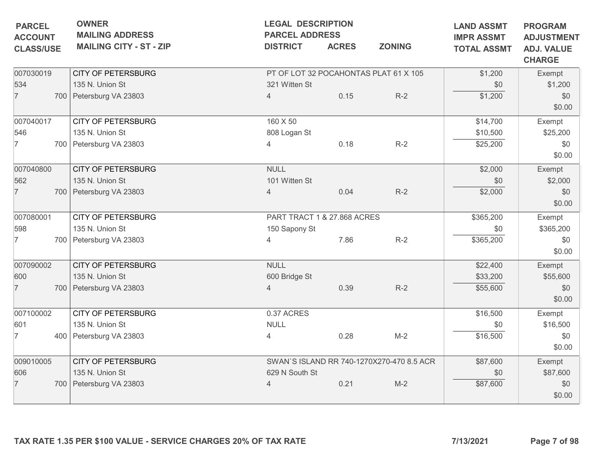| <b>PARCEL</b>                      | <b>OWNER</b><br><b>MAILING ADDRESS</b>                          |                             |              | <b>LEGAL DESCRIPTION</b><br><b>PARCEL ADDRESS</b> |                                         |                                                         |  |  |
|------------------------------------|-----------------------------------------------------------------|-----------------------------|--------------|---------------------------------------------------|-----------------------------------------|---------------------------------------------------------|--|--|
| <b>ACCOUNT</b><br><b>CLASS/USE</b> | <b>MAILING CITY - ST - ZIP</b>                                  | <b>DISTRICT</b>             | <b>ACRES</b> | <b>ZONING</b>                                     | <b>IMPR ASSMT</b><br><b>TOTAL ASSMT</b> | <b>ADJUSTMENT</b><br><b>ADJ. VALUE</b><br><b>CHARGE</b> |  |  |
| 007030019                          | <b>CITY OF PETERSBURG</b>                                       |                             |              | PT OF LOT 32 POCAHONTAS PLAT 61 X 105             | \$1,200                                 | Exempt                                                  |  |  |
| 534                                | 135 N. Union St                                                 | 321 Witten St               |              |                                                   | \$0                                     | \$1,200                                                 |  |  |
| $\overline{7}$                     | 700 Petersburg VA 23803                                         | 4                           | 0.15         | $R-2$                                             | \$1,200                                 | \$0<br>\$0.00                                           |  |  |
| 007040017                          | <b>CITY OF PETERSBURG</b>                                       | 160 X 50                    |              |                                                   | \$14,700                                | Exempt                                                  |  |  |
| 546                                | 135 N. Union St                                                 | 808 Logan St                |              |                                                   | \$10,500                                | \$25,200                                                |  |  |
| $\overline{7}$                     | 700 Petersburg VA 23803                                         | 4                           | 0.18         | $R-2$                                             | \$25,200                                | \$0<br>\$0.00                                           |  |  |
| 007040800                          | <b>CITY OF PETERSBURG</b>                                       | <b>NULL</b>                 |              |                                                   | \$2,000                                 | Exempt                                                  |  |  |
| 562                                | 135 N. Union St                                                 | 101 Witten St               |              |                                                   | \$0                                     | \$2,000                                                 |  |  |
| $\overline{7}$                     | 700 Petersburg VA 23803                                         | $\overline{4}$              | 0.04         | $R-2$                                             | \$2,000                                 | \$0<br>\$0.00                                           |  |  |
| 007080001                          | <b>CITY OF PETERSBURG</b>                                       | PART TRACT 1 & 27.868 ACRES |              |                                                   | \$365,200                               | Exempt                                                  |  |  |
| 598                                | 135 N. Union St                                                 | 150 Sapony St               |              |                                                   | \$0                                     | \$365,200                                               |  |  |
| 7                                  | 700 Petersburg VA 23803                                         | 4                           | 7.86         | $R-2$                                             | \$365,200                               | \$0<br>\$0.00                                           |  |  |
| 007090002                          | <b>CITY OF PETERSBURG</b>                                       | <b>NULL</b>                 |              |                                                   | \$22,400                                | Exempt                                                  |  |  |
| 600                                | 135 N. Union St                                                 | 600 Bridge St               |              |                                                   | \$33,200                                | \$55,600                                                |  |  |
| $\overline{7}$                     | 700 Petersburg VA 23803                                         | 4                           | 0.39         | $R-2$                                             | \$55,600                                | \$0<br>\$0.00                                           |  |  |
| 007100002                          | <b>CITY OF PETERSBURG</b>                                       | 0.37 ACRES                  |              |                                                   | \$16,500                                | Exempt                                                  |  |  |
| 601                                | 135 N. Union St                                                 | <b>NULL</b>                 |              |                                                   | \$0                                     | \$16,500                                                |  |  |
| $\overline{7}$                     | 400 Petersburg VA 23803                                         | 4                           | 0.28         | $M-2$                                             | \$16,500                                | \$0<br>\$0.00                                           |  |  |
| 009010005                          | <b>CITY OF PETERSBURG</b>                                       |                             |              | SWAN'S ISLAND RR 740-1270X270-470 8.5 ACR         | \$87,600                                | Exempt                                                  |  |  |
| 606                                | 135 N. Union St                                                 | 629 N South St              |              |                                                   | \$0                                     | \$87,600                                                |  |  |
| $\overline{7}$                     | 700 Petersburg VA 23803                                         | 4                           | 0.21         | $M-2$                                             | \$87,600                                | \$0<br>\$0.00                                           |  |  |
|                                    | TAX RATE 1.35 PER \$100 VALUE - SERVICE CHARGES 20% OF TAX RATE |                             |              |                                                   | 7/13/2021                               | Page 7 of 98                                            |  |  |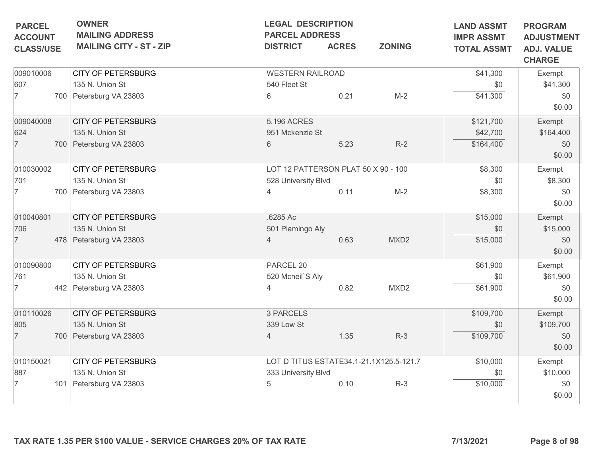| <b>MAILING ADDRESS</b><br><b>MAILING CITY - ST - ZIP</b><br><b>CITY OF PETERSBURG</b><br>135 N. Union St | <b>PARCEL ADDRESS</b><br><b>DISTRICT</b><br><b>WESTERN RAILROAD</b> | <b>ACRES</b> | <b>ZONING</b>                                                                                         | <b>IMPR ASSMT</b><br><b>TOTAL ASSMT</b>                                        | <b>ADJUSTMENT</b>                  |
|----------------------------------------------------------------------------------------------------------|---------------------------------------------------------------------|--------------|-------------------------------------------------------------------------------------------------------|--------------------------------------------------------------------------------|------------------------------------|
|                                                                                                          |                                                                     |              |                                                                                                       |                                                                                | <b>ADJ. VALUE</b><br><b>CHARGE</b> |
|                                                                                                          |                                                                     |              |                                                                                                       | \$41,300                                                                       | Exempt                             |
|                                                                                                          | 540 Fleet St                                                        |              |                                                                                                       | \$0                                                                            | \$41,300                           |
| 700 Petersburg VA 23803                                                                                  | 6                                                                   | 0.21         | $M-2$                                                                                                 | \$41,300                                                                       | \$0<br>\$0.00                      |
| <b>CITY OF PETERSBURG</b>                                                                                | 5.196 ACRES                                                         |              |                                                                                                       | \$121,700                                                                      | Exempt                             |
| 135 N. Union St                                                                                          |                                                                     |              |                                                                                                       | \$42,700                                                                       | \$164,400                          |
| 700 Petersburg VA 23803                                                                                  | 6                                                                   | 5.23         | $R-2$                                                                                                 | \$164,400                                                                      | \$0<br>\$0.00                      |
| <b>CITY OF PETERSBURG</b>                                                                                |                                                                     |              |                                                                                                       | \$8,300                                                                        | Exempt                             |
| 135 N. Union St                                                                                          |                                                                     |              |                                                                                                       | \$0                                                                            | \$8,300                            |
| 700 Petersburg VA 23803                                                                                  | $\overline{4}$                                                      | 0.11         | $M-2$                                                                                                 | \$8,300                                                                        | \$0<br>\$0.00                      |
| <b>CITY OF PETERSBURG</b>                                                                                | .6285 Ac                                                            |              |                                                                                                       |                                                                                | Exempt                             |
| 135 N. Union St                                                                                          |                                                                     |              |                                                                                                       | \$0                                                                            | \$15,000                           |
| 478 Petersburg VA 23803                                                                                  | 4                                                                   | 0.63         | MXD <sub>2</sub>                                                                                      | \$15,000                                                                       | \$0<br>\$0.00                      |
| <b>CITY OF PETERSBURG</b>                                                                                | PARCEL 20                                                           |              |                                                                                                       | \$61,900                                                                       | Exempt                             |
| 135 N. Union St                                                                                          |                                                                     |              |                                                                                                       | \$0                                                                            | \$61,900                           |
| 442 Petersburg VA 23803                                                                                  | 4                                                                   | 0.82         | MXD <sub>2</sub>                                                                                      | \$61,900                                                                       | \$0<br>\$0.00                      |
| <b>CITY OF PETERSBURG</b>                                                                                | 3 PARCELS                                                           |              |                                                                                                       | \$109,700                                                                      | Exempt                             |
| 135 N. Union St                                                                                          | 339 Low St                                                          |              |                                                                                                       | \$0                                                                            | \$109,700                          |
| 700 Petersburg VA 23803                                                                                  | $\overline{4}$                                                      | 1.35         | $R-3$                                                                                                 | \$109,700                                                                      | \$0<br>\$0.00                      |
| <b>CITY OF PETERSBURG</b>                                                                                |                                                                     |              |                                                                                                       |                                                                                | Exempt                             |
| 135 N. Union St                                                                                          |                                                                     |              |                                                                                                       | \$0                                                                            | \$10,000                           |
| 101 Petersburg VA 23803                                                                                  | 5                                                                   | 0.10         | $R-3$                                                                                                 | \$10,000                                                                       | \$0<br>\$0.00                      |
|                                                                                                          |                                                                     |              | 951 Mckenzie St<br>528 University Blvd<br>501 Piamingo Aly<br>520 Mcneil'S Aly<br>333 University Blvd | LOT 12 PATTERSON PLAT 50 X 90 - 100<br>LOT D TITUS ESTATE34.1-21.1X125.5-121.7 | \$15,000<br>\$10,000               |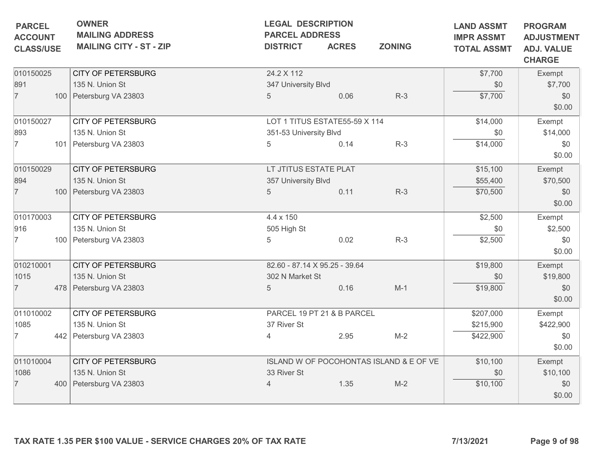| <b>OWNER</b><br><b>MAILING ADDRESS</b><br><b>MAILING CITY - ST - ZIP</b> | <b>LEGAL DESCRIPTION</b><br><b>DISTRICT</b>                                                                                                                                                                                                                                        | <b>LAND ASSMT</b><br><b>IMPR ASSMT</b><br><b>TOTAL ASSMT</b> | <b>PROGRAM</b><br><b>ADJUSTMENT</b><br><b>ADJ. VALUE</b><br><b>CHARGE</b>                                                                                                                                  |                                                                                                                                           |                                                                             |
|--------------------------------------------------------------------------|------------------------------------------------------------------------------------------------------------------------------------------------------------------------------------------------------------------------------------------------------------------------------------|--------------------------------------------------------------|------------------------------------------------------------------------------------------------------------------------------------------------------------------------------------------------------------|-------------------------------------------------------------------------------------------------------------------------------------------|-----------------------------------------------------------------------------|
| <b>CITY OF PETERSBURG</b>                                                | 24.2 X 112                                                                                                                                                                                                                                                                         |                                                              |                                                                                                                                                                                                            | \$7,700                                                                                                                                   | Exempt                                                                      |
|                                                                          |                                                                                                                                                                                                                                                                                    |                                                              |                                                                                                                                                                                                            | \$0                                                                                                                                       | \$7,700                                                                     |
|                                                                          |                                                                                                                                                                                                                                                                                    |                                                              |                                                                                                                                                                                                            |                                                                                                                                           | \$0<br>\$0.00                                                               |
| <b>CITY OF PETERSBURG</b>                                                |                                                                                                                                                                                                                                                                                    |                                                              |                                                                                                                                                                                                            | \$14,000                                                                                                                                  | Exempt                                                                      |
| 135 N. Union St                                                          |                                                                                                                                                                                                                                                                                    |                                                              |                                                                                                                                                                                                            | \$0                                                                                                                                       | \$14,000                                                                    |
|                                                                          | 5                                                                                                                                                                                                                                                                                  | 0.14                                                         | $R-3$                                                                                                                                                                                                      | \$14,000                                                                                                                                  | \$0<br>\$0.00                                                               |
| <b>CITY OF PETERSBURG</b>                                                |                                                                                                                                                                                                                                                                                    |                                                              |                                                                                                                                                                                                            | \$15,100                                                                                                                                  | Exempt                                                                      |
| 135 N. Union St                                                          |                                                                                                                                                                                                                                                                                    |                                                              |                                                                                                                                                                                                            | \$55,400                                                                                                                                  | \$70,500                                                                    |
|                                                                          | 5                                                                                                                                                                                                                                                                                  | 0.11                                                         | $R-3$                                                                                                                                                                                                      | \$70,500                                                                                                                                  | \$0                                                                         |
|                                                                          |                                                                                                                                                                                                                                                                                    |                                                              |                                                                                                                                                                                                            |                                                                                                                                           | \$0.00                                                                      |
|                                                                          |                                                                                                                                                                                                                                                                                    |                                                              |                                                                                                                                                                                                            |                                                                                                                                           | Exempt                                                                      |
| 135 N. Union St                                                          |                                                                                                                                                                                                                                                                                    |                                                              |                                                                                                                                                                                                            |                                                                                                                                           | \$2,500                                                                     |
|                                                                          | 5                                                                                                                                                                                                                                                                                  | 0.02                                                         | $R-3$                                                                                                                                                                                                      |                                                                                                                                           | \$0                                                                         |
|                                                                          |                                                                                                                                                                                                                                                                                    |                                                              |                                                                                                                                                                                                            |                                                                                                                                           | \$0.00                                                                      |
| <b>CITY OF PETERSBURG</b>                                                |                                                                                                                                                                                                                                                                                    |                                                              |                                                                                                                                                                                                            | \$19,800                                                                                                                                  | Exempt                                                                      |
| 135 N. Union St                                                          |                                                                                                                                                                                                                                                                                    |                                                              |                                                                                                                                                                                                            | \$0                                                                                                                                       | \$19,800                                                                    |
|                                                                          | 5                                                                                                                                                                                                                                                                                  | 0.16                                                         | $M-1$                                                                                                                                                                                                      | \$19,800                                                                                                                                  | \$0                                                                         |
|                                                                          |                                                                                                                                                                                                                                                                                    |                                                              |                                                                                                                                                                                                            |                                                                                                                                           | \$0.00                                                                      |
|                                                                          |                                                                                                                                                                                                                                                                                    |                                                              |                                                                                                                                                                                                            |                                                                                                                                           | Exempt                                                                      |
|                                                                          |                                                                                                                                                                                                                                                                                    |                                                              |                                                                                                                                                                                                            |                                                                                                                                           | \$422,900                                                                   |
|                                                                          |                                                                                                                                                                                                                                                                                    |                                                              |                                                                                                                                                                                                            |                                                                                                                                           | \$0                                                                         |
|                                                                          |                                                                                                                                                                                                                                                                                    |                                                              |                                                                                                                                                                                                            |                                                                                                                                           | \$0.00                                                                      |
| <b>CITY OF PETERSBURG</b>                                                |                                                                                                                                                                                                                                                                                    |                                                              |                                                                                                                                                                                                            | \$10,100                                                                                                                                  | Exempt                                                                      |
| 135 N. Union St                                                          | 33 River St                                                                                                                                                                                                                                                                        |                                                              |                                                                                                                                                                                                            | \$0                                                                                                                                       | \$10,100                                                                    |
|                                                                          | $\overline{4}$                                                                                                                                                                                                                                                                     | 1.35                                                         | $M-2$                                                                                                                                                                                                      | \$10,100                                                                                                                                  | \$0                                                                         |
|                                                                          |                                                                                                                                                                                                                                                                                    |                                                              |                                                                                                                                                                                                            |                                                                                                                                           | \$0.00                                                                      |
| <b>CLASS/USE</b>                                                         | 135 N. Union St<br>100 Petersburg VA 23803<br>101 Petersburg VA 23803<br>100 Petersburg VA 23803<br><b>CITY OF PETERSBURG</b><br>100 Petersburg VA 23803<br>478 Petersburg VA 23803<br>CITY OF PETERSBURG<br>135 N. Union St<br>442 Petersburg VA 23803<br>400 Petersburg VA 23803 | 5<br>4.4 x 150<br>505 High St<br>37 River St<br>4            | <b>PARCEL ADDRESS</b><br><b>ACRES</b><br>347 University Blvd<br>0.06<br>351-53 University Blvd<br>LT JTITUS ESTATE PLAT<br>357 University Blvd<br>82.60 - 87.14 X 95.25 - 39.64<br>302 N Market St<br>2.95 | <b>ZONING</b><br>$R-3$<br>LOT 1 TITUS ESTATE55-59 X 114<br>PARCEL 19 PT 21 & B PARCEL<br>$M-2$<br>ISLAND W OF POCOHONTAS ISLAND & E OF VE | \$7,700<br>\$2,500<br>\$0<br>\$2,500<br>\$207,000<br>\$215,900<br>\$422,900 |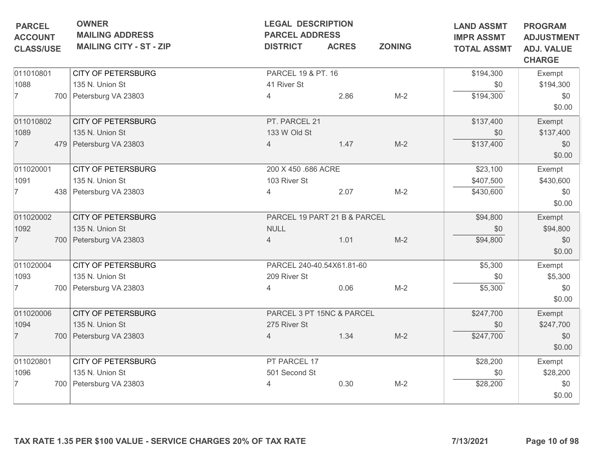| <b>PARCEL</b>                      | <b>OWNER</b><br><b>MAILING ADDRESS</b>                                             | <b>LEGAL DESCRIPTION</b><br><b>PARCEL ADDRESS</b> |                              | <b>LAND ASSMT</b><br><b>IMPR ASSMT</b>                  | <b>PROGRAM</b> |               |
|------------------------------------|------------------------------------------------------------------------------------|---------------------------------------------------|------------------------------|---------------------------------------------------------|----------------|---------------|
| <b>ACCOUNT</b><br><b>CLASS/USE</b> | <b>MAILING CITY - ST - ZIP</b><br><b>ZONING</b><br><b>DISTRICT</b><br><b>ACRES</b> |                                                   | <b>TOTAL ASSMT</b>           | <b>ADJUSTMENT</b><br><b>ADJ. VALUE</b><br><b>CHARGE</b> |                |               |
| 011010801                          | <b>CITY OF PETERSBURG</b>                                                          | PARCEL 19 & PT. 16                                |                              |                                                         | \$194,300      | Exempt        |
| 1088                               | 135 N. Union St                                                                    | 41 River St                                       |                              |                                                         | \$0            | \$194,300     |
| $\overline{7}$                     | 700 Petersburg VA 23803                                                            | $\overline{4}$                                    | 2.86                         | $M-2$                                                   | \$194,300      | \$0<br>\$0.00 |
| 011010802                          | <b>CITY OF PETERSBURG</b>                                                          | PT. PARCEL 21                                     |                              |                                                         | \$137,400      | Exempt        |
| 1089                               | 135 N. Union St                                                                    | 133 W Old St                                      |                              |                                                         | \$0            | \$137,400     |
| $\overline{7}$                     | 479 Petersburg VA 23803                                                            | 4                                                 | 1.47                         | $M-2$                                                   | \$137,400      | \$0<br>\$0.00 |
| 011020001                          | <b>CITY OF PETERSBURG</b>                                                          | 200 X 450 .686 ACRE                               |                              | \$23,100                                                | Exempt         |               |
| 1091                               | 135 N. Union St                                                                    | 103 River St                                      |                              |                                                         | \$407,500      | \$430,600     |
| 7                                  | 438 Petersburg VA 23803                                                            | $\overline{4}$                                    | 2.07                         | $M-2$                                                   | \$430,600      | \$0<br>\$0.00 |
| 011020002                          | <b>CITY OF PETERSBURG</b>                                                          |                                                   | PARCEL 19 PART 21 B & PARCEL | \$94,800                                                | Exempt         |               |
| 1092                               | 135 N. Union St                                                                    | <b>NULL</b>                                       |                              |                                                         | \$0            | \$94,800      |
| $\overline{7}$                     | 700 Petersburg VA 23803                                                            | $\overline{4}$                                    | 1.01                         | $M-2$                                                   | \$94,800       | \$0<br>\$0.00 |
| 011020004                          | <b>CITY OF PETERSBURG</b>                                                          | PARCEL 240-40.54X61.81-60                         |                              | \$5,300                                                 | Exempt         |               |
| 1093                               | 135 N. Union St                                                                    | 209 River St                                      |                              |                                                         | \$0            | \$5,300       |
| 7                                  | 700 Petersburg VA 23803                                                            | 4                                                 | 0.06                         | $M-2$                                                   | \$5,300        | \$0<br>\$0.00 |
| 011020006                          | <b>CITY OF PETERSBURG</b>                                                          |                                                   | PARCEL 3 PT 15NC & PARCEL    |                                                         | \$247,700      | Exempt        |
| 1094                               | 135 N. Union St                                                                    | 275 River St                                      |                              |                                                         | \$0            | \$247,700     |
| $\overline{7}$                     | 700 Petersburg VA 23803                                                            | 4                                                 | 1.34                         | $M-2$                                                   | \$247,700      | \$0<br>\$0.00 |
| 011020801                          | <b>CITY OF PETERSBURG</b>                                                          | PT PARCEL 17                                      |                              |                                                         | \$28,200       | Exempt        |
| 1096                               | 135 N. Union St                                                                    | 501 Second St                                     |                              |                                                         | \$0            | \$28,200      |
| 7                                  | 700 Petersburg VA 23803                                                            | 4                                                 | 0.30                         | $M-2$                                                   | \$28,200       | \$0<br>\$0.00 |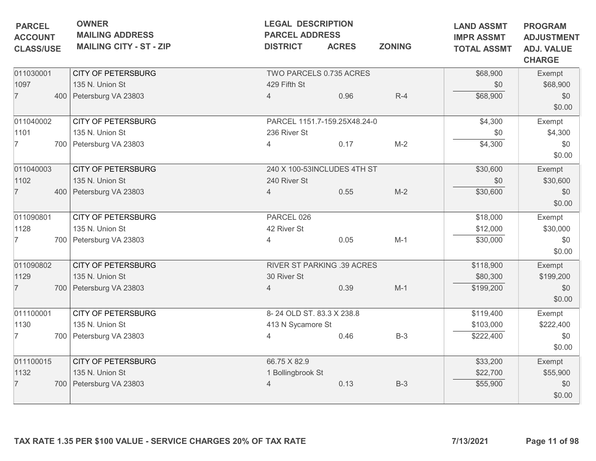| <b>OWNER</b><br><b>LEGAL DESCRIPTION</b><br><b>PARCEL</b><br><b>MAILING ADDRESS</b><br><b>PARCEL ADDRESS</b><br><b>ACCOUNT</b> |  |                                                                 |                             | <b>LAND ASSMT</b><br><b>IMPR ASSMT</b> | <b>PROGRAM</b> |                    |                                                         |
|--------------------------------------------------------------------------------------------------------------------------------|--|-----------------------------------------------------------------|-----------------------------|----------------------------------------|----------------|--------------------|---------------------------------------------------------|
| <b>CLASS/USE</b>                                                                                                               |  | <b>MAILING CITY - ST - ZIP</b>                                  | <b>DISTRICT</b>             | <b>ACRES</b>                           | <b>ZONING</b>  | <b>TOTAL ASSMT</b> | <b>ADJUSTMENT</b><br><b>ADJ. VALUE</b><br><b>CHARGE</b> |
| 011030001                                                                                                                      |  | <b>CITY OF PETERSBURG</b>                                       | TWO PARCELS 0.735 ACRES     |                                        |                | \$68,900           | Exempt                                                  |
| 1097                                                                                                                           |  | 135 N. Union St                                                 | 429 Fifth St                |                                        |                | \$0                | \$68,900                                                |
| $\overline{7}$                                                                                                                 |  | 400 Petersburg VA 23803                                         | $\overline{4}$              | 0.96                                   | $R-4$          | \$68,900           | \$0<br>\$0.00                                           |
| 011040002                                                                                                                      |  | <b>CITY OF PETERSBURG</b>                                       |                             | PARCEL 1151.7-159.25X48.24-0           |                | \$4,300            | Exempt                                                  |
| 1101                                                                                                                           |  | 135 N. Union St                                                 | 236 River St                |                                        |                | \$0                | \$4,300                                                 |
| 7                                                                                                                              |  | 700 Petersburg VA 23803                                         | 4                           | 0.17                                   | $M-2$          | \$4,300            | \$0<br>\$0.00                                           |
| 011040003                                                                                                                      |  | <b>CITY OF PETERSBURG</b>                                       | 240 X 100-53INCLUDES 4TH ST |                                        |                | \$30,600           | Exempt                                                  |
| 1102                                                                                                                           |  | 135 N. Union St                                                 | 240 River St                |                                        |                | \$0                | \$30,600                                                |
| $\overline{7}$                                                                                                                 |  | 400 Petersburg VA 23803                                         | $\overline{4}$              | 0.55                                   | $M-2$          | \$30,600           | \$0<br>\$0.00                                           |
| 011090801                                                                                                                      |  | <b>CITY OF PETERSBURG</b>                                       | PARCEL 026                  |                                        |                | \$18,000           | Exempt                                                  |
| 1128                                                                                                                           |  | 135 N. Union St                                                 | 42 River St                 |                                        |                | \$12,000           | \$30,000                                                |
| 7                                                                                                                              |  | 700 Petersburg VA 23803                                         | 4                           | 0.05                                   | $M-1$          | \$30,000           | \$0<br>\$0.00                                           |
| 011090802                                                                                                                      |  | <b>CITY OF PETERSBURG</b>                                       | RIVER ST PARKING .39 ACRES  |                                        |                | \$118,900          | Exempt                                                  |
| 1129                                                                                                                           |  | 135 N. Union St                                                 | 30 River St                 |                                        |                | \$80,300           | \$199,200                                               |
| $\overline{7}$                                                                                                                 |  | 700 Petersburg VA 23803                                         | $\overline{4}$              | 0.39                                   | $M-1$          | \$199,200          | \$0<br>\$0.00                                           |
| 011100001                                                                                                                      |  | <b>CITY OF PETERSBURG</b>                                       | 8-24 OLD ST. 83.3 X 238.8   |                                        |                | \$119,400          | Exempt                                                  |
| 1130                                                                                                                           |  | 135 N. Union St                                                 | 413 N Sycamore St           |                                        |                | \$103,000          | \$222,400                                               |
| 7                                                                                                                              |  | 700   Petersburg VA 23803                                       | 4                           | 0.46                                   | $B-3$          | \$222,400          | \$0<br>\$0.00                                           |
| 011100015                                                                                                                      |  | <b>CITY OF PETERSBURG</b>                                       | 66.75 X 82.9                |                                        |                | \$33,200           | Exempt                                                  |
| 1132                                                                                                                           |  | 135 N. Union St                                                 | 1 Bollingbrook St           |                                        |                | \$22,700           | \$55,900                                                |
| $\overline{7}$                                                                                                                 |  | 700 Petersburg VA 23803                                         | 4                           | 0.13                                   | $B-3$          | \$55,900           | \$0<br>\$0.00                                           |
|                                                                                                                                |  | TAX RATE 1.35 PER \$100 VALUE - SERVICE CHARGES 20% OF TAX RATE |                             |                                        |                | 7/13/2021          | Page 11 of 98                                           |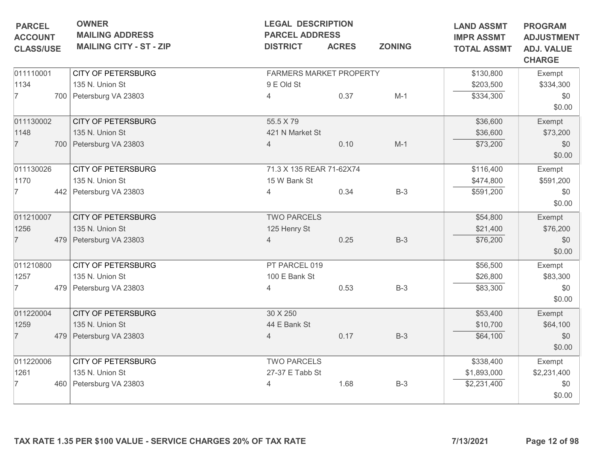| <b>PARCEL</b>                      | <b>OWNER</b>                                                    | <b>LEGAL DESCRIPTION</b><br><b>PARCEL ADDRESS</b> |              |               | <b>LAND ASSMT</b>                       | <b>PROGRAM</b>                                          |
|------------------------------------|-----------------------------------------------------------------|---------------------------------------------------|--------------|---------------|-----------------------------------------|---------------------------------------------------------|
| <b>ACCOUNT</b><br><b>CLASS/USE</b> | <b>MAILING ADDRESS</b><br><b>MAILING CITY - ST - ZIP</b>        | <b>DISTRICT</b>                                   | <b>ACRES</b> | <b>ZONING</b> | <b>IMPR ASSMT</b><br><b>TOTAL ASSMT</b> | <b>ADJUSTMENT</b><br><b>ADJ. VALUE</b><br><b>CHARGE</b> |
| 011110001                          | <b>CITY OF PETERSBURG</b>                                       | FARMERS MARKET PROPERTY                           |              |               | \$130,800                               | Exempt                                                  |
| 1134                               | 135 N. Union St                                                 | 9 E Old St                                        |              |               | \$203,500                               | \$334,300                                               |
| $\overline{7}$                     | 700 Petersburg VA 23803                                         | 4                                                 | 0.37         | $M-1$         | \$334,300                               | \$0                                                     |
|                                    |                                                                 |                                                   |              |               |                                         | \$0.00                                                  |
| 011130002                          | <b>CITY OF PETERSBURG</b>                                       | 55.5 X 79                                         |              |               | \$36,600                                | Exempt                                                  |
| 1148                               | 135 N. Union St                                                 | 421 N Market St                                   |              |               | \$36,600                                | \$73,200                                                |
| $\overline{7}$                     | 700 Petersburg VA 23803                                         | 4                                                 | 0.10         | $M-1$         | \$73,200                                | \$0                                                     |
|                                    |                                                                 |                                                   |              |               |                                         | \$0.00                                                  |
| 011130026                          | <b>CITY OF PETERSBURG</b>                                       | 71.3 X 135 REAR 71-62X74                          |              |               | \$116,400                               | Exempt                                                  |
| 1170                               | 135 N. Union St                                                 | 15 W Bank St                                      |              |               | \$474,800                               | \$591,200                                               |
| $\overline{7}$                     | 442 Petersburg VA 23803                                         | 4                                                 | 0.34         | $B-3$         | \$591,200                               | \$0                                                     |
|                                    |                                                                 |                                                   |              |               |                                         | \$0.00                                                  |
| 011210007                          | <b>CITY OF PETERSBURG</b>                                       | <b>TWO PARCELS</b>                                |              |               | \$54,800                                | Exempt                                                  |
| 1256                               | 135 N. Union St                                                 | 125 Henry St                                      |              |               | \$21,400                                | \$76,200                                                |
| $\overline{7}$                     | 479 Petersburg VA 23803                                         | 4                                                 | 0.25         | $B-3$         | \$76,200                                | \$0                                                     |
|                                    |                                                                 |                                                   |              |               |                                         | \$0.00                                                  |
| 011210800                          | <b>CITY OF PETERSBURG</b>                                       | PT PARCEL 019                                     |              |               | \$56,500                                | Exempt                                                  |
| 1257                               | 135 N. Union St                                                 | 100 E Bank St                                     |              |               | \$26,800                                | \$83,300                                                |
| $\overline{7}$                     | 479 Petersburg VA 23803                                         | 4                                                 | 0.53         | $B-3$         | \$83,300                                | \$0                                                     |
|                                    |                                                                 |                                                   |              |               |                                         | \$0.00                                                  |
| 011220004                          | <b>CITY OF PETERSBURG</b>                                       | 30 X 250                                          |              |               | \$53,400                                | Exempt                                                  |
| 1259                               | 135 N. Union St                                                 | 44 E Bank St                                      |              |               | \$10,700                                | \$64,100                                                |
| $\overline{7}$                     | 479 Petersburg VA 23803                                         | $\overline{4}$                                    | 0.17         | $B-3$         | \$64,100                                | \$0                                                     |
|                                    |                                                                 |                                                   |              |               |                                         | \$0.00                                                  |
| 011220006                          | <b>CITY OF PETERSBURG</b>                                       | <b>TWO PARCELS</b>                                |              |               | \$338,400                               | Exempt                                                  |
| 1261                               | 135 N. Union St                                                 | 27-37 E Tabb St                                   |              |               | \$1,893,000                             | \$2,231,400                                             |
| $\overline{7}$                     | 460 Petersburg VA 23803                                         | 4                                                 | 1.68         | $B-3$         | \$2,231,400                             | \$0                                                     |
|                                    |                                                                 |                                                   |              |               |                                         | \$0.00                                                  |
|                                    | TAX RATE 1.35 PER \$100 VALUE - SERVICE CHARGES 20% OF TAX RATE |                                                   |              |               | 7/13/2021                               | Page 12 of 98                                           |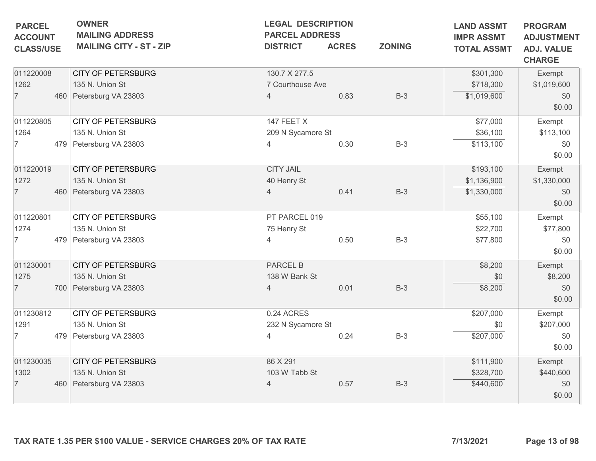| <b>OWNER</b><br><b>MAILING ADDRESS</b><br><b>MAILING CITY - ST - ZIP</b> | <b>LEGAL DESCRIPTION</b><br><b>DISTRICT</b>                                                                                                                                               | <b>ACRES</b> | <b>ZONING</b>                                                                                                                          | <b>LAND ASSMT</b><br><b>IMPR ASSMT</b><br><b>TOTAL ASSMT</b> | <b>PROGRAM</b><br><b>ADJUSTMENT</b><br><b>ADJ. VALUE</b> |
|--------------------------------------------------------------------------|-------------------------------------------------------------------------------------------------------------------------------------------------------------------------------------------|--------------|----------------------------------------------------------------------------------------------------------------------------------------|--------------------------------------------------------------|----------------------------------------------------------|
|                                                                          |                                                                                                                                                                                           |              |                                                                                                                                        |                                                              | <b>CHARGE</b>                                            |
| <b>CITY OF PETERSBURG</b>                                                | 130.7 X 277.5                                                                                                                                                                             |              |                                                                                                                                        | \$301,300                                                    | Exempt                                                   |
| 135 N. Union St                                                          |                                                                                                                                                                                           |              |                                                                                                                                        | \$718,300                                                    | \$1,019,600                                              |
|                                                                          | $\overline{4}$                                                                                                                                                                            | 0.83         | $B-3$                                                                                                                                  | \$1,019,600                                                  | \$0                                                      |
|                                                                          |                                                                                                                                                                                           |              |                                                                                                                                        |                                                              | \$0.00                                                   |
| <b>CITY OF PETERSBURG</b>                                                | 147 FEET X                                                                                                                                                                                |              |                                                                                                                                        | \$77,000                                                     | Exempt                                                   |
| 135 N. Union St                                                          |                                                                                                                                                                                           |              |                                                                                                                                        | \$36,100                                                     | \$113,100                                                |
|                                                                          |                                                                                                                                                                                           | 0.30         | $B-3$                                                                                                                                  | \$113,100                                                    | \$0                                                      |
|                                                                          |                                                                                                                                                                                           |              |                                                                                                                                        |                                                              | \$0.00                                                   |
| <b>CITY OF PETERSBURG</b>                                                | <b>CITY JAIL</b>                                                                                                                                                                          |              |                                                                                                                                        | \$193,100                                                    | Exempt                                                   |
| 135 N. Union St                                                          | 40 Henry St                                                                                                                                                                               |              |                                                                                                                                        | \$1,136,900                                                  | \$1,330,000                                              |
|                                                                          | $\overline{4}$                                                                                                                                                                            | 0.41         | $B-3$                                                                                                                                  | \$1,330,000                                                  | \$0                                                      |
|                                                                          |                                                                                                                                                                                           |              |                                                                                                                                        |                                                              | \$0.00                                                   |
| <b>CITY OF PETERSBURG</b>                                                |                                                                                                                                                                                           |              |                                                                                                                                        | \$55,100                                                     | Exempt                                                   |
| 135 N. Union St                                                          | 75 Henry St                                                                                                                                                                               |              |                                                                                                                                        | \$22,700                                                     | \$77,800                                                 |
|                                                                          | 4                                                                                                                                                                                         | 0.50         | $B-3$                                                                                                                                  | \$77,800                                                     | \$0                                                      |
|                                                                          |                                                                                                                                                                                           |              |                                                                                                                                        |                                                              | \$0.00                                                   |
| <b>CITY OF PETERSBURG</b>                                                | <b>PARCEL B</b>                                                                                                                                                                           |              |                                                                                                                                        | \$8,200                                                      | Exempt                                                   |
| 135 N. Union St                                                          |                                                                                                                                                                                           |              |                                                                                                                                        | \$0                                                          | \$8,200                                                  |
|                                                                          | 4                                                                                                                                                                                         | 0.01         | $B-3$                                                                                                                                  | \$8,200                                                      | \$0                                                      |
|                                                                          |                                                                                                                                                                                           |              |                                                                                                                                        |                                                              | \$0.00                                                   |
| <b>CITY OF PETERSBURG</b>                                                | 0.24 ACRES                                                                                                                                                                                |              |                                                                                                                                        | \$207,000                                                    | Exempt                                                   |
| 135 N. Union St                                                          |                                                                                                                                                                                           |              |                                                                                                                                        | \$0                                                          | \$207,000                                                |
|                                                                          | $\overline{4}$                                                                                                                                                                            | 0.24         | $B-3$                                                                                                                                  | \$207,000                                                    | \$0                                                      |
|                                                                          |                                                                                                                                                                                           |              |                                                                                                                                        |                                                              | \$0.00                                                   |
| <b>CITY OF PETERSBURG</b>                                                | 86 X 291                                                                                                                                                                                  |              |                                                                                                                                        | \$111,900                                                    | Exempt                                                   |
| 135 N. Union St                                                          |                                                                                                                                                                                           |              |                                                                                                                                        | \$328,700                                                    | \$440,600                                                |
|                                                                          | 4                                                                                                                                                                                         | 0.57         | $B-3$                                                                                                                                  | \$440,600                                                    | \$0                                                      |
|                                                                          |                                                                                                                                                                                           |              |                                                                                                                                        |                                                              | \$0.00                                                   |
|                                                                          | 460 Petersburg VA 23803<br>479 Petersburg VA 23803<br>460 Petersburg VA 23803<br>479 Petersburg VA 23803<br>700 Petersburg VA 23803<br>479 Petersburg VA 23803<br>460 Petersburg VA 23803 |              | <b>PARCEL ADDRESS</b><br>7 Courthouse Ave<br>209 N Sycamore St<br>PT PARCEL 019<br>138 W Bank St<br>232 N Sycamore St<br>103 W Tabb St |                                                              |                                                          |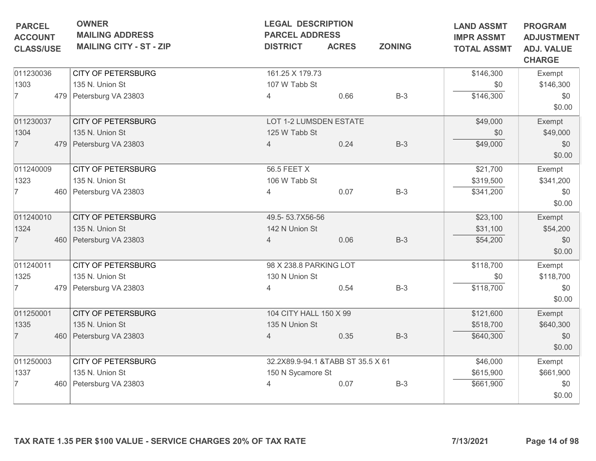| <b>PARCEL</b><br><b>ACCOUNT</b> | <b>OWNER</b><br><b>MAILING ADDRESS</b> | <b>LEGAL DESCRIPTION</b><br><b>PARCEL ADDRESS</b> |              |               | <b>LAND ASSMT</b><br><b>IMPR ASSMT</b> | <b>PROGRAM</b><br><b>ADJUSTMENT</b> |
|---------------------------------|----------------------------------------|---------------------------------------------------|--------------|---------------|----------------------------------------|-------------------------------------|
| <b>CLASS/USE</b>                | <b>MAILING CITY - ST - ZIP</b>         | <b>DISTRICT</b>                                   | <b>ACRES</b> | <b>ZONING</b> | <b>TOTAL ASSMT</b>                     | <b>ADJ. VALUE</b><br><b>CHARGE</b>  |
| 011230036                       | <b>CITY OF PETERSBURG</b>              | 161.25 X 179.73                                   |              |               | \$146,300                              | Exempt                              |
| 1303                            | 135 N. Union St                        | 107 W Tabb St                                     |              |               | \$0                                    | \$146,300                           |
| $\overline{7}$                  | 479 Petersburg VA 23803                | $\overline{4}$                                    | 0.66         | $B-3$         | \$146,300                              | \$0<br>\$0.00                       |
| 011230037                       | <b>CITY OF PETERSBURG</b>              | LOT 1-2 LUMSDEN ESTATE                            |              |               | \$49,000                               | Exempt                              |
| 1304                            | 135 N. Union St                        | 125 W Tabb St                                     |              |               | \$0                                    | \$49,000                            |
| $\overline{7}$                  | 479 Petersburg VA 23803                | 4                                                 | 0.24         | $B-3$         | \$49,000                               | \$0<br>\$0.00                       |
| 011240009                       | <b>CITY OF PETERSBURG</b>              | 56.5 FEET X                                       |              |               | \$21,700                               | Exempt                              |
| 1323                            | 135 N. Union St                        | 106 W Tabb St                                     |              |               | \$319,500                              | \$341,200                           |
| 7                               | 460 Petersburg VA 23803                | 4                                                 | 0.07         | $B-3$         | \$341,200                              | \$0<br>\$0.00                       |
| 011240010                       | <b>CITY OF PETERSBURG</b>              | 49.5-53.7X56-56                                   |              |               | \$23,100                               | Exempt                              |
| 1324                            | 135 N. Union St                        | 142 N Union St                                    |              |               | \$31,100                               | \$54,200                            |
| $\overline{7}$                  | 460 Petersburg VA 23803                | $\overline{4}$                                    | 0.06         | $B-3$         | \$54,200                               | \$0<br>\$0.00                       |
| 011240011                       | <b>CITY OF PETERSBURG</b>              | 98 X 238.8 PARKING LOT                            |              |               | \$118,700                              | Exempt                              |
| 1325                            | 135 N. Union St                        | 130 N Union St                                    |              |               | \$0                                    | \$118,700                           |
| 7                               | 479 Petersburg VA 23803                | 4                                                 | 0.54         | $B-3$         | \$118,700                              | \$0<br>\$0.00                       |
| 011250001                       | <b>CITY OF PETERSBURG</b>              | 104 CITY HALL 150 X 99                            |              |               | \$121,600                              | Exempt                              |
| 1335                            | 135 N. Union St                        | 135 N Union St                                    |              |               | \$518,700                              | \$640,300                           |
| $\overline{7}$                  | 460 Petersburg VA 23803                | $\overline{4}$                                    | 0.35         | $B-3$         | \$640,300                              | \$0<br>\$0.00                       |
| 011250003                       | <b>CITY OF PETERSBURG</b>              | 32.2X89.9-94.1 & TABB ST 35.5 X 61                |              |               | \$46,000                               | Exempt                              |
| 1337                            | 135 N. Union St                        | 150 N Sycamore St                                 |              |               | \$615,900                              | \$661,900                           |
| 7                               | 460 Petersburg VA 23803                | 4                                                 | 0.07         | $B-3$         | \$661,900                              | \$0<br>\$0.00                       |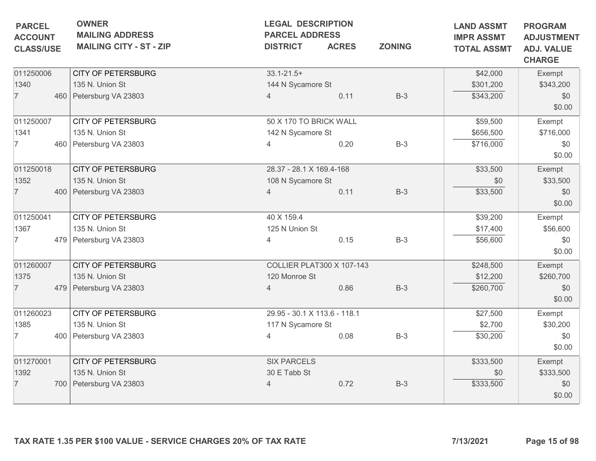| <b>PARCEL</b><br><b>ACCOUNT</b> | <b>OWNER</b><br><b>MAILING ADDRESS</b> | <b>LEGAL DESCRIPTION</b><br><b>PARCEL ADDRESS</b> |              |               | <b>LAND ASSMT</b><br><b>IMPR ASSMT</b> | <b>PROGRAM</b><br><b>ADJUSTMENT</b> |
|---------------------------------|----------------------------------------|---------------------------------------------------|--------------|---------------|----------------------------------------|-------------------------------------|
| <b>CLASS/USE</b>                | <b>MAILING CITY - ST - ZIP</b>         | <b>DISTRICT</b>                                   | <b>ACRES</b> | <b>ZONING</b> | <b>TOTAL ASSMT</b>                     | <b>ADJ. VALUE</b><br><b>CHARGE</b>  |
| 011250006                       | <b>CITY OF PETERSBURG</b>              | $33.1 - 21.5 +$                                   |              |               | \$42,000                               | Exempt                              |
| 1340                            | 135 N. Union St                        | 144 N Sycamore St                                 |              |               | \$301,200                              | \$343,200                           |
| $\overline{7}$                  | 460 Petersburg VA 23803                | $\overline{4}$                                    | 0.11         | $B-3$         | \$343,200                              | \$0<br>\$0.00                       |
| 011250007                       | <b>CITY OF PETERSBURG</b>              | 50 X 170 TO BRICK WALL                            |              |               | \$59,500                               | Exempt                              |
| 1341                            | 135 N. Union St                        | 142 N Sycamore St                                 |              |               | \$656,500                              | \$716,000                           |
| $\overline{7}$                  | 460 Petersburg VA 23803                |                                                   | 0.20         | $B-3$         | \$716,000                              | \$0<br>\$0.00                       |
| 011250018                       | <b>CITY OF PETERSBURG</b>              | 28.37 - 28.1 X 169.4-168                          |              |               | \$33,500                               | Exempt                              |
| 1352                            | 135 N. Union St                        | 108 N Sycamore St                                 |              |               | \$0                                    | \$33,500                            |
| $\overline{7}$                  | 400 Petersburg VA 23803                | $\overline{4}$                                    | 0.11         | $B-3$         | \$33,500                               | \$0<br>\$0.00                       |
| 011250041                       | <b>CITY OF PETERSBURG</b>              | 40 X 159.4                                        |              |               | \$39,200                               | Exempt                              |
| 1367                            | 135 N. Union St                        | 125 N Union St                                    |              |               | \$17,400                               | \$56,600                            |
| $\overline{7}$                  | 479 Petersburg VA 23803                | 4                                                 | 0.15         | $B-3$         | \$56,600                               | \$0<br>\$0.00                       |
| 011260007                       | <b>CITY OF PETERSBURG</b>              | <b>COLLIER PLAT300 X 107-143</b>                  |              |               | \$248,500                              | Exempt                              |
| 1375                            | 135 N. Union St                        | 120 Monroe St                                     |              |               | \$12,200                               | \$260,700                           |
| $\overline{7}$                  | 479 Petersburg VA 23803                | 4                                                 | 0.86         | $B-3$         | \$260,700                              | \$0<br>\$0.00                       |
| 011260023                       | <b>CITY OF PETERSBURG</b>              | 29.95 - 30.1 X 113.6 - 118.1                      |              |               | \$27,500                               | Exempt                              |
| 1385                            | 135 N. Union St                        | 117 N Sycamore St                                 |              |               | \$2,700                                | \$30,200                            |
| 7                               | 400 Petersburg VA 23803                | $\overline{4}$                                    | 0.08         | $B-3$         | \$30,200                               | \$0<br>\$0.00                       |
| 011270001                       | <b>CITY OF PETERSBURG</b>              | <b>SIX PARCELS</b>                                |              |               | \$333,500                              | Exempt                              |
| 1392                            | 135 N. Union St                        | 30 E Tabb St                                      |              |               | \$0                                    | \$333,500                           |
| $\overline{7}$                  | 700 Petersburg VA 23803                | 4                                                 | 0.72         | $B-3$         | \$333,500                              | \$0<br>\$0.00                       |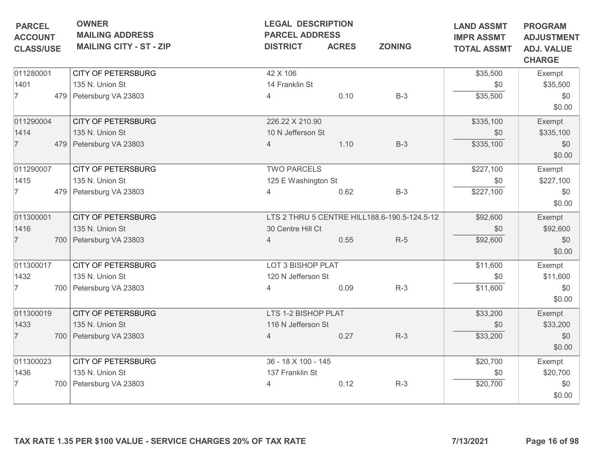| <b>PARCEL</b><br><b>ACCOUNT</b> | <b>OWNER</b><br><b>MAILING ADDRESS</b>                          | <b>LEGAL DESCRIPTION</b><br><b>PARCEL ADDRESS</b> |              |                                              | <b>LAND ASSMT</b><br><b>IMPR ASSMT</b> | <b>PROGRAM</b><br><b>ADJUSTMENT</b> |
|---------------------------------|-----------------------------------------------------------------|---------------------------------------------------|--------------|----------------------------------------------|----------------------------------------|-------------------------------------|
| <b>CLASS/USE</b>                | <b>MAILING CITY - ST - ZIP</b>                                  | <b>DISTRICT</b>                                   | <b>ACRES</b> | <b>ZONING</b>                                | <b>TOTAL ASSMT</b>                     | <b>ADJ. VALUE</b><br><b>CHARGE</b>  |
| 011280001                       | <b>CITY OF PETERSBURG</b>                                       | 42 X 106                                          |              |                                              | \$35,500                               | Exempt                              |
| 1401                            | 135 N. Union St                                                 | 14 Franklin St                                    |              |                                              | \$0                                    | \$35,500                            |
| $\overline{7}$                  | 479 Petersburg VA 23803                                         | 4                                                 | 0.10         | $B-3$                                        | \$35,500                               | \$0                                 |
|                                 |                                                                 |                                                   |              |                                              |                                        | \$0.00                              |
| 011290004                       | <b>CITY OF PETERSBURG</b>                                       | 226.22 X 210.90                                   |              |                                              | \$335,100                              | Exempt                              |
| 1414                            | 135 N. Union St                                                 | 10 N Jefferson St                                 |              |                                              | \$0                                    | \$335,100                           |
| $\overline{7}$                  | 479 Petersburg VA 23803                                         | 4                                                 | 1.10         | $B-3$                                        | \$335,100                              | \$0                                 |
|                                 |                                                                 |                                                   |              |                                              |                                        | \$0.00                              |
| 011290007                       | <b>CITY OF PETERSBURG</b>                                       | <b>TWO PARCELS</b>                                |              |                                              | \$227,100                              | Exempt                              |
| 1415                            | 135 N. Union St                                                 | 125 E Washington St                               |              |                                              | \$0                                    | \$227,100                           |
| $\overline{7}$                  | 479 Petersburg VA 23803                                         | 4                                                 | 0.62         | $B-3$                                        | \$227,100                              | \$0                                 |
|                                 |                                                                 |                                                   |              |                                              |                                        | \$0.00                              |
| 011300001                       | <b>CITY OF PETERSBURG</b>                                       |                                                   |              | LTS 2 THRU 5 CENTRE HILL188.6-190.5-124.5-12 | \$92,600                               | Exempt                              |
| 1416                            | 135 N. Union St                                                 | 30 Centre Hill Ct                                 |              |                                              | \$0                                    | \$92,600                            |
| $\overline{7}$                  | 700 Petersburg VA 23803                                         | $\overline{4}$                                    | 0.55         | $R-5$                                        | \$92,600                               | \$0                                 |
|                                 |                                                                 |                                                   |              |                                              |                                        | \$0.00                              |
| 011300017                       | <b>CITY OF PETERSBURG</b>                                       | LOT 3 BISHOP PLAT                                 |              |                                              | \$11,600                               | Exempt                              |
| 1432                            | 135 N. Union St                                                 | 120 N Jefferson St                                |              |                                              | \$0                                    | \$11,600                            |
| $\overline{7}$                  | 700 Petersburg VA 23803                                         |                                                   | 0.09         | $R-3$                                        | \$11,600                               | \$0                                 |
|                                 |                                                                 |                                                   |              |                                              |                                        | \$0.00                              |
| 011300019                       | <b>CITY OF PETERSBURG</b>                                       | LTS 1-2 BISHOP PLAT                               |              |                                              | \$33,200                               | Exempt                              |
| 1433                            | 135 N. Union St                                                 | 116 N Jefferson St                                |              |                                              | \$0                                    | \$33,200                            |
| $\overline{7}$                  | 700 Petersburg VA 23803                                         | $\overline{4}$                                    | 0.27         | $R-3$                                        | \$33,200                               | \$0                                 |
|                                 |                                                                 |                                                   |              |                                              |                                        | \$0.00                              |
| 011300023                       | <b>CITY OF PETERSBURG</b>                                       | 36 - 18 X 100 - 145                               |              |                                              | \$20,700                               | Exempt                              |
| 1436                            | 135 N. Union St                                                 | 137 Franklin St                                   |              |                                              | \$0                                    | \$20,700                            |
| 7                               | 700 Petersburg VA 23803                                         | $\overline{4}$                                    | 0.12         | $R-3$                                        | \$20,700                               | \$0                                 |
|                                 |                                                                 |                                                   |              |                                              |                                        | \$0.00                              |
|                                 |                                                                 |                                                   |              |                                              |                                        |                                     |
|                                 |                                                                 |                                                   |              |                                              |                                        |                                     |
|                                 |                                                                 |                                                   |              |                                              |                                        |                                     |
|                                 | TAX RATE 1.35 PER \$100 VALUE - SERVICE CHARGES 20% OF TAX RATE |                                                   |              |                                              | 7/13/2021                              | Page 16 of 98                       |
|                                 |                                                                 |                                                   |              |                                              |                                        |                                     |
|                                 |                                                                 |                                                   |              |                                              |                                        |                                     |
|                                 |                                                                 |                                                   |              |                                              |                                        |                                     |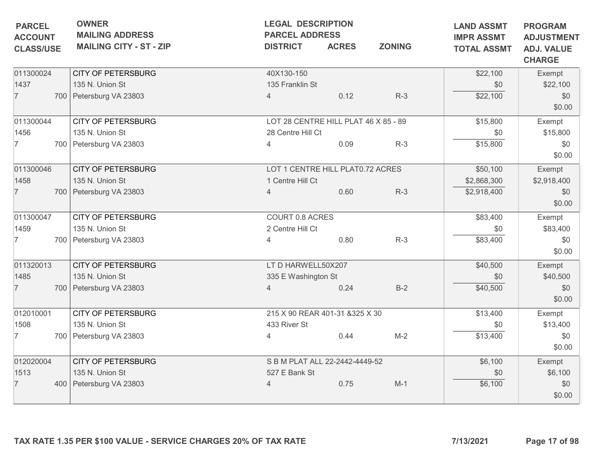| <b>PARCEL</b><br><b>ACCOUNT</b><br><b>CLASS/USE</b> | <b>OWNER</b><br><b>MAILING ADDRESS</b><br><b>MAILING CITY - ST - ZIP</b> | <b>LEGAL DESCRIPTION</b><br><b>PARCEL ADDRESS</b><br><b>DISTRICT</b> | <b>ACRES</b>                         | <b>ZONING</b> | <b>LAND ASSMT</b><br><b>IMPR ASSMT</b><br><b>TOTAL ASSMT</b> | <b>PROGRAM</b><br><b>ADJUSTMENT</b><br><b>ADJ. VALUE</b><br><b>CHARGE</b> |
|-----------------------------------------------------|--------------------------------------------------------------------------|----------------------------------------------------------------------|--------------------------------------|---------------|--------------------------------------------------------------|---------------------------------------------------------------------------|
| 011300024                                           | <b>CITY OF PETERSBURG</b>                                                | 40X130-150                                                           |                                      |               | \$22,100                                                     | Exempt                                                                    |
| 1437                                                | 135 N. Union St                                                          | 135 Franklin St                                                      |                                      |               | \$0                                                          | \$22,100                                                                  |
| $\overline{7}$                                      | 700 Petersburg VA 23803                                                  | $\overline{4}$                                                       | 0.12                                 | $R-3$         | \$22,100                                                     | \$0<br>\$0.00                                                             |
| 011300044                                           | <b>CITY OF PETERSBURG</b>                                                |                                                                      | LOT 28 CENTRE HILL PLAT 46 X 85 - 89 |               | \$15,800                                                     | Exempt                                                                    |
| 1456                                                | 135 N. Union St                                                          | 28 Centre Hill Ct                                                    |                                      |               | \$0                                                          | \$15,800                                                                  |
| $\overline{7}$                                      | 700 Petersburg VA 23803                                                  |                                                                      | 0.09                                 | $R-3$         | \$15,800                                                     | \$0<br>\$0.00                                                             |
| 011300046                                           | <b>CITY OF PETERSBURG</b>                                                |                                                                      | LOT 1 CENTRE HILL PLAT0.72 ACRES     |               | \$50,100                                                     | Exempt                                                                    |
| 1458                                                | 135 N. Union St                                                          | 1 Centre Hill Ct                                                     |                                      |               | \$2,868,300                                                  | \$2,918,400                                                               |
| $\overline{7}$                                      | 700 Petersburg VA 23803                                                  | $\overline{4}$                                                       | 0.60                                 | $R-3$         | \$2,918,400                                                  | \$0<br>\$0.00                                                             |
| 011300047                                           | <b>CITY OF PETERSBURG</b>                                                | COURT 0.8 ACRES                                                      |                                      |               | \$83,400                                                     | Exempt                                                                    |
| 1459                                                | 135 N. Union St                                                          | 2 Centre Hill Ct                                                     |                                      |               | \$0                                                          | \$83,400                                                                  |
| 7                                                   | 700 Petersburg VA 23803                                                  | 4                                                                    | 0.80                                 | $R-3$         | \$83,400                                                     | \$0<br>\$0.00                                                             |
| 011320013                                           | <b>CITY OF PETERSBURG</b>                                                | LT D HARWELL50X207                                                   |                                      |               | \$40,500                                                     | Exempt                                                                    |
| 1485                                                | 135 N. Union St                                                          | 335 E Washington St                                                  |                                      |               | \$0                                                          | \$40,500                                                                  |
| $\overline{7}$                                      | 700 Petersburg VA 23803                                                  |                                                                      | 0.24                                 | $B-2$         | \$40,500                                                     | \$0<br>\$0.00                                                             |
| 012010001                                           | <b>CITY OF PETERSBURG</b>                                                |                                                                      | 215 X 90 REAR 401-31 & 325 X 30      |               | \$13,400                                                     | Exempt                                                                    |
| 1508                                                | 135 N. Union St                                                          | 433 River St                                                         |                                      |               | \$0                                                          | \$13,400                                                                  |
| $\overline{7}$                                      | 700   Petersburg VA 23803                                                | 4                                                                    | 0.44                                 | $M-2$         | \$13,400                                                     | \$0<br>\$0.00                                                             |
| 012020004                                           | <b>CITY OF PETERSBURG</b>                                                |                                                                      | S B M PLAT ALL 22-2442-4449-52       |               | \$6,100                                                      | Exempt                                                                    |
| 1513                                                | 135 N. Union St                                                          | 527 E Bank St                                                        |                                      |               | \$0                                                          | \$6,100                                                                   |
| $\overline{7}$                                      | 400 Petersburg VA 23803                                                  | 4                                                                    | 0.75                                 | $M-1$         | \$6,100                                                      | \$0<br>\$0.00                                                             |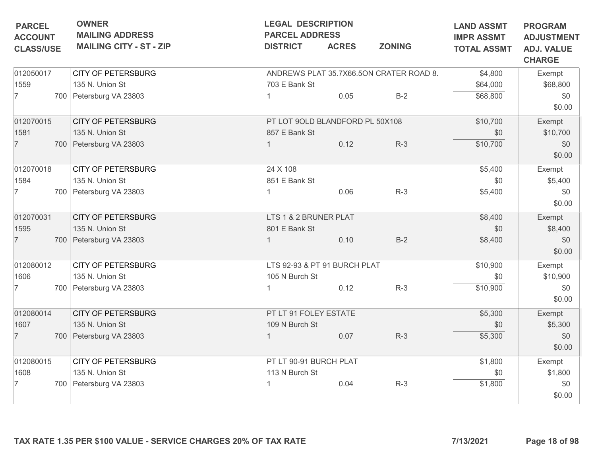| <b>PARCEL</b>                      | <b>OWNER</b><br><b>MAILING ADDRESS</b> | <b>LEGAL DESCRIPTION</b><br><b>PARCEL ADDRESS</b> |              |                                         | <b>LAND ASSMT</b>                       | <b>PROGRAM</b>                                          |
|------------------------------------|----------------------------------------|---------------------------------------------------|--------------|-----------------------------------------|-----------------------------------------|---------------------------------------------------------|
| <b>ACCOUNT</b><br><b>CLASS/USE</b> | <b>MAILING CITY - ST - ZIP</b>         | <b>DISTRICT</b>                                   | <b>ACRES</b> | <b>ZONING</b>                           | <b>IMPR ASSMT</b><br><b>TOTAL ASSMT</b> | <b>ADJUSTMENT</b><br><b>ADJ. VALUE</b><br><b>CHARGE</b> |
| 012050017                          | <b>CITY OF PETERSBURG</b>              |                                                   |              | ANDREWS PLAT 35.7X66.5ON CRATER ROAD 8. | \$4,800                                 | Exempt                                                  |
| 1559                               | 135 N. Union St                        | 703 E Bank St                                     |              |                                         | \$64,000                                | \$68,800                                                |
| $\overline{7}$                     | 700 Petersburg VA 23803                |                                                   | 0.05         | $B-2$                                   | \$68,800                                | \$0<br>\$0.00                                           |
| 012070015                          | <b>CITY OF PETERSBURG</b>              | PT LOT 9OLD BLANDFORD PL 50X108                   |              |                                         | \$10,700                                | Exempt                                                  |
| 1581                               | 135 N. Union St                        | 857 E Bank St                                     |              |                                         | \$0                                     | \$10,700                                                |
| $\overline{7}$                     | 700 Petersburg VA 23803                |                                                   | 0.12         | $R-3$                                   | \$10,700                                | \$0<br>\$0.00                                           |
| 012070018                          | <b>CITY OF PETERSBURG</b>              | 24 X 108                                          |              |                                         | \$5,400                                 | Exempt                                                  |
| 1584                               | 135 N. Union St                        | 851 E Bank St                                     |              |                                         | \$0                                     | \$5,400                                                 |
| $\overline{7}$                     | 700 Petersburg VA 23803                |                                                   | 0.06         | $R-3$                                   | \$5,400                                 | \$0<br>\$0.00                                           |
| 012070031                          | <b>CITY OF PETERSBURG</b>              | LTS 1 & 2 BRUNER PLAT                             |              |                                         | \$8,400                                 | Exempt                                                  |
| 1595                               | 135 N. Union St                        | 801 E Bank St                                     |              |                                         | \$0                                     | \$8,400                                                 |
| $\overline{7}$                     | 700 Petersburg VA 23803                |                                                   | 0.10         | $B-2$                                   | \$8,400                                 | \$0<br>\$0.00                                           |
| 012080012                          | <b>CITY OF PETERSBURG</b>              | LTS 92-93 & PT 91 BURCH PLAT                      |              |                                         | \$10,900                                | Exempt                                                  |
| 1606                               | 135 N. Union St                        | 105 N Burch St                                    |              |                                         | \$0                                     | \$10,900                                                |
| 7                                  | 700   Petersburg VA 23803              |                                                   | 0.12         | $R-3$                                   | \$10,900                                | \$0<br>\$0.00                                           |
| 012080014                          | <b>CITY OF PETERSBURG</b>              | PT LT 91 FOLEY ESTATE                             |              |                                         | \$5,300                                 | Exempt                                                  |
| 1607                               | 135 N. Union St                        | 109 N Burch St                                    |              |                                         | \$0                                     | \$5,300                                                 |
| $\overline{7}$                     | 700 Petersburg VA 23803                |                                                   | 0.07         | $R-3$                                   | \$5,300                                 | \$0<br>\$0.00                                           |
| 012080015                          | <b>CITY OF PETERSBURG</b>              | PT LT 90-91 BURCH PLAT                            |              |                                         | \$1,800                                 | Exempt                                                  |
| 1608                               | 135 N. Union St                        | 113 N Burch St                                    |              |                                         | \$0                                     | \$1,800                                                 |
| 7                                  | 700 Petersburg VA 23803                |                                                   | 0.04         | $R-3$                                   | \$1,800                                 | \$0<br>\$0.00                                           |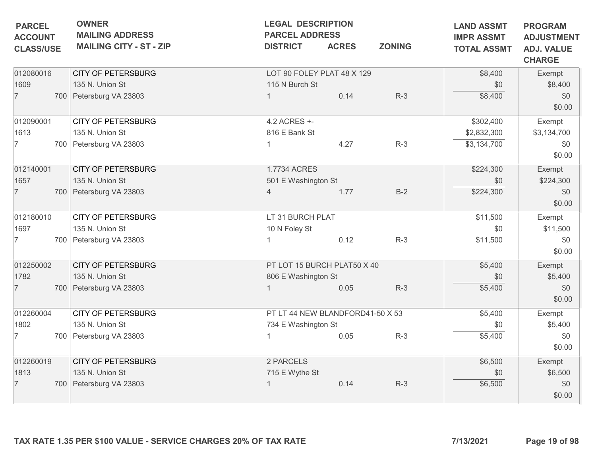| <b>OWNER</b><br><b>MAILING ADDRESS</b><br><b>MAILING CITY - ST - ZIP</b> | <b>PARCEL ADDRESS</b><br><b>DISTRICT</b> | <b>LEGAL DESCRIPTION</b><br><b>ACRES</b> | <b>ZONING</b>                                                                                                                                                      | <b>LAND ASSMT</b><br><b>IMPR ASSMT</b><br><b>TOTAL ASSMT</b>                                           | <b>PROGRAM</b><br><b>ADJUSTMENT</b><br><b>ADJ. VALUE</b><br><b>CHARGE</b> |
|--------------------------------------------------------------------------|------------------------------------------|------------------------------------------|--------------------------------------------------------------------------------------------------------------------------------------------------------------------|--------------------------------------------------------------------------------------------------------|---------------------------------------------------------------------------|
|                                                                          |                                          |                                          |                                                                                                                                                                    | \$8,400                                                                                                | Exempt                                                                    |
| 135 N. Union St                                                          |                                          |                                          |                                                                                                                                                                    | \$0                                                                                                    | \$8,400                                                                   |
| 700 Petersburg VA 23803                                                  |                                          |                                          |                                                                                                                                                                    |                                                                                                        | \$0<br>\$0.00                                                             |
| <b>CITY OF PETERSBURG</b>                                                | 4.2 ACRES +-                             |                                          |                                                                                                                                                                    | \$302,400                                                                                              | Exempt                                                                    |
| 135 N. Union St                                                          |                                          |                                          |                                                                                                                                                                    | \$2,832,300                                                                                            | \$3,134,700                                                               |
| 700 Petersburg VA 23803                                                  |                                          | 4.27                                     | $R-3$                                                                                                                                                              | \$3,134,700                                                                                            | \$0<br>\$0.00                                                             |
| <b>CITY OF PETERSBURG</b>                                                |                                          |                                          |                                                                                                                                                                    | \$224,300                                                                                              | Exempt                                                                    |
| 135 N. Union St                                                          |                                          |                                          |                                                                                                                                                                    | \$0                                                                                                    | \$224,300                                                                 |
| 700 Petersburg VA 23803                                                  | $\overline{4}$                           | 1.77                                     | $B-2$                                                                                                                                                              | \$224,300                                                                                              | \$0<br>\$0.00                                                             |
| <b>CITY OF PETERSBURG</b>                                                |                                          |                                          |                                                                                                                                                                    | \$11,500                                                                                               | Exempt                                                                    |
| 135 N. Union St                                                          | 10 N Foley St                            |                                          |                                                                                                                                                                    | \$0                                                                                                    | \$11,500                                                                  |
| 700 Petersburg VA 23803                                                  |                                          | 0.12                                     | $R-3$                                                                                                                                                              | \$11,500                                                                                               | \$0<br>\$0.00                                                             |
| <b>CITY OF PETERSBURG</b>                                                |                                          |                                          |                                                                                                                                                                    | \$5,400                                                                                                | Exempt                                                                    |
| 135 N. Union St                                                          |                                          |                                          |                                                                                                                                                                    | \$0                                                                                                    | \$5,400                                                                   |
| 700 Petersburg VA 23803                                                  |                                          | 0.05                                     | $R-3$                                                                                                                                                              | \$5,400                                                                                                | \$0<br>\$0.00                                                             |
| <b>CITY OF PETERSBURG</b>                                                |                                          |                                          |                                                                                                                                                                    | \$5,400                                                                                                | Exempt                                                                    |
| 135 N. Union St                                                          |                                          |                                          |                                                                                                                                                                    | \$0                                                                                                    | \$5,400                                                                   |
| 700 Petersburg VA 23803                                                  |                                          | 0.05                                     | $R-3$                                                                                                                                                              | \$5,400                                                                                                | \$0<br>\$0.00                                                             |
| <b>CITY OF PETERSBURG</b>                                                | 2 PARCELS                                |                                          |                                                                                                                                                                    | \$6,500                                                                                                | Exempt                                                                    |
| 135 N. Union St                                                          |                                          |                                          |                                                                                                                                                                    | \$0                                                                                                    | \$6,500                                                                   |
| 700 Petersburg VA 23803                                                  |                                          | 0.14                                     | $R-3$                                                                                                                                                              | \$6,500                                                                                                | \$0<br>\$0.00                                                             |
|                                                                          | <b>CITY OF PETERSBURG</b>                |                                          | 115 N Burch St<br>0.14<br>816 E Bank St<br>1.7734 ACRES<br>501 E Washington St<br>LT 31 BURCH PLAT<br>806 E Washington St<br>734 E Washington St<br>715 E Wythe St | LOT 90 FOLEY PLAT 48 X 129<br>$R-3$<br>PT LOT 15 BURCH PLAT50 X 40<br>PT LT 44 NEW BLANDFORD41-50 X 53 | \$8,400                                                                   |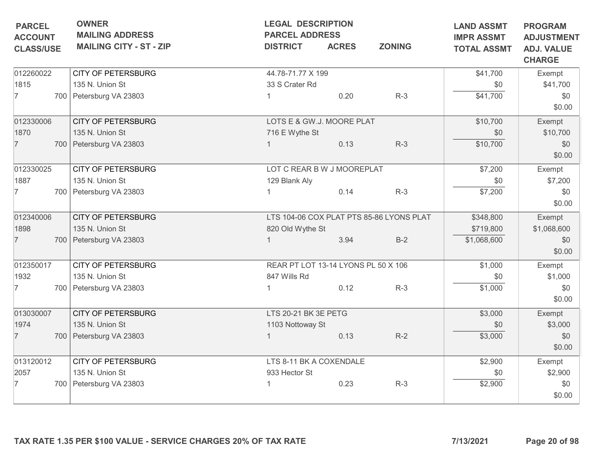| <b>PARCEL</b><br><b>ACCOUNT</b> | <b>OWNER</b><br><b>MAILING ADDRESS</b> | <b>LEGAL DESCRIPTION</b><br><b>PARCEL ADDRESS</b> |              | <b>LAND ASSMT</b><br><b>IMPR ASSMT</b>   | <b>PROGRAM</b><br><b>ADJUSTMENT</b> |                                    |
|---------------------------------|----------------------------------------|---------------------------------------------------|--------------|------------------------------------------|-------------------------------------|------------------------------------|
| <b>CLASS/USE</b>                | <b>MAILING CITY - ST - ZIP</b>         | <b>DISTRICT</b>                                   | <b>ACRES</b> | <b>ZONING</b>                            | <b>TOTAL ASSMT</b>                  | <b>ADJ. VALUE</b><br><b>CHARGE</b> |
| 012260022                       | <b>CITY OF PETERSBURG</b>              | 44.78-71.77 X 199                                 |              |                                          | \$41,700                            | Exempt                             |
| 1815                            | 135 N. Union St                        | 33 S Crater Rd                                    |              |                                          | \$0                                 | \$41,700                           |
| 7                               | 700 Petersburg VA 23803                |                                                   | 0.20         | $R-3$                                    | \$41,700                            | \$0<br>\$0.00                      |
| 012330006                       | <b>CITY OF PETERSBURG</b>              | LOTS E & GW.J. MOORE PLAT                         |              |                                          | \$10,700                            | Exempt                             |
| 1870                            | 135 N. Union St                        | 716 E Wythe St                                    |              |                                          | \$0                                 | \$10,700                           |
| $\overline{7}$                  | 700 Petersburg VA 23803                |                                                   | 0.13         | $R-3$                                    | \$10,700                            | \$0<br>\$0.00                      |
| 012330025                       | CITY OF PETERSBURG                     | LOT C REAR B W J MOOREPLAT                        |              |                                          | \$7,200                             | Exempt                             |
| 1887                            | 135 N. Union St                        | 129 Blank Aly                                     |              |                                          | \$0                                 | \$7,200                            |
| 7                               | 700 Petersburg VA 23803                |                                                   | 0.14         | $R-3$                                    | \$7,200                             | \$0<br>\$0.00                      |
| 012340006                       | <b>CITY OF PETERSBURG</b>              |                                                   |              | LTS 104-06 COX PLAT PTS 85-86 LYONS PLAT | \$348,800                           | Exempt                             |
| 1898                            | 135 N. Union St                        | 820 Old Wythe St                                  |              |                                          | \$719,800                           | \$1,068,600                        |
| $\overline{7}$                  | 700 Petersburg VA 23803                |                                                   | 3.94         | $B-2$                                    | \$1,068,600                         | \$0<br>\$0.00                      |
| 012350017                       | <b>CITY OF PETERSBURG</b>              | REAR PT LOT 13-14 LYONS PL 50 X 106               |              |                                          | \$1,000                             | Exempt                             |
| 1932                            | 135 N. Union St                        | 847 Wills Rd                                      |              |                                          | \$0                                 | \$1,000                            |
| 7                               | 700 Petersburg VA 23803                |                                                   | 0.12         | $R-3$                                    | \$1,000                             | \$0<br>\$0.00                      |
| 013030007                       | <b>CITY OF PETERSBURG</b>              | LTS 20-21 BK 3E PETG                              |              |                                          | \$3,000                             | Exempt                             |
| 1974                            | 135 N. Union St                        | 1103 Nottoway St                                  |              |                                          | \$0                                 | \$3,000                            |
| $\overline{7}$                  | 700 Petersburg VA 23803                | $\mathbf{1}$                                      | 0.13         | $R-2$                                    | \$3,000                             | \$0<br>\$0.00                      |
| 013120012                       | <b>CITY OF PETERSBURG</b>              | LTS 8-11 BK A COXENDALE                           |              |                                          | \$2,900                             | Exempt                             |
| 2057                            | 135 N. Union St                        | 933 Hector St                                     |              |                                          | \$0                                 | \$2,900                            |
| 7                               | 700 Petersburg VA 23803                |                                                   | 0.23         | $R-3$                                    | \$2,900                             | \$0<br>\$0.00                      |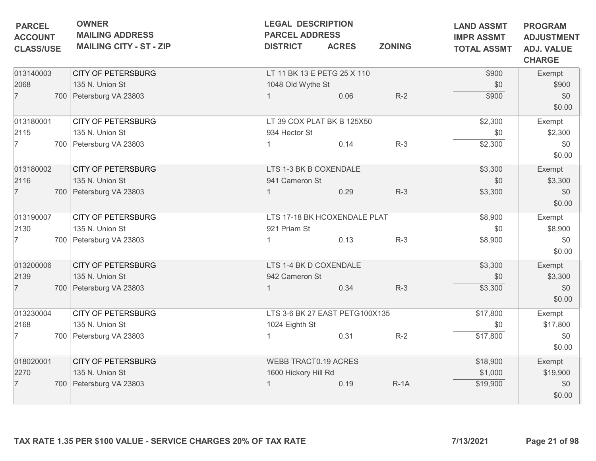| <b>PARCEL</b><br><b>ACCOUNT</b><br><b>CLASS/USE</b> | <b>OWNER</b><br><b>MAILING ADDRESS</b><br><b>MAILING CITY - ST - ZIP</b> | <b>LEGAL DESCRIPTION</b><br><b>PARCEL ADDRESS</b><br><b>DISTRICT</b> | <b>ACRES</b> | <b>ZONING</b> | <b>LAND ASSMT</b><br><b>IMPR ASSMT</b><br><b>TOTAL ASSMT</b> | <b>PROGRAM</b><br><b>ADJUSTMENT</b><br><b>ADJ. VALUE</b><br><b>CHARGE</b> |
|-----------------------------------------------------|--------------------------------------------------------------------------|----------------------------------------------------------------------|--------------|---------------|--------------------------------------------------------------|---------------------------------------------------------------------------|
| 013140003<br>2068<br>$\overline{7}$                 | <b>CITY OF PETERSBURG</b><br>135 N. Union St<br>700 Petersburg VA 23803  | LT 11 BK 13 E PETG 25 X 110<br>1048 Old Wythe St                     | 0.06         | $R-2$         | \$900<br>\$0<br>\$900                                        | Exempt<br>\$900<br>\$0<br>\$0.00                                          |
| 013180001<br>2115<br>7                              | <b>CITY OF PETERSBURG</b><br>135 N. Union St<br>700 Petersburg VA 23803  | LT 39 COX PLAT BK B 125X50<br>934 Hector St                          | 0.14         | $R-3$         | \$2,300<br>\$0<br>\$2,300                                    | Exempt<br>\$2,300<br>\$0<br>\$0.00                                        |
| 013180002<br>2116<br>$\overline{7}$                 | <b>CITY OF PETERSBURG</b><br>135 N. Union St<br>700 Petersburg VA 23803  | LTS 1-3 BK B COXENDALE<br>941 Cameron St                             | 0.29         | $R-3$         | \$3,300<br>\$0<br>\$3,300                                    | Exempt<br>\$3,300<br>\$0<br>\$0.00                                        |
| 013190007<br>2130<br>7                              | <b>CITY OF PETERSBURG</b><br>135 N. Union St<br>700 Petersburg VA 23803  | LTS 17-18 BK HCOXENDALE PLAT<br>921 Priam St                         | 0.13         | $R-3$         | \$8,900<br>\$0<br>\$8,900                                    | Exempt<br>\$8,900<br>\$0<br>\$0.00                                        |
| 013200006<br>2139<br>$\overline{7}$                 | <b>CITY OF PETERSBURG</b><br>135 N. Union St<br>700 Petersburg VA 23803  | LTS 1-4 BK D COXENDALE<br>942 Cameron St                             | 0.34         | $R-3$         | \$3,300<br>\$0<br>\$3,300                                    | Exempt<br>\$3,300<br>\$0<br>\$0.00                                        |
| 013230004<br>2168<br>7                              | <b>CITY OF PETERSBURG</b><br>135 N. Union St<br>700 Petersburg VA 23803  | LTS 3-6 BK 27 EAST PETG100X135<br>1024 Eighth St                     | 0.31         | $R-2$         | \$17,800<br>\$0<br>\$17,800                                  | Exempt<br>\$17,800<br>\$0<br>\$0.00                                       |
| 018020001<br>2270<br>$\overline{7}$                 | <b>CITY OF PETERSBURG</b><br>135 N. Union St<br>700 Petersburg VA 23803  | <b>WEBB TRACT0.19 ACRES</b><br>1600 Hickory Hill Rd                  | 0.19         | $R-1A$        | \$18,900<br>\$1,000<br>\$19,900                              | Exempt<br>\$19,900<br>\$0<br>\$0.00                                       |
|                                                     | TAX RATE 1.35 PER \$100 VALUE - SERVICE CHARGES 20% OF TAX RATE          |                                                                      |              |               | 7/13/2021                                                    | Page 21 of 98                                                             |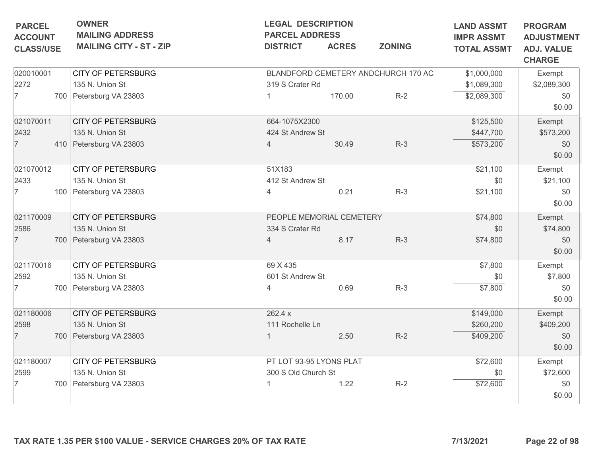| <b>MAILING ADDRESS</b><br><b>MAILING CITY - ST - ZIP</b><br><b>CITY OF PETERSBURG</b><br>135 N. Union St<br>700 Petersburg VA 23803<br><b>CITY OF PETERSBURG</b><br>135 N. Union St<br>410 Petersburg VA 23803<br><b>CITY OF PETERSBURG</b> | <b>PARCEL ADDRESS</b><br><b>DISTRICT</b><br>319 S Crater Rd<br>664-1075X2300<br>424 St Andrew St<br>4 | <b>ACRES</b><br>170.00 | <b>ZONING</b><br>BLANDFORD CEMETERY ANDCHURCH 170 AC<br>$R-2$                                            | <b>IMPR ASSMT</b><br><b>TOTAL ASSMT</b><br>\$1,000,000<br>\$1,089,300<br>\$2,089,300<br>\$125,500 | <b>ADJUSTMENT</b><br><b>ADJ. VALUE</b><br><b>CHARGE</b><br>Exempt<br>\$2,089,300<br>\$0<br>\$0.00 |
|---------------------------------------------------------------------------------------------------------------------------------------------------------------------------------------------------------------------------------------------|-------------------------------------------------------------------------------------------------------|------------------------|----------------------------------------------------------------------------------------------------------|---------------------------------------------------------------------------------------------------|---------------------------------------------------------------------------------------------------|
|                                                                                                                                                                                                                                             |                                                                                                       |                        |                                                                                                          |                                                                                                   |                                                                                                   |
|                                                                                                                                                                                                                                             |                                                                                                       |                        |                                                                                                          |                                                                                                   |                                                                                                   |
|                                                                                                                                                                                                                                             |                                                                                                       |                        |                                                                                                          |                                                                                                   |                                                                                                   |
|                                                                                                                                                                                                                                             |                                                                                                       |                        |                                                                                                          |                                                                                                   |                                                                                                   |
|                                                                                                                                                                                                                                             |                                                                                                       |                        |                                                                                                          |                                                                                                   |                                                                                                   |
|                                                                                                                                                                                                                                             |                                                                                                       |                        |                                                                                                          |                                                                                                   | Exempt                                                                                            |
|                                                                                                                                                                                                                                             |                                                                                                       |                        |                                                                                                          | \$447,700                                                                                         | \$573,200                                                                                         |
|                                                                                                                                                                                                                                             |                                                                                                       | 30.49                  | $R-3$                                                                                                    | \$573,200                                                                                         | \$0                                                                                               |
|                                                                                                                                                                                                                                             |                                                                                                       |                        |                                                                                                          |                                                                                                   | \$0.00                                                                                            |
|                                                                                                                                                                                                                                             | 51X183                                                                                                |                        |                                                                                                          | \$21,100                                                                                          | Exempt                                                                                            |
| 135 N. Union St                                                                                                                                                                                                                             | 412 St Andrew St                                                                                      |                        |                                                                                                          | \$0                                                                                               | \$21,100                                                                                          |
| 100 Petersburg VA 23803                                                                                                                                                                                                                     | 4                                                                                                     | 0.21                   | $R-3$                                                                                                    | \$21,100                                                                                          | \$0                                                                                               |
|                                                                                                                                                                                                                                             |                                                                                                       |                        |                                                                                                          |                                                                                                   | \$0.00                                                                                            |
| <b>CITY OF PETERSBURG</b>                                                                                                                                                                                                                   |                                                                                                       |                        |                                                                                                          | \$74,800                                                                                          | Exempt                                                                                            |
| 135 N. Union St                                                                                                                                                                                                                             |                                                                                                       |                        |                                                                                                          | \$0                                                                                               | \$74,800                                                                                          |
| 700 Petersburg VA 23803                                                                                                                                                                                                                     | $\overline{4}$                                                                                        | 8.17                   | $R-3$                                                                                                    | \$74,800                                                                                          | \$0                                                                                               |
|                                                                                                                                                                                                                                             |                                                                                                       |                        |                                                                                                          |                                                                                                   | \$0.00                                                                                            |
| <b>CITY OF PETERSBURG</b>                                                                                                                                                                                                                   | 69 X 435                                                                                              |                        |                                                                                                          | \$7,800                                                                                           | Exempt                                                                                            |
| 135 N. Union St                                                                                                                                                                                                                             |                                                                                                       |                        |                                                                                                          | \$0                                                                                               | \$7,800                                                                                           |
| 700 Petersburg VA 23803                                                                                                                                                                                                                     | 4                                                                                                     | 0.69                   | $R-3$                                                                                                    | \$7,800                                                                                           | \$0                                                                                               |
|                                                                                                                                                                                                                                             |                                                                                                       |                        |                                                                                                          |                                                                                                   | \$0.00                                                                                            |
| <b>CITY OF PETERSBURG</b>                                                                                                                                                                                                                   | 262.4 x                                                                                               |                        |                                                                                                          | \$149,000                                                                                         | Exempt                                                                                            |
| 135 N. Union St                                                                                                                                                                                                                             |                                                                                                       |                        |                                                                                                          | \$260,200                                                                                         | \$409,200                                                                                         |
| 700 Petersburg VA 23803                                                                                                                                                                                                                     |                                                                                                       | 2.50                   | $R-2$                                                                                                    | \$409,200                                                                                         | \$0                                                                                               |
|                                                                                                                                                                                                                                             |                                                                                                       |                        |                                                                                                          |                                                                                                   | \$0.00                                                                                            |
| <b>CITY OF PETERSBURG</b>                                                                                                                                                                                                                   |                                                                                                       |                        |                                                                                                          | \$72,600                                                                                          | Exempt                                                                                            |
| 135 N. Union St                                                                                                                                                                                                                             |                                                                                                       |                        |                                                                                                          | \$0                                                                                               | \$72,600                                                                                          |
| 700 Petersburg VA 23803                                                                                                                                                                                                                     |                                                                                                       | 1.22                   | $R-2$                                                                                                    | \$72,600                                                                                          | \$0                                                                                               |
|                                                                                                                                                                                                                                             |                                                                                                       |                        |                                                                                                          |                                                                                                   | \$0.00                                                                                            |
|                                                                                                                                                                                                                                             |                                                                                                       |                        | 334 S Crater Rd<br>601 St Andrew St<br>111 Rochelle Ln<br>PT LOT 93-95 LYONS PLAT<br>300 S Old Church St | PEOPLE MEMORIAL CEMETERY                                                                          |                                                                                                   |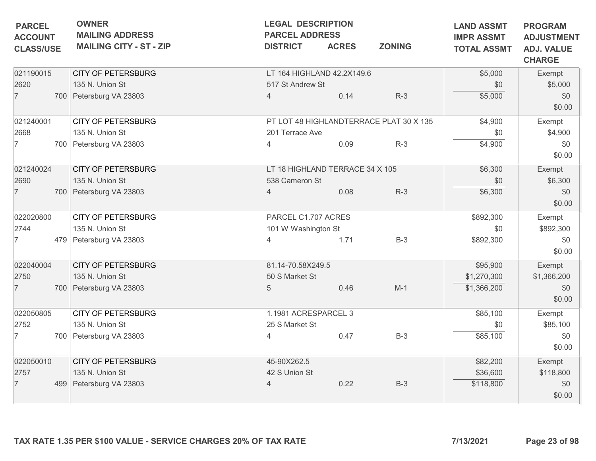| Exempt<br>\$5,000<br>\$0<br>\$0.00<br>Exempt<br>\$4,900 |
|---------------------------------------------------------|
|                                                         |
|                                                         |
|                                                         |
|                                                         |
|                                                         |
| \$0<br>\$0.00                                           |
| Exempt                                                  |
| \$6,300                                                 |
| \$0<br>\$0.00                                           |
| Exempt                                                  |
| \$892,300                                               |
| \$0<br>\$0.00                                           |
| Exempt                                                  |
| \$1,366,200                                             |
| \$0<br>\$0.00                                           |
| Exempt                                                  |
| \$85,100                                                |
| \$0<br>\$0.00                                           |
| Exempt                                                  |
| \$118,800                                               |
| \$0<br>\$0.00                                           |
|                                                         |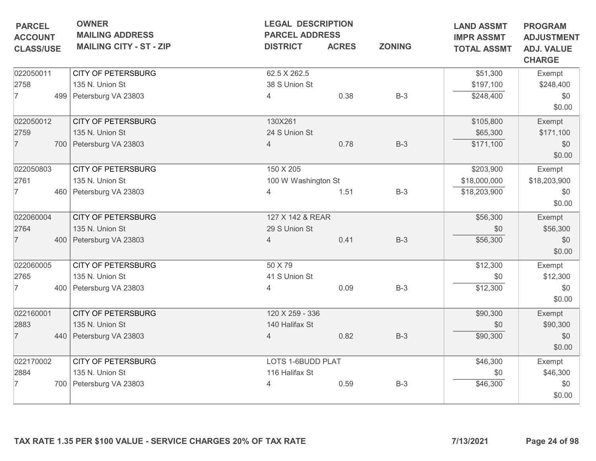| <b>PARCEL</b>    | <b>OWNER</b>                   | <b>LEGAL DESCRIPTION</b> |              |               | <b>LAND ASSMT</b>  | <b>PROGRAM</b>                     |
|------------------|--------------------------------|--------------------------|--------------|---------------|--------------------|------------------------------------|
| <b>ACCOUNT</b>   | <b>MAILING ADDRESS</b>         | <b>PARCEL ADDRESS</b>    |              |               | <b>IMPR ASSMT</b>  | <b>ADJUSTMENT</b>                  |
| <b>CLASS/USE</b> | <b>MAILING CITY - ST - ZIP</b> | <b>DISTRICT</b>          | <b>ACRES</b> | <b>ZONING</b> | <b>TOTAL ASSMT</b> | <b>ADJ. VALUE</b><br><b>CHARGE</b> |
| 022050011        | <b>CITY OF PETERSBURG</b>      | 62.5 X 262.5             |              |               | \$51,300           | Exempt                             |
| 2758             | 135 N. Union St                | 38 S Union St            |              |               | \$197,100          | \$248,400                          |
| $\overline{7}$   | 499 Petersburg VA 23803        | 4                        | 0.38         | $B-3$         | \$248,400          | \$0<br>\$0.00                      |
| 022050012        | <b>CITY OF PETERSBURG</b>      | 130X261                  |              |               | \$105,800          | Exempt                             |
| 2759             | 135 N. Union St                | 24 S Union St            |              |               | \$65,300           | \$171,100                          |
| $\overline{7}$   | 700 Petersburg VA 23803        | $\overline{4}$           | 0.78         | $B-3$         | \$171,100          | \$0<br>\$0.00                      |
| 022050803        | <b>CITY OF PETERSBURG</b>      | 150 X 205                |              |               | \$203,900          | Exempt                             |
| 2761             | 135 N. Union St                | 100 W Washington St      |              |               | \$18,000,000       | \$18,203,900                       |
| 7                | 460   Petersburg VA 23803      | $\overline{4}$           | 1.51         | $B-3$         | \$18,203,900       | \$0<br>\$0.00                      |
| 022060004        | <b>CITY OF PETERSBURG</b>      | 127 X 142 & REAR         |              |               | \$56,300           | Exempt                             |
| 2764             | 135 N. Union St                | 29 S Union St            |              |               | \$0                | \$56,300                           |
| $\overline{7}$   | 400 Petersburg VA 23803        | $\overline{4}$           | 0.41         | $B-3$         | \$56,300           | \$0<br>\$0.00                      |
| 022060005        | <b>CITY OF PETERSBURG</b>      | 50 X 79                  |              |               | \$12,300           | Exempt                             |
| 2765             | 135 N. Union St                | 41 S Union St            |              |               | \$0                | \$12,300                           |
| 7                | 400 Petersburg VA 23803        | 4                        | 0.09         | $B-3$         | \$12,300           | \$0<br>\$0.00                      |
| 022160001        | <b>CITY OF PETERSBURG</b>      | 120 X 259 - 336          |              |               | \$90,300           | Exempt                             |
| 2883             | 135 N. Union St                | 140 Halifax St           |              |               | \$0                | \$90,300                           |
| $\overline{7}$   | 440   Petersburg VA 23803      | $\overline{4}$           | 0.82         | $B-3$         | \$90,300           | \$0<br>\$0.00                      |
| 022170002        | <b>CITY OF PETERSBURG</b>      | LOTS 1-6BUDD PLAT        |              |               | \$46,300           | Exempt                             |
| 2884             | 135 N. Union St                | 116 Halifax St           |              |               | \$0                | \$46,300                           |
|                  | 700 Petersburg VA 23803        | 4                        | 0.59         | $B-3$         | \$46,300           | \$0<br>\$0.00                      |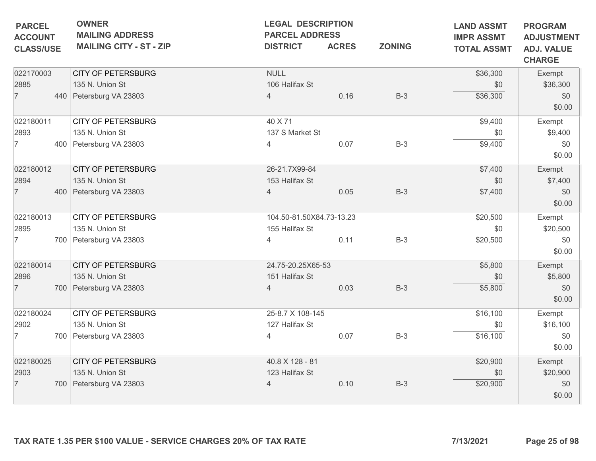| <b>PARCEL</b><br><b>ACCOUNT</b> | <b>OWNER</b><br><b>MAILING ADDRESS</b> |                                                                 | <b>LEGAL DESCRIPTION</b><br><b>PARCEL ADDRESS</b> |              | <b>LAND ASSMT</b><br><b>IMPR ASSMT</b> | <b>PROGRAM</b><br><b>ADJUSTMENT</b> |                                    |
|---------------------------------|----------------------------------------|-----------------------------------------------------------------|---------------------------------------------------|--------------|----------------------------------------|-------------------------------------|------------------------------------|
| <b>CLASS/USE</b>                |                                        | <b>MAILING CITY - ST - ZIP</b>                                  | <b>DISTRICT</b>                                   | <b>ACRES</b> | <b>ZONING</b>                          | <b>TOTAL ASSMT</b>                  | <b>ADJ. VALUE</b><br><b>CHARGE</b> |
| 022170003                       |                                        | <b>CITY OF PETERSBURG</b>                                       | <b>NULL</b>                                       |              |                                        | \$36,300                            | Exempt                             |
| 2885                            |                                        | 135 N. Union St                                                 | 106 Halifax St                                    |              |                                        | \$0                                 | \$36,300                           |
| $\overline{7}$                  |                                        | 440 Petersburg VA 23803                                         | $\overline{4}$                                    | 0.16         | $B-3$                                  | \$36,300                            | \$0<br>\$0.00                      |
| 022180011                       |                                        | <b>CITY OF PETERSBURG</b>                                       | 40 X 71                                           |              |                                        | \$9,400                             | Exempt                             |
| 2893                            |                                        | 135 N. Union St                                                 | 137 S Market St                                   |              |                                        | \$0                                 | \$9,400                            |
| 7                               |                                        | 400 Petersburg VA 23803                                         | 4                                                 | 0.07         | $B-3$                                  | \$9,400                             | \$0<br>\$0.00                      |
| 022180012                       |                                        | <b>CITY OF PETERSBURG</b>                                       | 26-21.7X99-84                                     |              |                                        | \$7,400                             | Exempt                             |
| 2894                            |                                        | 135 N. Union St                                                 | 153 Halifax St                                    |              |                                        | \$0                                 | \$7,400                            |
| $\overline{7}$                  |                                        | 400 Petersburg VA 23803                                         | $\overline{4}$                                    | 0.05         | $B-3$                                  | \$7,400                             | \$0<br>\$0.00                      |
| 022180013                       |                                        | <b>CITY OF PETERSBURG</b>                                       | 104.50-81.50X84.73-13.23                          |              |                                        | \$20,500                            | Exempt                             |
| 2895                            |                                        | 135 N. Union St                                                 | 155 Halifax St                                    |              |                                        | \$0                                 | \$20,500                           |
| 7                               |                                        | 700 Petersburg VA 23803                                         | $\overline{4}$                                    | 0.11         | $B-3$                                  | \$20,500                            | \$0<br>\$0.00                      |
| 022180014                       |                                        | <b>CITY OF PETERSBURG</b>                                       | 24.75-20.25X65-53                                 |              |                                        | \$5,800                             | Exempt                             |
| 2896                            |                                        | 135 N. Union St                                                 | 151 Halifax St                                    |              |                                        | \$0                                 | \$5,800                            |
| $\overline{7}$                  |                                        | 700 Petersburg VA 23803                                         | $\overline{4}$                                    | 0.03         | $B-3$                                  | \$5,800                             | \$0<br>\$0.00                      |
| 022180024                       |                                        | <b>CITY OF PETERSBURG</b>                                       | 25-8.7 X 108-145                                  |              |                                        | \$16,100                            | Exempt                             |
| 2902                            |                                        | 135 N. Union St                                                 | 127 Halifax St                                    |              |                                        | \$0                                 | \$16,100                           |
| $\overline{7}$                  |                                        | 700 Petersburg VA 23803                                         | 4                                                 | 0.07         | $B-3$                                  | \$16,100                            | \$0<br>\$0.00                      |
| 022180025                       |                                        | <b>CITY OF PETERSBURG</b>                                       | 40.8 X 128 - 81                                   |              |                                        | \$20,900                            | Exempt                             |
| 2903                            |                                        | 135 N. Union St                                                 | 123 Halifax St                                    |              |                                        | \$0                                 | \$20,900                           |
| $\overline{7}$                  |                                        | 700 Petersburg VA 23803                                         | $\overline{4}$                                    | 0.10         | $B-3$                                  | \$20,900                            | \$0<br>\$0.00                      |
|                                 |                                        | TAX RATE 1.35 PER \$100 VALUE - SERVICE CHARGES 20% OF TAX RATE |                                                   |              |                                        | 7/13/2021                           | Page 25 of 98                      |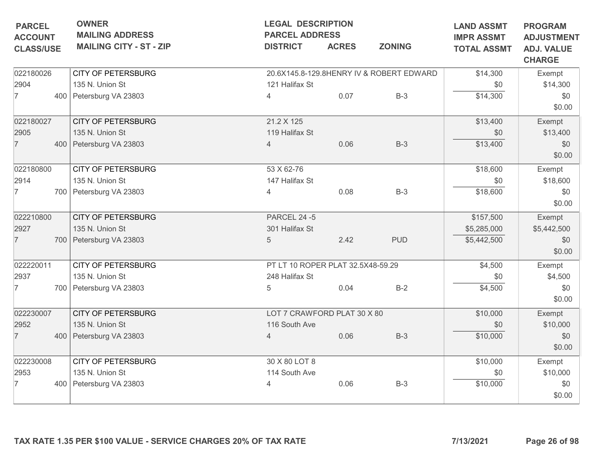|                | <b>OWNER</b><br><b>PARCEL</b><br><b>MAILING ADDRESS</b><br><b>ACCOUNT</b><br><b>MAILING CITY - ST - ZIP</b><br><b>CLASS/USE</b> |                                                                 | <b>LEGAL DESCRIPTION</b><br><b>PARCEL ADDRESS</b><br><b>DISTRICT</b> | <b>ACRES</b> | <b>LAND ASSMT</b><br><b>IMPR ASSMT</b><br><b>TOTAL ASSMT</b> | <b>PROGRAM</b><br><b>ADJUSTMENT</b><br><b>ADJ. VALUE</b> |               |
|----------------|---------------------------------------------------------------------------------------------------------------------------------|-----------------------------------------------------------------|----------------------------------------------------------------------|--------------|--------------------------------------------------------------|----------------------------------------------------------|---------------|
|                |                                                                                                                                 |                                                                 |                                                                      |              |                                                              |                                                          | <b>CHARGE</b> |
| 022180026      |                                                                                                                                 | <b>CITY OF PETERSBURG</b>                                       |                                                                      |              | 20.6X145.8-129.8HENRY IV & ROBERT EDWARD                     | \$14,300                                                 | Exempt        |
| 2904           |                                                                                                                                 | 135 N. Union St                                                 | 121 Halifax St                                                       |              |                                                              | \$0                                                      | \$14,300      |
| $\overline{7}$ |                                                                                                                                 | 400 Petersburg VA 23803                                         | $\overline{4}$                                                       | 0.07         | $B-3$                                                        | \$14,300                                                 | \$0           |
|                |                                                                                                                                 |                                                                 |                                                                      |              |                                                              |                                                          | \$0.00        |
| 022180027      |                                                                                                                                 | <b>CITY OF PETERSBURG</b>                                       | 21.2 X 125                                                           |              |                                                              | \$13,400                                                 | Exempt        |
| 2905           |                                                                                                                                 | 135 N. Union St                                                 | 119 Halifax St                                                       |              |                                                              | \$0                                                      | \$13,400      |
| $\overline{7}$ |                                                                                                                                 | 400 Petersburg VA 23803                                         | $\overline{4}$                                                       | 0.06         | $B-3$                                                        | \$13,400                                                 | \$0           |
|                |                                                                                                                                 |                                                                 |                                                                      |              |                                                              |                                                          | \$0.00        |
| 022180800      |                                                                                                                                 | <b>CITY OF PETERSBURG</b>                                       | 53 X 62-76                                                           |              |                                                              | \$18,600                                                 | Exempt        |
| 2914           |                                                                                                                                 | 135 N. Union St                                                 | 147 Halifax St                                                       |              |                                                              | \$0                                                      | \$18,600      |
| 7              |                                                                                                                                 | 700 Petersburg VA 23803                                         | 4                                                                    | 0.08         | $B-3$                                                        | \$18,600                                                 | \$0           |
|                |                                                                                                                                 |                                                                 |                                                                      |              |                                                              |                                                          | \$0.00        |
| 022210800      |                                                                                                                                 | <b>CITY OF PETERSBURG</b>                                       | <b>PARCEL 24 -5</b>                                                  |              |                                                              | \$157,500                                                | Exempt        |
| 2927           |                                                                                                                                 | 135 N. Union St                                                 | 301 Halifax St                                                       |              |                                                              | \$5,285,000                                              | \$5,442,500   |
| $\overline{7}$ |                                                                                                                                 | 700 Petersburg VA 23803                                         | $\overline{5}$                                                       | 2.42         | <b>PUD</b>                                                   | \$5,442,500                                              | \$0           |
|                |                                                                                                                                 |                                                                 |                                                                      |              |                                                              |                                                          | \$0.00        |
| 022220011      |                                                                                                                                 | <b>CITY OF PETERSBURG</b>                                       | PT LT 10 ROPER PLAT 32.5X48-59.29                                    | \$4,500      | Exempt                                                       |                                                          |               |
| 2937           |                                                                                                                                 | 135 N. Union St                                                 | 248 Halifax St                                                       |              |                                                              | \$0                                                      | \$4,500       |
| 7              |                                                                                                                                 | 700   Petersburg VA 23803                                       | 5                                                                    | 0.04         | $B-2$                                                        | \$4,500                                                  | \$0           |
|                |                                                                                                                                 |                                                                 |                                                                      |              |                                                              |                                                          | \$0.00        |
| 022230007      |                                                                                                                                 | <b>CITY OF PETERSBURG</b>                                       | LOT 7 CRAWFORD PLAT 30 X 80                                          |              |                                                              | \$10,000                                                 | Exempt        |
| 2952           |                                                                                                                                 | 135 N. Union St                                                 | 116 South Ave                                                        |              |                                                              | \$0                                                      | \$10,000      |
| $\overline{7}$ |                                                                                                                                 | 400 Petersburg VA 23803                                         | $\overline{4}$                                                       | 0.06         | $B-3$                                                        | \$10,000                                                 | \$0           |
|                |                                                                                                                                 |                                                                 |                                                                      |              |                                                              |                                                          | \$0.00        |
| 022230008      |                                                                                                                                 | <b>CITY OF PETERSBURG</b>                                       | 30 X 80 LOT 8                                                        |              |                                                              | \$10,000                                                 | Exempt        |
| 2953           |                                                                                                                                 | 135 N. Union St                                                 | 114 South Ave                                                        |              |                                                              | \$0                                                      | \$10,000      |
| $\overline{7}$ |                                                                                                                                 | 400 Petersburg VA 23803                                         | $\overline{4}$                                                       | 0.06         | $B-3$                                                        | \$10,000                                                 | \$0           |
|                |                                                                                                                                 |                                                                 |                                                                      |              |                                                              |                                                          | \$0.00        |
|                |                                                                                                                                 | TAX RATE 1.35 PER \$100 VALUE - SERVICE CHARGES 20% OF TAX RATE |                                                                      |              |                                                              | 7/13/2021                                                | Page 26 of 98 |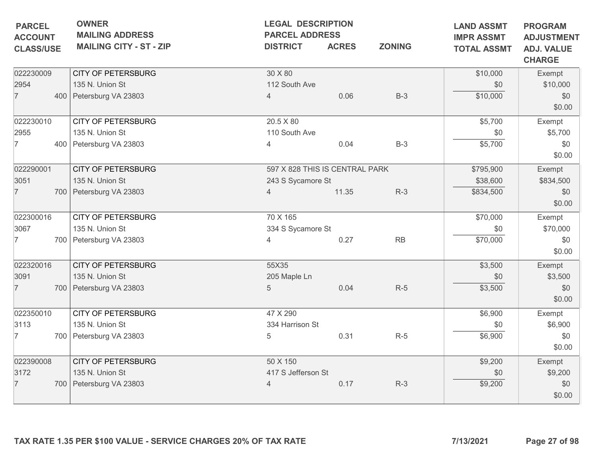| <b>PARCEL</b><br><b>ACCOUNT</b> | <b>OWNER</b><br><b>MAILING ADDRESS</b> | <b>LEGAL DESCRIPTION</b><br><b>PARCEL ADDRESS</b> |              | <b>LAND ASSMT</b><br><b>IMPR ASSMT</b> | <b>PROGRAM</b><br><b>ADJUSTMENT</b> |                                    |
|---------------------------------|----------------------------------------|---------------------------------------------------|--------------|----------------------------------------|-------------------------------------|------------------------------------|
| <b>CLASS/USE</b>                | <b>MAILING CITY - ST - ZIP</b>         | <b>DISTRICT</b>                                   | <b>ACRES</b> | <b>ZONING</b>                          | <b>TOTAL ASSMT</b>                  | <b>ADJ. VALUE</b><br><b>CHARGE</b> |
| 022230009                       | <b>CITY OF PETERSBURG</b>              | 30 X 80                                           |              |                                        | \$10,000                            | Exempt                             |
| 2954                            | 135 N. Union St                        | 112 South Ave                                     |              |                                        | \$0                                 | \$10,000                           |
| $\overline{7}$                  | 400 Petersburg VA 23803                | $\overline{4}$                                    | 0.06         | $B-3$                                  | \$10,000                            | \$0<br>\$0.00                      |
| 022230010                       | <b>CITY OF PETERSBURG</b>              | 20.5 X 80                                         |              |                                        | \$5,700                             | Exempt                             |
| 2955                            | 135 N. Union St                        | 110 South Ave                                     |              |                                        | \$0                                 | \$5,700                            |
| $\overline{7}$                  | 400 Petersburg VA 23803                | 4                                                 | 0.04         | $B-3$                                  | \$5,700                             | \$0<br>\$0.00                      |
| 022290001                       | <b>CITY OF PETERSBURG</b>              | 597 X 828 THIS IS CENTRAL PARK                    |              |                                        | \$795,900                           | Exempt                             |
| 3051                            | 135 N. Union St                        | 243 S Sycamore St                                 |              |                                        | \$38,600                            | \$834,500                          |
| $\overline{7}$                  | 700 Petersburg VA 23803                | $\overline{4}$                                    | 11.35        | $R-3$                                  | \$834,500                           | \$0<br>\$0.00                      |
| 022300016                       | <b>CITY OF PETERSBURG</b>              | 70 X 165                                          |              |                                        | \$70,000                            | Exempt                             |
| 3067                            | 135 N. Union St                        | 334 S Sycamore St                                 |              |                                        | \$0                                 | \$70,000                           |
| 7                               | 700 Petersburg VA 23803                | 4                                                 | 0.27         | RB                                     | \$70,000                            | \$0<br>\$0.00                      |
| 022320016                       | <b>CITY OF PETERSBURG</b>              | 55X35                                             |              |                                        | \$3,500                             | Exempt                             |
| 3091                            | 135 N. Union St                        | 205 Maple Ln                                      |              |                                        | \$0                                 | \$3,500                            |
| $\overline{7}$                  | 700 Petersburg VA 23803                | 5                                                 | 0.04         | $R-5$                                  | \$3,500                             | \$0<br>\$0.00                      |
| 022350010                       | <b>CITY OF PETERSBURG</b>              | 47 X 290                                          |              |                                        | \$6,900                             | Exempt                             |
| 3113                            | 135 N. Union St                        | 334 Harrison St                                   |              |                                        | \$0                                 | \$6,900                            |
| 7                               | 700   Petersburg VA 23803              | 5                                                 | 0.31         | $R-5$                                  | \$6,900                             | \$0<br>\$0.00                      |
| 022390008                       | <b>CITY OF PETERSBURG</b>              | 50 X 150                                          |              |                                        | \$9,200                             | Exempt                             |
| 3172                            | 135 N. Union St                        | 417 S Jefferson St                                |              |                                        | \$0                                 | \$9,200                            |
| $\overline{7}$                  | 700 Petersburg VA 23803                | $\overline{4}$                                    | 0.17         | $R-3$                                  | \$9,200                             | \$0<br>\$0.00                      |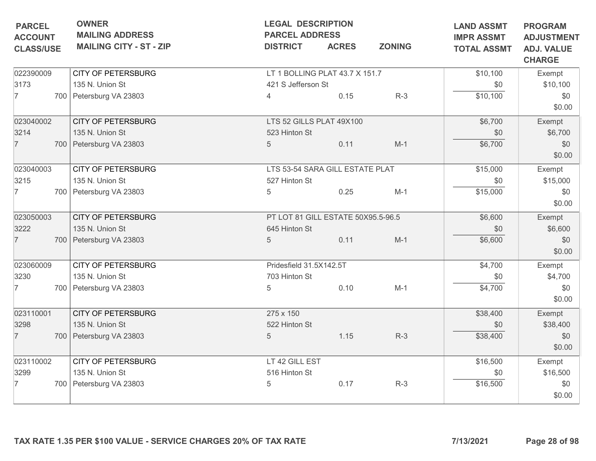| <b>OWNER</b><br><b>MAILING ADDRESS</b> | <b>LEGAL DESCRIPTION</b><br><b>PARCEL ADDRESS</b> |              | <b>LAND ASSMT</b><br><b>IMPR ASSMT</b>                                                      | <b>PROGRAM</b><br><b>ADJUSTMENT</b>                                                                     |                                    |
|----------------------------------------|---------------------------------------------------|--------------|---------------------------------------------------------------------------------------------|---------------------------------------------------------------------------------------------------------|------------------------------------|
| <b>MAILING CITY - ST - ZIP</b>         | <b>DISTRICT</b>                                   | <b>ACRES</b> | <b>ZONING</b>                                                                               | <b>TOTAL ASSMT</b>                                                                                      | <b>ADJ. VALUE</b><br><b>CHARGE</b> |
| <b>CITY OF PETERSBURG</b>              |                                                   |              |                                                                                             | \$10,100                                                                                                | Exempt                             |
| 135 N. Union St                        |                                                   |              |                                                                                             | \$0                                                                                                     | \$10,100                           |
| 700 Petersburg VA 23803                | 4                                                 | 0.15         | $R-3$                                                                                       | \$10,100                                                                                                | \$0<br>\$0.00                      |
| <b>CITY OF PETERSBURG</b>              |                                                   |              |                                                                                             | \$6,700                                                                                                 | Exempt                             |
| 135 N. Union St                        | 523 Hinton St                                     |              |                                                                                             | \$0                                                                                                     | \$6,700                            |
| 700 Petersburg VA 23803                | 5                                                 | 0.11         | $M-1$                                                                                       | \$6,700                                                                                                 | \$0<br>\$0.00                      |
| <b>CITY OF PETERSBURG</b>              |                                                   |              | \$15,000                                                                                    | Exempt                                                                                                  |                                    |
| 135 N. Union St                        | 527 Hinton St                                     |              |                                                                                             | \$0                                                                                                     | \$15,000                           |
| 700 Petersburg VA 23803                | 5                                                 | 0.25         | $M-1$                                                                                       | \$15,000                                                                                                | \$0<br>\$0.00                      |
| <b>CITY OF PETERSBURG</b>              |                                                   |              | \$6,600                                                                                     | Exempt                                                                                                  |                                    |
| 135 N. Union St                        | 645 Hinton St                                     |              |                                                                                             | \$0                                                                                                     | \$6,600                            |
| 700 Petersburg VA 23803                | 5                                                 | 0.11         | $M-1$                                                                                       | \$6,600                                                                                                 | \$0<br>\$0.00                      |
| <b>CITY OF PETERSBURG</b>              |                                                   |              | \$4,700                                                                                     | Exempt                                                                                                  |                                    |
| 135 N. Union St                        | 703 Hinton St                                     |              |                                                                                             | \$0                                                                                                     | \$4,700                            |
| 700 Petersburg VA 23803                | 5                                                 | 0.10         | $M-1$                                                                                       | \$4,700                                                                                                 | \$0<br>\$0.00                      |
| <b>CITY OF PETERSBURG</b>              | 275 x 150                                         |              |                                                                                             | \$38,400                                                                                                | Exempt                             |
| 135 N. Union St                        | 522 Hinton St                                     |              |                                                                                             | \$0                                                                                                     | \$38,400                           |
| 700 Petersburg VA 23803                | $5\phantom{.0}$                                   | 1.15         | $R-3$                                                                                       | \$38,400                                                                                                | \$0<br>\$0.00                      |
| <b>CITY OF PETERSBURG</b>              |                                                   |              |                                                                                             | \$16,500                                                                                                | Exempt                             |
| 135 N. Union St                        | 516 Hinton St                                     |              |                                                                                             | \$0                                                                                                     | \$16,500                           |
| 700 Petersburg VA 23803                | 5                                                 | 0.17         | $R-3$                                                                                       | \$16,500                                                                                                | \$0<br>\$0.00                      |
|                                        |                                                   |              | 421 S Jefferson St<br>LTS 52 GILLS PLAT 49X100<br>Pridesfield 31.5X142.5T<br>LT 42 GILL EST | LT 1 BOLLING PLAT 43.7 X 151.7<br>LTS 53-54 SARA GILL ESTATE PLAT<br>PT LOT 81 GILL ESTATE 50X95.5-96.5 |                                    |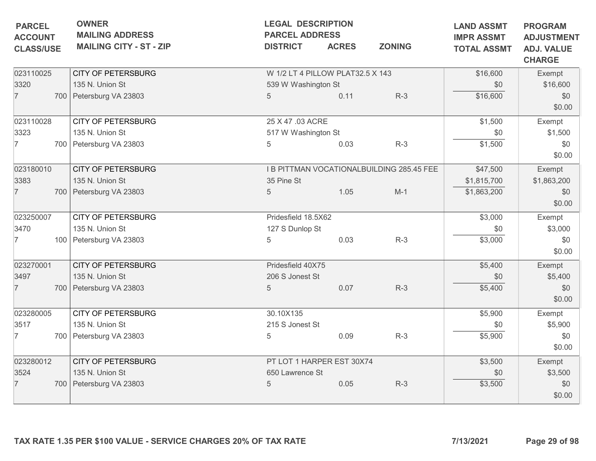| <b>PARCEL</b><br><b>ACCOUNT</b> | <b>OWNER</b><br><b>MAILING ADDRESS</b><br><b>MAILING CITY - ST - ZIP</b> | <b>LEGAL DESCRIPTION</b><br><b>PARCEL ADDRESS</b><br><b>DISTRICT</b> | <b>ACRES</b> | <b>ZONING</b>                             | <b>LAND ASSMT</b><br><b>IMPR ASSMT</b> | <b>PROGRAM</b><br><b>ADJUSTMENT</b> |
|---------------------------------|--------------------------------------------------------------------------|----------------------------------------------------------------------|--------------|-------------------------------------------|----------------------------------------|-------------------------------------|
| <b>CLASS/USE</b>                |                                                                          |                                                                      |              |                                           | <b>TOTAL ASSMT</b>                     | <b>ADJ. VALUE</b><br><b>CHARGE</b>  |
| 023110025                       | <b>CITY OF PETERSBURG</b>                                                | W 1/2 LT 4 PILLOW PLAT32.5 X 143                                     |              |                                           | \$16,600                               | Exempt                              |
| 3320                            | 135 N. Union St                                                          | 539 W Washington St                                                  |              |                                           | \$0                                    | \$16,600                            |
| $\overline{7}$                  | 700 Petersburg VA 23803                                                  | 5                                                                    | 0.11         | $R-3$                                     | \$16,600                               | \$0<br>\$0.00                       |
| 023110028                       | <b>CITY OF PETERSBURG</b>                                                | 25 X 47 .03 ACRE                                                     |              |                                           | \$1,500                                | Exempt                              |
| 3323                            | 135 N. Union St                                                          | 517 W Washington St                                                  |              |                                           | \$0                                    | \$1,500                             |
| 7                               | 700 Petersburg VA 23803                                                  | 5                                                                    | 0.03         | $R-3$                                     | \$1,500                                | \$0<br>\$0.00                       |
| 023180010                       | <b>CITY OF PETERSBURG</b>                                                |                                                                      |              | I B PITTMAN VOCATIONALBUILDING 285.45 FEE | \$47,500                               | Exempt                              |
| 3383                            | 135 N. Union St                                                          | 35 Pine St                                                           |              |                                           | \$1,815,700                            | \$1,863,200                         |
| $\overline{7}$                  | 700   Petersburg VA 23803                                                | 5                                                                    | 1.05         | $M-1$                                     | \$1,863,200                            | \$0<br>\$0.00                       |
| 023250007                       | <b>CITY OF PETERSBURG</b>                                                | Pridesfield 18.5X62                                                  |              |                                           | \$3,000                                | Exempt                              |
| 3470                            | 135 N. Union St                                                          | 127 S Dunlop St                                                      |              |                                           | \$0                                    | \$3,000                             |
| 7                               | 100 Petersburg VA 23803                                                  | 5                                                                    | 0.03         | $R-3$                                     | \$3,000                                | \$0<br>\$0.00                       |
| 023270001                       | <b>CITY OF PETERSBURG</b>                                                | Pridesfield 40X75                                                    |              |                                           | \$5,400                                | Exempt                              |
| 3497                            | 135 N. Union St                                                          | 206 S Jonest St                                                      |              |                                           | \$0                                    | \$5,400                             |
| $\overline{7}$                  | 700 Petersburg VA 23803                                                  | 5                                                                    | 0.07         | $R-3$                                     | \$5,400                                | \$0<br>\$0.00                       |
| 023280005                       | <b>CITY OF PETERSBURG</b>                                                | 30.10X135                                                            |              |                                           | \$5,900                                | Exempt                              |
| 3517                            | 135 N. Union St                                                          | 215 S Jonest St                                                      |              |                                           | \$0                                    | \$5,900                             |
| 7                               | 700 Petersburg VA 23803                                                  | 5                                                                    | 0.09         | $R-3$                                     | \$5,900                                | \$0<br>\$0.00                       |
| 023280012                       | <b>CITY OF PETERSBURG</b>                                                | PT LOT 1 HARPER EST 30X74                                            |              |                                           | \$3,500                                | Exempt                              |
| 3524                            | 135 N. Union St                                                          | 650 Lawrence St                                                      |              |                                           | \$0                                    | \$3,500                             |
| $\overline{7}$                  | 700 Petersburg VA 23803                                                  | 5                                                                    | 0.05         | $R-3$                                     | \$3,500                                | \$0<br>\$0.00                       |
|                                 | TAX RATE 1.35 PER \$100 VALUE - SERVICE CHARGES 20% OF TAX RATE          |                                                                      |              |                                           | 7/13/2021                              | Page 29 of 98                       |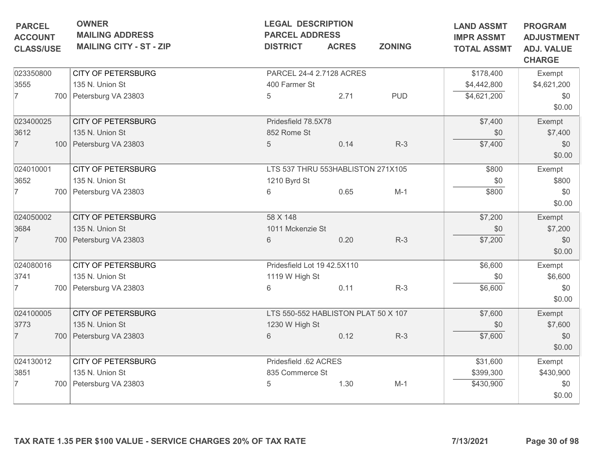| <b>PARCEL</b><br><b>ACCOUNT</b> | <b>OWNER</b><br><b>MAILING ADDRESS</b> | <b>LEGAL DESCRIPTION</b><br><b>PARCEL ADDRESS</b> |              | <b>LAND ASSMT</b><br><b>IMPR ASSMT</b> | <b>PROGRAM</b><br><b>ADJUSTMENT</b> |                                    |
|---------------------------------|----------------------------------------|---------------------------------------------------|--------------|----------------------------------------|-------------------------------------|------------------------------------|
| <b>CLASS/USE</b>                | <b>MAILING CITY - ST - ZIP</b>         | <b>DISTRICT</b>                                   | <b>ACRES</b> | <b>ZONING</b>                          | <b>TOTAL ASSMT</b>                  | <b>ADJ. VALUE</b><br><b>CHARGE</b> |
| 023350800                       | <b>CITY OF PETERSBURG</b>              | PARCEL 24-4 2.7128 ACRES                          |              |                                        | \$178,400                           | Exempt                             |
| 3555                            | 135 N. Union St                        | 400 Farmer St                                     |              |                                        | \$4,442,800                         | \$4,621,200                        |
| $\overline{7}$                  | 700 Petersburg VA 23803                | 5                                                 | 2.71         | <b>PUD</b>                             | \$4,621,200                         | \$0<br>\$0.00                      |
| 023400025                       | <b>CITY OF PETERSBURG</b>              | Pridesfield 78.5X78                               |              |                                        | \$7,400                             | Exempt                             |
| 3612                            | 135 N. Union St                        | 852 Rome St                                       |              |                                        | \$0                                 | \$7,400                            |
| $\overline{7}$                  | 100 Petersburg VA 23803                | 5                                                 | 0.14         | $R-3$                                  | \$7,400                             | \$0<br>\$0.00                      |
| 024010001                       | <b>CITY OF PETERSBURG</b>              | LTS 537 THRU 553HABLISTON 271X105                 |              | \$800                                  | Exempt                              |                                    |
| 3652                            | 135 N. Union St                        | 1210 Byrd St                                      |              |                                        | \$0                                 | \$800                              |
| 7                               | 700 Petersburg VA 23803                | 6                                                 | 0.65         | $M-1$                                  | \$800                               | \$0<br>\$0.00                      |
| 024050002                       | <b>CITY OF PETERSBURG</b>              | 58 X 148                                          |              |                                        | \$7,200                             | Exempt                             |
| 3684                            | 135 N. Union St                        | 1011 Mckenzie St                                  |              |                                        | \$0                                 | \$7,200                            |
| $\overline{7}$                  | 700 Petersburg VA 23803                | 6                                                 | 0.20         | $R-3$                                  | \$7,200                             | \$0<br>\$0.00                      |
| 024080016                       | <b>CITY OF PETERSBURG</b>              | Pridesfield Lot 19 42.5X110                       |              |                                        | \$6,600                             | Exempt                             |
| 3741                            | 135 N. Union St                        | 1119 W High St                                    |              |                                        | \$0                                 | \$6,600                            |
| 7                               | 700 Petersburg VA 23803                | 6                                                 | 0.11         | $R-3$                                  | \$6,600                             | \$0<br>\$0.00                      |
| 024100005                       | <b>CITY OF PETERSBURG</b>              | LTS 550-552 HABLISTON PLAT 50 X 107               |              |                                        | \$7,600                             | Exempt                             |
| 3773                            | 135 N. Union St                        | 1230 W High St                                    |              |                                        | \$0                                 | \$7,600                            |
| $\overline{7}$                  | 700 Petersburg VA 23803                | 6                                                 | 0.12         | $R-3$                                  | \$7,600                             | \$0<br>\$0.00                      |
| 024130012                       | <b>CITY OF PETERSBURG</b>              | Pridesfield .62 ACRES                             |              |                                        | \$31,600                            | Exempt                             |
| 3851                            | 135 N. Union St                        | 835 Commerce St                                   |              |                                        | \$399,300                           | \$430,900                          |
| 7                               | 700 Petersburg VA 23803                | 5                                                 | 1.30         | $M-1$                                  | \$430,900                           | \$0<br>\$0.00                      |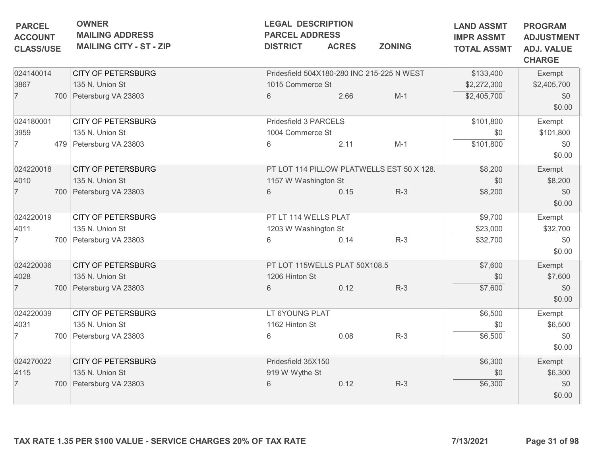| <b>MAILING ADDRESS</b><br><b>MAILING CITY - ST - ZIP</b><br><b>CITY OF PETERSBURG</b><br>135 N. Union St | <b>PARCEL ADDRESS</b><br><b>DISTRICT</b><br>Pridesfield 504X180-280 INC 215-225 N WEST<br>1015 Commerce St | <b>ACRES</b> | <b>ZONING</b>                                                                                                                                                                                 | <b>IMPR ASSMT</b><br><b>TOTAL ASSMT</b>                                    | <b>ADJUSTMENT</b><br><b>ADJ. VALUE</b><br><b>CHARGE</b> |
|----------------------------------------------------------------------------------------------------------|------------------------------------------------------------------------------------------------------------|--------------|-----------------------------------------------------------------------------------------------------------------------------------------------------------------------------------------------|----------------------------------------------------------------------------|---------------------------------------------------------|
|                                                                                                          |                                                                                                            |              |                                                                                                                                                                                               |                                                                            |                                                         |
|                                                                                                          |                                                                                                            |              |                                                                                                                                                                                               | \$133,400                                                                  | Exempt                                                  |
|                                                                                                          |                                                                                                            |              |                                                                                                                                                                                               | \$2,272,300                                                                | \$2,405,700                                             |
| 700 Petersburg VA 23803                                                                                  | 6                                                                                                          | 2.66         | $M-1$                                                                                                                                                                                         | \$2,405,700                                                                | \$0<br>\$0.00                                           |
| <b>CITY OF PETERSBURG</b>                                                                                |                                                                                                            |              |                                                                                                                                                                                               |                                                                            | Exempt                                                  |
| 135 N. Union St                                                                                          |                                                                                                            |              |                                                                                                                                                                                               |                                                                            | \$101,800                                               |
| 479 Petersburg VA 23803                                                                                  | 6                                                                                                          | 2.11         | $M-1$                                                                                                                                                                                         | \$101,800                                                                  | \$0<br>\$0.00                                           |
| <b>CITY OF PETERSBURG</b>                                                                                |                                                                                                            |              |                                                                                                                                                                                               | \$8,200                                                                    | Exempt                                                  |
| 135 N. Union St                                                                                          |                                                                                                            |              |                                                                                                                                                                                               | \$0                                                                        | \$8,200                                                 |
| 700 Petersburg VA 23803                                                                                  | 6                                                                                                          | 0.15         | $R-3$                                                                                                                                                                                         | \$8,200                                                                    | \$0<br>\$0.00                                           |
| <b>CITY OF PETERSBURG</b>                                                                                |                                                                                                            |              |                                                                                                                                                                                               | \$9,700                                                                    | Exempt                                                  |
| 135 N. Union St                                                                                          |                                                                                                            |              |                                                                                                                                                                                               | \$23,000                                                                   | \$32,700                                                |
| 700 Petersburg VA 23803                                                                                  | 6                                                                                                          | 0.14         | $R-3$                                                                                                                                                                                         | \$32,700                                                                   | \$0<br>\$0.00                                           |
| <b>CITY OF PETERSBURG</b>                                                                                |                                                                                                            |              | \$7,600                                                                                                                                                                                       | Exempt                                                                     |                                                         |
| 135 N. Union St                                                                                          |                                                                                                            |              |                                                                                                                                                                                               | \$0                                                                        | \$7,600                                                 |
| 700 Petersburg VA 23803                                                                                  | 6                                                                                                          | 0.12         | $R-3$                                                                                                                                                                                         | \$7,600                                                                    | \$0<br>\$0.00                                           |
| <b>CITY OF PETERSBURG</b>                                                                                |                                                                                                            |              |                                                                                                                                                                                               | \$6,500                                                                    | Exempt                                                  |
| 135 N. Union St                                                                                          | 1162 Hinton St                                                                                             |              |                                                                                                                                                                                               | \$0                                                                        | \$6,500                                                 |
| 700 Petersburg VA 23803                                                                                  | 6                                                                                                          | 0.08         | $R-3$                                                                                                                                                                                         | \$6,500                                                                    | \$0<br>\$0.00                                           |
| <b>CITY OF PETERSBURG</b>                                                                                |                                                                                                            |              |                                                                                                                                                                                               | \$6,300                                                                    | Exempt                                                  |
| 135 N. Union St                                                                                          |                                                                                                            |              |                                                                                                                                                                                               | \$0                                                                        | \$6,300                                                 |
| 700 Petersburg VA 23803                                                                                  | 6                                                                                                          | 0.12         | $R-3$                                                                                                                                                                                         | \$6,300                                                                    | \$0<br>\$0.00                                           |
|                                                                                                          |                                                                                                            |              | Pridesfield 3 PARCELS<br>1004 Commerce St<br>1157 W Washington St<br>PT LT 114 WELLS PLAT<br>1203 W Washington St<br>1206 Hinton St<br>LT 6YOUNG PLAT<br>Pridesfield 35X150<br>919 W Wythe St | PT LOT 114 PILLOW PLATWELLS EST 50 X 128.<br>PT LOT 115WELLS PLAT 50X108.5 | \$101,800<br>\$0                                        |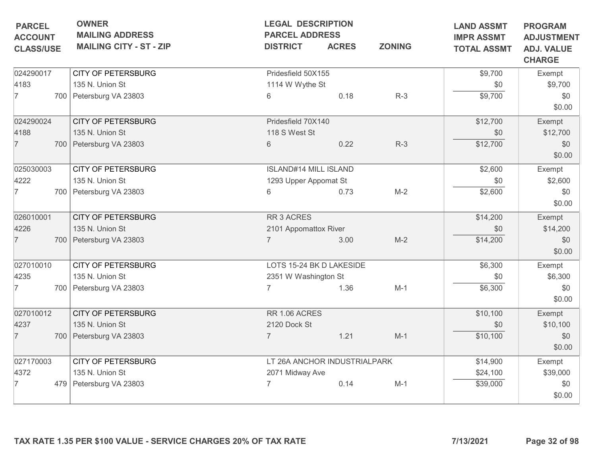| <b>PARCEL</b><br><b>ACCOUNT</b><br><b>CLASS/USE</b> | <b>OWNER</b><br><b>MAILING ADDRESS</b><br><b>MAILING CITY - ST - ZIP</b> | <b>DISTRICT</b>              | <b>LEGAL DESCRIPTION</b><br><b>PARCEL ADDRESS</b><br><b>ZONING</b><br><b>ACRES</b> |       | <b>LAND ASSMT</b><br><b>IMPR ASSMT</b><br><b>TOTAL ASSMT</b> | <b>PROGRAM</b><br><b>ADJUSTMENT</b><br><b>ADJ. VALUE</b><br><b>CHARGE</b> |  |
|-----------------------------------------------------|--------------------------------------------------------------------------|------------------------------|------------------------------------------------------------------------------------|-------|--------------------------------------------------------------|---------------------------------------------------------------------------|--|
| 024290017                                           | <b>CITY OF PETERSBURG</b>                                                | Pridesfield 50X155           |                                                                                    |       | \$9,700                                                      | Exempt                                                                    |  |
| 4183                                                | 135 N. Union St                                                          | 1114 W Wythe St              |                                                                                    |       | \$0                                                          | \$9,700                                                                   |  |
| 7                                                   | 700 Petersburg VA 23803                                                  | 6                            | 0.18                                                                               | $R-3$ | \$9,700                                                      | \$0<br>\$0.00                                                             |  |
| 024290024                                           | <b>CITY OF PETERSBURG</b>                                                | Pridesfield 70X140           |                                                                                    |       | \$12,700                                                     | Exempt                                                                    |  |
| 4188                                                | 135 N. Union St                                                          | 118 S West St                |                                                                                    |       | \$0                                                          | \$12,700                                                                  |  |
| $\overline{7}$                                      | 700 Petersburg VA 23803                                                  | 6                            | 0.22                                                                               | $R-3$ | \$12,700                                                     | \$0<br>\$0.00                                                             |  |
| 025030003                                           | <b>CITY OF PETERSBURG</b>                                                | <b>ISLAND#14 MILL ISLAND</b> |                                                                                    |       | \$2,600                                                      | Exempt                                                                    |  |
| 4222                                                | 135 N. Union St                                                          | 1293 Upper Appomat St        |                                                                                    |       | \$0                                                          | \$2,600                                                                   |  |
| 7                                                   | 700 Petersburg VA 23803                                                  | 6                            | 0.73                                                                               | $M-2$ | \$2,600                                                      | \$0<br>\$0.00                                                             |  |
| 026010001                                           | <b>CITY OF PETERSBURG</b>                                                | RR 3 ACRES                   |                                                                                    |       | \$14,200                                                     | Exempt                                                                    |  |
| 4226                                                | 135 N. Union St                                                          | 2101 Appomattox River        |                                                                                    |       | \$0                                                          | \$14,200                                                                  |  |
| $\overline{7}$                                      | 700 Petersburg VA 23803                                                  | $\overline{7}$               | 3.00                                                                               | $M-2$ | \$14,200                                                     | \$0<br>\$0.00                                                             |  |
| 027010010                                           | <b>CITY OF PETERSBURG</b>                                                | LOTS 15-24 BK D LAKESIDE     |                                                                                    |       | \$6,300                                                      | Exempt                                                                    |  |
| 4235                                                | 135 N. Union St                                                          | 2351 W Washington St         |                                                                                    |       | \$0                                                          | \$6,300                                                                   |  |
| 7                                                   | 700   Petersburg VA 23803                                                |                              | 1.36                                                                               | $M-1$ | \$6,300                                                      | \$0<br>\$0.00                                                             |  |
| 027010012                                           | <b>CITY OF PETERSBURG</b>                                                | RR 1.06 ACRES                |                                                                                    |       | \$10,100                                                     | Exempt                                                                    |  |
| 4237                                                | 135 N. Union St                                                          | 2120 Dock St                 |                                                                                    |       | \$0                                                          | \$10,100                                                                  |  |
| $\overline{7}$                                      | 700 Petersburg VA 23803                                                  | $\overline{7}$               | 1.21                                                                               | $M-1$ | \$10,100                                                     | \$0<br>\$0.00                                                             |  |
| 027170003                                           | <b>CITY OF PETERSBURG</b>                                                | LT 26A ANCHOR INDUSTRIALPARK |                                                                                    |       | \$14,900                                                     | Exempt                                                                    |  |
| 4372                                                | 135 N. Union St                                                          | 2071 Midway Ave              |                                                                                    |       | \$24,100                                                     | \$39,000                                                                  |  |
| 7                                                   | 479 Petersburg VA 23803                                                  |                              | 0.14                                                                               | $M-1$ | \$39,000                                                     | \$0<br>\$0.00                                                             |  |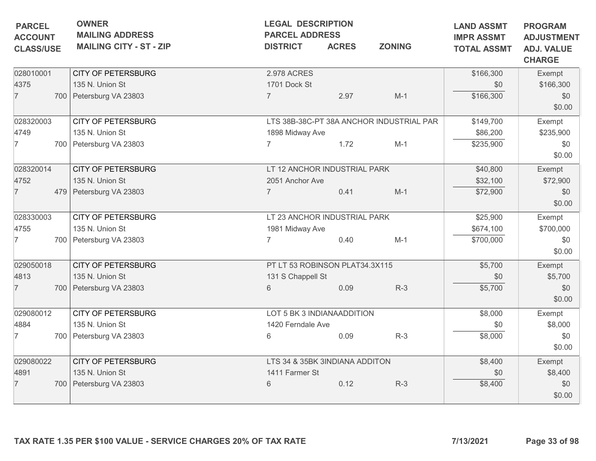| <b>PARCEL</b><br><b>ACCOUNT</b><br><b>CLASS/USE</b> | <b>OWNER</b><br><b>MAILING ADDRESS</b><br><b>MAILING CITY - ST - ZIP</b> | <b>DISTRICT</b>                                                   | <b>LEGAL DESCRIPTION</b><br><b>PARCEL ADDRESS</b><br><b>ZONING</b><br><b>ACRES</b> |                                                   | <b>LAND ASSMT</b><br><b>IMPR ASSMT</b><br><b>TOTAL ASSMT</b> | <b>PROGRAM</b><br><b>ADJUSTMENT</b><br><b>ADJ. VALUE</b><br><b>CHARGE</b> |
|-----------------------------------------------------|--------------------------------------------------------------------------|-------------------------------------------------------------------|------------------------------------------------------------------------------------|---------------------------------------------------|--------------------------------------------------------------|---------------------------------------------------------------------------|
| 028010001<br>4375<br>$\overline{7}$                 | <b>CITY OF PETERSBURG</b><br>135 N. Union St<br>700 Petersburg VA 23803  | 2.978 ACRES<br>1701 Dock St<br>$\overline{7}$                     | 2.97                                                                               | $M-1$                                             | \$166,300<br>\$0<br>\$166,300                                | Exempt<br>\$166,300<br>\$0<br>\$0.00                                      |
| 028320003<br>4749<br>$\overline{7}$                 | <b>CITY OF PETERSBURG</b><br>135 N. Union St<br>700 Petersburg VA 23803  | 1898 Midway Ave                                                   | 1.72                                                                               | LTS 38B-38C-PT 38A ANCHOR INDUSTRIAL PAR<br>$M-1$ | \$149,700<br>\$86,200<br>\$235,900                           | Exempt<br>\$235,900<br>\$0<br>\$0.00                                      |
| 028320014<br>4752<br>$\overline{7}$                 | <b>CITY OF PETERSBURG</b><br>135 N. Union St<br>479 Petersburg VA 23803  | LT 12 ANCHOR INDUSTRIAL PARK<br>2051 Anchor Ave<br>$\overline{7}$ | 0.41                                                                               | $M-1$                                             | \$40,800<br>\$32,100<br>\$72,900                             | Exempt<br>\$72,900<br>\$0<br>\$0.00                                       |
| 028330003<br>4755<br>$\overline{7}$                 | <b>CITY OF PETERSBURG</b><br>135 N. Union St<br>700 Petersburg VA 23803  | LT 23 ANCHOR INDUSTRIAL PARK<br>1981 Midway Ave<br>$\overline{7}$ | 0.40                                                                               | $M-1$                                             | \$25,900<br>\$674,100<br>\$700,000                           | Exempt<br>\$700,000<br>\$0<br>\$0.00                                      |
| 029050018<br>4813<br>$\overline{7}$                 | <b>CITY OF PETERSBURG</b><br>135 N. Union St<br>700 Petersburg VA 23803  | PT LT 53 ROBINSON PLAT34.3X115<br>131 S Chappell St<br>6          | 0.09                                                                               | $R-3$                                             | \$5,700<br>\$0<br>\$5,700                                    | Exempt<br>\$5,700<br>\$0<br>\$0.00                                        |
| 029080012<br>4884<br>$\overline{7}$                 | <b>CITY OF PETERSBURG</b><br>135 N. Union St<br>700 Petersburg VA 23803  | LOT 5 BK 3 INDIANAADDITION<br>1420 Ferndale Ave<br>6              | 0.09                                                                               | $R-3$                                             | \$8,000<br>\$0<br>\$8,000                                    | Exempt<br>\$8,000<br>\$0<br>\$0.00                                        |
| 029080022<br>4891<br>$\overline{7}$                 | <b>CITY OF PETERSBURG</b><br>135 N. Union St<br>700 Petersburg VA 23803  | LTS 34 & 35BK 3INDIANA ADDITON<br>1411 Farmer St<br>6             | 0.12                                                                               | $R-3$                                             | \$8,400<br>\$0<br>\$8,400                                    | Exempt<br>\$8,400<br>\$0<br>\$0.00                                        |
|                                                     | TAX RATE 1.35 PER \$100 VALUE - SERVICE CHARGES 20% OF TAX RATE          |                                                                   |                                                                                    |                                                   | 7/13/2021                                                    | Page 33 of 98                                                             |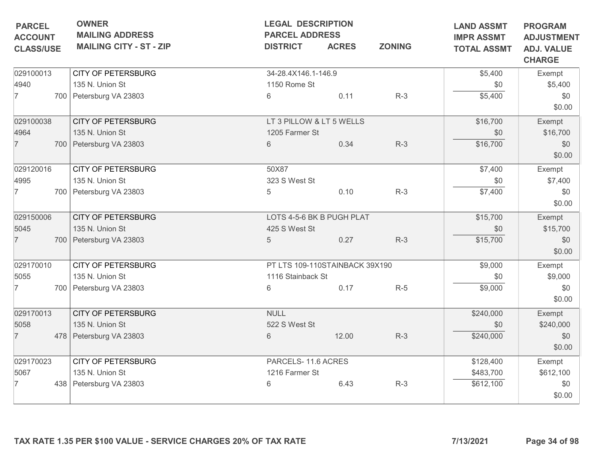| <b>OWNER</b>                   | <b>LEGAL DESCRIPTION</b>                            |              | <b>LAND ASSMT</b>                                                                                                                                                                                                          | <b>PROGRAM</b>                                              |                                                         |
|--------------------------------|-----------------------------------------------------|--------------|----------------------------------------------------------------------------------------------------------------------------------------------------------------------------------------------------------------------------|-------------------------------------------------------------|---------------------------------------------------------|
| <b>MAILING CITY - ST - ZIP</b> | <b>DISTRICT</b>                                     | <b>ACRES</b> | <b>ZONING</b>                                                                                                                                                                                                              | <b>TOTAL ASSMT</b>                                          | <b>ADJUSTMENT</b><br><b>ADJ. VALUE</b><br><b>CHARGE</b> |
| <b>CITY OF PETERSBURG</b>      |                                                     |              |                                                                                                                                                                                                                            | \$5,400                                                     | Exempt                                                  |
| 135 N. Union St                |                                                     |              |                                                                                                                                                                                                                            | \$0                                                         | \$5,400                                                 |
| 700 Petersburg VA 23803        | 6                                                   | 0.11         | $R-3$                                                                                                                                                                                                                      | \$5,400                                                     | \$0<br>\$0.00                                           |
|                                |                                                     |              |                                                                                                                                                                                                                            |                                                             | Exempt                                                  |
| 135 N. Union St                |                                                     |              |                                                                                                                                                                                                                            | \$0                                                         | \$16,700                                                |
| 700 Petersburg VA 23803        | 6                                                   | 0.34         | $R-3$                                                                                                                                                                                                                      | \$16,700                                                    | \$0<br>\$0.00                                           |
| <b>CITY OF PETERSBURG</b>      | 50X87                                               |              |                                                                                                                                                                                                                            | \$7,400                                                     | Exempt                                                  |
| 135 N. Union St                |                                                     |              |                                                                                                                                                                                                                            | \$0                                                         | \$7,400                                                 |
| 700 Petersburg VA 23803        | 5                                                   | 0.10         | $R-3$                                                                                                                                                                                                                      | \$7,400                                                     | \$0<br>\$0.00                                           |
| <b>CITY OF PETERSBURG</b>      |                                                     |              | \$15,700                                                                                                                                                                                                                   | Exempt                                                      |                                                         |
| 135 N. Union St                |                                                     |              |                                                                                                                                                                                                                            | \$0                                                         | \$15,700                                                |
| 700 Petersburg VA 23803        | $5\phantom{.0}$                                     | 0.27         | $R-3$                                                                                                                                                                                                                      | \$15,700                                                    | \$0<br>\$0.00                                           |
| <b>CITY OF PETERSBURG</b>      |                                                     |              | \$9,000                                                                                                                                                                                                                    | Exempt                                                      |                                                         |
| 135 N. Union St                |                                                     |              |                                                                                                                                                                                                                            | \$0                                                         | \$9,000                                                 |
| 700 Petersburg VA 23803        | 6                                                   | 0.17         | $R-5$                                                                                                                                                                                                                      | \$9,000                                                     | \$0<br>\$0.00                                           |
| <b>CITY OF PETERSBURG</b>      | <b>NULL</b>                                         |              |                                                                                                                                                                                                                            | \$240,000                                                   | Exempt                                                  |
| 135 N. Union St                |                                                     |              |                                                                                                                                                                                                                            | \$0                                                         | \$240,000                                               |
| 478 Petersburg VA 23803        | 6                                                   | 12.00        | $R-3$                                                                                                                                                                                                                      | \$240,000                                                   | \$0<br>\$0.00                                           |
| <b>CITY OF PETERSBURG</b>      |                                                     |              |                                                                                                                                                                                                                            | \$128,400                                                   | Exempt                                                  |
| 135 N. Union St                |                                                     |              |                                                                                                                                                                                                                            | \$483,700                                                   | \$612,100                                               |
| 438   Petersburg VA 23803      | 6                                                   | 6.43         | $R-3$                                                                                                                                                                                                                      | \$612,100                                                   | \$0<br>\$0.00                                           |
|                                | <b>MAILING ADDRESS</b><br><b>CITY OF PETERSBURG</b> |              | <b>PARCEL ADDRESS</b><br>34-28.4X146.1-146.9<br>1150 Rome St<br>LT 3 PILLOW & LT 5 WELLS<br>1205 Farmer St<br>323 S West St<br>425 S West St<br>1116 Stainback St<br>522 S West St<br>PARCELS-11.6 ACRES<br>1216 Farmer St | LOTS 4-5-6 BK B PUGH PLAT<br>PT LTS 109-110STAINBACK 39X190 | <b>IMPR ASSMT</b><br>\$16,700                           |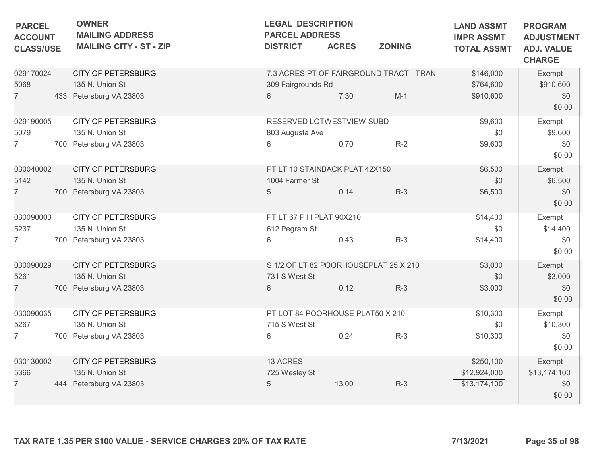| <b>PARCEL</b>                      | <b>OWNER</b><br><b>LEGAL DESCRIPTION</b><br><b>MAILING ADDRESS</b><br><b>PARCEL ADDRESS</b> |                                                                 |                                       | <b>LAND ASSMT</b><br><b>IMPR ASSMT</b> | <b>PROGRAM</b><br><b>ADJUSTMENT</b>     |                    |                                    |
|------------------------------------|---------------------------------------------------------------------------------------------|-----------------------------------------------------------------|---------------------------------------|----------------------------------------|-----------------------------------------|--------------------|------------------------------------|
| <b>ACCOUNT</b><br><b>CLASS/USE</b> |                                                                                             | <b>MAILING CITY - ST - ZIP</b>                                  | <b>DISTRICT</b>                       | <b>ACRES</b>                           | <b>ZONING</b>                           | <b>TOTAL ASSMT</b> | <b>ADJ. VALUE</b><br><b>CHARGE</b> |
| 029170024                          |                                                                                             | <b>CITY OF PETERSBURG</b>                                       |                                       |                                        | 7.3 ACRES PT OF FAIRGROUND TRACT - TRAN | \$146,000          | Exempt                             |
| 5068                               |                                                                                             | 135 N. Union St                                                 | 309 Fairgrounds Rd                    |                                        |                                         | \$764,600          | \$910,600                          |
| $\overline{7}$                     |                                                                                             | 433 Petersburg VA 23803                                         | 6                                     | 7.30                                   | $M-1$                                   | \$910,600          | \$0<br>\$0.00                      |
| 029190005                          |                                                                                             | <b>CITY OF PETERSBURG</b>                                       | RESERVED LOTWESTVIEW SUBD             |                                        |                                         | \$9,600            | Exempt                             |
| 5079                               |                                                                                             | 135 N. Union St                                                 | 803 Augusta Ave                       |                                        |                                         | \$0                | \$9,600                            |
| 7                                  |                                                                                             | 700 Petersburg VA 23803                                         | 6                                     | 0.70                                   | $R-2$                                   | \$9,600            | \$0<br>\$0.00                      |
| 030040002                          |                                                                                             | <b>CITY OF PETERSBURG</b>                                       | PT LT 10 STAINBACK PLAT 42X150        |                                        | \$6,500                                 | Exempt             |                                    |
| 5142                               |                                                                                             | 135 N. Union St                                                 | 1004 Farmer St                        |                                        |                                         | \$0                | \$6,500                            |
| $\overline{7}$                     |                                                                                             | 700 Petersburg VA 23803                                         | $\overline{5}$                        | 0.14                                   | $R-3$                                   | \$6,500            | \$0<br>\$0.00                      |
| 030090003                          |                                                                                             | <b>CITY OF PETERSBURG</b>                                       | PT LT 67 P H PLAT 90X210              |                                        | \$14,400                                | Exempt             |                                    |
| 5237                               |                                                                                             | 135 N. Union St                                                 | 612 Pegram St                         |                                        |                                         | \$0                | \$14,400                           |
| 7                                  |                                                                                             | 700 Petersburg VA 23803                                         | 6                                     | 0.43                                   | $R-3$                                   | \$14,400           | \$0<br>\$0.00                      |
| 030090029                          |                                                                                             | <b>CITY OF PETERSBURG</b>                                       | S 1/2 OF LT 82 POORHOUSEPLAT 25 X 210 |                                        | \$3,000                                 | Exempt             |                                    |
| 5261                               |                                                                                             | 135 N. Union St                                                 | 731 S West St                         |                                        |                                         | \$0                | \$3,000                            |
| $\overline{7}$                     |                                                                                             | 700   Petersburg VA 23803                                       | 6                                     | 0.12                                   | $R-3$                                   | \$3,000            | \$0<br>\$0.00                      |
| 030090035                          |                                                                                             | <b>CITY OF PETERSBURG</b>                                       | PT LOT 84 POORHOUSE PLAT50 X 210      |                                        |                                         | \$10,300           | Exempt                             |
| 5267                               |                                                                                             | 135 N. Union St                                                 | 715 S West St                         |                                        |                                         | \$0                | \$10,300                           |
| $\overline{7}$                     |                                                                                             | 700   Petersburg VA 23803                                       | 6                                     | 0.24                                   | $R-3$                                   | \$10,300           | \$0<br>\$0.00                      |
| 030130002                          |                                                                                             | <b>CITY OF PETERSBURG</b>                                       | 13 ACRES                              |                                        |                                         | \$250,100          | Exempt                             |
| 5366                               |                                                                                             | 135 N. Union St                                                 | 725 Wesley St                         |                                        |                                         | \$12,924,000       | \$13,174,100                       |
| $\overline{7}$                     |                                                                                             | 444 Petersburg VA 23803                                         | 5                                     | 13.00                                  | $R-3$                                   | \$13,174,100       | \$0<br>\$0.00                      |
|                                    |                                                                                             | TAX RATE 1.35 PER \$100 VALUE - SERVICE CHARGES 20% OF TAX RATE |                                       |                                        |                                         | 7/13/2021          | Page 35 of 98                      |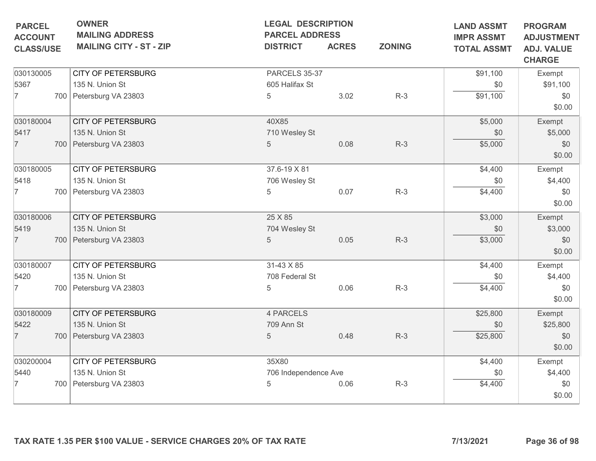| <b>PARCEL</b>                      | <b>OWNER</b><br><b>MAILING ADDRESS</b> |                      | <b>LEGAL DESCRIPTION</b><br><b>PARCEL ADDRESS</b> |               | <b>LAND ASSMT</b><br><b>IMPR ASSMT</b> | <b>PROGRAM</b>                                          |
|------------------------------------|----------------------------------------|----------------------|---------------------------------------------------|---------------|----------------------------------------|---------------------------------------------------------|
| <b>ACCOUNT</b><br><b>CLASS/USE</b> | <b>MAILING CITY - ST - ZIP</b>         | <b>DISTRICT</b>      | <b>ACRES</b>                                      | <b>ZONING</b> | <b>TOTAL ASSMT</b>                     | <b>ADJUSTMENT</b><br><b>ADJ. VALUE</b><br><b>CHARGE</b> |
| 030130005                          | <b>CITY OF PETERSBURG</b>              | PARCELS 35-37        |                                                   |               | \$91,100                               | Exempt                                                  |
| 5367                               | 135 N. Union St                        | 605 Halifax St       |                                                   |               | \$0                                    | \$91,100                                                |
| $\overline{7}$                     | 700 Petersburg VA 23803                | 5                    | 3.02                                              | $R-3$         | \$91,100                               | \$0<br>\$0.00                                           |
| 030180004                          | <b>CITY OF PETERSBURG</b>              | 40X85                |                                                   |               | \$5,000                                | Exempt                                                  |
| 5417                               | 135 N. Union St                        | 710 Wesley St        |                                                   |               | \$0                                    | \$5,000                                                 |
| $\overline{7}$                     | 700 Petersburg VA 23803                | 5                    | 0.08                                              | $R-3$         | \$5,000                                | \$0<br>\$0.00                                           |
| 030180005                          | <b>CITY OF PETERSBURG</b>              | 37.6-19 X 81         |                                                   |               | \$4,400                                | Exempt                                                  |
| 5418                               | 135 N. Union St                        | 706 Wesley St        |                                                   |               | \$0                                    | \$4,400                                                 |
| 7                                  | 700 Petersburg VA 23803                | 5                    | 0.07                                              | $R-3$         | \$4,400                                | \$0<br>\$0.00                                           |
| 030180006                          | <b>CITY OF PETERSBURG</b>              | 25 X 85              |                                                   |               | \$3,000                                | Exempt                                                  |
| 5419                               | 135 N. Union St                        | 704 Wesley St        |                                                   |               | \$0                                    | \$3,000                                                 |
| $\overline{7}$                     | 700 Petersburg VA 23803                | 5                    | 0.05                                              | $R-3$         | \$3,000                                | \$0<br>\$0.00                                           |
| 030180007                          | <b>CITY OF PETERSBURG</b>              | 31-43 X 85           |                                                   |               | \$4,400                                | Exempt                                                  |
| 5420                               | 135 N. Union St                        | 708 Federal St       |                                                   |               | \$0                                    | \$4,400                                                 |
| 7                                  | 700 Petersburg VA 23803                | 5                    | 0.06                                              | $R-3$         | \$4,400                                | \$0<br>\$0.00                                           |
| 030180009                          | <b>CITY OF PETERSBURG</b>              | 4 PARCELS            |                                                   |               | \$25,800                               | Exempt                                                  |
| 5422                               | 135 N. Union St                        | 709 Ann St           |                                                   |               | \$0                                    | \$25,800                                                |
| $\overline{7}$                     | 700 Petersburg VA 23803                | $\overline{5}$       | 0.48                                              | $R-3$         | \$25,800                               | \$0<br>\$0.00                                           |
| 030200004                          | <b>CITY OF PETERSBURG</b>              | 35X80                |                                                   |               | \$4,400                                | Exempt                                                  |
| 5440                               | 135 N. Union St                        | 706 Independence Ave |                                                   |               | \$0                                    | \$4,400                                                 |
|                                    | 700 Petersburg VA 23803                | 5                    | 0.06                                              | $R-3$         | \$4,400                                | \$0<br>\$0.00                                           |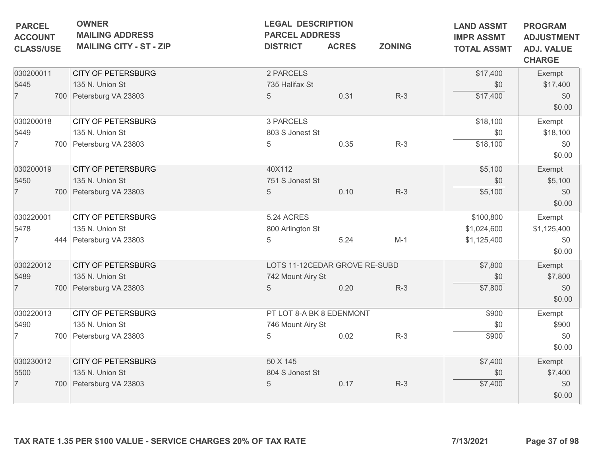| <b>OWNER</b><br><b>MAILING ADDRESS</b><br><b>MAILING CITY - ST - ZIP</b> | <b>LEGAL DESCRIPTION</b><br><b>DISTRICT</b>                                                                                                                                                        | <b>ACRES</b>                                                     | <b>ZONING</b>                                                                                                                                                | <b>LAND ASSMT</b><br><b>IMPR ASSMT</b><br><b>TOTAL ASSMT</b>                | <b>PROGRAM</b><br><b>ADJUSTMENT</b><br><b>ADJ. VALUE</b><br><b>CHARGE</b>                           |
|--------------------------------------------------------------------------|----------------------------------------------------------------------------------------------------------------------------------------------------------------------------------------------------|------------------------------------------------------------------|--------------------------------------------------------------------------------------------------------------------------------------------------------------|-----------------------------------------------------------------------------|-----------------------------------------------------------------------------------------------------|
| <b>CITY OF PETERSBURG</b>                                                | 2 PARCELS                                                                                                                                                                                          |                                                                  |                                                                                                                                                              | \$17,400                                                                    | Exempt                                                                                              |
|                                                                          |                                                                                                                                                                                                    |                                                                  |                                                                                                                                                              |                                                                             | \$17,400                                                                                            |
|                                                                          |                                                                                                                                                                                                    |                                                                  |                                                                                                                                                              |                                                                             | \$0<br>\$0.00                                                                                       |
| <b>CITY OF PETERSBURG</b>                                                | 3 PARCELS                                                                                                                                                                                          |                                                                  |                                                                                                                                                              | \$18,100                                                                    | Exempt                                                                                              |
| 135 N. Union St                                                          |                                                                                                                                                                                                    |                                                                  |                                                                                                                                                              | \$0                                                                         | \$18,100                                                                                            |
| 700 Petersburg VA 23803                                                  | 5                                                                                                                                                                                                  | 0.35                                                             | $R-3$                                                                                                                                                        | \$18,100                                                                    | \$0<br>\$0.00                                                                                       |
| <b>CITY OF PETERSBURG</b>                                                | 40X112                                                                                                                                                                                             |                                                                  |                                                                                                                                                              | \$5,100                                                                     | Exempt                                                                                              |
| 135 N. Union St                                                          |                                                                                                                                                                                                    |                                                                  |                                                                                                                                                              | \$0                                                                         | \$5,100                                                                                             |
| 700 Petersburg VA 23803                                                  | $5\phantom{.0}$                                                                                                                                                                                    | 0.10                                                             | $R-3$                                                                                                                                                        | \$5,100                                                                     | \$0                                                                                                 |
|                                                                          |                                                                                                                                                                                                    |                                                                  |                                                                                                                                                              |                                                                             | \$0.00                                                                                              |
|                                                                          |                                                                                                                                                                                                    |                                                                  |                                                                                                                                                              |                                                                             | Exempt                                                                                              |
| 135 N. Union St                                                          |                                                                                                                                                                                                    |                                                                  |                                                                                                                                                              |                                                                             | \$1,125,400                                                                                         |
| 444 Petersburg VA 23803                                                  | 5                                                                                                                                                                                                  | 5.24                                                             | $M-1$                                                                                                                                                        | \$1,125,400                                                                 | \$0<br>\$0.00                                                                                       |
| <b>CITY OF PETERSBURG</b>                                                |                                                                                                                                                                                                    |                                                                  |                                                                                                                                                              | \$7,800                                                                     | Exempt                                                                                              |
| 135 N. Union St                                                          |                                                                                                                                                                                                    |                                                                  |                                                                                                                                                              | \$0                                                                         | \$7,800                                                                                             |
| 700 Petersburg VA 23803                                                  | 5                                                                                                                                                                                                  | 0.20                                                             | $R-3$                                                                                                                                                        |                                                                             | \$0                                                                                                 |
|                                                                          |                                                                                                                                                                                                    |                                                                  |                                                                                                                                                              |                                                                             | \$0.00                                                                                              |
|                                                                          |                                                                                                                                                                                                    |                                                                  |                                                                                                                                                              |                                                                             | Exempt                                                                                              |
|                                                                          |                                                                                                                                                                                                    |                                                                  |                                                                                                                                                              |                                                                             | \$900                                                                                               |
| 700 Petersburg VA 23803                                                  | 5                                                                                                                                                                                                  | 0.02                                                             | $R-3$                                                                                                                                                        | \$900                                                                       | \$0<br>\$0.00                                                                                       |
|                                                                          |                                                                                                                                                                                                    |                                                                  |                                                                                                                                                              |                                                                             | Exempt                                                                                              |
|                                                                          |                                                                                                                                                                                                    |                                                                  |                                                                                                                                                              |                                                                             | \$7,400                                                                                             |
|                                                                          |                                                                                                                                                                                                    |                                                                  |                                                                                                                                                              |                                                                             | \$0                                                                                                 |
|                                                                          |                                                                                                                                                                                                    |                                                                  |                                                                                                                                                              |                                                                             | \$0.00                                                                                              |
|                                                                          | 135 N. Union St<br>700 Petersburg VA 23803<br><b>CITY OF PETERSBURG</b><br><b>CITY OF PETERSBURG</b><br>135 N. Union St<br><b>CITY OF PETERSBURG</b><br>135 N. Union St<br>700 Petersburg VA 23803 | 735 Halifax St<br>$5\phantom{.0}$<br>5.24 ACRES<br>50 X 145<br>5 | <b>PARCEL ADDRESS</b><br>0.31<br>803 S Jonest St<br>751 S Jonest St<br>800 Arlington St<br>742 Mount Airy St<br>746 Mount Airy St<br>804 S Jonest St<br>0.17 | $R-3$<br>LOTS 11-12CEDAR GROVE RE-SUBD<br>PT LOT 8-A BK 8 EDENMONT<br>$R-3$ | \$0<br>\$17,400<br>\$100,800<br>\$1,024,600<br>\$7,800<br>\$900<br>\$0<br>\$7,400<br>\$0<br>\$7,400 |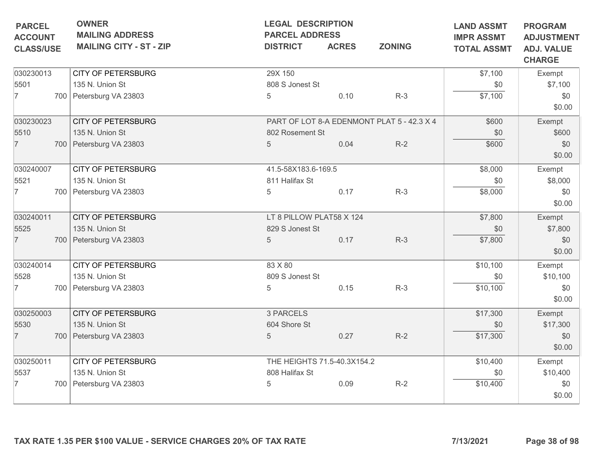| <b>PARCEL</b><br><b>ACCOUNT</b> | <b>OWNER</b><br><b>MAILING ADDRESS</b>                          | <b>LEGAL DESCRIPTION</b><br><b>PARCEL ADDRESS</b> |              |                                            | <b>LAND ASSMT</b><br><b>IMPR ASSMT</b> | <b>PROGRAM</b><br><b>ADJUSTMENT</b> |
|---------------------------------|-----------------------------------------------------------------|---------------------------------------------------|--------------|--------------------------------------------|----------------------------------------|-------------------------------------|
| <b>CLASS/USE</b>                | <b>MAILING CITY - ST - ZIP</b>                                  | <b>DISTRICT</b>                                   | <b>ACRES</b> | <b>ZONING</b>                              | <b>TOTAL ASSMT</b>                     | <b>ADJ. VALUE</b><br><b>CHARGE</b>  |
| 030230013                       | <b>CITY OF PETERSBURG</b>                                       | 29X 150                                           |              |                                            | \$7,100                                | Exempt                              |
| 5501                            | 135 N. Union St                                                 | 808 S Jonest St                                   |              |                                            | \$0                                    | \$7,100                             |
| $\overline{7}$                  | 700 Petersburg VA 23803                                         | 5                                                 | 0.10         | $R-3$                                      | \$7,100                                | \$0                                 |
|                                 |                                                                 |                                                   |              |                                            |                                        | \$0.00                              |
| 030230023                       | <b>CITY OF PETERSBURG</b>                                       |                                                   |              | PART OF LOT 8-A EDENMONT PLAT 5 - 42.3 X 4 | \$600                                  | Exempt                              |
| 5510                            | 135 N. Union St                                                 | 802 Rosement St                                   |              |                                            | \$0                                    | \$600                               |
| $\overline{7}$                  | 700 Petersburg VA 23803                                         | 5                                                 | 0.04         | $R-2$                                      | \$600                                  | \$0                                 |
|                                 |                                                                 |                                                   |              |                                            |                                        | \$0.00                              |
| 030240007                       | <b>CITY OF PETERSBURG</b>                                       | 41.5-58X183.6-169.5                               | \$8,000      | Exempt                                     |                                        |                                     |
| 5521                            | 135 N. Union St                                                 | 811 Halifax St                                    |              |                                            | \$0                                    | \$8,000                             |
| $\overline{7}$                  | 700 Petersburg VA 23803                                         | 5                                                 | 0.17         | $R-3$                                      | \$8,000                                | \$0                                 |
|                                 |                                                                 |                                                   |              |                                            |                                        | \$0.00                              |
| 030240011                       | <b>CITY OF PETERSBURG</b>                                       | LT 8 PILLOW PLAT58 X 124                          |              |                                            | \$7,800                                | Exempt                              |
| 5525                            | 135 N. Union St                                                 | 829 S Jonest St                                   |              |                                            | \$0                                    | \$7,800                             |
| $\overline{7}$                  | 700 Petersburg VA 23803                                         | 5                                                 | 0.17         | $R-3$                                      | \$7,800                                | \$0                                 |
|                                 |                                                                 |                                                   |              |                                            |                                        | \$0.00                              |
| 030240014                       | <b>CITY OF PETERSBURG</b>                                       | 83 X 80                                           |              |                                            | \$10,100                               | Exempt                              |
| 5528                            | 135 N. Union St                                                 | 809 S Jonest St                                   |              |                                            | \$0                                    | \$10,100                            |
| $\overline{7}$                  | 700 Petersburg VA 23803                                         | 5                                                 | 0.15         | $R-3$                                      | \$10,100                               | \$0                                 |
|                                 |                                                                 |                                                   |              |                                            |                                        | \$0.00                              |
| 030250003                       | <b>CITY OF PETERSBURG</b>                                       | 3 PARCELS                                         |              |                                            | \$17,300                               | Exempt                              |
| 5530                            | 135 N. Union St                                                 | 604 Shore St                                      |              |                                            | \$0                                    | \$17,300                            |
| $\overline{7}$                  | 700 Petersburg VA 23803                                         | 5                                                 | 0.27         | $R-2$                                      | \$17,300                               | \$0                                 |
|                                 |                                                                 |                                                   |              |                                            |                                        | \$0.00                              |
| 030250011                       | <b>CITY OF PETERSBURG</b>                                       | THE HEIGHTS 71.5-40.3X154.2                       |              |                                            | \$10,400                               | Exempt                              |
| 5537                            | 135 N. Union St                                                 | 808 Halifax St                                    |              |                                            | \$0                                    | \$10,400                            |
| 7                               | 700 Petersburg VA 23803                                         | 5                                                 | 0.09         | $R-2$                                      | \$10,400                               | \$0                                 |
|                                 |                                                                 |                                                   |              |                                            |                                        | \$0.00                              |
|                                 | TAX RATE 1.35 PER \$100 VALUE - SERVICE CHARGES 20% OF TAX RATE |                                                   |              |                                            | 7/13/2021                              | Page 38 of 98                       |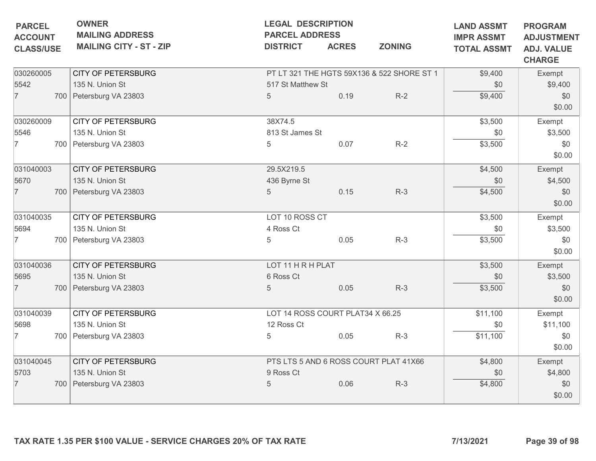| <b>MAILING ADDRESS</b>         | <b>PARCEL ADDRESS</b> | <b>LEGAL DESCRIPTION</b> |                                                                             | <b>LAND ASSMT</b><br><b>IMPR ASSMT</b>                                                                                  | <b>PROGRAM</b><br><b>ADJUSTMENT</b> |
|--------------------------------|-----------------------|--------------------------|-----------------------------------------------------------------------------|-------------------------------------------------------------------------------------------------------------------------|-------------------------------------|
| <b>MAILING CITY - ST - ZIP</b> | <b>DISTRICT</b>       | <b>ACRES</b>             | <b>ZONING</b>                                                               | <b>TOTAL ASSMT</b>                                                                                                      | <b>ADJ. VALUE</b><br><b>CHARGE</b>  |
| <b>CITY OF PETERSBURG</b>      |                       |                          |                                                                             | \$9,400                                                                                                                 | Exempt                              |
| 135 N. Union St                |                       |                          |                                                                             | \$0                                                                                                                     | \$9,400                             |
| 700 Petersburg VA 23803        | $5\phantom{.0}$       | 0.19                     | $R-2$                                                                       | \$9,400                                                                                                                 | \$0<br>\$0.00                       |
| <b>CITY OF PETERSBURG</b>      | 38X74.5               |                          |                                                                             | \$3,500                                                                                                                 | Exempt                              |
| 135 N. Union St                |                       |                          |                                                                             | \$0                                                                                                                     | \$3,500                             |
| 700 Petersburg VA 23803        | 5                     | 0.07                     | $R-2$                                                                       | \$3,500                                                                                                                 | \$0<br>\$0.00                       |
| <b>CITY OF PETERSBURG</b>      | 29.5X219.5            |                          |                                                                             | \$4,500                                                                                                                 | Exempt                              |
| 135 N. Union St                | 436 Byrne St          |                          |                                                                             | \$0                                                                                                                     | \$4,500                             |
| 700 Petersburg VA 23803        | 5                     | 0.15                     | $R-3$                                                                       | \$4,500                                                                                                                 | \$0<br>\$0.00                       |
| <b>CITY OF PETERSBURG</b>      |                       |                          |                                                                             | \$3,500                                                                                                                 | Exempt                              |
| 135 N. Union St                | 4 Ross Ct             |                          |                                                                             | \$0                                                                                                                     | \$3,500                             |
| 700 Petersburg VA 23803        | 5                     | 0.05                     | $R-3$                                                                       | \$3,500                                                                                                                 | \$0<br>\$0.00                       |
| <b>CITY OF PETERSBURG</b>      |                       |                          |                                                                             | \$3,500                                                                                                                 | Exempt                              |
| 135 N. Union St                | 6 Ross Ct             |                          |                                                                             | \$0                                                                                                                     | \$3,500                             |
| 700 Petersburg VA 23803        | 5                     | 0.05                     | $R-3$                                                                       | \$3,500                                                                                                                 | \$0<br>\$0.00                       |
| <b>CITY OF PETERSBURG</b>      |                       |                          |                                                                             | \$11,100                                                                                                                | Exempt                              |
| 135 N. Union St                | 12 Ross Ct            |                          |                                                                             | \$0                                                                                                                     | \$11,100                            |
| 700 Petersburg VA 23803        | 5                     | 0.05                     | $R-3$                                                                       | \$11,100                                                                                                                | \$0<br>\$0.00                       |
| <b>CITY OF PETERSBURG</b>      |                       |                          |                                                                             | \$4,800                                                                                                                 | Exempt                              |
| 135 N. Union St                | 9 Ross Ct             |                          |                                                                             | \$0                                                                                                                     | \$4,800                             |
| 700 Petersburg VA 23803        | 5                     | 0.06                     | $R-3$                                                                       | \$4,800                                                                                                                 | \$0<br>\$0.00                       |
|                                |                       |                          | 517 St Matthew St<br>813 St James St<br>LOT 10 ROSS CT<br>LOT 11 H R H PLAT | PT LT 321 THE HGTS 59X136 & 522 SHORE ST 1<br>LOT 14 ROSS COURT PLAT34 X 66.25<br>PTS LTS 5 AND 6 ROSS COURT PLAT 41X66 |                                     |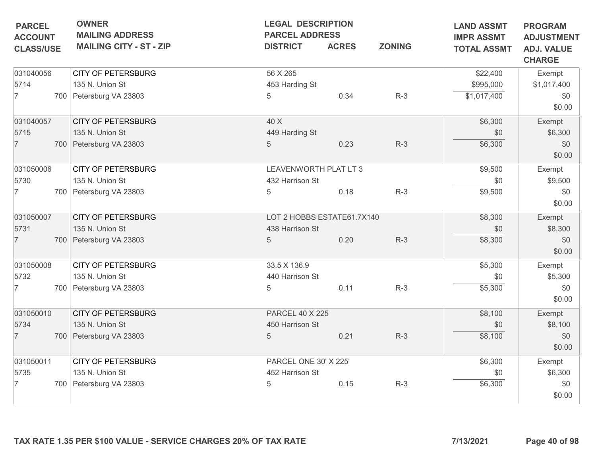| <b>PARCEL</b>                      | <b>OWNER</b><br><b>MAILING ADDRESS</b> | <b>LEGAL DESCRIPTION</b><br><b>PARCEL ADDRESS</b> |              |               | <b>LAND ASSMT</b>                       | <b>PROGRAM</b><br><b>ADJUSTMENT</b> |
|------------------------------------|----------------------------------------|---------------------------------------------------|--------------|---------------|-----------------------------------------|-------------------------------------|
| <b>ACCOUNT</b><br><b>CLASS/USE</b> | <b>MAILING CITY - ST - ZIP</b>         | <b>DISTRICT</b>                                   | <b>ACRES</b> | <b>ZONING</b> | <b>IMPR ASSMT</b><br><b>TOTAL ASSMT</b> | <b>ADJ. VALUE</b><br><b>CHARGE</b>  |
| 031040056                          | <b>CITY OF PETERSBURG</b>              | 56 X 265                                          |              |               | \$22,400                                | Exempt                              |
| 5714                               | 135 N. Union St                        | 453 Harding St                                    |              |               | \$995,000                               | \$1,017,400                         |
| 7                                  | 700 Petersburg VA 23803                | 5                                                 | 0.34         | $R-3$         | \$1,017,400                             | \$0<br>\$0.00                       |
| 031040057                          | <b>CITY OF PETERSBURG</b>              | 40 X                                              |              |               | \$6,300                                 | Exempt                              |
| 5715                               | 135 N. Union St                        | 449 Harding St                                    |              |               | \$0                                     | \$6,300                             |
| $\overline{7}$                     | 700 Petersburg VA 23803                | $5\phantom{.0}$                                   | 0.23         | $R-3$         | \$6,300                                 | \$0<br>\$0.00                       |
| 031050006                          | <b>CITY OF PETERSBURG</b>              | LEAVENWORTH PLAT LT 3                             |              |               | \$9,500                                 | Exempt                              |
| 5730                               | 135 N. Union St                        | 432 Harrison St                                   |              |               | \$0                                     | \$9,500                             |
| 7                                  | 700 Petersburg VA 23803                | 5                                                 | 0.18         | $R-3$         | \$9,500                                 | \$0<br>\$0.00                       |
| 031050007                          | <b>CITY OF PETERSBURG</b>              | LOT 2 HOBBS ESTATE61.7X140                        |              |               | \$8,300                                 | Exempt                              |
| 5731                               | 135 N. Union St                        | 438 Harrison St                                   |              |               | \$0                                     | \$8,300                             |
| $\overline{7}$                     | 700 Petersburg VA 23803                | 5                                                 | 0.20         | $R-3$         | \$8,300                                 | \$0<br>\$0.00                       |
| 031050008                          | <b>CITY OF PETERSBURG</b>              | 33.5 X 136.9                                      |              |               | \$5,300                                 | Exempt                              |
| 5732                               | 135 N. Union St                        | 440 Harrison St                                   |              |               | \$0                                     | \$5,300                             |
| 7                                  | 700 Petersburg VA 23803                | 5                                                 | 0.11         | $R-3$         | \$5,300                                 | \$0<br>\$0.00                       |
| 031050010                          | <b>CITY OF PETERSBURG</b>              | <b>PARCEL 40 X 225</b>                            |              |               | \$8,100                                 | Exempt                              |
| 5734                               | 135 N. Union St                        | 450 Harrison St                                   |              |               | \$0                                     | \$8,100                             |
| $\overline{7}$                     | 700 Petersburg VA 23803                | 5                                                 | 0.21         | $R-3$         | \$8,100                                 | \$0<br>\$0.00                       |
| 031050011                          | <b>CITY OF PETERSBURG</b>              | PARCEL ONE 30' X 225'                             |              |               | \$6,300                                 | Exempt                              |
| 5735                               | 135 N. Union St                        | 452 Harrison St                                   |              |               | \$0                                     | \$6,300                             |
| 7                                  | 700 Petersburg VA 23803                | 5                                                 | 0.15         | $R-3$         | \$6,300                                 | \$0<br>\$0.00                       |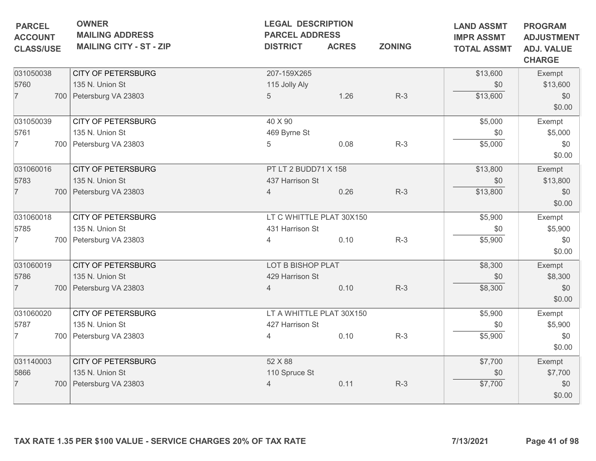| <b>ADJ. VALUE</b><br><b>CHARGE</b><br>Exempt<br>\$13,600<br>\$0<br>\$0.00<br>Exempt<br>\$5,000<br>\$0<br>\$0.00 |
|-----------------------------------------------------------------------------------------------------------------|
|                                                                                                                 |
|                                                                                                                 |
|                                                                                                                 |
|                                                                                                                 |
|                                                                                                                 |
|                                                                                                                 |
|                                                                                                                 |
| Exempt                                                                                                          |
| \$13,800                                                                                                        |
| \$0<br>\$0.00                                                                                                   |
| Exempt                                                                                                          |
| \$5,900                                                                                                         |
| \$0<br>\$0.00                                                                                                   |
| Exempt                                                                                                          |
| \$8,300                                                                                                         |
| \$0<br>\$0.00                                                                                                   |
| Exempt                                                                                                          |
| \$5,900                                                                                                         |
| \$0<br>\$0.00                                                                                                   |
| Exempt                                                                                                          |
| \$7,700                                                                                                         |
| \$0<br>\$0.00                                                                                                   |
|                                                                                                                 |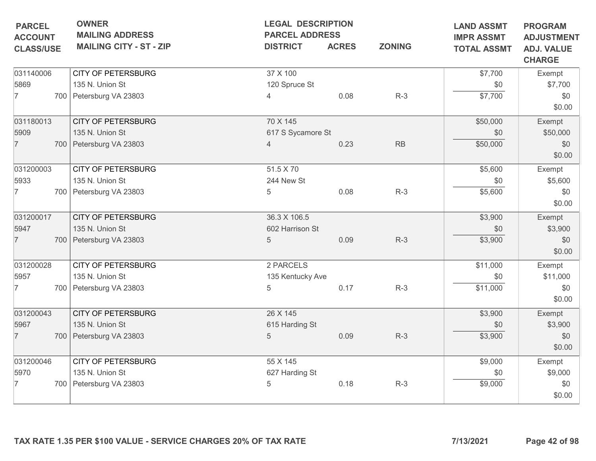| <b>PARCEL</b><br><b>ACCOUNT</b> | <b>OWNER</b><br><b>MAILING ADDRESS</b><br><b>MAILING CITY - ST - ZIP</b> | <b>LEGAL DESCRIPTION</b><br><b>PARCEL ADDRESS</b> | <b>ACRES</b> | <b>ZONING</b> | <b>LAND ASSMT</b><br><b>IMPR ASSMT</b> | <b>PROGRAM</b><br><b>ADJUSTMENT</b> |
|---------------------------------|--------------------------------------------------------------------------|---------------------------------------------------|--------------|---------------|----------------------------------------|-------------------------------------|
| <b>CLASS/USE</b>                |                                                                          | <b>DISTRICT</b>                                   |              |               | <b>TOTAL ASSMT</b>                     | <b>ADJ. VALUE</b><br><b>CHARGE</b>  |
| 031140006                       | <b>CITY OF PETERSBURG</b>                                                | 37 X 100                                          |              |               | \$7,700                                | Exempt                              |
| 5869                            | 135 N. Union St                                                          | 120 Spruce St                                     |              |               | \$0                                    | \$7,700                             |
| $\overline{7}$                  | 700 Petersburg VA 23803                                                  | 4                                                 | 0.08         | $R-3$         | \$7,700                                | \$0<br>\$0.00                       |
| 031180013                       | <b>CITY OF PETERSBURG</b>                                                | 70 X 145                                          |              |               | \$50,000                               | Exempt                              |
| 5909                            | 135 N. Union St                                                          | 617 S Sycamore St                                 |              |               | \$0                                    | \$50,000                            |
| $\overline{7}$                  | 700 Petersburg VA 23803                                                  | 4                                                 | 0.23         | $\mathsf{RB}$ | \$50,000                               | \$0<br>\$0.00                       |
| 031200003                       | <b>CITY OF PETERSBURG</b>                                                | 51.5 X 70                                         |              |               | \$5,600                                | Exempt                              |
| 5933                            | 135 N. Union St                                                          | 244 New St                                        |              |               | \$0                                    | \$5,600                             |
| 7                               | 700 Petersburg VA 23803                                                  | 5                                                 | 0.08         | $R-3$         | \$5,600                                | \$0<br>\$0.00                       |
| 031200017                       | <b>CITY OF PETERSBURG</b>                                                | 36.3 X 106.5                                      |              |               | \$3,900                                | Exempt                              |
| 5947                            | 135 N. Union St                                                          | 602 Harrison St                                   |              |               | \$0                                    | \$3,900                             |
| $\overline{7}$                  | 700 Petersburg VA 23803                                                  | 5                                                 | 0.09         | $R-3$         | \$3,900                                | \$0<br>\$0.00                       |
| 031200028                       | <b>CITY OF PETERSBURG</b>                                                | 2 PARCELS                                         |              |               | \$11,000                               | Exempt                              |
| 5957                            | 135 N. Union St                                                          | 135 Kentucky Ave                                  |              |               | \$0                                    | \$11,000                            |
| 7                               | 700 Petersburg VA 23803                                                  | 5                                                 | 0.17         | $R-3$         | \$11,000                               | \$0<br>\$0.00                       |
| 031200043                       | <b>CITY OF PETERSBURG</b>                                                | 26 X 145                                          |              |               | \$3,900                                | Exempt                              |
| 5967                            | 135 N. Union St                                                          | 615 Harding St                                    |              |               | \$0                                    | \$3,900                             |
| $\overline{7}$                  | 700   Petersburg VA 23803                                                | $\overline{5}$                                    | 0.09         | $R-3$         | \$3,900                                | \$0<br>\$0.00                       |
| 031200046                       | <b>CITY OF PETERSBURG</b>                                                | 55 X 145                                          |              |               | \$9,000                                | Exempt                              |
| 5970                            | 135 N. Union St                                                          | 627 Harding St                                    |              |               | \$0                                    | \$9,000                             |
| 7                               | 700 Petersburg VA 23803                                                  | 5                                                 | 0.18         | $R-3$         | \$9,000                                | \$0<br>\$0.00                       |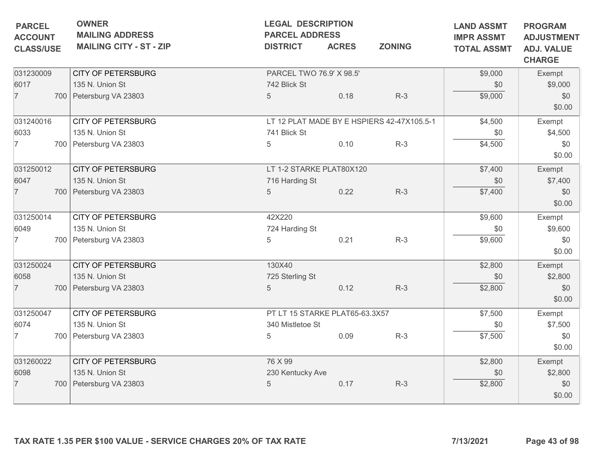| <b>PARCEL</b><br><b>ACCOUNT</b> | <b>OWNER</b><br><b>MAILING ADDRESS</b> | <b>LEGAL DESCRIPTION</b><br><b>PARCEL ADDRESS</b> |              |                                            | <b>LAND ASSMT</b><br><b>IMPR ASSMT</b> | <b>PROGRAM</b><br><b>ADJUSTMENT</b> |
|---------------------------------|----------------------------------------|---------------------------------------------------|--------------|--------------------------------------------|----------------------------------------|-------------------------------------|
| <b>CLASS/USE</b>                | <b>MAILING CITY - ST - ZIP</b>         | <b>DISTRICT</b>                                   | <b>ACRES</b> | <b>ZONING</b>                              | <b>TOTAL ASSMT</b>                     | <b>ADJ. VALUE</b><br><b>CHARGE</b>  |
| 031230009                       | <b>CITY OF PETERSBURG</b>              | PARCEL TWO 76.9' X 98.5'                          |              |                                            | \$9,000                                | Exempt                              |
| 6017                            | 135 N. Union St                        | 742 Blick St                                      |              |                                            | \$0                                    | \$9,000                             |
| $\overline{7}$                  | 700 Petersburg VA 23803                | $5\phantom{.0}$                                   | 0.18         | $R-3$                                      | \$9,000                                | \$0<br>\$0.00                       |
| 031240016                       | CITY OF PETERSBURG                     |                                                   |              | LT 12 PLAT MADE BY E HSPIERS 42-47X105.5-1 | \$4,500                                | Exempt                              |
| 6033                            | 135 N. Union St                        | 741 Blick St                                      |              |                                            | \$0                                    | \$4,500                             |
| $\overline{7}$                  | 700 Petersburg VA 23803                | 5                                                 | 0.10         | $R-3$                                      | \$4,500                                | \$0<br>\$0.00                       |
| 031250012                       | <b>CITY OF PETERSBURG</b>              | LT 1-2 STARKE PLAT80X120                          |              |                                            | \$7,400                                | Exempt                              |
| 6047                            | 135 N. Union St                        | 716 Harding St                                    |              |                                            | \$0                                    | \$7,400                             |
| $\overline{7}$                  | 700 Petersburg VA 23803                | $\overline{5}$                                    | 0.22         | $R-3$                                      | \$7,400                                | \$0<br>\$0.00                       |
| 031250014                       | <b>CITY OF PETERSBURG</b>              | 42X220                                            |              |                                            | \$9,600                                | Exempt                              |
| 6049                            | 135 N. Union St                        | 724 Harding St                                    |              |                                            | \$0                                    | \$9,600                             |
| 7                               | 700 Petersburg VA 23803                | 5                                                 | 0.21         | $R-3$                                      | \$9,600                                | \$0<br>\$0.00                       |
| 031250024                       | <b>CITY OF PETERSBURG</b>              | 130X40                                            |              |                                            | \$2,800                                | Exempt                              |
| 6058                            | 135 N. Union St                        | 725 Sterling St                                   |              |                                            | \$0                                    | \$2,800                             |
| $\overline{7}$                  | 700 Petersburg VA 23803                | 5                                                 | 0.12         | $R-3$                                      | \$2,800                                | \$0<br>\$0.00                       |
| 031250047                       | <b>CITY OF PETERSBURG</b>              | PT LT 15 STARKE PLAT65-63.3X57                    |              |                                            | \$7,500                                | Exempt                              |
| 6074                            | 135 N. Union St                        | 340 Mistletoe St                                  |              |                                            | \$0                                    | \$7,500                             |
| $\overline{7}$                  | 700 Petersburg VA 23803                | 5                                                 | 0.09         | $R-3$                                      | \$7,500                                | \$0<br>\$0.00                       |
| 031260022                       | <b>CITY OF PETERSBURG</b>              | 76 X 99                                           |              |                                            | \$2,800                                | Exempt                              |
| 6098                            | 135 N. Union St                        | 230 Kentucky Ave                                  |              |                                            | \$0                                    | \$2,800                             |
| $\overline{7}$                  | 700 Petersburg VA 23803                | 5                                                 | 0.17         | $R-3$                                      | \$2,800                                | \$0<br>\$0.00                       |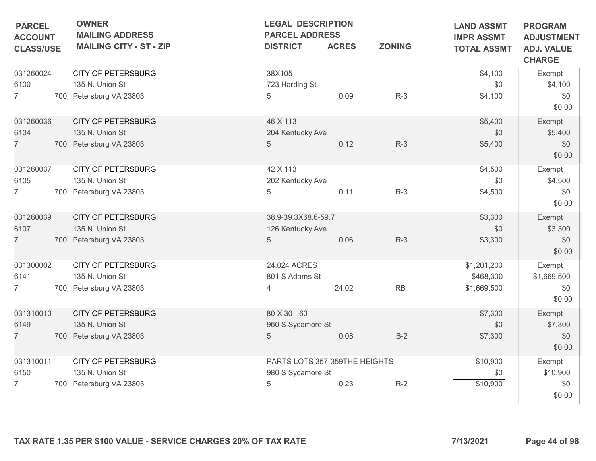| <b>PARCEL</b><br><b>ACCOUNT</b><br><b>CLASS/USE</b> | <b>OWNER</b><br><b>MAILING ADDRESS</b><br><b>MAILING CITY - ST - ZIP</b> | <b>LEGAL DESCRIPTION</b><br><b>PARCEL ADDRESS</b><br><b>DISTRICT</b> | <b>ACRES</b> | <b>ZONING</b> | <b>LAND ASSMT</b><br><b>IMPR ASSMT</b><br><b>TOTAL ASSMT</b> | <b>PROGRAM</b><br><b>ADJUSTMENT</b><br><b>ADJ. VALUE</b><br><b>CHARGE</b> |
|-----------------------------------------------------|--------------------------------------------------------------------------|----------------------------------------------------------------------|--------------|---------------|--------------------------------------------------------------|---------------------------------------------------------------------------|
| 031260024                                           | <b>CITY OF PETERSBURG</b>                                                | 38X105                                                               |              |               | \$4,100                                                      | Exempt                                                                    |
| 6100                                                | 135 N. Union St                                                          | 723 Harding St                                                       |              |               | \$0                                                          | \$4,100                                                                   |
| $\overline{7}$                                      | 700 Petersburg VA 23803                                                  | 5                                                                    | 0.09         | $R-3$         | \$4,100                                                      | \$0<br>\$0.00                                                             |
| 031260036                                           | <b>CITY OF PETERSBURG</b>                                                | 46 X 113                                                             |              |               | \$5,400                                                      | Exempt                                                                    |
| 6104                                                | 135 N. Union St                                                          | 204 Kentucky Ave                                                     |              |               | \$0                                                          | \$5,400                                                                   |
| $\overline{7}$                                      | 700 Petersburg VA 23803                                                  | 5                                                                    | 0.12         | $R-3$         | \$5,400                                                      | \$0<br>\$0.00                                                             |
| 031260037                                           | <b>CITY OF PETERSBURG</b>                                                | 42 X 113                                                             |              |               | \$4,500                                                      | Exempt                                                                    |
| 6105                                                | 135 N. Union St                                                          | 202 Kentucky Ave                                                     |              |               | \$0                                                          | \$4,500                                                                   |
| 7                                                   | 700 Petersburg VA 23803                                                  | 5                                                                    | 0.11         | $R-3$         | \$4,500                                                      | \$0<br>\$0.00                                                             |
| 031260039                                           | <b>CITY OF PETERSBURG</b>                                                | 38.9-39.3X68.6-59.7                                                  |              |               | \$3,300                                                      | Exempt                                                                    |
| 6107                                                | 135 N. Union St                                                          | 126 Kentucky Ave                                                     |              |               | \$0                                                          | \$3,300                                                                   |
| $\overline{7}$                                      | 700 Petersburg VA 23803                                                  | 5                                                                    | 0.06         | $R-3$         | \$3,300                                                      | \$0<br>\$0.00                                                             |
| 031300002                                           | <b>CITY OF PETERSBURG</b>                                                | 24.024 ACRES                                                         |              |               | \$1,201,200                                                  | Exempt                                                                    |
| 6141                                                | 135 N. Union St                                                          | 801 S Adams St                                                       |              |               | \$468,300                                                    | \$1,669,500                                                               |
| 7                                                   | 700 Petersburg VA 23803                                                  |                                                                      | 24.02        | RB            | \$1,669,500                                                  | \$0<br>\$0.00                                                             |
| 031310010                                           | <b>CITY OF PETERSBURG</b>                                                | 80 X 30 - 60                                                         |              |               | \$7,300                                                      | Exempt                                                                    |
| 6149                                                | 135 N. Union St                                                          | 960 S Sycamore St                                                    |              |               | \$0                                                          | \$7,300                                                                   |
| $\overline{7}$                                      | 700   Petersburg VA 23803                                                | $\overline{5}$                                                       | 0.08         | $B-2$         | \$7,300                                                      | \$0<br>\$0.00                                                             |
| 031310011                                           | <b>CITY OF PETERSBURG</b>                                                | PARTS LOTS 357-359THE HEIGHTS                                        |              |               | \$10,900                                                     | Exempt                                                                    |
| 6150                                                | 135 N. Union St                                                          | 980 S Sycamore St                                                    |              |               | \$0                                                          | \$10,900                                                                  |
|                                                     | 700 Petersburg VA 23803                                                  | 5                                                                    | 0.23         | $R-2$         | \$10,900                                                     | \$0<br>\$0.00                                                             |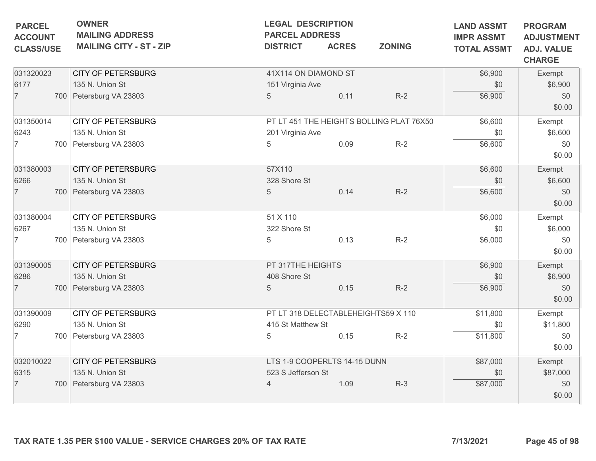| <b>PARCEL</b><br><b>ACCOUNT</b><br><b>CLASS/USE</b> | <b>OWNER</b><br><b>MAILING ADDRESS</b><br><b>MAILING CITY - ST - ZIP</b> | <b>LEGAL DESCRIPTION</b><br><b>PARCEL ADDRESS</b><br><b>DISTRICT</b> | <b>ACRES</b> | <b>ZONING</b>                            | <b>LAND ASSMT</b><br><b>IMPR ASSMT</b><br><b>TOTAL ASSMT</b> | <b>PROGRAM</b><br><b>ADJUSTMENT</b><br><b>ADJ. VALUE</b><br><b>CHARGE</b> |
|-----------------------------------------------------|--------------------------------------------------------------------------|----------------------------------------------------------------------|--------------|------------------------------------------|--------------------------------------------------------------|---------------------------------------------------------------------------|
| 031320023                                           | <b>CITY OF PETERSBURG</b>                                                | 41X114 ON DIAMOND ST                                                 |              |                                          | \$6,900                                                      | Exempt                                                                    |
| 6177                                                | 135 N. Union St                                                          | 151 Virginia Ave                                                     |              |                                          | \$0                                                          | \$6,900                                                                   |
| $\overline{7}$                                      | 700 Petersburg VA 23803                                                  | 5                                                                    | 0.11         | $R-2$                                    | \$6,900                                                      | \$0                                                                       |
|                                                     |                                                                          |                                                                      |              |                                          |                                                              | \$0.00                                                                    |
| 031350014                                           | <b>CITY OF PETERSBURG</b>                                                |                                                                      |              | PT LT 451 THE HEIGHTS BOLLING PLAT 76X50 | \$6,600                                                      | Exempt                                                                    |
| 6243                                                | 135 N. Union St                                                          | 201 Virginia Ave                                                     |              |                                          | \$0                                                          | \$6,600                                                                   |
| $\overline{7}$                                      | 700 Petersburg VA 23803                                                  | 5                                                                    | 0.09         | $R-2$                                    | \$6,600                                                      | \$0                                                                       |
|                                                     |                                                                          |                                                                      |              |                                          |                                                              | \$0.00                                                                    |
| 031380003                                           | <b>CITY OF PETERSBURG</b>                                                | 57X110                                                               |              |                                          | \$6,600                                                      | Exempt                                                                    |
| 6266                                                | 135 N. Union St                                                          | 328 Shore St                                                         |              |                                          | \$0                                                          | \$6,600                                                                   |
| $\overline{7}$                                      | 700 Petersburg VA 23803                                                  | 5                                                                    | 0.14         | $R-2$                                    | \$6,600                                                      | \$0                                                                       |
|                                                     |                                                                          |                                                                      |              |                                          |                                                              | \$0.00                                                                    |
| 031380004                                           | <b>CITY OF PETERSBURG</b>                                                | 51 X 110                                                             |              |                                          | \$6,000                                                      | Exempt                                                                    |
| 6267                                                | 135 N. Union St                                                          | 322 Shore St                                                         |              |                                          | \$0                                                          | \$6,000                                                                   |
| 7                                                   | 700 Petersburg VA 23803                                                  | 5                                                                    | 0.13         | $R-2$                                    | \$6,000                                                      | \$0                                                                       |
|                                                     |                                                                          |                                                                      |              |                                          |                                                              | \$0.00                                                                    |
| 031390005                                           | <b>CITY OF PETERSBURG</b>                                                | PT 317THE HEIGHTS                                                    |              |                                          | \$6,900                                                      | Exempt                                                                    |
| 6286                                                | 135 N. Union St                                                          | 408 Shore St                                                         |              |                                          | \$0                                                          | \$6,900                                                                   |
| $\overline{7}$                                      | 700 Petersburg VA 23803                                                  | 5                                                                    | 0.15         | $R-2$                                    | \$6,900                                                      | \$0                                                                       |
|                                                     |                                                                          |                                                                      |              |                                          |                                                              | \$0.00                                                                    |
| 031390009                                           | <b>CITY OF PETERSBURG</b>                                                |                                                                      |              | PT LT 318 DELECTABLEHEIGHTS59 X 110      | \$11,800                                                     | Exempt                                                                    |
| 6290                                                | 135 N. Union St                                                          | 415 St Matthew St                                                    |              |                                          | \$0                                                          | \$11,800                                                                  |
| 7                                                   | 700 Petersburg VA 23803                                                  | 5                                                                    | 0.15         | $R-2$                                    | \$11,800                                                     | \$0                                                                       |
|                                                     |                                                                          |                                                                      |              |                                          |                                                              | \$0.00                                                                    |
| 032010022                                           | <b>CITY OF PETERSBURG</b>                                                | LTS 1-9 COOPERLTS 14-15 DUNN                                         |              |                                          | \$87,000                                                     | Exempt                                                                    |
| 6315                                                | 135 N. Union St                                                          | 523 S Jefferson St                                                   |              |                                          | \$0                                                          | \$87,000                                                                  |
| $\overline{7}$                                      | 700 Petersburg VA 23803                                                  | $\overline{4}$                                                       | 1.09         | $R-3$                                    | \$87,000                                                     | \$0                                                                       |
|                                                     |                                                                          |                                                                      |              |                                          |                                                              | \$0.00                                                                    |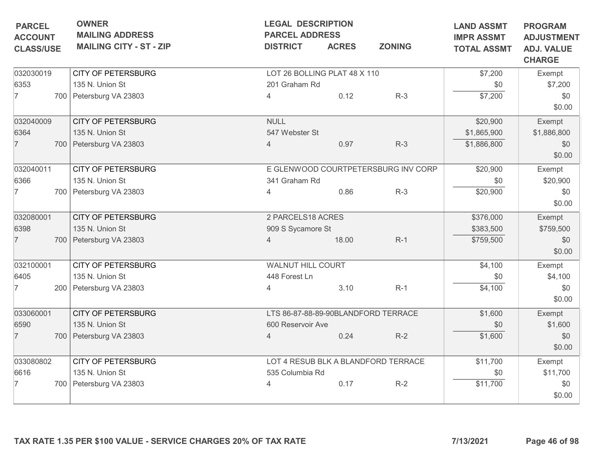| <b>PARCEL</b><br><b>ACCOUNT</b><br><b>CLASS/USE</b> | <b>OWNER</b><br><b>MAILING ADDRESS</b><br><b>MAILING CITY - ST - ZIP</b>  | <b>LEGAL DESCRIPTION</b><br><b>PARCEL ADDRESS</b><br><b>DISTRICT</b> | <b>ACRES</b> | <b>ZONING</b>                                | <b>LAND ASSMT</b><br><b>IMPR ASSMT</b><br><b>TOTAL ASSMT</b> | <b>PROGRAM</b><br><b>ADJUSTMENT</b><br><b>ADJ. VALUE</b><br><b>CHARGE</b> |
|-----------------------------------------------------|---------------------------------------------------------------------------|----------------------------------------------------------------------|--------------|----------------------------------------------|--------------------------------------------------------------|---------------------------------------------------------------------------|
| 032030019<br>6353<br>17                             | <b>CITY OF PETERSBURG</b><br>135 N. Union St<br>700 Petersburg VA 23803   | LOT 26 BOLLING PLAT 48 X 110<br>201 Graham Rd<br>4                   | 0.12         | $R-3$                                        | \$7,200<br>\$0<br>\$7,200                                    | Exempt<br>\$7,200<br>\$0<br>\$0.00                                        |
| 032040009<br>6364<br>$\overline{7}$                 | <b>CITY OF PETERSBURG</b><br>135 N. Union St<br>700 Petersburg VA 23803   | <b>NULL</b><br>547 Webster St<br>$\overline{4}$                      | 0.97         | $R-3$                                        | \$20,900<br>\$1,865,900<br>\$1,886,800                       | Exempt<br>\$1,886,800<br>\$0<br>\$0.00                                    |
| 032040011<br>6366<br>7                              | <b>CITY OF PETERSBURG</b><br>135 N. Union St<br>700 Petersburg VA 23803   | 341 Graham Rd<br>4                                                   | 0.86         | E GLENWOOD COURTPETERSBURG INV CORP<br>$R-3$ | \$20,900<br>\$0<br>\$20,900                                  | Exempt<br>\$20,900<br>\$0<br>\$0.00                                       |
| 032080001<br>6398<br>$\overline{7}$                 | <b>CITY OF PETERSBURG</b><br>135 N. Union St<br>700 Petersburg VA 23803   | 2 PARCELS18 ACRES<br>909 S Sycamore St<br>4                          | 18.00        | $R-1$                                        | \$376,000<br>\$383,500<br>\$759,500                          | Exempt<br>\$759,500<br>\$0<br>\$0.00                                      |
| 032100001<br>6405<br>7                              | <b>CITY OF PETERSBURG</b><br>135 N. Union St<br>200   Petersburg VA 23803 | WALNUT HILL COURT<br>448 Forest Ln<br>4                              | 3.10         | $R-1$                                        | \$4,100<br>\$0<br>\$4,100                                    | Exempt<br>\$4,100<br>\$0<br>\$0.00                                        |
| 033060001<br>6590<br>$\overline{7}$                 | <b>CITY OF PETERSBURG</b><br>135 N. Union St<br>700 Petersburg VA 23803   | 600 Reservoir Ave<br>$\overline{4}$                                  | 0.24         | LTS 86-87-88-89-90BLANDFORD TERRACE<br>$R-2$ | \$1,600<br>\$0<br>\$1,600                                    | Exempt<br>\$1,600<br>\$0<br>\$0.00                                        |
| 033080802<br>6616<br>7                              | <b>CITY OF PETERSBURG</b><br>135 N. Union St<br>700 Petersburg VA 23803   | 535 Columbia Rd<br>4                                                 | 0.17         | LOT 4 RESUB BLK A BLANDFORD TERRACE<br>$R-2$ | \$11,700<br>\$0<br>\$11,700                                  | Exempt<br>\$11,700<br>\$0<br>\$0.00                                       |
|                                                     | TAX RATE 1.35 PER \$100 VALUE - SERVICE CHARGES 20% OF TAX RATE           |                                                                      |              |                                              | 7/13/2021                                                    | Page 46 of 98                                                             |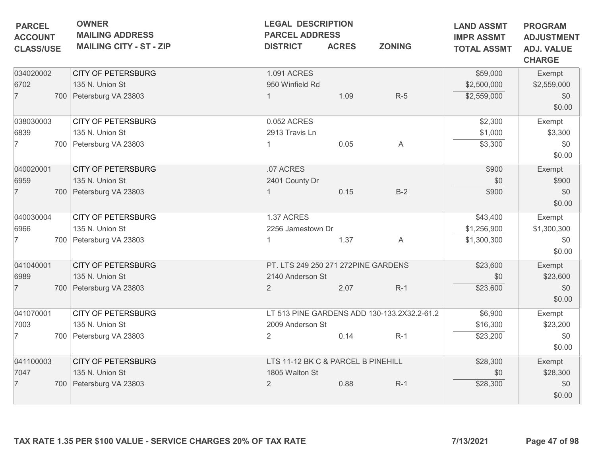| <b>PARCEL</b><br><b>ACCOUNT</b><br><b>CLASS/USE</b> | <b>OWNER</b><br><b>MAILING ADDRESS</b><br><b>MAILING CITY - ST - ZIP</b> | <b>LEGAL DESCRIPTION</b><br><b>PARCEL ADDRESS</b><br><b>DISTRICT</b> | <b>ACRES</b> | <b>ZONING</b>                               | <b>LAND ASSMT</b><br><b>IMPR ASSMT</b><br><b>TOTAL ASSMT</b> | <b>PROGRAM</b><br><b>ADJUSTMENT</b><br><b>ADJ. VALUE</b><br><b>CHARGE</b> |
|-----------------------------------------------------|--------------------------------------------------------------------------|----------------------------------------------------------------------|--------------|---------------------------------------------|--------------------------------------------------------------|---------------------------------------------------------------------------|
| 034020002                                           | <b>CITY OF PETERSBURG</b><br>135 N. Union St                             | 1.091 ACRES<br>950 Winfield Rd                                       |              |                                             | \$59,000                                                     | Exempt                                                                    |
| 6702<br>$\overline{7}$                              | 700 Petersburg VA 23803                                                  |                                                                      | 1.09         | $R-5$                                       | \$2,500,000<br>\$2,559,000                                   | \$2,559,000<br>\$0<br>\$0.00                                              |
| 038030003                                           | <b>CITY OF PETERSBURG</b>                                                | 0.052 ACRES                                                          |              |                                             | \$2,300                                                      | Exempt                                                                    |
| 6839                                                | 135 N. Union St                                                          | 2913 Travis Ln                                                       |              |                                             | \$1,000                                                      | \$3,300                                                                   |
| $\overline{7}$                                      | 700 Petersburg VA 23803                                                  |                                                                      | 0.05         | A                                           | \$3,300                                                      | \$0<br>\$0.00                                                             |
| 040020001                                           | <b>CITY OF PETERSBURG</b>                                                | .07 ACRES                                                            |              |                                             | \$900                                                        | Exempt                                                                    |
| 6959                                                | 135 N. Union St                                                          | 2401 County Dr                                                       |              |                                             | \$0                                                          | \$900                                                                     |
| $\overline{7}$                                      | 700 Petersburg VA 23803                                                  |                                                                      | 0.15         | $B-2$                                       | \$900                                                        | \$0<br>\$0.00                                                             |
| 040030004                                           | <b>CITY OF PETERSBURG</b>                                                | 1.37 ACRES                                                           |              |                                             | \$43,400                                                     | Exempt                                                                    |
| 6966                                                | 135 N. Union St                                                          | 2256 Jamestown Dr                                                    |              |                                             | \$1,256,900                                                  | \$1,300,300                                                               |
| 7                                                   | 700 Petersburg VA 23803                                                  |                                                                      | 1.37         | A                                           | \$1,300,300                                                  | \$0<br>\$0.00                                                             |
| 041040001                                           | <b>CITY OF PETERSBURG</b>                                                | PT. LTS 249 250 271 272PINE GARDENS                                  |              |                                             | \$23,600                                                     | Exempt                                                                    |
| 6989                                                | 135 N. Union St                                                          | 2140 Anderson St                                                     |              |                                             | \$0                                                          | \$23,600                                                                  |
| $\overline{7}$                                      | 700 Petersburg VA 23803                                                  | $\overline{2}$                                                       | 2.07         | $R-1$                                       | \$23,600                                                     | \$0<br>\$0.00                                                             |
| 041070001                                           | <b>CITY OF PETERSBURG</b>                                                |                                                                      |              | LT 513 PINE GARDENS ADD 130-133.2X32.2-61.2 | \$6,900                                                      | Exempt                                                                    |
| 7003                                                | 135 N. Union St                                                          | 2009 Anderson St                                                     |              |                                             | \$16,300                                                     | \$23,200                                                                  |
| 7                                                   | 700   Petersburg VA 23803                                                | $\overline{2}$                                                       | 0.14         | $R-1$                                       | \$23,200                                                     | \$0<br>\$0.00                                                             |
| 041100003                                           | <b>CITY OF PETERSBURG</b>                                                | LTS 11-12 BK C & PARCEL B PINEHILL                                   |              |                                             | \$28,300                                                     | Exempt                                                                    |
| 7047                                                | 135 N. Union St                                                          | 1805 Walton St                                                       |              |                                             | \$0                                                          | \$28,300                                                                  |
| $\overline{7}$                                      | 700 Petersburg VA 23803                                                  | $\overline{2}$                                                       | 0.88         | $R-1$                                       | \$28,300                                                     | \$0<br>\$0.00                                                             |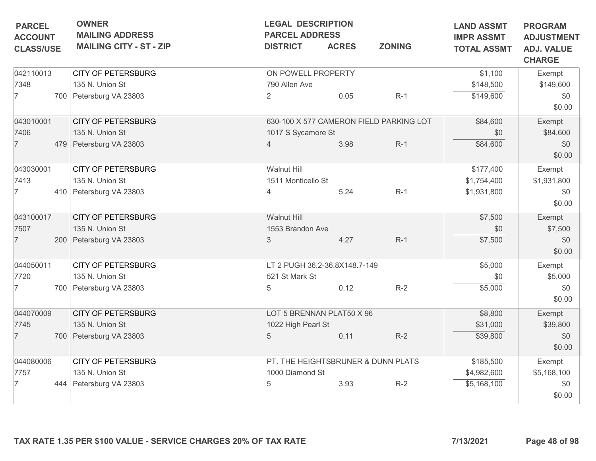| <b>PARCEL</b><br><b>ACCOUNT</b> | <b>OWNER</b><br><b>MAILING ADDRESS</b> | <b>LEGAL DESCRIPTION</b><br><b>PARCEL ADDRESS</b> |                               |                                         | <b>LAND ASSMT</b><br><b>IMPR ASSMT</b> | <b>PROGRAM</b><br><b>ADJUSTMENT</b> |
|---------------------------------|----------------------------------------|---------------------------------------------------|-------------------------------|-----------------------------------------|----------------------------------------|-------------------------------------|
| <b>CLASS/USE</b>                | <b>MAILING CITY - ST - ZIP</b>         | <b>DISTRICT</b>                                   | <b>ACRES</b>                  | <b>ZONING</b>                           | <b>TOTAL ASSMT</b>                     | <b>ADJ. VALUE</b><br><b>CHARGE</b>  |
| 042110013                       | <b>CITY OF PETERSBURG</b>              | ON POWELL PROPERTY                                |                               |                                         | \$1,100                                | Exempt                              |
| 7348                            | 135 N. Union St                        | 790 Allen Ave                                     |                               |                                         | \$148,500                              | \$149,600                           |
| 7                               | 700 Petersburg VA 23803                | $\overline{2}$                                    | 0.05                          | $R-1$                                   | \$149,600                              | \$0<br>\$0.00                       |
| 043010001                       | <b>CITY OF PETERSBURG</b>              |                                                   |                               | 630-100 X 577 CAMERON FIELD PARKING LOT | \$84,600                               | Exempt                              |
| 7406                            | 135 N. Union St                        | 1017 S Sycamore St                                |                               |                                         | \$0                                    | \$84,600                            |
| $\overline{7}$                  | 479 Petersburg VA 23803                |                                                   | 3.98                          | $R-1$                                   | \$84,600                               | \$0<br>\$0.00                       |
| 043030001                       | <b>CITY OF PETERSBURG</b>              | Walnut Hill                                       |                               |                                         | \$177,400                              | Exempt                              |
| 7413                            | 135 N. Union St                        | 1511 Monticello St                                |                               |                                         | \$1,754,400                            | \$1,931,800                         |
| 7                               | 410 Petersburg VA 23803                | 4                                                 | 5.24                          | $R-1$                                   | \$1,931,800                            | \$0<br>\$0.00                       |
| 043100017                       | <b>CITY OF PETERSBURG</b>              | Walnut Hill                                       |                               |                                         | \$7,500                                | Exempt                              |
| 7507                            | 135 N. Union St                        | 1553 Brandon Ave                                  |                               |                                         | \$0                                    | \$7,500                             |
| $\overline{7}$                  | 200 Petersburg VA 23803                | 3                                                 | 4.27                          | $R-1$                                   | \$7,500                                | \$0<br>\$0.00                       |
| 044050011                       | <b>CITY OF PETERSBURG</b>              |                                                   | LT 2 PUGH 36.2-36.8X148.7-149 |                                         | \$5,000                                | Exempt                              |
| 7720                            | 135 N. Union St                        | 521 St Mark St                                    |                               |                                         | \$0                                    | \$5,000                             |
| 7                               | 700 Petersburg VA 23803                | 5                                                 | 0.12                          | $R-2$                                   | \$5,000                                | \$0<br>\$0.00                       |
| 044070009                       | <b>CITY OF PETERSBURG</b>              |                                                   | LOT 5 BRENNAN PLAT50 X 96     |                                         | \$8,800                                | Exempt                              |
| 7745                            | 135 N. Union St                        | 1022 High Pearl St                                |                               |                                         | \$31,000                               | \$39,800                            |
| $\overline{7}$                  | 700 Petersburg VA 23803                | 5                                                 | 0.11                          | $R-2$                                   | \$39,800                               | \$0<br>\$0.00                       |
| 044080006                       | <b>CITY OF PETERSBURG</b>              |                                                   |                               | PT. THE HEIGHTSBRUNER & DUNN PLATS      | \$185,500                              | Exempt                              |
| 7757                            | 135 N. Union St                        | 1000 Diamond St                                   |                               |                                         | \$4,982,600                            | \$5,168,100                         |
| $\overline{7}$                  | 444 Petersburg VA 23803                | 5                                                 | 3.93                          | $R-2$                                   | \$5,168,100                            | \$0<br>\$0.00                       |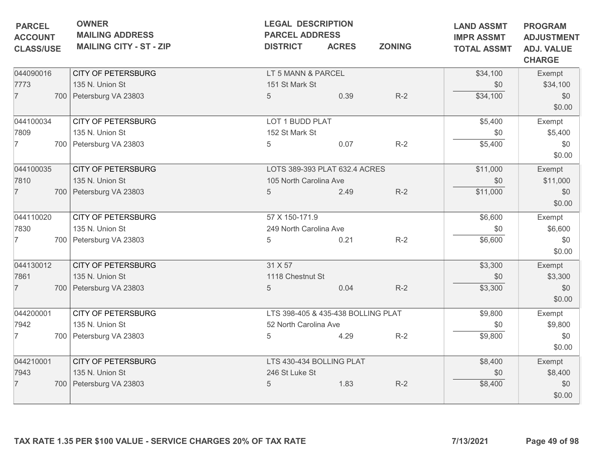| <b>ACCOUNT</b><br><b>CLASS/USE</b> | <b>OWNER</b><br><b>MAILING ADDRESS</b><br><b>MAILING CITY - ST - ZIP</b> | <b>LEGAL DESCRIPTION</b><br><b>PARCEL ADDRESS</b><br><b>ZONING</b><br><b>DISTRICT</b><br><b>ACRES</b> |      | <b>LAND ASSMT</b><br><b>IMPR ASSMT</b><br><b>TOTAL ASSMT</b> | <b>PROGRAM</b><br><b>ADJUSTMENT</b><br><b>ADJ. VALUE</b><br><b>CHARGE</b> |               |
|------------------------------------|--------------------------------------------------------------------------|-------------------------------------------------------------------------------------------------------|------|--------------------------------------------------------------|---------------------------------------------------------------------------|---------------|
| 044090016                          | <b>CITY OF PETERSBURG</b>                                                | LT 5 MANN & PARCEL                                                                                    |      |                                                              | \$34,100                                                                  | Exempt        |
| 7773                               | 135 N. Union St                                                          | 151 St Mark St                                                                                        |      |                                                              | \$0                                                                       | \$34,100      |
| $\overline{7}$                     | 700 Petersburg VA 23803                                                  | $5\phantom{.0}$                                                                                       | 0.39 | $R-2$                                                        | \$34,100                                                                  | \$0<br>\$0.00 |
| 044100034                          | <b>CITY OF PETERSBURG</b>                                                | LOT 1 BUDD PLAT                                                                                       |      |                                                              | \$5,400                                                                   | Exempt        |
| 7809                               | 135 N. Union St                                                          | 152 St Mark St                                                                                        |      |                                                              | \$0                                                                       | \$5,400       |
| 7                                  | 700 Petersburg VA 23803                                                  | 5                                                                                                     | 0.07 | $R-2$                                                        | \$5,400                                                                   | \$0<br>\$0.00 |
| 044100035                          | <b>CITY OF PETERSBURG</b>                                                | LOTS 389-393 PLAT 632.4 ACRES                                                                         |      |                                                              | \$11,000                                                                  | Exempt        |
| 7810                               | 135 N. Union St                                                          | 105 North Carolina Ave                                                                                |      |                                                              | \$0                                                                       | \$11,000      |
| $\overline{7}$                     | 700 Petersburg VA 23803                                                  | 5                                                                                                     | 2.49 | $R-2$                                                        | \$11,000                                                                  | \$0<br>\$0.00 |
| 044110020                          | <b>CITY OF PETERSBURG</b>                                                | 57 X 150-171.9                                                                                        |      |                                                              | \$6,600                                                                   | Exempt        |
| 7830                               | 135 N. Union St                                                          | 249 North Carolina Ave                                                                                |      |                                                              | \$0                                                                       | \$6,600       |
| $\overline{7}$                     | 700 Petersburg VA 23803                                                  | 5                                                                                                     | 0.21 | $R-2$                                                        | \$6,600                                                                   | \$0<br>\$0.00 |
| 044130012                          | <b>CITY OF PETERSBURG</b>                                                | 31 X 57                                                                                               |      |                                                              | \$3,300                                                                   | Exempt        |
| 7861                               | 135 N. Union St                                                          | 1118 Chestnut St                                                                                      |      |                                                              | \$0                                                                       | \$3,300       |
| $\overline{7}$                     | 700 Petersburg VA 23803                                                  | 5                                                                                                     | 0.04 | $R-2$                                                        | \$3,300                                                                   | \$0<br>\$0.00 |
| 044200001                          | <b>CITY OF PETERSBURG</b>                                                | LTS 398-405 & 435-438 BOLLING PLAT                                                                    |      |                                                              | \$9,800                                                                   | Exempt        |
| 7942                               | 135 N. Union St                                                          | 52 North Carolina Ave                                                                                 |      |                                                              | \$0                                                                       | \$9,800       |
| $\overline{7}$                     | 700 Petersburg VA 23803                                                  | 5                                                                                                     | 4.29 | $R-2$                                                        | \$9,800                                                                   | \$0<br>\$0.00 |
| 044210001                          | <b>CITY OF PETERSBURG</b>                                                | LTS 430-434 BOLLING PLAT                                                                              |      |                                                              | \$8,400                                                                   | Exempt        |
| 7943                               | 135 N. Union St                                                          | 246 St Luke St                                                                                        |      |                                                              | \$0                                                                       | \$8,400       |
| $\overline{7}$                     | 700 Petersburg VA 23803                                                  | 5                                                                                                     | 1.83 | $R-2$                                                        | \$8,400                                                                   | \$0<br>\$0.00 |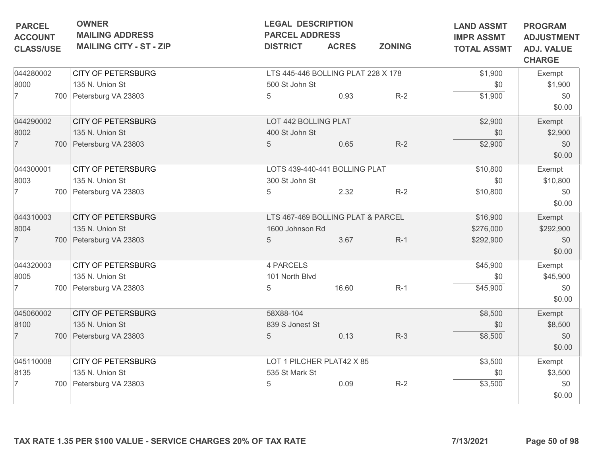| <b>PARCEL</b><br><b>ACCOUNT</b> | <b>OWNER</b><br><b>MAILING ADDRESS</b> |                                                                 | <b>LEGAL DESCRIPTION</b><br><b>PARCEL ADDRESS</b> |              | <b>LAND ASSMT</b><br><b>IMPR ASSMT</b> | <b>PROGRAM</b><br><b>ADJUSTMENT</b> |                                    |
|---------------------------------|----------------------------------------|-----------------------------------------------------------------|---------------------------------------------------|--------------|----------------------------------------|-------------------------------------|------------------------------------|
| <b>CLASS/USE</b>                |                                        | <b>MAILING CITY - ST - ZIP</b>                                  | <b>DISTRICT</b>                                   | <b>ACRES</b> | <b>ZONING</b>                          | <b>TOTAL ASSMT</b>                  | <b>ADJ. VALUE</b><br><b>CHARGE</b> |
| 044280002                       |                                        | <b>CITY OF PETERSBURG</b>                                       | LTS 445-446 BOLLING PLAT 228 X 178                |              |                                        | \$1,900                             | Exempt                             |
| 8000                            |                                        | 135 N. Union St                                                 | 500 St John St                                    |              |                                        | \$0                                 | \$1,900                            |
| $\overline{7}$                  |                                        | 700 Petersburg VA 23803                                         | 5                                                 | 0.93         | $R-2$                                  | \$1,900                             | \$0                                |
|                                 |                                        |                                                                 |                                                   |              |                                        |                                     | \$0.00                             |
| 044290002                       |                                        | <b>CITY OF PETERSBURG</b>                                       | LOT 442 BOLLING PLAT                              |              |                                        | \$2,900                             | Exempt                             |
| 8002                            |                                        | 135 N. Union St                                                 | 400 St John St                                    |              |                                        | \$0                                 | \$2,900                            |
| $\overline{7}$                  |                                        | 700 Petersburg VA 23803                                         | 5                                                 | 0.65         | $R-2$                                  | \$2,900                             | \$0<br>\$0.00                      |
| 044300001                       |                                        | <b>CITY OF PETERSBURG</b>                                       | LOTS 439-440-441 BOLLING PLAT                     |              |                                        | \$10,800                            | Exempt                             |
| 8003                            |                                        | 135 N. Union St                                                 | 300 St John St                                    |              |                                        | \$0                                 | \$10,800                           |
| $\overline{7}$                  |                                        | 700 Petersburg VA 23803                                         | 5                                                 | 2.32         | $R-2$                                  | \$10,800                            | \$0                                |
|                                 |                                        |                                                                 |                                                   |              |                                        |                                     | \$0.00                             |
| 044310003                       |                                        | <b>CITY OF PETERSBURG</b>                                       | LTS 467-469 BOLLING PLAT & PARCEL                 |              |                                        | \$16,900                            | Exempt                             |
| 8004                            |                                        | 135 N. Union St                                                 | 1600 Johnson Rd                                   |              |                                        | \$276,000                           | \$292,900                          |
| $\overline{7}$                  |                                        | 700 Petersburg VA 23803                                         | 5                                                 | 3.67         | $R-1$                                  | \$292,900                           | \$0<br>\$0.00                      |
| 044320003                       |                                        | <b>CITY OF PETERSBURG</b>                                       | 4 PARCELS                                         |              |                                        | \$45,900                            | Exempt                             |
| 8005                            |                                        | 135 N. Union St                                                 | 101 North Blvd                                    |              |                                        | \$0                                 | \$45,900                           |
| 7                               |                                        | 700   Petersburg VA 23803                                       | 5                                                 | 16.60        | $R-1$                                  | \$45,900                            | \$0                                |
|                                 |                                        |                                                                 |                                                   |              |                                        |                                     | \$0.00                             |
| 045060002                       |                                        | <b>CITY OF PETERSBURG</b>                                       | 58X88-104                                         |              |                                        | \$8,500                             | Exempt                             |
| 8100                            |                                        | 135 N. Union St                                                 | 839 S Jonest St                                   |              |                                        | \$0                                 | \$8,500                            |
| $\overline{7}$                  |                                        | 700 Petersburg VA 23803                                         | $\overline{5}$                                    | 0.13         | $R-3$                                  | \$8,500                             | \$0<br>\$0.00                      |
| 045110008                       |                                        | <b>CITY OF PETERSBURG</b>                                       | LOT 1 PILCHER PLAT42 X 85                         |              |                                        | \$3,500                             | Exempt                             |
| 8135                            |                                        | 135 N. Union St                                                 | 535 St Mark St                                    |              |                                        | \$0                                 | \$3,500                            |
| $\overline{7}$                  |                                        | 700 Petersburg VA 23803                                         | 5                                                 | 0.09         | $R-2$                                  | \$3,500                             | \$0                                |
|                                 |                                        |                                                                 |                                                   |              |                                        |                                     | \$0.00                             |
|                                 |                                        | TAX RATE 1.35 PER \$100 VALUE - SERVICE CHARGES 20% OF TAX RATE |                                                   |              |                                        | 7/13/2021                           | Page 50 of 98                      |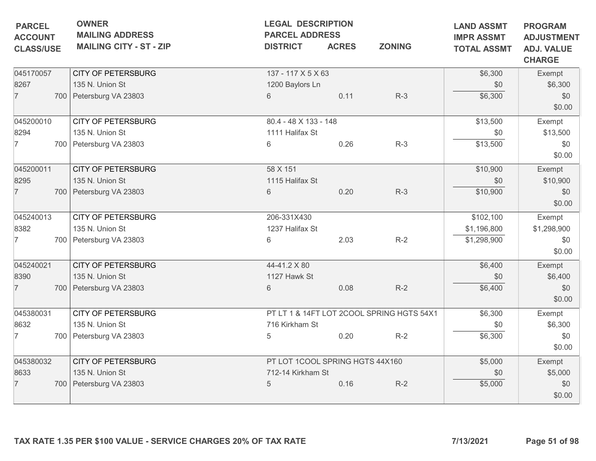| <b>PARCEL</b><br><b>ACCOUNT</b> | <b>OWNER</b><br><b>MAILING ADDRESS</b> |                                 | <b>LEGAL DESCRIPTION</b><br><b>PARCEL ADDRESS</b><br><b>ACRES</b><br><b>ZONING</b><br><b>DISTRICT</b> |                                           |                    |                                    |  |
|---------------------------------|----------------------------------------|---------------------------------|-------------------------------------------------------------------------------------------------------|-------------------------------------------|--------------------|------------------------------------|--|
| <b>CLASS/USE</b>                | <b>MAILING CITY - ST - ZIP</b>         |                                 |                                                                                                       |                                           | <b>TOTAL ASSMT</b> | <b>ADJ. VALUE</b><br><b>CHARGE</b> |  |
| 045170057                       | <b>CITY OF PETERSBURG</b>              | 137 - 117 X 5 X 63              |                                                                                                       |                                           | \$6,300            | Exempt                             |  |
| 8267                            | 135 N. Union St                        | 1200 Baylors Ln                 |                                                                                                       |                                           | \$0                | \$6,300                            |  |
| $\overline{7}$                  | 700 Petersburg VA 23803                | 6                               | 0.11                                                                                                  | $R-3$                                     | \$6,300            | \$0<br>\$0.00                      |  |
| 045200010                       | <b>CITY OF PETERSBURG</b>              | 80.4 - 48 X 133 - 148           |                                                                                                       |                                           | \$13,500           | Exempt                             |  |
| 8294                            | 135 N. Union St                        | 1111 Halifax St                 |                                                                                                       |                                           | \$0                | \$13,500                           |  |
| $\overline{7}$                  | 700 Petersburg VA 23803                | 6                               | 0.26                                                                                                  | $R-3$                                     | \$13,500           | \$0<br>\$0.00                      |  |
| 045200011                       | <b>CITY OF PETERSBURG</b>              | 58 X 151                        |                                                                                                       |                                           | \$10,900           | Exempt                             |  |
| 8295                            | 135 N. Union St                        | 1115 Halifax St                 |                                                                                                       |                                           | \$0                | \$10,900                           |  |
| $\overline{7}$                  | 700 Petersburg VA 23803                | 6                               | 0.20                                                                                                  | $R-3$                                     | \$10,900           | \$0<br>\$0.00                      |  |
| 045240013                       | <b>CITY OF PETERSBURG</b>              | 206-331X430                     |                                                                                                       |                                           | \$102,100          | Exempt                             |  |
| 8382                            | 135 N. Union St                        | 1237 Halifax St                 |                                                                                                       |                                           | \$1,196,800        | \$1,298,900                        |  |
| $\overline{7}$                  | 700 Petersburg VA 23803                | 6                               | 2.03                                                                                                  | $R-2$                                     | \$1,298,900        | \$0<br>\$0.00                      |  |
| 045240021                       | <b>CITY OF PETERSBURG</b>              | 44-41.2 X 80                    |                                                                                                       |                                           | \$6,400            | Exempt                             |  |
| 8390                            | 135 N. Union St                        | 1127 Hawk St                    |                                                                                                       |                                           | \$0                | \$6,400                            |  |
| $\overline{7}$                  | 700 Petersburg VA 23803                | 6                               | 0.08                                                                                                  | $R-2$                                     | \$6,400            | \$0<br>\$0.00                      |  |
| 045380031                       | <b>CITY OF PETERSBURG</b>              |                                 |                                                                                                       | PT LT 1 & 14FT LOT 2COOL SPRING HGTS 54X1 | \$6,300            | Exempt                             |  |
| 8632                            | 135 N. Union St                        | 716 Kirkham St                  |                                                                                                       |                                           | \$0                | \$6,300                            |  |
| $\overline{7}$                  | 700 Petersburg VA 23803                | 5                               | 0.20                                                                                                  | $R-2$                                     | \$6,300            | \$0<br>\$0.00                      |  |
| 045380032                       | <b>CITY OF PETERSBURG</b>              | PT LOT 1COOL SPRING HGTS 44X160 |                                                                                                       |                                           | \$5,000            | Exempt                             |  |
| 8633                            | 135 N. Union St                        | 712-14 Kirkham St               |                                                                                                       |                                           | \$0                | \$5,000                            |  |
| $\overline{7}$                  | 700 Petersburg VA 23803                | 5                               | 0.16                                                                                                  | $R-2$                                     | \$5,000            | \$0<br>\$0.00                      |  |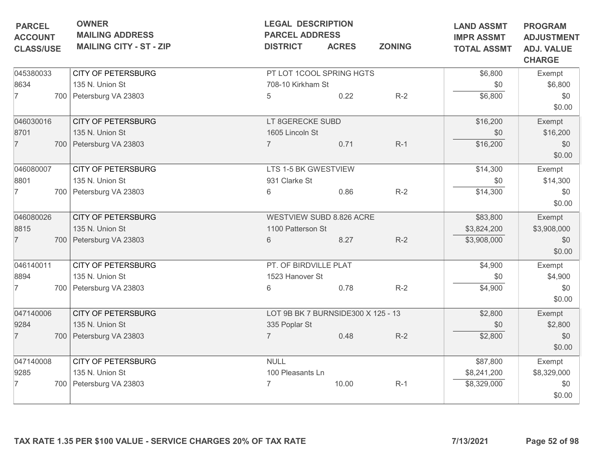| <b>MAILING ADDRESS</b><br><b>MAILING CITY - ST - ZIP</b> | <b>PARCEL ADDRESS</b><br><b>DISTRICT</b>     | <b>LEGAL DESCRIPTION</b><br><b>ACRES</b> | <b>LAND ASSMT</b><br><b>IMPR ASSMT</b><br><b>TOTAL ASSMT</b>                                                                                                          | <b>PROGRAM</b><br><b>ADJUSTMENT</b><br><b>ADJ. VALUE</b>                                          |                 |
|----------------------------------------------------------|----------------------------------------------|------------------------------------------|-----------------------------------------------------------------------------------------------------------------------------------------------------------------------|---------------------------------------------------------------------------------------------------|-----------------|
|                                                          |                                              |                                          |                                                                                                                                                                       |                                                                                                   | <b>CHARGE</b>   |
| <b>CITY OF PETERSBURG</b>                                |                                              |                                          |                                                                                                                                                                       | \$6,800                                                                                           | Exempt          |
| 135 N. Union St                                          |                                              |                                          |                                                                                                                                                                       | \$0                                                                                               | \$6,800         |
| 700 Petersburg VA 23803                                  | 5                                            | 0.22                                     | $R-2$                                                                                                                                                                 | \$6,800                                                                                           | \$0<br>\$0.00   |
|                                                          |                                              |                                          |                                                                                                                                                                       |                                                                                                   | Exempt          |
|                                                          |                                              |                                          |                                                                                                                                                                       |                                                                                                   | \$16,200        |
| 700 Petersburg VA 23803                                  |                                              | 0.71                                     | $R-1$                                                                                                                                                                 | \$16,200                                                                                          | \$0<br>\$0.00   |
| <b>CITY OF PETERSBURG</b>                                |                                              |                                          |                                                                                                                                                                       | \$14,300                                                                                          | Exempt          |
| 135 N. Union St                                          | 931 Clarke St                                |                                          |                                                                                                                                                                       | \$0                                                                                               | \$14,300        |
| 700 Petersburg VA 23803                                  | 6                                            | 0.86                                     | $R-2$                                                                                                                                                                 | \$14,300                                                                                          | \$0<br>\$0.00   |
| <b>CITY OF PETERSBURG</b>                                |                                              |                                          |                                                                                                                                                                       | \$83,800                                                                                          | Exempt          |
| 135 N. Union St                                          |                                              |                                          |                                                                                                                                                                       | \$3,824,200                                                                                       | \$3,908,000     |
| 700 Petersburg VA 23803                                  | 6                                            | 8.27                                     | $R-2$                                                                                                                                                                 | \$3,908,000                                                                                       | \$0<br>\$0.00   |
| <b>CITY OF PETERSBURG</b>                                |                                              |                                          |                                                                                                                                                                       | \$4,900                                                                                           | Exempt          |
| 135 N. Union St                                          |                                              |                                          |                                                                                                                                                                       | \$0                                                                                               | \$4,900         |
| 700   Petersburg VA 23803                                | 6                                            | 0.78                                     | $R-2$                                                                                                                                                                 | \$4,900                                                                                           | \$0<br>\$0.00   |
| <b>CITY OF PETERSBURG</b>                                |                                              |                                          |                                                                                                                                                                       | \$2,800                                                                                           | Exempt          |
| 135 N. Union St                                          |                                              |                                          |                                                                                                                                                                       | \$0                                                                                               | \$2,800         |
| 700 Petersburg VA 23803                                  | $\overline{7}$                               | 0.48                                     | $R-2$                                                                                                                                                                 | \$2,800                                                                                           | \$0<br>\$0.00   |
| CITY OF PETERSBURG                                       | <b>NULL</b>                                  |                                          |                                                                                                                                                                       | \$87,800                                                                                          | Exempt          |
| 135 N. Union St                                          |                                              |                                          |                                                                                                                                                                       | \$8,241,200                                                                                       | \$8,329,000     |
| 700 Petersburg VA 23803                                  | $\overline{7}$                               | 10.00                                    | $R-1$                                                                                                                                                                 | \$8,329,000                                                                                       | \$0<br>\$0.00   |
|                                                          | <b>CITY OF PETERSBURG</b><br>135 N. Union St | 335 Poplar St                            | 708-10 Kirkham St<br>LT 8GERECKE SUBD<br>1605 Lincoln St<br>LTS 1-5 BK GWESTVIEW<br>1100 Patterson St<br>PT. OF BIRDVILLE PLAT<br>1523 Hanover St<br>100 Pleasants Ln | PT LOT 1COOL SPRING HGTS<br><b>WESTVIEW SUBD 8.826 ACRE</b><br>LOT 9B BK 7 BURNSIDE300 X 125 - 13 | \$16,200<br>\$0 |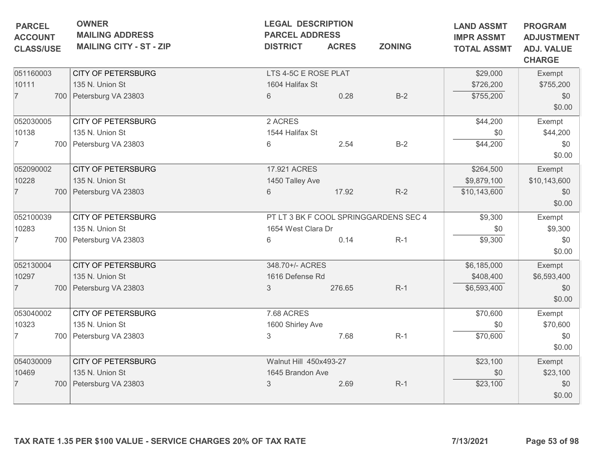| <b>PARCEL</b><br><b>ACCOUNT</b> | <b>OWNER</b><br><b>LEGAL DESCRIPTION</b><br><b>MAILING ADDRESS</b><br><b>PARCEL ADDRESS</b> |                        |              | <b>LAND ASSMT</b><br><b>IMPR ASSMT</b> | <b>PROGRAM</b><br><b>ADJUSTMENT</b> |                                    |
|---------------------------------|---------------------------------------------------------------------------------------------|------------------------|--------------|----------------------------------------|-------------------------------------|------------------------------------|
| <b>CLASS/USE</b>                | <b>MAILING CITY - ST - ZIP</b>                                                              | <b>DISTRICT</b>        | <b>ACRES</b> | <b>ZONING</b>                          | <b>TOTAL ASSMT</b>                  | <b>ADJ. VALUE</b><br><b>CHARGE</b> |
| 051160003                       | <b>CITY OF PETERSBURG</b>                                                                   | LTS 4-5C E ROSE PLAT   |              |                                        | \$29,000                            | Exempt                             |
| 10111                           | 135 N. Union St                                                                             | 1604 Halifax St        |              |                                        | \$726,200                           | \$755,200                          |
| $\overline{7}$                  | 700 Petersburg VA 23803                                                                     | 6                      | 0.28         | $B-2$                                  | \$755,200                           | \$0<br>\$0.00                      |
| 052030005                       | <b>CITY OF PETERSBURG</b>                                                                   | 2 ACRES                |              |                                        | \$44,200                            | Exempt                             |
| 10138                           | 135 N. Union St                                                                             | 1544 Halifax St        |              |                                        | \$0                                 | \$44,200                           |
| $\overline{7}$                  | 700 Petersburg VA 23803                                                                     | 6                      | 2.54         | $B-2$                                  | \$44,200                            | \$0<br>\$0.00                      |
| 052090002                       | <b>CITY OF PETERSBURG</b>                                                                   | 17.921 ACRES           |              |                                        | \$264,500                           | Exempt                             |
| 10228                           | 135 N. Union St                                                                             | 1450 Talley Ave        |              |                                        | \$9,879,100                         | \$10,143,600                       |
| $\overline{7}$                  | 700 Petersburg VA 23803                                                                     | 6                      | 17.92        | $R-2$                                  | \$10,143,600                        | \$0                                |
|                                 |                                                                                             |                        |              |                                        |                                     | \$0.00                             |
| 052100039                       | <b>CITY OF PETERSBURG</b>                                                                   |                        |              | PT LT 3 BK F COOL SPRINGGARDENS SEC 4  | \$9,300                             | Exempt                             |
| 10283                           | 135 N. Union St                                                                             | 1654 West Clara Dr     |              |                                        | \$0                                 | \$9,300                            |
| $\overline{7}$                  | 700 Petersburg VA 23803                                                                     | 6                      | 0.14         | $R-1$                                  | \$9,300                             | \$0<br>\$0.00                      |
| 052130004                       | <b>CITY OF PETERSBURG</b>                                                                   | 348.70+/- ACRES        |              |                                        | \$6,185,000                         | Exempt                             |
| 10297                           | 135 N. Union St                                                                             | 1616 Defense Rd        |              |                                        | \$408,400                           | \$6,593,400                        |
| $\overline{7}$                  | 700 Petersburg VA 23803                                                                     | 3                      | 276.65       | $R-1$                                  | \$6,593,400                         | \$0<br>\$0.00                      |
| 053040002                       | <b>CITY OF PETERSBURG</b>                                                                   | 7.68 ACRES             |              |                                        | \$70,600                            | Exempt                             |
| 10323                           | 135 N. Union St                                                                             | 1600 Shirley Ave       |              |                                        | \$0                                 | \$70,600                           |
| $\overline{7}$                  | 700 Petersburg VA 23803                                                                     | $\mathsf 3$            | 7.68         | $R-1$                                  | \$70,600                            | \$0<br>\$0.00                      |
| 054030009                       | <b>CITY OF PETERSBURG</b>                                                                   | Walnut Hill 450x493-27 |              |                                        | \$23,100                            | Exempt                             |
| 10469                           | 135 N. Union St                                                                             | 1645 Brandon Ave       |              |                                        | \$0                                 | \$23,100                           |
| 7                               | 700 Petersburg VA 23803                                                                     | 3                      | 2.69         | $R-1$                                  | \$23,100                            | \$0<br>\$0.00                      |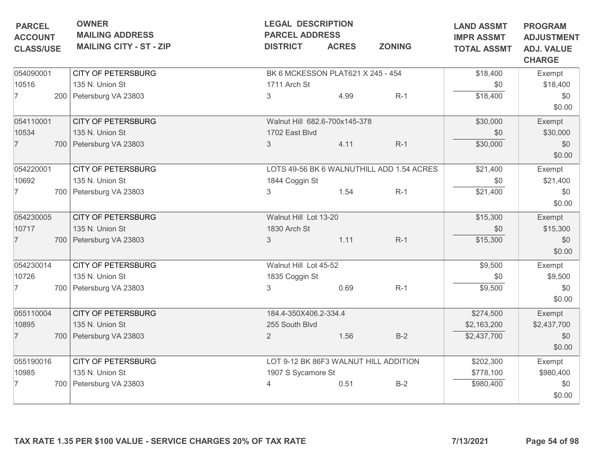|                                    | <b>OWNER</b><br><b>PARCEL</b><br><b>MAILING ADDRESS</b> |                                | <b>LEGAL DESCRIPTION</b><br><b>PARCEL ADDRESS</b> |                                   | <b>LAND ASSMT</b><br><b>IMPR ASSMT</b>    | <b>PROGRAM</b><br><b>ADJUSTMENT</b> |                                    |
|------------------------------------|---------------------------------------------------------|--------------------------------|---------------------------------------------------|-----------------------------------|-------------------------------------------|-------------------------------------|------------------------------------|
| <b>ACCOUNT</b><br><b>CLASS/USE</b> |                                                         | <b>MAILING CITY - ST - ZIP</b> | <b>DISTRICT</b>                                   | <b>ACRES</b>                      | <b>ZONING</b>                             | <b>TOTAL ASSMT</b>                  | <b>ADJ. VALUE</b><br><b>CHARGE</b> |
| 054090001                          |                                                         | <b>CITY OF PETERSBURG</b>      |                                                   | BK 6 MCKESSON PLAT621 X 245 - 454 |                                           | \$18,400                            | Exempt                             |
| 10516                              |                                                         | 135 N. Union St                | 1711 Arch St                                      |                                   |                                           | \$0                                 | \$18,400                           |
| $\overline{7}$                     |                                                         | 200 Petersburg VA 23803        | 3                                                 | 4.99                              | $R-1$                                     | \$18,400                            | \$0<br>\$0.00                      |
| 054110001                          |                                                         | <b>CITY OF PETERSBURG</b>      |                                                   | Walnut Hill 682.6-700x145-378     |                                           | \$30,000                            | Exempt                             |
| 10534                              |                                                         | 135 N. Union St                | 1702 East Blvd                                    |                                   |                                           | \$0                                 | \$30,000                           |
| $\overline{7}$                     |                                                         | 700 Petersburg VA 23803        | 3                                                 | 4.11                              | $R-1$                                     | \$30,000                            | \$0<br>\$0.00                      |
| 054220001                          |                                                         | <b>CITY OF PETERSBURG</b>      |                                                   |                                   | LOTS 49-56 BK 6 WALNUTHILL ADD 1.54 ACRES | \$21,400                            | Exempt                             |
| 10692                              |                                                         | 135 N. Union St                | 1844 Coggin St                                    |                                   |                                           | \$0                                 | \$21,400                           |
| 7                                  |                                                         | 700 Petersburg VA 23803        | 3                                                 | 1.54                              | $R-1$                                     | \$21,400                            | \$0<br>\$0.00                      |
| 054230005                          |                                                         | <b>CITY OF PETERSBURG</b>      | Walnut Hill Lot 13-20                             |                                   |                                           | \$15,300                            | Exempt                             |
| 10717                              |                                                         | 135 N. Union St                | 1830 Arch St                                      |                                   |                                           | \$0                                 | \$15,300                           |
| $\overline{7}$                     |                                                         | 700 Petersburg VA 23803        | 3                                                 | 1.11                              | $R-1$                                     | \$15,300                            | \$0<br>\$0.00                      |
| 054230014                          |                                                         | <b>CITY OF PETERSBURG</b>      | Walnut Hill Lot 45-52                             |                                   |                                           | \$9,500                             | Exempt                             |
| 10726                              |                                                         | 135 N. Union St                | 1835 Coggin St                                    |                                   |                                           | \$0                                 | \$9,500                            |
| 7                                  |                                                         | 700   Petersburg VA 23803      | 3                                                 | 0.69                              | $R-1$                                     | \$9,500                             | \$0<br>\$0.00                      |
| 055110004                          |                                                         | <b>CITY OF PETERSBURG</b>      | 184.4-350X406.2-334.4                             |                                   |                                           | \$274,500                           | Exempt                             |
| 10895                              |                                                         | 135 N. Union St                | 255 South Blvd                                    |                                   |                                           | \$2,163,200                         | \$2,437,700                        |
| $\overline{7}$                     |                                                         | 700 Petersburg VA 23803        | $\overline{2}$                                    | 1.56                              | $B-2$                                     | \$2,437,700                         | \$0<br>\$0.00                      |
| 055190016                          |                                                         | <b>CITY OF PETERSBURG</b>      |                                                   |                                   | LOT 9-12 BK 86F3 WALNUT HILL ADDITION     | \$202,300                           | Exempt                             |
| 10985                              |                                                         | 135 N. Union St                | 1907 S Sycamore St                                |                                   |                                           | \$778,100                           | \$980,400                          |
| 7                                  |                                                         | 700 Petersburg VA 23803        | $\overline{4}$                                    | 0.51                              | $B-2$                                     | \$980,400                           | \$0<br>\$0.00                      |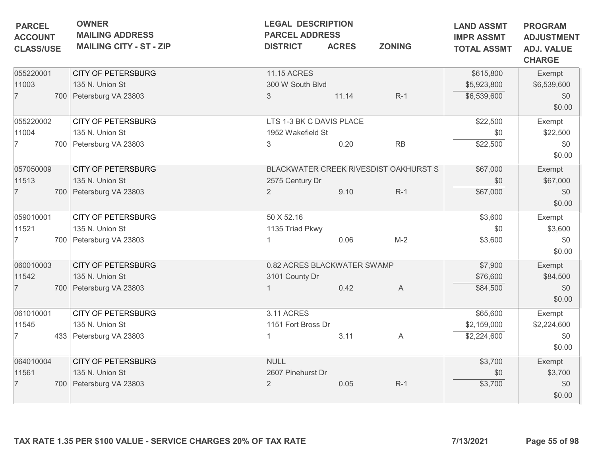| <b>PARCEL</b><br><b>ACCOUNT</b> | <b>OWNER</b><br><b>MAILING ADDRESS</b> |                             | <b>LEGAL DESCRIPTION</b><br><b>PARCEL ADDRESS</b> |                                       |             |                                                         |  |
|---------------------------------|----------------------------------------|-----------------------------|---------------------------------------------------|---------------------------------------|-------------|---------------------------------------------------------|--|
| <b>CLASS/USE</b>                | <b>MAILING CITY - ST - ZIP</b>         | <b>DISTRICT</b>             | <b>ACRES</b><br><b>ZONING</b>                     |                                       |             | <b>ADJUSTMENT</b><br><b>ADJ. VALUE</b><br><b>CHARGE</b> |  |
| 055220001                       | <b>CITY OF PETERSBURG</b>              | <b>11.15 ACRES</b>          |                                                   |                                       | \$615,800   | Exempt                                                  |  |
| 11003                           | 135 N. Union St                        | 300 W South Blvd            |                                                   |                                       | \$5,923,800 | \$6,539,600                                             |  |
| $\overline{7}$                  | 700 Petersburg VA 23803                | $\mathfrak{S}$              | 11.14                                             | $R-1$                                 | \$6,539,600 | \$0<br>\$0.00                                           |  |
| 055220002                       | <b>CITY OF PETERSBURG</b>              | LTS 1-3 BK C DAVIS PLACE    |                                                   |                                       | \$22,500    | Exempt                                                  |  |
| 11004                           | 135 N. Union St                        | 1952 Wakefield St           |                                                   |                                       | \$0         | \$22,500                                                |  |
| $\overline{7}$                  | 700 Petersburg VA 23803                | 3                           | 0.20                                              | $\mathsf{RB}$                         | \$22,500    | \$0<br>\$0.00                                           |  |
| 057050009                       | <b>CITY OF PETERSBURG</b>              |                             |                                                   | BLACKWATER CREEK RIVESDIST OAKHURST S | \$67,000    | Exempt                                                  |  |
| 11513                           | 135 N. Union St                        | 2575 Century Dr             |                                                   |                                       | \$0         | \$67,000                                                |  |
| 7                               | 700   Petersburg VA 23803              | 2                           | 9.10                                              | $R-1$                                 | \$67,000    | \$0<br>\$0.00                                           |  |
| 059010001                       | <b>CITY OF PETERSBURG</b>              | 50 X 52.16                  |                                                   |                                       | \$3,600     | Exempt                                                  |  |
| 11521                           | 135 N. Union St                        | 1135 Triad Pkwy             |                                                   |                                       | \$0         | \$3,600                                                 |  |
| 7                               | 700 Petersburg VA 23803                |                             | 0.06                                              | $M-2$                                 | \$3,600     | \$0<br>\$0.00                                           |  |
| 060010003                       | <b>CITY OF PETERSBURG</b>              | 0.82 ACRES BLACKWATER SWAMP |                                                   |                                       | \$7,900     | Exempt                                                  |  |
| 11542                           | 135 N. Union St                        | 3101 County Dr              |                                                   |                                       | \$76,600    | \$84,500                                                |  |
| $\overline{7}$                  | 700 Petersburg VA 23803                |                             | 0.42                                              | A                                     | \$84,500    | \$0<br>\$0.00                                           |  |
| 061010001                       | <b>CITY OF PETERSBURG</b>              | 3.11 ACRES                  |                                                   |                                       | \$65,600    | Exempt                                                  |  |
| 11545                           | 135 N. Union St                        | 1151 Fort Bross Dr          |                                                   |                                       | \$2,159,000 | \$2,224,600                                             |  |
| 7                               | 433 Petersburg VA 23803                |                             | 3.11                                              | A                                     | \$2,224,600 | \$0<br>\$0.00                                           |  |
| 064010004                       | <b>CITY OF PETERSBURG</b>              | <b>NULL</b>                 |                                                   |                                       | \$3,700     | Exempt                                                  |  |
| 11561                           | 135 N. Union St                        | 2607 Pinehurst Dr           |                                                   |                                       | \$0         | \$3,700                                                 |  |
| $\overline{7}$                  | 700 Petersburg VA 23803                | $\overline{2}$              | 0.05                                              | $R-1$                                 | \$3,700     | \$0<br>\$0.00                                           |  |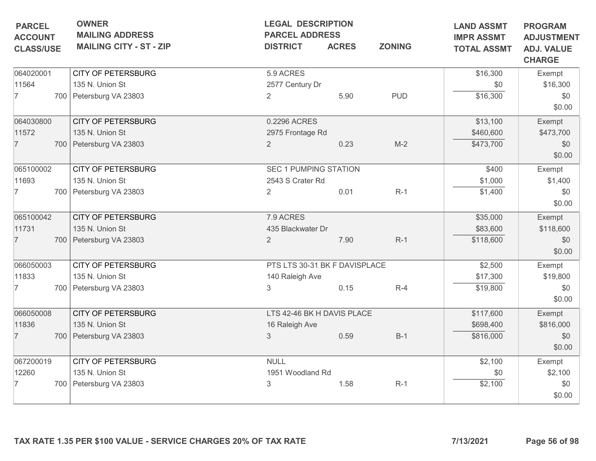| <b>CHARGE</b><br>\$16,300<br>Exempt<br>\$16,300<br>\$0<br>\$16,300<br>\$0<br>\$0.00<br>\$13,100<br>Exempt<br>\$460,600<br>\$473,700<br>\$473,700<br>\$0<br>\$0.00<br>\$400<br>Exempt<br>\$1,400<br>\$1,000<br>\$0<br>\$1,400<br>\$0.00<br>\$35,000<br>Exempt |
|--------------------------------------------------------------------------------------------------------------------------------------------------------------------------------------------------------------------------------------------------------------|
|                                                                                                                                                                                                                                                              |
|                                                                                                                                                                                                                                                              |
|                                                                                                                                                                                                                                                              |
|                                                                                                                                                                                                                                                              |
|                                                                                                                                                                                                                                                              |
|                                                                                                                                                                                                                                                              |
|                                                                                                                                                                                                                                                              |
|                                                                                                                                                                                                                                                              |
|                                                                                                                                                                                                                                                              |
|                                                                                                                                                                                                                                                              |
|                                                                                                                                                                                                                                                              |
|                                                                                                                                                                                                                                                              |
| \$83,600<br>\$118,600                                                                                                                                                                                                                                        |
| \$118,600<br>\$0<br>\$0.00                                                                                                                                                                                                                                   |
| \$2,500<br>Exempt                                                                                                                                                                                                                                            |
| \$19,800<br>\$17,300                                                                                                                                                                                                                                         |
| \$19,800<br>\$0                                                                                                                                                                                                                                              |
| \$0.00                                                                                                                                                                                                                                                       |
| \$117,600<br>Exempt                                                                                                                                                                                                                                          |
| \$698,400<br>\$816,000                                                                                                                                                                                                                                       |
| \$816,000<br>\$0<br>\$0.00                                                                                                                                                                                                                                   |
| \$2,100<br>Exempt                                                                                                                                                                                                                                            |
| \$2,100<br>\$0                                                                                                                                                                                                                                               |
| \$2,100<br>\$0                                                                                                                                                                                                                                               |
| \$0.00                                                                                                                                                                                                                                                       |
| 7/13/2021                                                                                                                                                                                                                                                    |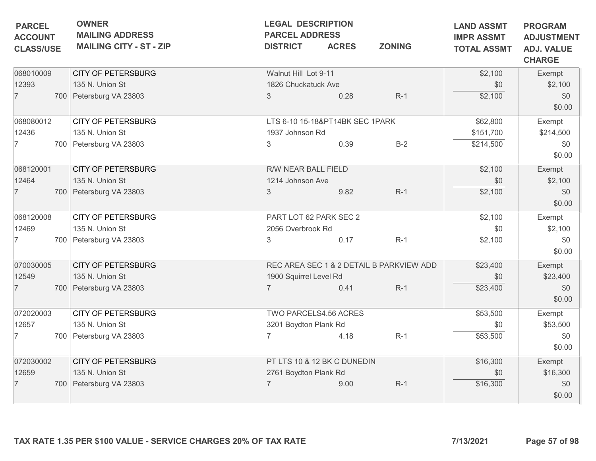| 068010009<br><b>CITY OF PETERSBURG</b><br>Walnut Hill Lot 9-11<br>12393<br>135 N. Union St<br>1826 Chuckatuck Ave<br>$\overline{7}$<br>700 Petersburg VA 23803<br>$\mathfrak{S}$<br>0.28<br>068080012<br><b>CITY OF PETERSBURG</b><br>LTS 6-10 15-18&PT14BK SEC 1PARK<br>12436<br>135 N. Union St<br>1937 Johnson Rd<br>$\overline{7}$<br>700 Petersburg VA 23803<br>0.39<br>3<br>068120001<br><b>CITY OF PETERSBURG</b><br>R/W NEAR BALL FIELD<br>12464<br>135 N. Union St<br>1214 Johnson Ave<br>$\overline{7}$<br>9.82<br>700 Petersburg VA 23803<br>3 | $R-1$<br>$B-2$ | \$2,100<br>\$0<br>\$2,100<br>\$62,800<br>\$151,700<br>\$214,500 | Exempt<br>\$2,100<br>\$0<br>\$0.00<br>Exempt<br>\$214,500 |
|-----------------------------------------------------------------------------------------------------------------------------------------------------------------------------------------------------------------------------------------------------------------------------------------------------------------------------------------------------------------------------------------------------------------------------------------------------------------------------------------------------------------------------------------------------------|----------------|-----------------------------------------------------------------|-----------------------------------------------------------|
|                                                                                                                                                                                                                                                                                                                                                                                                                                                                                                                                                           |                |                                                                 |                                                           |
|                                                                                                                                                                                                                                                                                                                                                                                                                                                                                                                                                           |                |                                                                 |                                                           |
|                                                                                                                                                                                                                                                                                                                                                                                                                                                                                                                                                           |                |                                                                 | \$0<br>\$0.00                                             |
|                                                                                                                                                                                                                                                                                                                                                                                                                                                                                                                                                           |                | \$2,100<br>\$0                                                  | Exempt<br>\$2,100                                         |
|                                                                                                                                                                                                                                                                                                                                                                                                                                                                                                                                                           | $R-1$          | \$2,100                                                         | \$0<br>\$0.00                                             |
| <b>CITY OF PETERSBURG</b><br>PART LOT 62 PARK SEC 2<br>068120008<br>135 N. Union St<br>12469<br>2056 Overbrook Rd                                                                                                                                                                                                                                                                                                                                                                                                                                         |                | \$2,100<br>\$0                                                  | Exempt<br>\$2,100                                         |
| 700 Petersburg VA 23803<br>3<br>0.17<br>7                                                                                                                                                                                                                                                                                                                                                                                                                                                                                                                 | $R-1$          | \$2,100                                                         | \$0<br>\$0.00                                             |
| <b>CITY OF PETERSBURG</b><br>070030005<br>REC AREA SEC 1 & 2 DETAIL B PARKVIEW ADD<br>12549<br>135 N. Union St<br>1900 Squirrel Level Rd                                                                                                                                                                                                                                                                                                                                                                                                                  |                | \$23,400<br>\$0                                                 | Exempt<br>\$23,400                                        |
| 700 Petersburg VA 23803<br>0.41<br>$\overline{7}$                                                                                                                                                                                                                                                                                                                                                                                                                                                                                                         | $R-1$          | \$23,400                                                        | \$0<br>\$0.00                                             |
| 072020003<br><b>CITY OF PETERSBURG</b><br>TWO PARCELS4.56 ACRES<br>12657<br>135 N. Union St<br>3201 Boydton Plank Rd                                                                                                                                                                                                                                                                                                                                                                                                                                      |                | \$53,500<br>\$0                                                 | Exempt<br>\$53,500                                        |
| $\overline{7}$<br>4.18<br>7<br>700   Petersburg VA 23803                                                                                                                                                                                                                                                                                                                                                                                                                                                                                                  | $R-1$          | \$53,500                                                        | \$0<br>\$0.00                                             |
| 072030002<br><b>CITY OF PETERSBURG</b><br>PT LTS 10 & 12 BK C DUNEDIN<br>135 N. Union St<br>12659<br>2761 Boydton Plank Rd                                                                                                                                                                                                                                                                                                                                                                                                                                |                | \$16,300<br>\$0                                                 | Exempt<br>\$16,300                                        |
| 700 Petersburg VA 23803<br>9.00<br>7                                                                                                                                                                                                                                                                                                                                                                                                                                                                                                                      | $R-1$          | \$16,300                                                        | \$0<br>\$0.00                                             |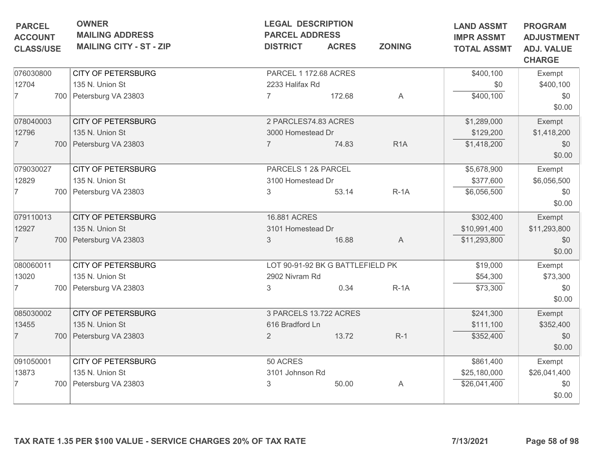| <b>OWNER</b><br><b>LEGAL DESCRIPTION</b><br><b>PARCEL</b><br><b>MAILING ADDRESS</b><br><b>PARCEL ADDRESS</b><br><b>ACCOUNT</b><br><b>MAILING CITY - ST - ZIP</b><br><b>ACRES</b><br><b>DISTRICT</b><br><b>CLASS/USE</b> |                | <b>ZONING</b> | <b>LAND ASSMT</b><br><b>IMPR ASSMT</b><br><b>TOTAL ASSMT</b>                                                                                                                                                                                             | <b>PROGRAM</b><br><b>ADJUSTMENT</b><br><b>ADJ. VALUE</b><br><b>CHARGE</b> |               |
|-------------------------------------------------------------------------------------------------------------------------------------------------------------------------------------------------------------------------|----------------|---------------|----------------------------------------------------------------------------------------------------------------------------------------------------------------------------------------------------------------------------------------------------------|---------------------------------------------------------------------------|---------------|
| <b>CITY OF PETERSBURG</b>                                                                                                                                                                                               |                |               |                                                                                                                                                                                                                                                          | \$400,100                                                                 | Exempt        |
| 135 N. Union St                                                                                                                                                                                                         |                |               |                                                                                                                                                                                                                                                          | \$0                                                                       | \$400,100     |
| 700 Petersburg VA 23803                                                                                                                                                                                                 | $\overline{7}$ | 172.68        | A                                                                                                                                                                                                                                                        | \$400,100                                                                 | \$0<br>\$0.00 |
| <b>CITY OF PETERSBURG</b>                                                                                                                                                                                               |                |               |                                                                                                                                                                                                                                                          | \$1,289,000                                                               | Exempt        |
| 135 N. Union St                                                                                                                                                                                                         |                |               |                                                                                                                                                                                                                                                          | \$129,200                                                                 | \$1,418,200   |
| 700 Petersburg VA 23803                                                                                                                                                                                                 |                | 74.83         | R <sub>1</sub> A                                                                                                                                                                                                                                         | \$1,418,200                                                               | \$0<br>\$0.00 |
| <b>CITY OF PETERSBURG</b>                                                                                                                                                                                               |                |               |                                                                                                                                                                                                                                                          | \$5,678,900                                                               | Exempt        |
| 135 N. Union St                                                                                                                                                                                                         |                |               |                                                                                                                                                                                                                                                          | \$377,600                                                                 | \$6,056,500   |
| 700 Petersburg VA 23803                                                                                                                                                                                                 | $\mathfrak{Z}$ | 53.14         | $R-1A$                                                                                                                                                                                                                                                   | \$6,056,500                                                               | \$0<br>\$0.00 |
| <b>CITY OF PETERSBURG</b>                                                                                                                                                                                               |                |               |                                                                                                                                                                                                                                                          | \$302,400                                                                 | Exempt        |
| 135 N. Union St                                                                                                                                                                                                         |                |               |                                                                                                                                                                                                                                                          | \$10,991,400                                                              | \$11,293,800  |
| 700 Petersburg VA 23803                                                                                                                                                                                                 | 3              | 16.88         | $\mathsf{A}$                                                                                                                                                                                                                                             | \$11,293,800                                                              | \$0<br>\$0.00 |
| <b>CITY OF PETERSBURG</b>                                                                                                                                                                                               |                |               |                                                                                                                                                                                                                                                          | \$19,000                                                                  | Exempt        |
| 135 N. Union St                                                                                                                                                                                                         |                |               |                                                                                                                                                                                                                                                          | \$54,300                                                                  | \$73,300      |
| 700   Petersburg VA 23803                                                                                                                                                                                               | 3              | 0.34          | $R-1A$                                                                                                                                                                                                                                                   | \$73,300                                                                  | \$0<br>\$0.00 |
| <b>CITY OF PETERSBURG</b>                                                                                                                                                                                               |                |               |                                                                                                                                                                                                                                                          | \$241,300                                                                 | Exempt        |
| 135 N. Union St                                                                                                                                                                                                         |                |               |                                                                                                                                                                                                                                                          | \$111,100                                                                 | \$352,400     |
| 700 Petersburg VA 23803                                                                                                                                                                                                 | $\overline{2}$ | 13.72         | $R-1$                                                                                                                                                                                                                                                    | \$352,400                                                                 | \$0<br>\$0.00 |
| <b>CITY OF PETERSBURG</b>                                                                                                                                                                                               | 50 ACRES       |               |                                                                                                                                                                                                                                                          | \$861,400                                                                 | Exempt        |
| 135 N. Union St                                                                                                                                                                                                         |                |               |                                                                                                                                                                                                                                                          | \$25,180,000                                                              | \$26,041,400  |
| 700 Petersburg VA 23803                                                                                                                                                                                                 | 3              | 50.00         | A                                                                                                                                                                                                                                                        | \$26,041,400                                                              | \$0<br>\$0.00 |
|                                                                                                                                                                                                                         |                |               | PARCEL 1 172.68 ACRES<br>2233 Halifax Rd<br>2 PARCLES74.83 ACRES<br>3000 Homestead Dr<br>PARCELS 1 2& PARCEL<br>3100 Homestead Dr<br>16.881 ACRES<br>3101 Homestead Dr<br>2902 Nivram Rd<br>3 PARCELS 13.722 ACRES<br>616 Bradford Ln<br>3101 Johnson Rd | LOT 90-91-92 BK G BATTLEFIELD PK                                          |               |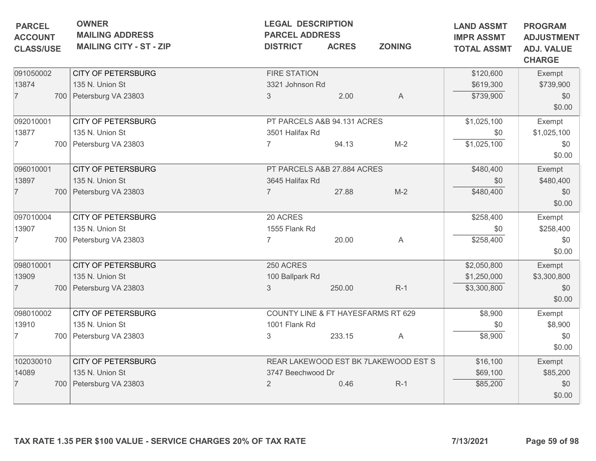| <b>PARCEL</b><br><b>ACCOUNT</b><br><b>CLASS/USE</b> | <b>OWNER</b><br><b>LEGAL DESCRIPTION</b><br><b>MAILING ADDRESS</b><br><b>PARCEL ADDRESS</b><br><b>MAILING CITY - ST - ZIP</b><br><b>ACRES</b><br><b>ZONING</b><br><b>DISTRICT</b> |                                                                           | <b>LAND ASSMT</b><br><b>IMPR ASSMT</b><br><b>TOTAL ASSMT</b> | <b>PROGRAM</b><br><b>ADJUSTMENT</b><br><b>ADJ. VALUE</b><br><b>CHARGE</b> |                                               |                                           |                                        |
|-----------------------------------------------------|-----------------------------------------------------------------------------------------------------------------------------------------------------------------------------------|---------------------------------------------------------------------------|--------------------------------------------------------------|---------------------------------------------------------------------------|-----------------------------------------------|-------------------------------------------|----------------------------------------|
| 091050002<br>13874<br>$\overline{7}$                |                                                                                                                                                                                   | <b>CITY OF PETERSBURG</b><br>135 N. Union St<br>700 Petersburg VA 23803   | <b>FIRE STATION</b><br>3321 Johnson Rd<br>$\mathfrak{S}$     | 2.00                                                                      | $\mathsf{A}$                                  | \$120,600<br>\$619,300<br>\$739,900       | Exempt<br>\$739,900<br>\$0<br>\$0.00   |
| 092010001<br>13877<br>7                             |                                                                                                                                                                                   | <b>CITY OF PETERSBURG</b><br>135 N. Union St<br>700 Petersburg VA 23803   | PT PARCELS A&B 94.131 ACRES<br>3501 Halifax Rd               | 94.13                                                                     | $M-2$                                         | \$1,025,100<br>\$0<br>\$1,025,100         | Exempt<br>\$1,025,100<br>\$0<br>\$0.00 |
| 096010001<br>13897<br>$\overline{7}$                |                                                                                                                                                                                   | <b>CITY OF PETERSBURG</b><br>135 N. Union St<br>700 Petersburg VA 23803   | PT PARCELS A&B 27.884 ACRES<br>3645 Halifax Rd<br>7          | 27.88                                                                     | $M-2$                                         | \$480,400<br>\$0<br>\$480,400             | Exempt<br>\$480,400<br>\$0<br>\$0.00   |
| 097010004<br>13907<br>7                             |                                                                                                                                                                                   | <b>CITY OF PETERSBURG</b><br>135 N. Union St<br>700 Petersburg VA 23803   | 20 ACRES<br>1555 Flank Rd<br>$\overline{7}$                  | 20.00                                                                     | A                                             | \$258,400<br>\$0<br>\$258,400             | Exempt<br>\$258,400<br>\$0<br>\$0.00   |
| 098010001<br>13909<br>$\overline{7}$                |                                                                                                                                                                                   | <b>CITY OF PETERSBURG</b><br>135 N. Union St<br>700 Petersburg VA 23803   | 250 ACRES<br>100 Ballpark Rd<br>3                            | 250.00                                                                    | $R-1$                                         | \$2,050,800<br>\$1,250,000<br>\$3,300,800 | Exempt<br>\$3,300,800<br>\$0<br>\$0.00 |
| 098010002<br>13910<br>7                             |                                                                                                                                                                                   | <b>CITY OF PETERSBURG</b><br>135 N. Union St<br>700   Petersburg VA 23803 | 1001 Flank Rd<br>$\sqrt{3}$                                  | 233.15                                                                    | COUNTY LINE & FT HAYESFARMS RT 629<br>A       | \$8,900<br>\$0<br>\$8,900                 | Exempt<br>\$8,900<br>\$0<br>\$0.00     |
| 102030010<br>14089<br>7                             |                                                                                                                                                                                   | <b>CITY OF PETERSBURG</b><br>135 N. Union St<br>700 Petersburg VA 23803   | 3747 Beechwood Dr<br>$\overline{2}$                          | 0.46                                                                      | REAR LAKEWOOD EST BK 7LAKEWOOD EST S<br>$R-1$ | \$16,100<br>\$69,100<br>\$85,200          | Exempt<br>\$85,200<br>\$0<br>\$0.00    |
|                                                     |                                                                                                                                                                                   | TAX RATE 1.35 PER \$100 VALUE - SERVICE CHARGES 20% OF TAX RATE           |                                                              |                                                                           |                                               | 7/13/2021                                 | Page 59 of 98                          |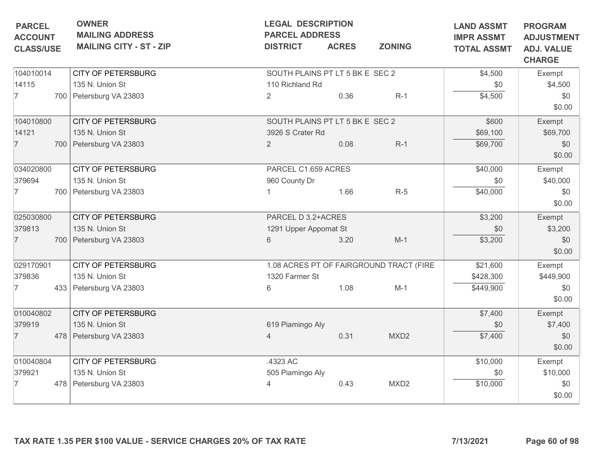|                                | <b>PARCEL ADDRESS</b> |              | <b>LAND ASSMT</b><br><b>IMPR ASSMT</b>                                                                                                                                               | <b>PROGRAM</b><br><b>ADJUSTMENT</b>                                                                           |                                    |
|--------------------------------|-----------------------|--------------|--------------------------------------------------------------------------------------------------------------------------------------------------------------------------------------|---------------------------------------------------------------------------------------------------------------|------------------------------------|
| <b>MAILING CITY - ST - ZIP</b> | <b>DISTRICT</b>       | <b>ACRES</b> | <b>ZONING</b>                                                                                                                                                                        | <b>TOTAL ASSMT</b>                                                                                            | <b>ADJ. VALUE</b><br><b>CHARGE</b> |
| <b>CITY OF PETERSBURG</b>      |                       |              |                                                                                                                                                                                      | \$4,500                                                                                                       | Exempt                             |
| 135 N. Union St                |                       |              |                                                                                                                                                                                      | \$0                                                                                                           | \$4,500                            |
| 700 Petersburg VA 23803        | $\overline{2}$        | 0.36         | $R-1$                                                                                                                                                                                | \$4,500                                                                                                       | \$0<br>\$0.00                      |
| <b>CITY OF PETERSBURG</b>      |                       |              |                                                                                                                                                                                      | \$600                                                                                                         | Exempt                             |
| 135 N. Union St                |                       |              |                                                                                                                                                                                      | \$69,100                                                                                                      | \$69,700                           |
| 700 Petersburg VA 23803        | $\overline{2}$        | 0.08         | $R-1$                                                                                                                                                                                | \$69,700                                                                                                      | \$0<br>\$0.00                      |
| <b>CITY OF PETERSBURG</b>      |                       |              |                                                                                                                                                                                      | \$40,000                                                                                                      | Exempt                             |
| 135 N. Union St                |                       |              |                                                                                                                                                                                      | \$0                                                                                                           | \$40,000                           |
| 700 Petersburg VA 23803        |                       | 1.66         | $R-5$                                                                                                                                                                                | \$40,000                                                                                                      | \$0<br>\$0.00                      |
| <b>CITY OF PETERSBURG</b>      |                       |              |                                                                                                                                                                                      | \$3,200                                                                                                       | Exempt                             |
| 135 N. Union St                |                       |              |                                                                                                                                                                                      | \$0                                                                                                           | \$3,200                            |
| 700 Petersburg VA 23803        | 6                     | 3.20         | $M-1$                                                                                                                                                                                | \$3,200                                                                                                       | \$0<br>\$0.00                      |
| <b>CITY OF PETERSBURG</b>      |                       |              |                                                                                                                                                                                      | \$21,600                                                                                                      | Exempt                             |
| 135 N. Union St                |                       |              |                                                                                                                                                                                      | \$428,300                                                                                                     | \$449,900                          |
| 433 Petersburg VA 23803        | 6                     | 1.08         | $M-1$                                                                                                                                                                                | \$449,900                                                                                                     | \$0<br>\$0.00                      |
| <b>CITY OF PETERSBURG</b>      |                       |              |                                                                                                                                                                                      | \$7,400                                                                                                       | Exempt                             |
| 135 N. Union St                |                       |              |                                                                                                                                                                                      | \$0                                                                                                           | \$7,400                            |
| 478 Petersburg VA 23803        | $\overline{4}$        | 0.31         | MXD <sub>2</sub>                                                                                                                                                                     | \$7,400                                                                                                       | \$0<br>\$0.00                      |
| <b>CITY OF PETERSBURG</b>      | .4323 AC              |              |                                                                                                                                                                                      | \$10,000                                                                                                      | Exempt                             |
| 135 N. Union St                |                       |              |                                                                                                                                                                                      | \$0                                                                                                           | \$10,000                           |
| 478   Petersburg VA 23803      |                       | 0.43         | MXD <sub>2</sub>                                                                                                                                                                     | \$10,000                                                                                                      | \$0<br>\$0.00                      |
|                                |                       |              | 110 Richland Rd<br>3926 S Crater Rd<br>PARCEL C1.659 ACRES<br>960 County Dr<br>PARCEL D 3.2+ACRES<br>1291 Upper Appomat St<br>1320 Farmer St<br>619 Piamingo Aly<br>505 Piamingo Aly | SOUTH PLAINS PT LT 5 BK E SEC 2<br>SOUTH PLAINS PT LT 5 BK E SEC 2<br>1.08 ACRES PT OF FAIRGROUND TRACT (FIRE |                                    |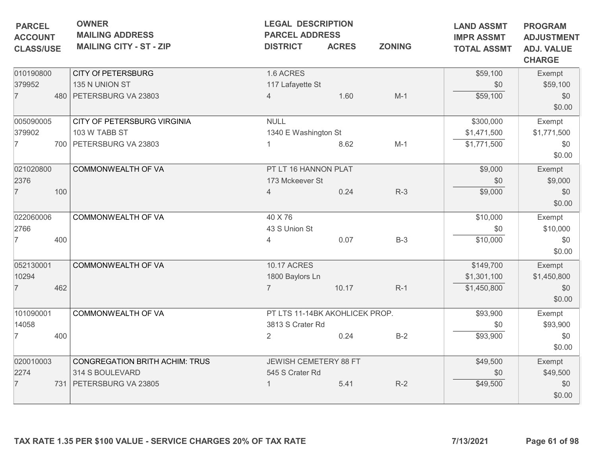| <b>PARCEL</b><br><b>ACCOUNT</b><br><b>CLASS/USE</b> |     | <b>OWNER</b><br><b>MAILING ADDRESS</b><br><b>MAILING CITY - ST - ZIP</b> | <b>LEGAL DESCRIPTION</b><br><b>PARCEL ADDRESS</b><br><b>DISTRICT</b> | <b>ACRES</b> | <b>ZONING</b> | <b>LAND ASSMT</b><br><b>IMPR ASSMT</b><br><b>TOTAL ASSMT</b> | <b>PROGRAM</b><br><b>ADJUSTMENT</b><br><b>ADJ. VALUE</b><br><b>CHARGE</b> |
|-----------------------------------------------------|-----|--------------------------------------------------------------------------|----------------------------------------------------------------------|--------------|---------------|--------------------------------------------------------------|---------------------------------------------------------------------------|
| 010190800                                           |     | <b>CITY Of PETERSBURG</b>                                                | 1.6 ACRES                                                            |              |               | \$59,100                                                     | Exempt                                                                    |
| 379952                                              |     | 135 N UNION ST                                                           | 117 Lafayette St                                                     |              |               | \$0                                                          | \$59,100                                                                  |
| $\overline{7}$                                      |     | 480   PETERSBURG VA 23803                                                | $\overline{4}$                                                       | 1.60         | $M-1$         | \$59,100                                                     | \$0<br>\$0.00                                                             |
| 005090005                                           |     | CITY OF PETERSBURG VIRGINIA                                              | <b>NULL</b>                                                          |              |               | \$300,000                                                    | Exempt                                                                    |
| 379902                                              |     | 103 W TABB ST                                                            | 1340 E Washington St                                                 |              |               | \$1,471,500                                                  | \$1,771,500                                                               |
| $\overline{7}$                                      |     | 700 PETERSBURG VA 23803                                                  |                                                                      | 8.62         | $M-1$         | \$1,771,500                                                  | \$0<br>\$0.00                                                             |
| 021020800                                           |     | COMMONWEALTH OF VA                                                       | PT LT 16 HANNON PLAT                                                 |              |               | \$9,000                                                      | Exempt                                                                    |
| 2376                                                |     |                                                                          | 173 Mckeever St                                                      |              |               | \$0                                                          | \$9,000                                                                   |
| $\overline{7}$                                      | 100 |                                                                          | $\overline{4}$                                                       | 0.24         | $R-3$         | \$9,000                                                      | \$0<br>\$0.00                                                             |
| 022060006                                           |     | <b>COMMONWEALTH OF VA</b>                                                | 40 X 76                                                              |              |               | \$10,000                                                     | Exempt                                                                    |
| 2766                                                |     |                                                                          | 43 S Union St                                                        |              |               | \$0                                                          | \$10,000                                                                  |
| $\overline{7}$                                      | 400 |                                                                          | 4                                                                    | 0.07         | $B-3$         | \$10,000                                                     | \$0<br>\$0.00                                                             |
| 052130001                                           |     | <b>COMMONWEALTH OF VA</b>                                                | <b>10.17 ACRES</b>                                                   |              |               | \$149,700                                                    | Exempt                                                                    |
| 10294                                               |     |                                                                          | 1800 Baylors Ln                                                      |              |               | \$1,301,100                                                  | \$1,450,800                                                               |
| $\overline{7}$                                      | 462 |                                                                          | $\overline{7}$                                                       | 10.17        | $R-1$         | \$1,450,800                                                  | \$0<br>\$0.00                                                             |
| 101090001                                           |     | COMMONWEALTH OF VA                                                       | PT LTS 11-14BK AKOHLICEK PROP.                                       |              |               | \$93,900                                                     | Exempt                                                                    |
| 14058                                               |     |                                                                          | 3813 S Crater Rd                                                     |              |               | \$0                                                          | \$93,900                                                                  |
| $\overline{7}$                                      | 400 |                                                                          | $\overline{2}$                                                       | 0.24         | $B-2$         | \$93,900                                                     | \$0<br>\$0.00                                                             |
| 020010003                                           |     | CONGREGATION BRITH ACHIM: TRUS                                           | JEWISH CEMETERY 88 FT                                                |              |               | \$49,500                                                     | Exempt                                                                    |
| 2274                                                |     | 314 S BOULEVARD                                                          | 545 S Crater Rd                                                      |              |               | \$0                                                          | \$49,500                                                                  |
| $\overline{7}$                                      |     | 731 PETERSBURG VA 23805                                                  |                                                                      | 5.41         | $R-2$         | \$49,500                                                     | \$0<br>\$0.00                                                             |
|                                                     |     | TAX RATE 1.35 PER \$100 VALUE - SERVICE CHARGES 20% OF TAX RATE          |                                                                      |              |               | 7/13/2021                                                    | Page 61 of 98                                                             |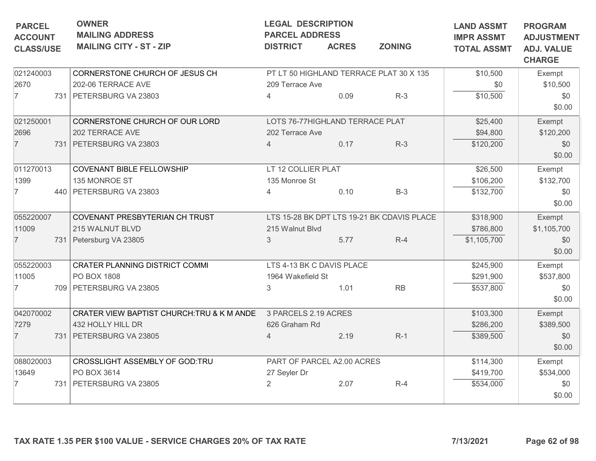| <b>PARCEL</b><br><b>ACCOUNT</b><br><b>CLASS/USE</b> | <b>OWNER</b><br><b>MAILING ADDRESS</b><br><b>MAILING CITY - ST - ZIP</b> | <b>LEGAL DESCRIPTION</b><br><b>PARCEL ADDRESS</b><br><b>DISTRICT</b> | <b>ACRES</b> | <b>ZONING</b>                              | <b>LAND ASSMT</b><br><b>IMPR ASSMT</b><br><b>TOTAL ASSMT</b> | <b>PROGRAM</b><br><b>ADJUSTMENT</b><br><b>ADJ. VALUE</b><br><b>CHARGE</b> |
|-----------------------------------------------------|--------------------------------------------------------------------------|----------------------------------------------------------------------|--------------|--------------------------------------------|--------------------------------------------------------------|---------------------------------------------------------------------------|
| 021240003                                           | CORNERSTONE CHURCH OF JESUS CH                                           |                                                                      |              | PT LT 50 HIGHLAND TERRACE PLAT 30 X 135    | \$10,500                                                     | Exempt                                                                    |
| 2670                                                | 202-06 TERRACE AVE                                                       | 209 Terrace Ave                                                      |              |                                            | \$0                                                          | \$10,500                                                                  |
| $\overline{7}$                                      | 731 PETERSBURG VA 23803                                                  | $\overline{4}$                                                       | 0.09         | $R-3$                                      | \$10,500                                                     | \$0<br>\$0.00                                                             |
| 021250001                                           | CORNERSTONE CHURCH OF OUR LORD                                           | LOTS 76-77HIGHLAND TERRACE PLAT                                      |              |                                            | \$25,400                                                     | Exempt                                                                    |
| 2696                                                | 202 TERRACE AVE                                                          | 202 Terrace Ave                                                      |              |                                            | \$94,800                                                     | \$120,200                                                                 |
| $\overline{7}$                                      | 731 PETERSBURG VA 23803                                                  |                                                                      | 0.17         | $R-3$                                      | \$120,200                                                    | \$0<br>\$0.00                                                             |
| 011270013                                           | <b>COVENANT BIBLE FELLOWSHIP</b>                                         | LT 12 COLLIER PLAT                                                   |              |                                            | \$26,500                                                     | Exempt                                                                    |
| 1399                                                | 135 MONROE ST                                                            | 135 Monroe St                                                        |              |                                            | \$106,200                                                    | \$132,700                                                                 |
| 7                                                   | 440 PETERSBURG VA 23803                                                  | $\overline{4}$                                                       | 0.10         | $B-3$                                      | \$132,700                                                    | \$0<br>\$0.00                                                             |
| 055220007                                           | COVENANT PRESBYTERIAN CH TRUST                                           |                                                                      |              | LTS 15-28 BK DPT LTS 19-21 BK CDAVIS PLACE | \$318,900                                                    | Exempt                                                                    |
| 11009                                               | 215 WALNUT BLVD                                                          | 215 Walnut Blvd                                                      |              |                                            | \$786,800                                                    | \$1,105,700                                                               |
| $\overline{7}$                                      | 731 Petersburg VA 23805                                                  | $\mathcal{S}$                                                        | 5.77         | $R-4$                                      | \$1,105,700                                                  | \$0<br>\$0.00                                                             |
| 055220003                                           | <b>CRATER PLANNING DISTRICT COMMI</b>                                    | LTS 4-13 BK C DAVIS PLACE                                            |              |                                            | \$245,900                                                    | Exempt                                                                    |
| 11005                                               | PO BOX 1808                                                              | 1964 Wakefield St                                                    |              |                                            | \$291,900                                                    | \$537,800                                                                 |
| 7                                                   | 709 PETERSBURG VA 23805                                                  | 3                                                                    | 1.01         | <b>RB</b>                                  | \$537,800                                                    | \$0<br>\$0.00                                                             |
| 042070002                                           | CRATER VIEW BAPTIST CHURCH: TRU & K M ANDE                               | 3 PARCELS 2.19 ACRES                                                 |              |                                            | \$103,300                                                    | Exempt                                                                    |
| 7279                                                | 432 HOLLY HILL DR                                                        | 626 Graham Rd                                                        |              |                                            | \$286,200                                                    | \$389,500                                                                 |
| $\overline{7}$                                      | 731 PETERSBURG VA 23805                                                  | $\overline{4}$                                                       | 2.19         | $R-1$                                      | \$389,500                                                    | \$0<br>\$0.00                                                             |
| 088020003                                           | CROSSLIGHT ASSEMBLY OF GOD:TRU                                           | PART OF PARCEL A2.00 ACRES                                           |              |                                            | \$114,300                                                    | Exempt                                                                    |
| 13649                                               | PO BOX 3614                                                              | 27 Seyler Dr                                                         |              |                                            | \$419,700                                                    | \$534,000                                                                 |
|                                                     | 731 PETERSBURG VA 23805                                                  | $\overline{2}$                                                       | 2.07         | $R-4$                                      | \$534,000                                                    | \$0<br>\$0.00                                                             |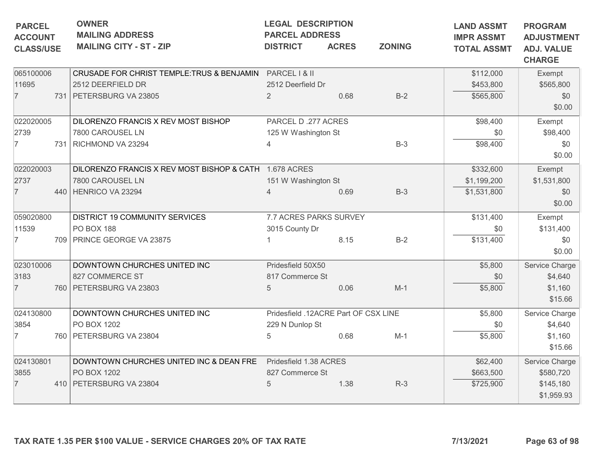|                                      | <b>OWNER</b><br><b>PARCEL</b><br><b>MAILING ADDRESS</b><br><b>ACCOUNT</b><br><b>MAILING CITY - ST - ZIP</b><br><b>CLASS/USE</b> |                                                                                                          | <b>LEGAL DESCRIPTION</b><br><b>PARCEL ADDRESS</b><br><b>DISTRICT</b> | <b>ACRES</b> | <b>ZONING</b> | <b>LAND ASSMT</b><br><b>IMPR ASSMT</b><br><b>TOTAL ASSMT</b> | <b>PROGRAM</b><br><b>ADJUSTMENT</b><br><b>ADJ. VALUE</b><br><b>CHARGE</b> |
|--------------------------------------|---------------------------------------------------------------------------------------------------------------------------------|----------------------------------------------------------------------------------------------------------|----------------------------------------------------------------------|--------------|---------------|--------------------------------------------------------------|---------------------------------------------------------------------------|
| 065100006<br>11695<br>$\overline{7}$ |                                                                                                                                 | CRUSADE FOR CHRIST TEMPLE: TRUS & BENJAMIN PARCEL I & II<br>2512 DEERFIELD DR<br>731 PETERSBURG VA 23805 | 2512 Deerfield Dr<br>2                                               | 0.68         | $B-2$         | \$112,000<br>\$453,800<br>\$565,800                          | Exempt<br>\$565,800<br>\$0<br>\$0.00                                      |
| 022020005<br>2739<br>$\overline{7}$  |                                                                                                                                 | DILORENZO FRANCIS X REV MOST BISHOP<br>7800 CAROUSEL LN<br>731 RICHMOND VA 23294                         | PARCEL D.277 ACRES<br>125 W Washington St                            |              | $B-3$         | \$98,400<br>\$0<br>\$98,400                                  | Exempt<br>\$98,400<br>\$0<br>\$0.00                                       |
| 022020003<br>2737<br>$\overline{7}$  |                                                                                                                                 | DILORENZO FRANCIS X REV MOST BISHOP & CATH 1.678 ACRES<br>7800 CAROUSEL LN<br>440   HENRICO VA 23294     | 151 W Washington St<br>$\overline{4}$                                | 0.69         | $B-3$         | \$332,600<br>\$1,199,200<br>\$1,531,800                      | Exempt<br>\$1,531,800<br>\$0<br>\$0.00                                    |
| 059020800<br>11539<br>7              |                                                                                                                                 | DISTRICT 19 COMMUNITY SERVICES<br><b>PO BOX 188</b><br>709 PRINCE GEORGE VA 23875                        | 7.7 ACRES PARKS SURVEY<br>3015 County Dr                             | 8.15         | $B-2$         | \$131,400<br>\$0<br>\$131,400                                | Exempt<br>\$131,400<br>\$0<br>\$0.00                                      |
| 023010006<br>3183<br>$\overline{7}$  |                                                                                                                                 | DOWNTOWN CHURCHES UNITED INC<br>827 COMMERCE ST<br>760   PETERSBURG VA 23803                             | Pridesfield 50X50<br>817 Commerce St<br>5                            | 0.06         | $M-1$         | \$5,800<br>\$0<br>\$5,800                                    | Service Charge<br>\$4,640<br>\$1,160<br>\$15.66                           |
| 024130800<br>3854<br>7               |                                                                                                                                 | DOWNTOWN CHURCHES UNITED INC<br>PO BOX 1202<br>760 PETERSBURG VA 23804                                   | Pridesfield .12ACRE Part OF CSX LINE<br>229 N Dunlop St<br>5         | 0.68         | $M-1$         | \$5,800<br>\$0<br>\$5,800                                    | Service Charge<br>\$4,640<br>\$1,160<br>\$15.66                           |
| 024130801<br>3855<br>$\overline{7}$  |                                                                                                                                 | DOWNTOWN CHURCHES UNITED INC & DEAN FRE<br>PO BOX 1202<br>410   PETERSBURG VA 23804                      | Pridesfield 1.38 ACRES<br>827 Commerce St<br>5                       | 1.38         | $R-3$         | \$62,400<br>\$663,500<br>\$725,900                           | Service Charge<br>\$580,720<br>\$145,180<br>\$1,959.93                    |
|                                      |                                                                                                                                 | TAX RATE 1.35 PER \$100 VALUE - SERVICE CHARGES 20% OF TAX RATE                                          |                                                                      |              |               | 7/13/2021                                                    | Page 63 of 98                                                             |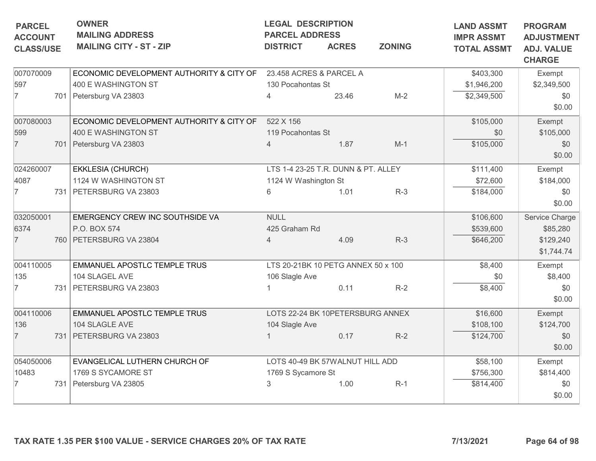| <b>PARCEL</b>                      | <b>OWNER</b><br><b>MAILING ADDRESS</b>   | <b>LEGAL DESCRIPTION</b><br><b>PARCEL ADDRESS</b> |                                     | <b>LAND ASSMT</b> | <b>PROGRAM</b>                          |                                                         |
|------------------------------------|------------------------------------------|---------------------------------------------------|-------------------------------------|-------------------|-----------------------------------------|---------------------------------------------------------|
| <b>ACCOUNT</b><br><b>CLASS/USE</b> | <b>MAILING CITY - ST - ZIP</b>           | <b>DISTRICT</b>                                   | <b>ACRES</b>                        | <b>ZONING</b>     | <b>IMPR ASSMT</b><br><b>TOTAL ASSMT</b> | <b>ADJUSTMENT</b><br><b>ADJ. VALUE</b><br><b>CHARGE</b> |
| 007070009                          | ECONOMIC DEVELOPMENT AUTHORITY & CITY OF |                                                   | 23.458 ACRES & PARCEL A             |                   | \$403,300                               | Exempt                                                  |
| 597                                | 400 E WASHINGTON ST                      | 130 Pocahontas St                                 |                                     |                   | \$1,946,200                             | \$2,349,500                                             |
| $\overline{7}$                     | 701 Petersburg VA 23803                  | 4                                                 | 23.46                               | $M-2$             | \$2,349,500                             | \$0<br>\$0.00                                           |
| 007080003                          | ECONOMIC DEVELOPMENT AUTHORITY & CITY OF | 522 X 156                                         |                                     |                   | \$105,000                               | Exempt                                                  |
| 599                                | 400 E WASHINGTON ST                      | 119 Pocahontas St                                 |                                     |                   | \$0                                     | \$105,000                                               |
| $\overline{7}$                     | 701 Petersburg VA 23803                  | 4                                                 | 1.87                                | $M-1$             | \$105,000                               | \$0<br>\$0.00                                           |
| 024260007                          | <b>EKKLESIA (CHURCH)</b>                 |                                                   | LTS 1-4 23-25 T.R. DUNN & PT. ALLEY |                   | \$111,400                               | Exempt                                                  |
| 4087                               | 1124 W WASHINGTON ST                     | 1124 W Washington St                              |                                     |                   | \$72,600                                | \$184,000                                               |
| 7                                  | 731 PETERSBURG VA 23803                  | 6                                                 | 1.01                                | $R-3$             | \$184,000                               | \$0<br>\$0.00                                           |
| 032050001                          | EMERGENCY CREW INC SOUTHSIDE VA          | <b>NULL</b>                                       |                                     |                   | \$106,600                               | Service Charge                                          |
| 6374                               | P.O. BOX 574                             | 425 Graham Rd                                     |                                     |                   | \$539,600                               | \$85,280                                                |
| $\overline{7}$                     | 760 PETERSBURG VA 23804                  | $\overline{4}$                                    | 4.09                                | $R-3$             | \$646,200                               | \$129,240<br>\$1,744.74                                 |
| 004110005                          | EMMANUEL APOSTLC TEMPLE TRUS             |                                                   | LTS 20-21BK 10 PETG ANNEX 50 x 100  |                   | \$8,400                                 | Exempt                                                  |
| 135                                | 104 SLAGEL AVE                           | 106 Slagle Ave                                    |                                     |                   | \$0                                     | \$8,400                                                 |
| 7                                  | 731 PETERSBURG VA 23803                  |                                                   | 0.11                                | $R-2$             | \$8,400                                 | \$0<br>\$0.00                                           |
| 004110006                          | EMMANUEL APOSTLC TEMPLE TRUS             |                                                   | LOTS 22-24 BK 10PETERSBURG ANNEX    |                   | \$16,600                                | Exempt                                                  |
| 136                                | 104 SLAGLE AVE                           | 104 Slagle Ave                                    |                                     |                   | \$108,100                               | \$124,700                                               |
| $\overline{7}$                     | 731 PETERSBURG VA 23803                  |                                                   | 0.17                                | $R-2$             | \$124,700                               | \$0<br>\$0.00                                           |
| 054050006                          | EVANGELICAL LUTHERN CHURCH OF            |                                                   | LOTS 40-49 BK 57WALNUT HILL ADD     |                   | \$58,100                                | Exempt                                                  |
| 10483                              | 1769 S SYCAMORE ST                       | 1769 S Sycamore St                                |                                     |                   | \$756,300                               | \$814,400                                               |
| 7                                  | 731   Petersburg VA 23805                | 3                                                 | 1.00                                | $R-1$             | \$814,400                               | \$0<br>\$0.00                                           |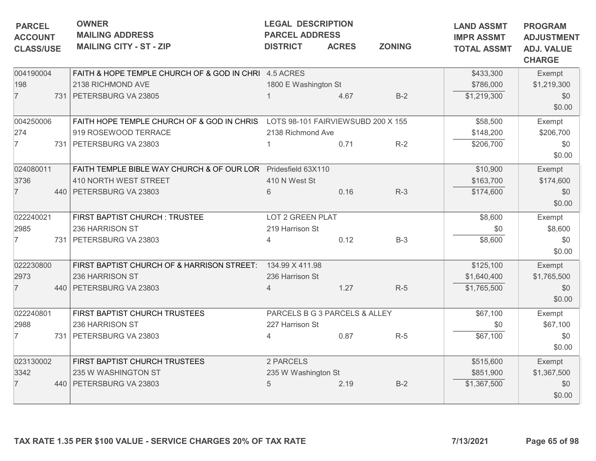| <b>PARCEL</b><br><b>ACCOUNT</b> | <b>OWNER</b><br><b>MAILING ADDRESS</b>                                        | <b>LEGAL DESCRIPTION</b><br><b>PARCEL ADDRESS</b> |                               |               | <b>LAND ASSMT</b><br><b>IMPR ASSMT</b> | <b>PROGRAM</b><br><b>ADJUSTMENT</b> |
|---------------------------------|-------------------------------------------------------------------------------|---------------------------------------------------|-------------------------------|---------------|----------------------------------------|-------------------------------------|
| <b>CLASS/USE</b>                | <b>MAILING CITY - ST - ZIP</b>                                                | <b>DISTRICT</b>                                   | <b>ACRES</b>                  | <b>ZONING</b> | <b>TOTAL ASSMT</b>                     | <b>ADJ. VALUE</b><br><b>CHARGE</b>  |
| 004190004                       | FAITH & HOPE TEMPLE CHURCH OF & GOD IN CHRI 4.5 ACRES                         |                                                   |                               |               | \$433,300                              | Exempt                              |
| 198                             | 2138 RICHMOND AVE                                                             | 1800 E Washington St                              |                               |               | \$786,000                              | \$1,219,300                         |
| $\overline{7}$                  | 731 PETERSBURG VA 23805                                                       |                                                   | 4.67                          | $B-2$         | \$1,219,300                            | \$0<br>\$0.00                       |
| 004250006                       | FAITH HOPE TEMPLE CHURCH OF & GOD IN CHRIS LOTS 98-101 FAIRVIEWSUBD 200 X 155 |                                                   |                               |               | \$58,500                               | Exempt                              |
| 274                             | 919 ROSEWOOD TERRACE                                                          | 2138 Richmond Ave                                 |                               |               | \$148,200                              | \$206,700                           |
| $\overline{7}$                  | 731 PETERSBURG VA 23803                                                       |                                                   | 0.71                          | $R-2$         | \$206,700                              | \$0<br>\$0.00                       |
| 024080011                       | FAITH TEMPLE BIBLE WAY CHURCH & OF OUR LOR Pridesfield 63X110                 |                                                   |                               |               | \$10,900                               | Exempt                              |
| 3736                            | 410 NORTH WEST STREET                                                         | 410 N West St                                     |                               |               | \$163,700                              | \$174,600                           |
| $\overline{7}$                  | 440 PETERSBURG VA 23803                                                       | 6                                                 | 0.16                          | $R-3$         | \$174,600                              | \$0<br>\$0.00                       |
| 022240021                       | FIRST BAPTIST CHURCH : TRUSTEE                                                | LOT 2 GREEN PLAT                                  |                               |               | \$8,600                                | Exempt                              |
| 2985                            | 236 HARRISON ST                                                               | 219 Harrison St                                   |                               |               | \$0                                    | \$8,600                             |
| $\overline{7}$                  | 731   PETERSBURG VA 23803                                                     | 4                                                 | 0.12                          | $B-3$         | \$8,600                                | \$0<br>\$0.00                       |
| 022230800                       | FIRST BAPTIST CHURCH OF & HARRISON STREET: 134.99 X 411.98                    |                                                   |                               |               | \$125,100                              | Exempt                              |
| 2973                            | 236 HARRISON ST                                                               | 236 Harrison St                                   |                               |               | \$1,640,400                            | \$1,765,500                         |
| $\overline{7}$                  | 440 PETERSBURG VA 23803                                                       | 4                                                 | 1.27                          | $R-5$         | \$1,765,500                            | \$0<br>\$0.00                       |
| 022240801                       | FIRST BAPTIST CHURCH TRUSTEES                                                 |                                                   | PARCELS B G 3 PARCELS & ALLEY |               | \$67,100                               | Exempt                              |
| 2988                            | 236 HARRISON ST                                                               | 227 Harrison St                                   |                               |               | \$0                                    | \$67,100                            |
| $\overline{7}$                  | 731 PETERSBURG VA 23803                                                       | 4                                                 | 0.87                          | $R-5$         | \$67,100                               | \$0<br>\$0.00                       |
| 023130002                       | FIRST BAPTIST CHURCH TRUSTEES                                                 | 2 PARCELS                                         |                               |               | \$515,600                              | Exempt                              |
| 3342                            | 235 W WASHINGTON ST                                                           | 235 W Washington St                               |                               |               | \$851,900                              | \$1,367,500                         |
| $\overline{7}$                  | 440 PETERSBURG VA 23803                                                       | 5                                                 | 2.19                          | $B-2$         | \$1,367,500                            | \$0<br>\$0.00                       |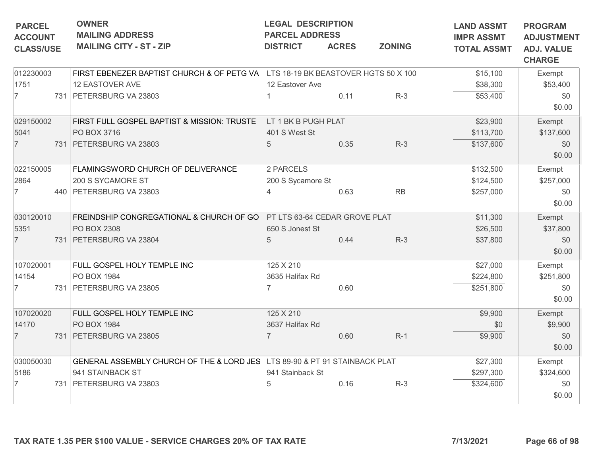| <b>PARCEL</b>    | <b>LEGAL DESCRIPTION</b><br><b>OWNER</b><br><b>MAILING ADDRESS</b><br><b>PARCEL ADDRESS</b><br><b>ACCOUNT</b> |                                                                                 |                   |              |               |                                         | <b>PROGRAM</b><br><b>ADJUSTMENT</b> |
|------------------|---------------------------------------------------------------------------------------------------------------|---------------------------------------------------------------------------------|-------------------|--------------|---------------|-----------------------------------------|-------------------------------------|
| <b>CLASS/USE</b> |                                                                                                               | <b>MAILING CITY - ST - ZIP</b>                                                  | <b>DISTRICT</b>   | <b>ACRES</b> | <b>ZONING</b> | <b>IMPR ASSMT</b><br><b>TOTAL ASSMT</b> | <b>ADJ. VALUE</b><br><b>CHARGE</b>  |
| 012230003        |                                                                                                               | FIRST EBENEZER BAPTIST CHURCH & OF PETG VA LTS 18-19 BK BEASTOVER HGTS 50 X 100 |                   |              |               | \$15,100                                | Exempt                              |
| 1751             |                                                                                                               | 12 EASTOVER AVE                                                                 | 12 Eastover Ave   |              |               | \$38,300                                | \$53,400                            |
| $\overline{7}$   |                                                                                                               | 731 PETERSBURG VA 23803                                                         |                   | 0.11         | $R-3$         | \$53,400                                | \$0                                 |
|                  |                                                                                                               |                                                                                 |                   |              |               |                                         | \$0.00                              |
| 029150002        |                                                                                                               | FIRST FULL GOSPEL BAPTIST & MISSION: TRUSTE LT 1 BK B PUGH PLAT                 |                   |              |               | \$23,900                                | Exempt                              |
| 5041             |                                                                                                               | PO BOX 3716                                                                     | 401 S West St     |              |               | \$113,700                               | \$137,600                           |
| $\overline{7}$   |                                                                                                               | 731 PETERSBURG VA 23803                                                         | 5                 | 0.35         | $R-3$         | \$137,600                               | \$0                                 |
|                  |                                                                                                               |                                                                                 |                   |              |               |                                         | \$0.00                              |
| 022150005        |                                                                                                               | FLAMINGSWORD CHURCH OF DELIVERANCE                                              | 2 PARCELS         |              |               | \$132,500                               | Exempt                              |
| 2864             |                                                                                                               | 200 S SYCAMORE ST                                                               | 200 S Sycamore St |              |               | \$124,500                               | \$257,000                           |
| $\overline{7}$   |                                                                                                               | 440 PETERSBURG VA 23803                                                         |                   | 0.63         | RB            | \$257,000                               | \$0                                 |
|                  |                                                                                                               |                                                                                 |                   |              |               |                                         | \$0.00                              |
| 030120010        |                                                                                                               | FREINDSHIP CONGREGATIONAL & CHURCH OF GO PT LTS 63-64 CEDAR GROVE PLAT          |                   |              |               | \$11,300                                | Exempt                              |
| 5351             |                                                                                                               | PO BOX 2308                                                                     | 650 S Jonest St   |              |               | \$26,500                                | \$37,800                            |
| $\overline{7}$   |                                                                                                               | 731 PETERSBURG VA 23804                                                         | 5                 | 0.44         | $R-3$         | \$37,800                                | \$0                                 |
|                  |                                                                                                               |                                                                                 |                   |              |               |                                         | \$0.00                              |
| 107020001        |                                                                                                               | FULL GOSPEL HOLY TEMPLE INC                                                     | 125 X 210         |              |               | \$27,000                                | Exempt                              |
| 14154            |                                                                                                               | PO BOX 1984                                                                     | 3635 Halifax Rd   |              |               | \$224,800                               | \$251,800                           |
| $\overline{7}$   |                                                                                                               | 731 PETERSBURG VA 23805                                                         |                   | 0.60         |               | \$251,800                               | \$0                                 |
|                  |                                                                                                               |                                                                                 |                   |              |               |                                         | \$0.00                              |
| 107020020        |                                                                                                               | FULL GOSPEL HOLY TEMPLE INC                                                     | 125 X 210         |              |               | \$9,900                                 | Exempt                              |
| 14170            |                                                                                                               | PO BOX 1984                                                                     | 3637 Halifax Rd   |              |               | \$0                                     | \$9,900                             |
| $\overline{7}$   |                                                                                                               | 731 PETERSBURG VA 23805                                                         | $\overline{7}$    | 0.60         | $R-1$         | \$9,900                                 | \$0                                 |
|                  |                                                                                                               |                                                                                 |                   |              |               |                                         | \$0.00                              |
| 030050030        |                                                                                                               | GENERAL ASSEMBLY CHURCH OF THE & LORD JES LTS 89-90 & PT 91 STAINBACK PLAT      |                   |              |               | \$27,300                                | Exempt                              |
| 5186             |                                                                                                               | 941 STAINBACK ST                                                                | 941 Stainback St  |              |               | \$297,300                               | \$324,600                           |
| $\overline{7}$   |                                                                                                               | 731   PETERSBURG VA 23803                                                       | 5                 | 0.16         | $R-3$         | \$324,600                               | \$0                                 |
|                  |                                                                                                               |                                                                                 |                   |              |               |                                         | \$0.00                              |
|                  |                                                                                                               | TAX RATE 1.35 PER \$100 VALUE - SERVICE CHARGES 20% OF TAX RATE                 |                   |              |               | 7/13/2021                               | Page 66 of 98                       |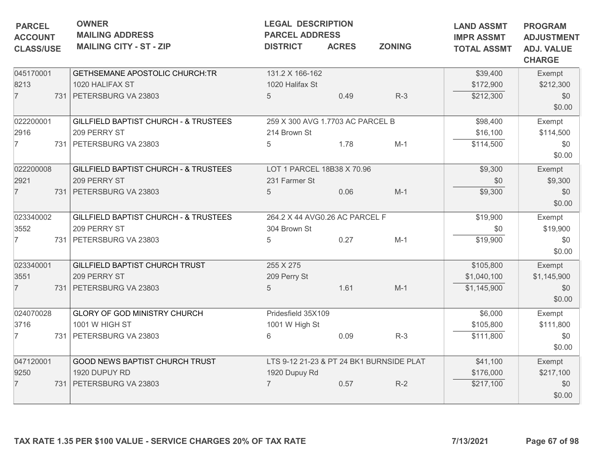| <b>PARCEL</b>                       | <b>OWNER</b><br><b>MAILING ADDRESS</b><br><b>ACCOUNT</b><br><b>MAILING CITY - ST - ZIP</b><br><b>DISTRICT</b><br><b>CLASS/USE</b> |                                                                                             |                                                               | <b>LEGAL DESCRIPTION</b><br><b>PARCEL ADDRESS</b><br><b>ACRES</b> | <b>LAND ASSMT</b><br><b>IMPR ASSMT</b><br><b>TOTAL ASSMT</b> | <b>PROGRAM</b><br><b>ADJUSTMENT</b><br><b>ADJ. VALUE</b><br><b>CHARGE</b> |                                        |
|-------------------------------------|-----------------------------------------------------------------------------------------------------------------------------------|---------------------------------------------------------------------------------------------|---------------------------------------------------------------|-------------------------------------------------------------------|--------------------------------------------------------------|---------------------------------------------------------------------------|----------------------------------------|
| 045170001<br>8213<br>$\overline{7}$ |                                                                                                                                   | <b>GETHSEMANE APOSTOLIC CHURCH:TR</b><br>1020 HALIFAX ST<br>731   PETERSBURG VA 23803       | 131.2 X 166-162<br>1020 Halifax St<br>$5\overline{)}$         | 0.49                                                              | $R-3$                                                        | \$39,400<br>\$172,900<br>\$212,300                                        | Exempt<br>\$212,300<br>\$0<br>\$0.00   |
| 022200001<br>2916<br>$\overline{7}$ |                                                                                                                                   | GILLFIELD BAPTIST CHURCH - & TRUSTEES<br>209 PERRY ST<br>731 PETERSBURG VA 23803            | 259 X 300 AVG 1.7703 AC PARCEL B<br>214 Brown St<br>5         | 1.78                                                              | $M-1$                                                        | \$98,400<br>\$16,100<br>\$114,500                                         | Exempt<br>\$114,500<br>\$0<br>\$0.00   |
| 022200008<br>2921<br>$\overline{7}$ |                                                                                                                                   | <b>GILLFIELD BAPTIST CHURCH - &amp; TRUSTEES</b><br>209 PERRY ST<br>731 PETERSBURG VA 23803 | LOT 1 PARCEL 18B38 X 70.96<br>231 Farmer St<br>$\overline{5}$ | 0.06                                                              | $M-1$                                                        | \$9,300<br>\$0<br>\$9,300                                                 | Exempt<br>\$9,300<br>\$0<br>\$0.00     |
| 023340002<br>3552<br>$\overline{7}$ |                                                                                                                                   | GILLFIELD BAPTIST CHURCH - & TRUSTEES<br>209 PERRY ST<br>731   PETERSBURG VA 23803          | 264.2 X 44 AVG0.26 AC PARCEL F<br>304 Brown St<br>5           | 0.27                                                              | $M-1$                                                        | \$19,900<br>\$0<br>\$19,900                                               | Exempt<br>\$19,900<br>\$0<br>\$0.00    |
| 023340001<br>3551<br>$\overline{7}$ |                                                                                                                                   | GILLFIELD BAPTIST CHURCH TRUST<br>209 PERRY ST<br>731 PETERSBURG VA 23803                   | 255 X 275<br>209 Perry St<br>5                                | 1.61                                                              | $M-1$                                                        | \$105,800<br>\$1,040,100<br>\$1,145,900                                   | Exempt<br>\$1,145,900<br>\$0<br>\$0.00 |
| 024070028<br>3716<br>$\overline{7}$ |                                                                                                                                   | <b>GLORY OF GOD MINISTRY CHURCH</b><br>1001 W HIGH ST<br>731 PETERSBURG VA 23803            | Pridesfield 35X109<br>1001 W High St<br>6                     | 0.09                                                              | $R-3$                                                        | \$6,000<br>\$105,800<br>\$111,800                                         | Exempt<br>\$111,800<br>\$0<br>\$0.00   |
| 047120001<br>9250<br>$\overline{7}$ |                                                                                                                                   | GOOD NEWS BAPTIST CHURCH TRUST<br>1920 DUPUY RD<br>731   PETERSBURG VA 23803                | 1920 Dupuy Rd<br>$\overline{7}$                               | 0.57                                                              | LTS 9-12 21-23 & PT 24 BK1 BURNSIDE PLAT<br>$R-2$            | \$41,100<br>\$176,000<br>\$217,100                                        | Exempt<br>\$217,100<br>\$0<br>\$0.00   |
|                                     |                                                                                                                                   | TAX RATE 1.35 PER \$100 VALUE - SERVICE CHARGES 20% OF TAX RATE                             |                                                               |                                                                   |                                                              | 7/13/2021                                                                 | Page 67 of 98                          |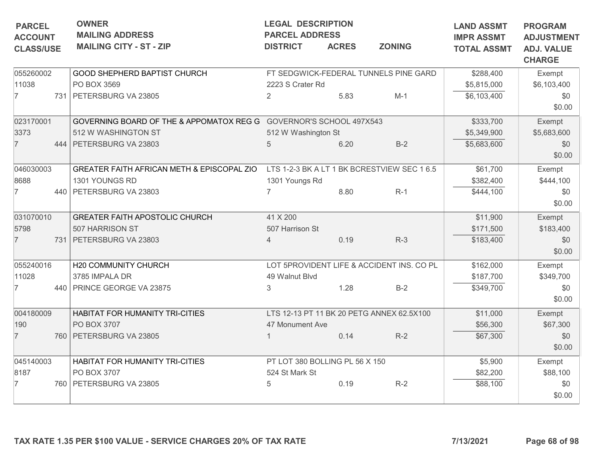| <b>PARCEL</b>                      | <b>OWNER</b><br><b>MAILING ADDRESS</b>                             | <b>LEGAL DESCRIPTION</b><br><b>PARCEL ADDRESS</b> |              |                                             | <b>LAND ASSMT</b>                       | <b>PROGRAM</b>                                          |
|------------------------------------|--------------------------------------------------------------------|---------------------------------------------------|--------------|---------------------------------------------|-----------------------------------------|---------------------------------------------------------|
| <b>ACCOUNT</b><br><b>CLASS/USE</b> | <b>MAILING CITY - ST - ZIP</b>                                     | <b>DISTRICT</b>                                   | <b>ACRES</b> | <b>ZONING</b>                               | <b>IMPR ASSMT</b><br><b>TOTAL ASSMT</b> | <b>ADJUSTMENT</b><br><b>ADJ. VALUE</b><br><b>CHARGE</b> |
| 055260002                          | GOOD SHEPHERD BAPTIST CHURCH                                       |                                                   |              | FT SEDGWICK-FEDERAL TUNNELS PINE GARD       | \$288,400                               | Exempt                                                  |
| 11038                              | PO BOX 3569                                                        | 2223 S Crater Rd                                  |              |                                             | \$5,815,000                             | \$6,103,400                                             |
| $\overline{7}$                     | 731 PETERSBURG VA 23805                                            | 2                                                 | 5.83         | $M-1$                                       | \$6,103,400                             | \$0<br>\$0.00                                           |
| 023170001                          | GOVERNING BOARD OF THE & APPOMATOX REG G GOVERNOR'S SCHOOL 497X543 |                                                   |              |                                             | \$333,700                               | Exempt                                                  |
| 3373                               | 512 W WASHINGTON ST                                                | 512 W Washington St                               |              |                                             | \$5,349,900                             | \$5,683,600                                             |
| $\overline{7}$                     | 444   PETERSBURG VA 23803                                          | 5                                                 | 6.20         | $B-2$                                       | \$5,683,600                             | \$0<br>\$0.00                                           |
| 046030003                          | GREATER FAITH AFRICAN METH & EPISCOPAL ZIO                         |                                                   |              | LTS 1-2-3 BK A LT 1 BK BCRESTVIEW SEC 1 6.5 | \$61,700                                | Exempt                                                  |
| 8688                               | 1301 YOUNGS RD                                                     | 1301 Youngs Rd                                    |              |                                             | \$382,400                               | \$444,100                                               |
| $\overline{7}$                     | 440 PETERSBURG VA 23803                                            |                                                   | 8.80         | $R-1$                                       | \$444,100                               | \$0<br>\$0.00                                           |
| 031070010                          | <b>GREATER FAITH APOSTOLIC CHURCH</b>                              | 41 X 200                                          |              |                                             | \$11,900                                | Exempt                                                  |
| 5798                               | 507 HARRISON ST                                                    | 507 Harrison St                                   |              |                                             | \$171,500                               | \$183,400                                               |
| $\overline{7}$                     | 731   PETERSBURG VA 23803                                          | $\overline{4}$                                    | 0.19         | $R-3$                                       | \$183,400                               | \$0<br>\$0.00                                           |
| 055240016                          | H20 COMMUNITY CHURCH                                               |                                                   |              | LOT 5PROVIDENT LIFE & ACCIDENT INS. CO PL   | \$162,000                               | Exempt                                                  |
| 11028                              | 3785 IMPALA DR                                                     | 49 Walnut Blvd                                    |              |                                             | \$187,700                               | \$349,700                                               |
| $\overline{7}$                     | 440 PRINCE GEORGE VA 23875                                         | 3                                                 | 1.28         | $B-2$                                       | \$349,700                               | \$0<br>\$0.00                                           |
| 004180009                          | HABITAT FOR HUMANITY TRI-CITIES                                    |                                                   |              | LTS 12-13 PT 11 BK 20 PETG ANNEX 62.5X100   | \$11,000                                | Exempt                                                  |
| 190                                | PO BOX 3707                                                        | 47 Monument Ave                                   |              |                                             | \$56,300                                | \$67,300                                                |
| $\overline{7}$                     | 760 PETERSBURG VA 23805                                            |                                                   | 0.14         | $R-2$                                       | \$67,300                                | \$0<br>\$0.00                                           |
| 045140003                          | HABITAT FOR HUMANITY TRI-CITIES                                    | PT LOT 380 BOLLING PL 56 X 150                    |              |                                             | \$5,900                                 | Exempt                                                  |
| 8187                               | PO BOX 3707                                                        | 524 St Mark St                                    |              |                                             | \$82,200                                | \$88,100                                                |
| 7                                  | 760 PETERSBURG VA 23805                                            | 5                                                 | 0.19         | $R-2$                                       | \$88,100                                | \$0<br>\$0.00                                           |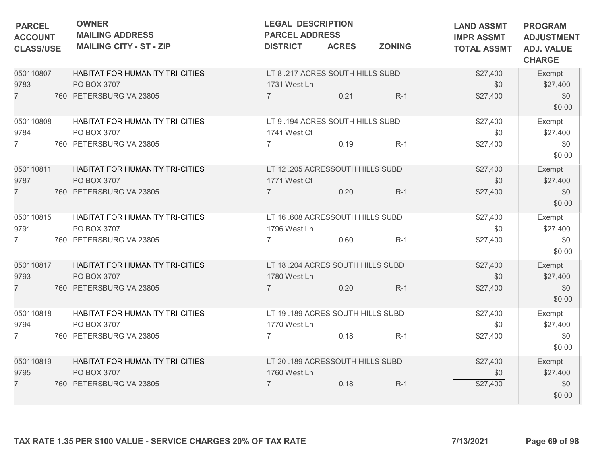| <b>PARCEL</b><br><b>ACCOUNT</b> | <b>OWNER</b><br><b>MAILING ADDRESS</b>                          |                                   | <b>LAND ASSMT</b><br><b>IMPR ASSMT</b> | <b>PROGRAM</b><br><b>ADJUSTMENT</b> |                    |                                    |
|---------------------------------|-----------------------------------------------------------------|-----------------------------------|----------------------------------------|-------------------------------------|--------------------|------------------------------------|
| <b>CLASS/USE</b>                | <b>MAILING CITY - ST - ZIP</b>                                  | <b>DISTRICT</b>                   | <b>ACRES</b>                           | <b>ZONING</b>                       | <b>TOTAL ASSMT</b> | <b>ADJ. VALUE</b><br><b>CHARGE</b> |
| 050110807                       | HABITAT FOR HUMANITY TRI-CITIES                                 | LT 8 .217 ACRES SOUTH HILLS SUBD  |                                        |                                     | \$27,400           | Exempt                             |
| 9783                            | PO BOX 3707                                                     | 1731 West Ln                      |                                        |                                     | \$0                | \$27,400                           |
| $\overline{7}$                  | 760 PETERSBURG VA 23805                                         | $\overline{7}$                    | 0.21                                   | $R-1$                               | \$27,400           | \$0<br>\$0.00                      |
| 050110808                       | HABITAT FOR HUMANITY TRI-CITIES                                 | LT 9.194 ACRES SOUTH HILLS SUBD   |                                        |                                     | \$27,400           | Exempt                             |
| 9784                            | PO BOX 3707                                                     | 1741 West Ct                      |                                        |                                     | \$0                | \$27,400                           |
| $\overline{7}$                  | 760   PETERSBURG VA 23805                                       | 7                                 | 0.19                                   | $R-1$                               | \$27,400           | \$0<br>\$0.00                      |
| 050110811                       | HABITAT FOR HUMANITY TRI-CITIES                                 | LT 12 .205 ACRESSOUTH HILLS SUBD  |                                        |                                     | \$27,400           | Exempt                             |
| 9787                            | PO BOX 3707                                                     | 1771 West Ct                      |                                        |                                     | \$0                | \$27,400                           |
| $\overline{7}$                  | 760   PETERSBURG VA 23805                                       | $\overline{7}$                    | 0.20                                   | $R-1$                               | \$27,400           | \$0<br>\$0.00                      |
| 050110815                       | HABITAT FOR HUMANITY TRI-CITIES                                 | LT 16 .608 ACRESSOUTH HILLS SUBD  |                                        |                                     | \$27,400           | Exempt                             |
| 9791                            | PO BOX 3707                                                     | 1796 West Ln                      |                                        |                                     | \$0                | \$27,400                           |
| $\overline{7}$                  | 760 PETERSBURG VA 23805                                         | $\overline{7}$                    | 0.60                                   | $R-1$                               | \$27,400           | \$0<br>\$0.00                      |
| 050110817                       | HABITAT FOR HUMANITY TRI-CITIES                                 | LT 18 .204 ACRES SOUTH HILLS SUBD |                                        |                                     | \$27,400           | Exempt                             |
| 9793                            | PO BOX 3707                                                     | 1780 West Ln                      |                                        |                                     | \$0                | \$27,400                           |
| $\overline{7}$                  | 760   PETERSBURG VA 23805                                       |                                   | 0.20                                   | $R-1$                               | \$27,400           | \$0<br>\$0.00                      |
| 050110818                       | HABITAT FOR HUMANITY TRI-CITIES                                 | LT 19.189 ACRES SOUTH HILLS SUBD  |                                        |                                     | \$27,400           | Exempt                             |
| 9794                            | PO BOX 3707                                                     | 1770 West Ln                      |                                        |                                     | \$0                | \$27,400                           |
| $\overline{7}$                  | 760 PETERSBURG VA 23805                                         | $\overline{7}$                    | 0.18                                   | $R-1$                               | \$27,400           | \$0<br>\$0.00                      |
| 050110819                       | HABITAT FOR HUMANITY TRI-CITIES                                 | LT 20.189 ACRESSOUTH HILLS SUBD   |                                        |                                     | \$27,400           | Exempt                             |
| 9795                            | PO BOX 3707                                                     | 1760 West Ln                      |                                        |                                     | \$0                | \$27,400                           |
| $\overline{7}$                  | 760   PETERSBURG VA 23805                                       | 7                                 | 0.18                                   | $R-1$                               | \$27,400           | \$0<br>\$0.00                      |
|                                 | TAX RATE 1.35 PER \$100 VALUE - SERVICE CHARGES 20% OF TAX RATE |                                   |                                        |                                     | 7/13/2021          | Page 69 of 98                      |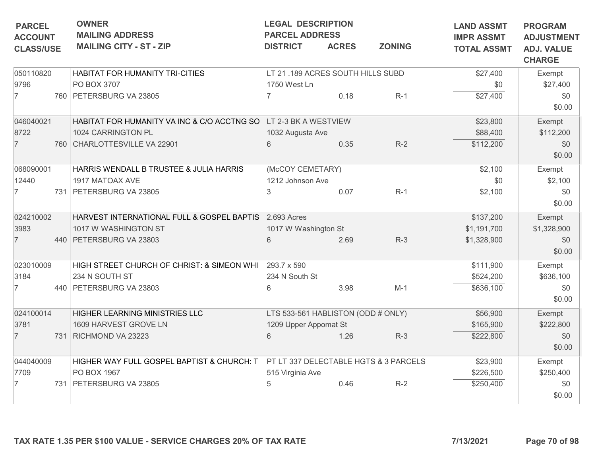| <b>OWNER</b><br><b>LEGAL DESCRIPTION</b><br><b>PARCEL</b><br><b>MAILING ADDRESS</b><br><b>PARCEL ADDRESS</b><br><b>ACCOUNT</b> |                                |                                                                                                                                                                                                                                                                                                                                                                         |                                                        |                                                                                                                                                                                                                             | <b>LAND ASSMT</b>                                                                                                        | <b>PROGRAM</b><br><b>ADJUSTMENT</b>                                      |
|--------------------------------------------------------------------------------------------------------------------------------|--------------------------------|-------------------------------------------------------------------------------------------------------------------------------------------------------------------------------------------------------------------------------------------------------------------------------------------------------------------------------------------------------------------------|--------------------------------------------------------|-----------------------------------------------------------------------------------------------------------------------------------------------------------------------------------------------------------------------------|--------------------------------------------------------------------------------------------------------------------------|--------------------------------------------------------------------------|
| <b>CLASS/USE</b>                                                                                                               | <b>MAILING CITY - ST - ZIP</b> | <b>DISTRICT</b>                                                                                                                                                                                                                                                                                                                                                         | <b>ACRES</b>                                           | <b>ZONING</b>                                                                                                                                                                                                               | <b>IMPR ASSMT</b><br><b>TOTAL ASSMT</b>                                                                                  | <b>ADJ. VALUE</b><br><b>CHARGE</b>                                       |
| 050110820<br>HABITAT FOR HUMANITY TRI-CITIES                                                                                   |                                |                                                                                                                                                                                                                                                                                                                                                                         |                                                        |                                                                                                                                                                                                                             | \$27,400                                                                                                                 | Exempt                                                                   |
|                                                                                                                                | PO BOX 3707                    | 1750 West Ln                                                                                                                                                                                                                                                                                                                                                            |                                                        |                                                                                                                                                                                                                             | \$0                                                                                                                      | \$27,400                                                                 |
|                                                                                                                                |                                | $\overline{7}$                                                                                                                                                                                                                                                                                                                                                          | 0.18                                                   | $R-1$                                                                                                                                                                                                                       | \$27,400                                                                                                                 | \$0<br>\$0.00                                                            |
|                                                                                                                                |                                |                                                                                                                                                                                                                                                                                                                                                                         |                                                        |                                                                                                                                                                                                                             | \$23,800                                                                                                                 | Exempt                                                                   |
|                                                                                                                                | 1024 CARRINGTON PL             |                                                                                                                                                                                                                                                                                                                                                                         |                                                        |                                                                                                                                                                                                                             | \$88,400                                                                                                                 | \$112,200                                                                |
|                                                                                                                                |                                | 6                                                                                                                                                                                                                                                                                                                                                                       | 0.35                                                   | $R-2$                                                                                                                                                                                                                       | \$112,200                                                                                                                | \$0<br>\$0.00                                                            |
|                                                                                                                                |                                |                                                                                                                                                                                                                                                                                                                                                                         |                                                        |                                                                                                                                                                                                                             | \$2,100                                                                                                                  | Exempt                                                                   |
|                                                                                                                                | 1917 MATOAX AVE                |                                                                                                                                                                                                                                                                                                                                                                         |                                                        |                                                                                                                                                                                                                             | \$0                                                                                                                      | \$2,100                                                                  |
|                                                                                                                                |                                | 3                                                                                                                                                                                                                                                                                                                                                                       | 0.07                                                   | $R-1$                                                                                                                                                                                                                       | \$2,100                                                                                                                  | \$0                                                                      |
|                                                                                                                                |                                |                                                                                                                                                                                                                                                                                                                                                                         |                                                        |                                                                                                                                                                                                                             |                                                                                                                          | \$0.00                                                                   |
|                                                                                                                                |                                |                                                                                                                                                                                                                                                                                                                                                                         |                                                        |                                                                                                                                                                                                                             | \$137,200                                                                                                                | Exempt                                                                   |
|                                                                                                                                | 1017 W WASHINGTON ST           |                                                                                                                                                                                                                                                                                                                                                                         |                                                        |                                                                                                                                                                                                                             | \$1,191,700                                                                                                              | \$1,328,900                                                              |
|                                                                                                                                |                                | 6                                                                                                                                                                                                                                                                                                                                                                       | 2.69                                                   | $R-3$                                                                                                                                                                                                                       | \$1,328,900                                                                                                              | \$0<br>\$0.00                                                            |
|                                                                                                                                |                                | 293.7 x 590                                                                                                                                                                                                                                                                                                                                                             |                                                        |                                                                                                                                                                                                                             |                                                                                                                          | Exempt                                                                   |
|                                                                                                                                | 234 N SOUTH ST                 |                                                                                                                                                                                                                                                                                                                                                                         |                                                        |                                                                                                                                                                                                                             | \$524,200                                                                                                                | \$636,100                                                                |
|                                                                                                                                |                                | 6                                                                                                                                                                                                                                                                                                                                                                       |                                                        |                                                                                                                                                                                                                             |                                                                                                                          | \$0                                                                      |
|                                                                                                                                |                                |                                                                                                                                                                                                                                                                                                                                                                         |                                                        |                                                                                                                                                                                                                             |                                                                                                                          | \$0.00                                                                   |
|                                                                                                                                |                                |                                                                                                                                                                                                                                                                                                                                                                         |                                                        |                                                                                                                                                                                                                             |                                                                                                                          | Exempt                                                                   |
|                                                                                                                                | 1609 HARVEST GROVE LN          |                                                                                                                                                                                                                                                                                                                                                                         |                                                        |                                                                                                                                                                                                                             |                                                                                                                          | \$222,800                                                                |
|                                                                                                                                |                                | 6                                                                                                                                                                                                                                                                                                                                                                       | 1.26                                                   | $R-3$                                                                                                                                                                                                                       | \$222,800                                                                                                                | \$0<br>\$0.00                                                            |
|                                                                                                                                |                                |                                                                                                                                                                                                                                                                                                                                                                         |                                                        |                                                                                                                                                                                                                             |                                                                                                                          | Exempt                                                                   |
|                                                                                                                                | PO BOX 1967                    |                                                                                                                                                                                                                                                                                                                                                                         |                                                        |                                                                                                                                                                                                                             |                                                                                                                          | \$250,400                                                                |
|                                                                                                                                |                                | 5                                                                                                                                                                                                                                                                                                                                                                       | 0.46                                                   | $R-2$                                                                                                                                                                                                                       | \$250,400                                                                                                                | \$0                                                                      |
|                                                                                                                                |                                |                                                                                                                                                                                                                                                                                                                                                                         |                                                        |                                                                                                                                                                                                                             |                                                                                                                          | \$0.00                                                                   |
|                                                                                                                                |                                | 760 PETERSBURG VA 23805<br>760 CHARLOTTESVILLE VA 22901<br>HARRIS WENDALL B TRUSTEE & JULIA HARRIS<br>731 PETERSBURG VA 23805<br>440 PETERSBURG VA 23803<br>HIGH STREET CHURCH OF CHRIST: & SIMEON WHI<br>440   PETERSBURG VA 23803<br>HIGHER LEARNING MINISTRIES LLC<br>731 RICHMOND VA 23223<br>HIGHER WAY FULL GOSPEL BAPTIST & CHURCH: T<br>731 PETERSBURG VA 23805 | HARVEST INTERNATIONAL FULL & GOSPEL BAPTIS 2.693 Acres | HABITAT FOR HUMANITY VA INC & C/O ACCTNG SO LT 2-3 BK A WESTVIEW<br>1032 Augusta Ave<br>(McCOY CEMETARY)<br>1212 Johnson Ave<br>1017 W Washington St<br>234 N South St<br>3.98<br>1209 Upper Appomat St<br>515 Virginia Ave | LT 21.189 ACRES SOUTH HILLS SUBD<br>$M-1$<br>LTS 533-561 HABLISTON (ODD # ONLY)<br>PT LT 337 DELECTABLE HGTS & 3 PARCELS | \$111,900<br>\$636,100<br>\$56,900<br>\$165,900<br>\$23,900<br>\$226,500 |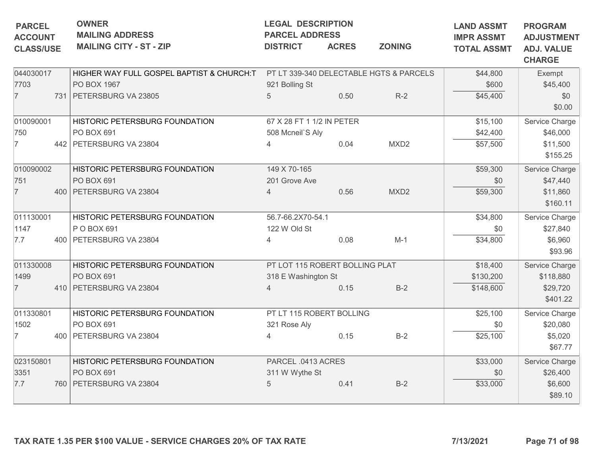| <b>PARCEL</b><br><b>ACCOUNT</b> | <b>OWNER</b><br><b>MAILING ADDRESS</b>    | <b>LEGAL DESCRIPTION</b><br><b>PARCEL ADDRESS</b> |              |                                         | <b>LAND ASSMT</b><br><b>IMPR ASSMT</b> | <b>PROGRAM</b><br><b>ADJUSTMENT</b> |
|---------------------------------|-------------------------------------------|---------------------------------------------------|--------------|-----------------------------------------|----------------------------------------|-------------------------------------|
| <b>CLASS/USE</b>                | <b>MAILING CITY - ST - ZIP</b>            | <b>DISTRICT</b>                                   | <b>ACRES</b> | <b>ZONING</b>                           | <b>TOTAL ASSMT</b>                     | <b>ADJ. VALUE</b><br><b>CHARGE</b>  |
| 044030017                       | HIGHER WAY FULL GOSPEL BAPTIST & CHURCH:T |                                                   |              | PT LT 339-340 DELECTABLE HGTS & PARCELS | \$44,800                               | Exempt                              |
| 7703                            | PO BOX 1967                               | 921 Bolling St                                    |              |                                         | \$600                                  | \$45,400                            |
| $\overline{7}$                  | 731 PETERSBURG VA 23805                   | 5                                                 | 0.50         | $R-2$                                   | \$45,400                               | \$0<br>\$0.00                       |
| 010090001                       | HISTORIC PETERSBURG FOUNDATION            | 67 X 28 FT 1 1/2 IN PETER                         |              |                                         | \$15,100                               | Service Charge                      |
| 750                             | PO BOX 691                                | 508 Mcneil'S Aly                                  |              |                                         | \$42,400                               | \$46,000                            |
| $\overline{7}$                  | 442 PETERSBURG VA 23804                   |                                                   | 0.04         | MXD <sub>2</sub>                        | \$57,500                               | \$11,500<br>\$155.25                |
| 010090002                       | HISTORIC PETERSBURG FOUNDATION            | 149 X 70-165                                      |              |                                         | \$59,300                               | Service Charge                      |
| 751                             | PO BOX 691                                | 201 Grove Ave                                     |              |                                         | \$0                                    | \$47,440                            |
| $\overline{7}$                  | 400 PETERSBURG VA 23804                   | $\overline{4}$                                    | 0.56         | MXD <sub>2</sub>                        | \$59,300                               | \$11,860<br>\$160.11                |
| 011130001                       | HISTORIC PETERSBURG FOUNDATION            | 56.7-66.2X70-54.1                                 |              |                                         | \$34,800                               | Service Charge                      |
| 1147                            | P O BOX 691                               | 122 W Old St                                      |              |                                         | \$0                                    | \$27,840                            |
| 7.7                             | 400 PETERSBURG VA 23804                   | 4                                                 | 0.08         | $M-1$                                   | \$34,800                               | \$6,960<br>\$93.96                  |
| 011330008                       | HISTORIC PETERSBURG FOUNDATION            | PT LOT 115 ROBERT BOLLING PLAT                    |              |                                         | \$18,400                               | Service Charge                      |
| 1499                            | PO BOX 691                                | 318 E Washington St                               |              |                                         | \$130,200                              | \$118,880                           |
| $\overline{7}$                  | 410 PETERSBURG VA 23804                   |                                                   | 0.15         | $B-2$                                   | \$148,600                              | \$29,720<br>\$401.22                |
| 011330801                       | HISTORIC PETERSBURG FOUNDATION            | PT LT 115 ROBERT BOLLING                          |              |                                         | \$25,100                               | Service Charge                      |
| 1502                            | PO BOX 691                                | 321 Rose Aly                                      |              |                                         | \$0                                    | \$20,080                            |
| $\overline{7}$                  | 400 PETERSBURG VA 23804                   | 4                                                 | 0.15         | $B-2$                                   | \$25,100                               | \$5,020<br>\$67.77                  |
| 023150801                       | HISTORIC PETERSBURG FOUNDATION            | PARCEL .0413 ACRES                                |              |                                         | \$33,000                               | Service Charge                      |
| 3351                            | PO BOX 691                                | 311 W Wythe St                                    |              |                                         | \$0                                    | \$26,400                            |
| 7.7                             | 760 PETERSBURG VA 23804                   | 5                                                 | 0.41         | $B-2$                                   | \$33,000                               | \$6,600<br>\$89.10                  |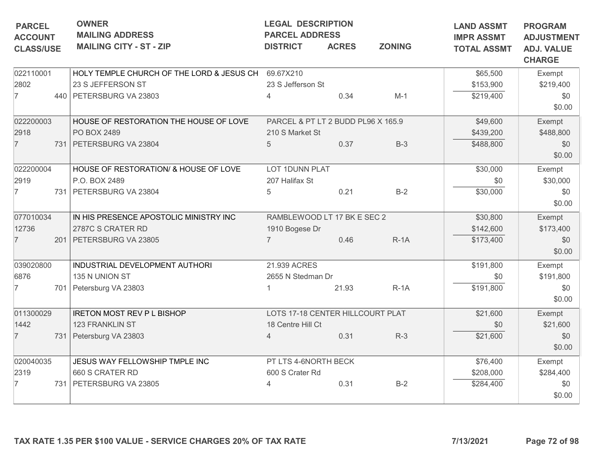| <b>CHARGE</b><br>HOLY TEMPLE CHURCH OF THE LORD & JESUS CH<br>69.67X210<br>022110001<br>\$65,500<br>Exempt<br>23 S JEFFERSON ST<br>23 S Jefferson St<br>2802<br>\$153,900<br>\$219,400<br>$\overline{7}$<br>0.34<br>440 PETERSBURG VA 23803<br>$M-1$<br>\$219,400<br>\$0<br>4<br>\$0.00<br>022200003<br>HOUSE OF RESTORATION THE HOUSE OF LOVE<br>PARCEL & PT LT 2 BUDD PL96 X 165.9<br>\$49,600<br>Exempt<br>2918<br>PO BOX 2489<br>210 S Market St<br>\$439,200<br>\$488,800<br>$\overline{7}$<br>731 PETERSBURG VA 23804<br>0.37<br>$B-3$<br>\$488,800<br>5<br>\$0<br>\$0.00<br>022200004<br>HOUSE OF RESTORATION/ & HOUSE OF LOVE<br>LOT 1DUNN PLAT<br>\$30,000<br>Exempt<br>2919<br>P.O. BOX 2489<br>207 Halifax St<br>\$30,000<br>\$0<br>$B-2$<br>0.21<br>\$30,000<br>\$0<br>7<br>731 PETERSBURG VA 23804<br>5<br>\$0.00<br>077010034<br>IN HIS PRESENCE APOSTOLIC MINISTRY INC<br>\$30,800<br>RAMBLEWOOD LT 17 BK E SEC 2<br>Exempt<br>12736<br>2787C S CRATER RD<br>1910 Bogese Dr<br>\$142,600<br>\$173,400<br>0.46<br>$\overline{7}$<br>$\overline{7}$<br>$R-1A$<br>201   PETERSBURG VA 23805<br>\$173,400<br>\$0<br>\$0.00<br>039020800<br>INDUSTRIAL DEVELOPMENT AUTHORI<br>21.939 ACRES<br>\$191,800<br>Exempt<br>135 N UNION ST<br>\$0<br>\$191,800<br>6876<br>2655 N Stedman Dr<br>$\overline{7}$<br>701 Petersburg VA 23803<br>21.93<br>$R-1A$<br>\$191,800<br>\$0<br>\$0.00<br>011300029<br><b>IRETON MOST REV P L BISHOP</b><br>LOTS 17-18 CENTER HILLCOURT PLAT<br>\$21,600<br>Exempt<br>1442<br>123 FRANKLIN ST<br>18 Centre Hill Ct<br>\$0<br>\$21,600<br>$\overline{7}$<br>0.31<br>$R-3$<br>\$21,600<br>731 Petersburg VA 23803<br>\$0<br>$\overline{4}$<br>\$0.00<br>JESUS WAY FELLOWSHIP TMPLE INC<br>PT LTS 4-6NORTH BECK<br>020040035<br>\$76,400<br>Exempt<br>2319<br>660 S CRATER RD<br>600 S Crater Rd<br>\$284,400<br>\$208,000<br>0.31<br>$B-2$<br>7<br>731 PETERSBURG VA 23805<br>\$284,400<br>\$0<br>\$0.00<br>7/13/2021<br>TAX RATE 1.35 PER \$100 VALUE - SERVICE CHARGES 20% OF TAX RATE | <b>PARCEL</b><br><b>ACCOUNT</b><br><b>CLASS/USE</b> | <b>OWNER</b><br><b>LEGAL DESCRIPTION</b><br><b>MAILING ADDRESS</b><br><b>PARCEL ADDRESS</b><br><b>MAILING CITY - ST - ZIP</b><br><b>ZONING</b><br><b>ACRES</b><br><b>DISTRICT</b> |  |  |  | <b>LAND ASSMT</b><br><b>IMPR ASSMT</b><br><b>TOTAL ASSMT</b> | <b>PROGRAM</b><br><b>ADJUSTMENT</b><br><b>ADJ. VALUE</b> |
|------------------------------------------------------------------------------------------------------------------------------------------------------------------------------------------------------------------------------------------------------------------------------------------------------------------------------------------------------------------------------------------------------------------------------------------------------------------------------------------------------------------------------------------------------------------------------------------------------------------------------------------------------------------------------------------------------------------------------------------------------------------------------------------------------------------------------------------------------------------------------------------------------------------------------------------------------------------------------------------------------------------------------------------------------------------------------------------------------------------------------------------------------------------------------------------------------------------------------------------------------------------------------------------------------------------------------------------------------------------------------------------------------------------------------------------------------------------------------------------------------------------------------------------------------------------------------------------------------------------------------------------------------------------------------------------------------------------------------------------------------------------------------------------------------------------------------------------------------------------------------------------------------------------------------------------------------------------------------------------------------------------------------|-----------------------------------------------------|-----------------------------------------------------------------------------------------------------------------------------------------------------------------------------------|--|--|--|--------------------------------------------------------------|----------------------------------------------------------|
|                                                                                                                                                                                                                                                                                                                                                                                                                                                                                                                                                                                                                                                                                                                                                                                                                                                                                                                                                                                                                                                                                                                                                                                                                                                                                                                                                                                                                                                                                                                                                                                                                                                                                                                                                                                                                                                                                                                                                                                                                              |                                                     |                                                                                                                                                                                   |  |  |  |                                                              |                                                          |
|                                                                                                                                                                                                                                                                                                                                                                                                                                                                                                                                                                                                                                                                                                                                                                                                                                                                                                                                                                                                                                                                                                                                                                                                                                                                                                                                                                                                                                                                                                                                                                                                                                                                                                                                                                                                                                                                                                                                                                                                                              |                                                     |                                                                                                                                                                                   |  |  |  |                                                              |                                                          |
|                                                                                                                                                                                                                                                                                                                                                                                                                                                                                                                                                                                                                                                                                                                                                                                                                                                                                                                                                                                                                                                                                                                                                                                                                                                                                                                                                                                                                                                                                                                                                                                                                                                                                                                                                                                                                                                                                                                                                                                                                              |                                                     |                                                                                                                                                                                   |  |  |  |                                                              |                                                          |
|                                                                                                                                                                                                                                                                                                                                                                                                                                                                                                                                                                                                                                                                                                                                                                                                                                                                                                                                                                                                                                                                                                                                                                                                                                                                                                                                                                                                                                                                                                                                                                                                                                                                                                                                                                                                                                                                                                                                                                                                                              |                                                     |                                                                                                                                                                                   |  |  |  |                                                              |                                                          |
|                                                                                                                                                                                                                                                                                                                                                                                                                                                                                                                                                                                                                                                                                                                                                                                                                                                                                                                                                                                                                                                                                                                                                                                                                                                                                                                                                                                                                                                                                                                                                                                                                                                                                                                                                                                                                                                                                                                                                                                                                              |                                                     |                                                                                                                                                                                   |  |  |  |                                                              |                                                          |
|                                                                                                                                                                                                                                                                                                                                                                                                                                                                                                                                                                                                                                                                                                                                                                                                                                                                                                                                                                                                                                                                                                                                                                                                                                                                                                                                                                                                                                                                                                                                                                                                                                                                                                                                                                                                                                                                                                                                                                                                                              |                                                     |                                                                                                                                                                                   |  |  |  |                                                              |                                                          |
|                                                                                                                                                                                                                                                                                                                                                                                                                                                                                                                                                                                                                                                                                                                                                                                                                                                                                                                                                                                                                                                                                                                                                                                                                                                                                                                                                                                                                                                                                                                                                                                                                                                                                                                                                                                                                                                                                                                                                                                                                              |                                                     |                                                                                                                                                                                   |  |  |  |                                                              |                                                          |
|                                                                                                                                                                                                                                                                                                                                                                                                                                                                                                                                                                                                                                                                                                                                                                                                                                                                                                                                                                                                                                                                                                                                                                                                                                                                                                                                                                                                                                                                                                                                                                                                                                                                                                                                                                                                                                                                                                                                                                                                                              |                                                     |                                                                                                                                                                                   |  |  |  |                                                              |                                                          |
|                                                                                                                                                                                                                                                                                                                                                                                                                                                                                                                                                                                                                                                                                                                                                                                                                                                                                                                                                                                                                                                                                                                                                                                                                                                                                                                                                                                                                                                                                                                                                                                                                                                                                                                                                                                                                                                                                                                                                                                                                              |                                                     |                                                                                                                                                                                   |  |  |  |                                                              |                                                          |
|                                                                                                                                                                                                                                                                                                                                                                                                                                                                                                                                                                                                                                                                                                                                                                                                                                                                                                                                                                                                                                                                                                                                                                                                                                                                                                                                                                                                                                                                                                                                                                                                                                                                                                                                                                                                                                                                                                                                                                                                                              |                                                     |                                                                                                                                                                                   |  |  |  |                                                              |                                                          |
|                                                                                                                                                                                                                                                                                                                                                                                                                                                                                                                                                                                                                                                                                                                                                                                                                                                                                                                                                                                                                                                                                                                                                                                                                                                                                                                                                                                                                                                                                                                                                                                                                                                                                                                                                                                                                                                                                                                                                                                                                              |                                                     |                                                                                                                                                                                   |  |  |  |                                                              |                                                          |
|                                                                                                                                                                                                                                                                                                                                                                                                                                                                                                                                                                                                                                                                                                                                                                                                                                                                                                                                                                                                                                                                                                                                                                                                                                                                                                                                                                                                                                                                                                                                                                                                                                                                                                                                                                                                                                                                                                                                                                                                                              |                                                     |                                                                                                                                                                                   |  |  |  |                                                              |                                                          |
|                                                                                                                                                                                                                                                                                                                                                                                                                                                                                                                                                                                                                                                                                                                                                                                                                                                                                                                                                                                                                                                                                                                                                                                                                                                                                                                                                                                                                                                                                                                                                                                                                                                                                                                                                                                                                                                                                                                                                                                                                              |                                                     |                                                                                                                                                                                   |  |  |  |                                                              |                                                          |
|                                                                                                                                                                                                                                                                                                                                                                                                                                                                                                                                                                                                                                                                                                                                                                                                                                                                                                                                                                                                                                                                                                                                                                                                                                                                                                                                                                                                                                                                                                                                                                                                                                                                                                                                                                                                                                                                                                                                                                                                                              |                                                     |                                                                                                                                                                                   |  |  |  |                                                              |                                                          |
|                                                                                                                                                                                                                                                                                                                                                                                                                                                                                                                                                                                                                                                                                                                                                                                                                                                                                                                                                                                                                                                                                                                                                                                                                                                                                                                                                                                                                                                                                                                                                                                                                                                                                                                                                                                                                                                                                                                                                                                                                              |                                                     |                                                                                                                                                                                   |  |  |  |                                                              |                                                          |
|                                                                                                                                                                                                                                                                                                                                                                                                                                                                                                                                                                                                                                                                                                                                                                                                                                                                                                                                                                                                                                                                                                                                                                                                                                                                                                                                                                                                                                                                                                                                                                                                                                                                                                                                                                                                                                                                                                                                                                                                                              |                                                     |                                                                                                                                                                                   |  |  |  |                                                              |                                                          |
|                                                                                                                                                                                                                                                                                                                                                                                                                                                                                                                                                                                                                                                                                                                                                                                                                                                                                                                                                                                                                                                                                                                                                                                                                                                                                                                                                                                                                                                                                                                                                                                                                                                                                                                                                                                                                                                                                                                                                                                                                              |                                                     |                                                                                                                                                                                   |  |  |  |                                                              |                                                          |
|                                                                                                                                                                                                                                                                                                                                                                                                                                                                                                                                                                                                                                                                                                                                                                                                                                                                                                                                                                                                                                                                                                                                                                                                                                                                                                                                                                                                                                                                                                                                                                                                                                                                                                                                                                                                                                                                                                                                                                                                                              |                                                     |                                                                                                                                                                                   |  |  |  |                                                              |                                                          |
|                                                                                                                                                                                                                                                                                                                                                                                                                                                                                                                                                                                                                                                                                                                                                                                                                                                                                                                                                                                                                                                                                                                                                                                                                                                                                                                                                                                                                                                                                                                                                                                                                                                                                                                                                                                                                                                                                                                                                                                                                              |                                                     |                                                                                                                                                                                   |  |  |  |                                                              |                                                          |
|                                                                                                                                                                                                                                                                                                                                                                                                                                                                                                                                                                                                                                                                                                                                                                                                                                                                                                                                                                                                                                                                                                                                                                                                                                                                                                                                                                                                                                                                                                                                                                                                                                                                                                                                                                                                                                                                                                                                                                                                                              |                                                     |                                                                                                                                                                                   |  |  |  |                                                              |                                                          |
|                                                                                                                                                                                                                                                                                                                                                                                                                                                                                                                                                                                                                                                                                                                                                                                                                                                                                                                                                                                                                                                                                                                                                                                                                                                                                                                                                                                                                                                                                                                                                                                                                                                                                                                                                                                                                                                                                                                                                                                                                              |                                                     |                                                                                                                                                                                   |  |  |  |                                                              |                                                          |
|                                                                                                                                                                                                                                                                                                                                                                                                                                                                                                                                                                                                                                                                                                                                                                                                                                                                                                                                                                                                                                                                                                                                                                                                                                                                                                                                                                                                                                                                                                                                                                                                                                                                                                                                                                                                                                                                                                                                                                                                                              |                                                     |                                                                                                                                                                                   |  |  |  |                                                              |                                                          |
|                                                                                                                                                                                                                                                                                                                                                                                                                                                                                                                                                                                                                                                                                                                                                                                                                                                                                                                                                                                                                                                                                                                                                                                                                                                                                                                                                                                                                                                                                                                                                                                                                                                                                                                                                                                                                                                                                                                                                                                                                              |                                                     |                                                                                                                                                                                   |  |  |  |                                                              |                                                          |
|                                                                                                                                                                                                                                                                                                                                                                                                                                                                                                                                                                                                                                                                                                                                                                                                                                                                                                                                                                                                                                                                                                                                                                                                                                                                                                                                                                                                                                                                                                                                                                                                                                                                                                                                                                                                                                                                                                                                                                                                                              |                                                     |                                                                                                                                                                                   |  |  |  |                                                              |                                                          |
|                                                                                                                                                                                                                                                                                                                                                                                                                                                                                                                                                                                                                                                                                                                                                                                                                                                                                                                                                                                                                                                                                                                                                                                                                                                                                                                                                                                                                                                                                                                                                                                                                                                                                                                                                                                                                                                                                                                                                                                                                              |                                                     |                                                                                                                                                                                   |  |  |  |                                                              |                                                          |
|                                                                                                                                                                                                                                                                                                                                                                                                                                                                                                                                                                                                                                                                                                                                                                                                                                                                                                                                                                                                                                                                                                                                                                                                                                                                                                                                                                                                                                                                                                                                                                                                                                                                                                                                                                                                                                                                                                                                                                                                                              |                                                     |                                                                                                                                                                                   |  |  |  |                                                              |                                                          |
|                                                                                                                                                                                                                                                                                                                                                                                                                                                                                                                                                                                                                                                                                                                                                                                                                                                                                                                                                                                                                                                                                                                                                                                                                                                                                                                                                                                                                                                                                                                                                                                                                                                                                                                                                                                                                                                                                                                                                                                                                              |                                                     |                                                                                                                                                                                   |  |  |  |                                                              |                                                          |
|                                                                                                                                                                                                                                                                                                                                                                                                                                                                                                                                                                                                                                                                                                                                                                                                                                                                                                                                                                                                                                                                                                                                                                                                                                                                                                                                                                                                                                                                                                                                                                                                                                                                                                                                                                                                                                                                                                                                                                                                                              |                                                     |                                                                                                                                                                                   |  |  |  |                                                              |                                                          |
|                                                                                                                                                                                                                                                                                                                                                                                                                                                                                                                                                                                                                                                                                                                                                                                                                                                                                                                                                                                                                                                                                                                                                                                                                                                                                                                                                                                                                                                                                                                                                                                                                                                                                                                                                                                                                                                                                                                                                                                                                              |                                                     |                                                                                                                                                                                   |  |  |  |                                                              |                                                          |
|                                                                                                                                                                                                                                                                                                                                                                                                                                                                                                                                                                                                                                                                                                                                                                                                                                                                                                                                                                                                                                                                                                                                                                                                                                                                                                                                                                                                                                                                                                                                                                                                                                                                                                                                                                                                                                                                                                                                                                                                                              |                                                     |                                                                                                                                                                                   |  |  |  |                                                              |                                                          |
|                                                                                                                                                                                                                                                                                                                                                                                                                                                                                                                                                                                                                                                                                                                                                                                                                                                                                                                                                                                                                                                                                                                                                                                                                                                                                                                                                                                                                                                                                                                                                                                                                                                                                                                                                                                                                                                                                                                                                                                                                              |                                                     |                                                                                                                                                                                   |  |  |  |                                                              |                                                          |
|                                                                                                                                                                                                                                                                                                                                                                                                                                                                                                                                                                                                                                                                                                                                                                                                                                                                                                                                                                                                                                                                                                                                                                                                                                                                                                                                                                                                                                                                                                                                                                                                                                                                                                                                                                                                                                                                                                                                                                                                                              |                                                     |                                                                                                                                                                                   |  |  |  |                                                              |                                                          |
|                                                                                                                                                                                                                                                                                                                                                                                                                                                                                                                                                                                                                                                                                                                                                                                                                                                                                                                                                                                                                                                                                                                                                                                                                                                                                                                                                                                                                                                                                                                                                                                                                                                                                                                                                                                                                                                                                                                                                                                                                              |                                                     |                                                                                                                                                                                   |  |  |  |                                                              | Page 72 of 98                                            |
|                                                                                                                                                                                                                                                                                                                                                                                                                                                                                                                                                                                                                                                                                                                                                                                                                                                                                                                                                                                                                                                                                                                                                                                                                                                                                                                                                                                                                                                                                                                                                                                                                                                                                                                                                                                                                                                                                                                                                                                                                              |                                                     |                                                                                                                                                                                   |  |  |  |                                                              |                                                          |
|                                                                                                                                                                                                                                                                                                                                                                                                                                                                                                                                                                                                                                                                                                                                                                                                                                                                                                                                                                                                                                                                                                                                                                                                                                                                                                                                                                                                                                                                                                                                                                                                                                                                                                                                                                                                                                                                                                                                                                                                                              |                                                     |                                                                                                                                                                                   |  |  |  |                                                              |                                                          |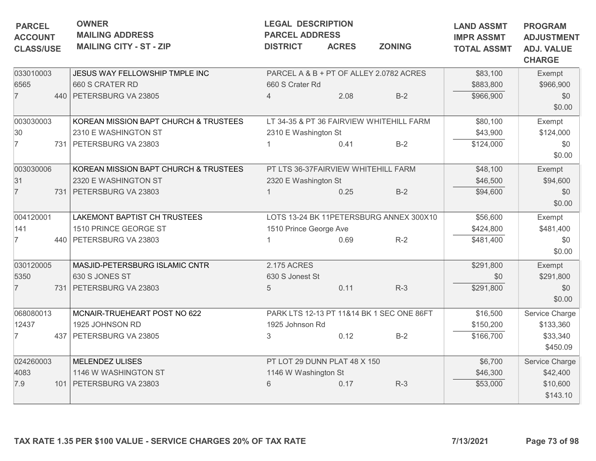| <b>PARCEL</b><br><b>ACCOUNT</b> | <b>OWNER</b><br><b>MAILING ADDRESS</b> | <b>LEGAL DESCRIPTION</b><br><b>PARCEL ADDRESS</b> |              | <b>LAND ASSMT</b><br><b>IMPR ASSMT</b>    | <b>PROGRAM</b><br><b>ADJUSTMENT</b> |                                    |
|---------------------------------|----------------------------------------|---------------------------------------------------|--------------|-------------------------------------------|-------------------------------------|------------------------------------|
| <b>CLASS/USE</b>                | <b>MAILING CITY - ST - ZIP</b>         | <b>DISTRICT</b>                                   | <b>ACRES</b> | <b>ZONING</b>                             | <b>TOTAL ASSMT</b>                  | <b>ADJ. VALUE</b><br><b>CHARGE</b> |
| 033010003                       | JESUS WAY FELLOWSHIP TMPLE INC         |                                                   |              | PARCEL A & B + PT OF ALLEY 2.0782 ACRES   | \$83,100                            | Exempt                             |
| 6565                            | 660 S CRATER RD                        | 660 S Crater Rd                                   |              |                                           | \$883,800                           | \$966,900                          |
| $\overline{7}$                  | 440 PETERSBURG VA 23805                | $\overline{4}$                                    | 2.08         | $B-2$                                     | \$966,900                           | \$0<br>\$0.00                      |
| 003030003                       | KOREAN MISSION BAPT CHURCH & TRUSTEES  |                                                   |              | LT 34-35 & PT 36 FAIRVIEW WHITEHILL FARM  | \$80,100                            | Exempt                             |
| 30                              | 2310 E WASHINGTON ST                   | 2310 E Washington St                              |              |                                           | \$43,900                            | \$124,000                          |
| $\overline{7}$                  | 731 PETERSBURG VA 23803                |                                                   | 0.41         | $B-2$                                     | \$124,000                           | \$0<br>\$0.00                      |
| 003030006                       | KOREAN MISSION BAPT CHURCH & TRUSTEES  | PT LTS 36-37FAIRVIEW WHITEHILL FARM               |              |                                           | \$48,100                            | Exempt                             |
| 31                              | 2320 E WASHINGTON ST                   | 2320 E Washington St                              |              |                                           | \$46,500                            | \$94,600                           |
| $\overline{7}$                  | 731   PETERSBURG VA 23803              |                                                   | 0.25         | $B-2$                                     | \$94,600                            | \$0<br>\$0.00                      |
| 004120001                       | LAKEMONT BAPTIST CH TRUSTEES           |                                                   |              | LOTS 13-24 BK 11PETERSBURG ANNEX 300X10   | \$56,600                            | Exempt                             |
| 141                             | 1510 PRINCE GEORGE ST                  | 1510 Prince George Ave                            |              |                                           | \$424,800                           | \$481,400                          |
| $\overline{7}$                  | 440 PETERSBURG VA 23803                |                                                   | 0.69         | $R-2$                                     | \$481,400                           | \$0<br>\$0.00                      |
| 030120005                       | MASJID-PETERSBURG ISLAMIC CNTR         | 2.175 ACRES                                       |              |                                           | \$291,800                           | Exempt                             |
| 5350                            | 630 S JONES ST                         | 630 S Jonest St                                   |              |                                           | \$0                                 | \$291,800                          |
| $\overline{7}$                  | 731 PETERSBURG VA 23803                | 5                                                 | 0.11         | $R-3$                                     | \$291,800                           | \$0<br>\$0.00                      |
| 068080013                       | MCNAIR-TRUEHEART POST NO 622           |                                                   |              | PARK LTS 12-13 PT 11&14 BK 1 SEC ONE 86FT | \$16,500                            | Service Charge                     |
| 12437                           | 1925 JOHNSON RD                        | 1925 Johnson Rd                                   |              |                                           | \$150,200                           | \$133,360                          |
| $\overline{7}$                  | 437   PETERSBURG VA 23805              | 3                                                 | 0.12         | $B-2$                                     | \$166,700                           | \$33,340<br>\$450.09               |
| 024260003                       | MELENDEZ ULISES                        | PT LOT 29 DUNN PLAT 48 X 150                      |              |                                           | \$6,700                             | Service Charge                     |
| 4083                            | 1146 W WASHINGTON ST                   | 1146 W Washington St                              |              |                                           | \$46,300                            | \$42,400                           |
| 7.9                             | 101   PETERSBURG VA 23803              | 6                                                 | 0.17         | $R-3$                                     | \$53,000                            | \$10,600<br>\$143.10               |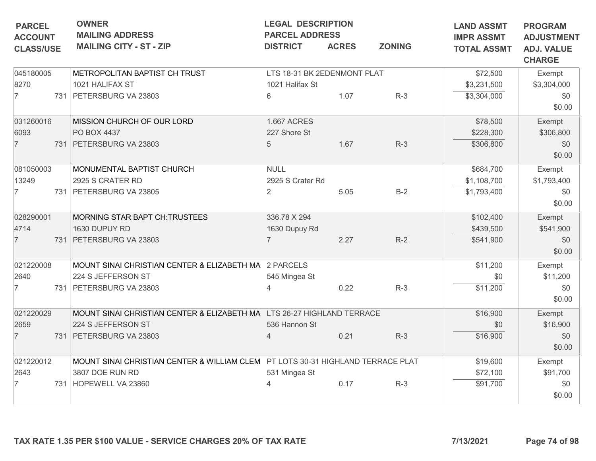| <b>PARCEL</b><br><b>ACCOUNT</b> | <b>OWNER</b><br><b>MAILING ADDRESS</b>                                          | <b>LEGAL DESCRIPTION</b><br><b>PARCEL ADDRESS</b> |              | <b>LAND ASSMT</b><br><b>IMPR ASSMT</b> | <b>PROGRAM</b><br><b>ADJUSTMENT</b> |                                    |
|---------------------------------|---------------------------------------------------------------------------------|---------------------------------------------------|--------------|----------------------------------------|-------------------------------------|------------------------------------|
| <b>CLASS/USE</b>                | <b>MAILING CITY - ST - ZIP</b>                                                  | <b>DISTRICT</b>                                   | <b>ACRES</b> | <b>ZONING</b>                          | <b>TOTAL ASSMT</b>                  | <b>ADJ. VALUE</b><br><b>CHARGE</b> |
| 045180005                       | METROPOLITAN BAPTIST CH TRUST                                                   | LTS 18-31 BK 2EDENMONT PLAT                       |              |                                        | \$72,500                            | Exempt                             |
| 8270                            | 1021 HALIFAX ST                                                                 | 1021 Halifax St                                   |              |                                        | \$3,231,500                         | \$3,304,000                        |
| $\overline{7}$                  | 731 PETERSBURG VA 23803                                                         | 6                                                 | 1.07         | $R-3$                                  | \$3,304,000                         | \$0<br>\$0.00                      |
| 031260016                       | MISSION CHURCH OF OUR LORD                                                      | <b>1.667 ACRES</b>                                |              |                                        | \$78,500                            | Exempt                             |
| 6093                            | PO BOX 4437                                                                     | 227 Shore St                                      |              |                                        | \$228,300                           | \$306,800                          |
| $\overline{7}$                  | 731 PETERSBURG VA 23803                                                         | 5                                                 | 1.67         | $R-3$                                  | \$306,800                           | \$0<br>\$0.00                      |
| 081050003                       | MONUMENTAL BAPTIST CHURCH                                                       | <b>NULL</b>                                       |              |                                        | \$684,700                           | Exempt                             |
| 13249                           | 2925 S CRATER RD                                                                | 2925 S Crater Rd                                  |              |                                        | \$1,108,700                         | \$1,793,400                        |
| 7                               | 731 PETERSBURG VA 23805                                                         | $\overline{2}$                                    | 5.05         | $B-2$                                  | \$1,793,400                         | \$0<br>\$0.00                      |
| 028290001                       | MORNING STAR BAPT CH:TRUSTEES                                                   | 336.78 X 294                                      |              |                                        | \$102,400                           | Exempt                             |
| 4714                            | 1630 DUPUY RD                                                                   | 1630 Dupuy Rd                                     |              |                                        | \$439,500                           | \$541,900                          |
| $\overline{7}$                  | 731 PETERSBURG VA 23803                                                         | $\overline{7}$                                    | 2.27         | $R-2$                                  | \$541,900                           | \$0<br>\$0.00                      |
| 021220008                       | MOUNT SINAI CHRISTIAN CENTER & ELIZABETH MA 2 PARCELS                           |                                                   |              |                                        | \$11,200                            | Exempt                             |
| 2640                            | 224 S JEFFERSON ST                                                              | 545 Mingea St                                     |              |                                        | \$0                                 | \$11,200                           |
| $\overline{7}$                  | 731   PETERSBURG VA 23803                                                       |                                                   | 0.22         | $R-3$                                  | \$11,200                            | \$0<br>\$0.00                      |
| 021220029                       | MOUNT SINAI CHRISTIAN CENTER & ELIZABETH MA LTS 26-27 HIGHLAND TERRACE          |                                                   |              |                                        | \$16,900                            | Exempt                             |
| 2659                            | 224 S JEFFERSON ST                                                              | 536 Hannon St                                     |              |                                        | \$0                                 | \$16,900                           |
| $\overline{7}$                  | 731 PETERSBURG VA 23803                                                         | $\overline{4}$                                    | 0.21         | $R-3$                                  | \$16,900                            | \$0<br>\$0.00                      |
| 021220012                       | MOUNT SINAI CHRISTIAN CENTER & WILLIAM CLEM PT LOTS 30-31 HIGHLAND TERRACE PLAT |                                                   |              |                                        | \$19,600                            | Exempt                             |
| 2643                            | 3807 DOE RUN RD                                                                 | 531 Mingea St                                     |              |                                        | \$72,100                            | \$91,700                           |
| 7                               | 731 HOPEWELL VA 23860                                                           | 4                                                 | 0.17         | $R-3$                                  | \$91,700                            | \$0<br>\$0.00                      |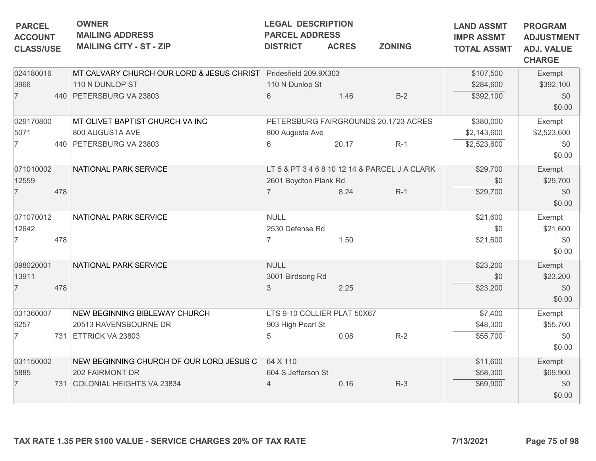| <b>PARCEL</b><br><b>ACCOUNT</b><br><b>CLASS/USE</b> |     | <b>OWNER</b><br><b>MAILING ADDRESS</b><br><b>MAILING CITY - ST - ZIP</b> | <b>LEGAL DESCRIPTION</b><br><b>PARCEL ADDRESS</b><br><b>DISTRICT</b> | <b>ACRES</b> | <b>ZONING</b>                                 | <b>LAND ASSMT</b><br><b>IMPR ASSMT</b><br><b>TOTAL ASSMT</b> | <b>PROGRAM</b><br><b>ADJUSTMENT</b><br><b>ADJ. VALUE</b> |
|-----------------------------------------------------|-----|--------------------------------------------------------------------------|----------------------------------------------------------------------|--------------|-----------------------------------------------|--------------------------------------------------------------|----------------------------------------------------------|
|                                                     |     |                                                                          |                                                                      |              |                                               |                                                              | <b>CHARGE</b>                                            |
| 024180016                                           |     | MT CALVARY CHURCH OUR LORD & JESUS CHRIST Pridesfield 209.9X303          |                                                                      |              |                                               | \$107,500                                                    | Exempt                                                   |
| 3966                                                |     | 110 N DUNLOP ST                                                          | 110 N Dunlop St                                                      |              |                                               | \$284,600                                                    | \$392,100                                                |
| $\overline{7}$                                      |     | 440 PETERSBURG VA 23803                                                  | $6\phantom{1}$                                                       | 1.46         | $B-2$                                         | \$392,100                                                    | \$0<br>\$0.00                                            |
| 029170800                                           |     | MT OLIVET BAPTIST CHURCH VA INC                                          |                                                                      |              | PETERSBURG FAIRGROUNDS 20.1723 ACRES          | \$380,000                                                    | Exempt                                                   |
| 5071                                                |     | 800 AUGUSTA AVE                                                          | 800 Augusta Ave                                                      |              |                                               | \$2,143,600                                                  | \$2,523,600                                              |
| 7                                                   |     | 440   PETERSBURG VA 23803                                                | 6                                                                    | 20.17        | $R-1$                                         | \$2,523,600                                                  | \$0<br>\$0.00                                            |
| 071010002                                           |     | NATIONAL PARK SERVICE                                                    |                                                                      |              | LT 5 & PT 3 4 6 8 10 12 14 & PARCEL J A CLARK | \$29,700                                                     | Exempt                                                   |
| 12559                                               |     |                                                                          | 2601 Boydton Plank Rd                                                |              |                                               | \$0                                                          | \$29,700                                                 |
| $\overline{7}$                                      | 478 |                                                                          | $\overline{7}$                                                       | 8.24         | $R-1$                                         | \$29,700                                                     | \$0                                                      |
|                                                     |     |                                                                          |                                                                      |              |                                               |                                                              | \$0.00                                                   |
| 071070012                                           |     | NATIONAL PARK SERVICE                                                    | <b>NULL</b>                                                          |              |                                               | \$21,600                                                     | Exempt                                                   |
| 12642                                               |     |                                                                          | 2530 Defense Rd                                                      |              |                                               | \$0                                                          | \$21,600                                                 |
| 7                                                   | 478 |                                                                          | $\overline{7}$                                                       | 1.50         |                                               | \$21,600                                                     | \$0                                                      |
|                                                     |     |                                                                          |                                                                      |              |                                               |                                                              | \$0.00                                                   |
| 098020001                                           |     | NATIONAL PARK SERVICE                                                    | <b>NULL</b>                                                          |              |                                               | \$23,200                                                     | Exempt                                                   |
| 13911                                               |     |                                                                          | 3001 Birdsong Rd                                                     |              |                                               | \$0                                                          | \$23,200                                                 |
| $\overline{7}$                                      | 478 |                                                                          | $\mathfrak{Z}$                                                       | 2.25         |                                               | \$23,200                                                     | \$0                                                      |
|                                                     |     |                                                                          |                                                                      |              |                                               |                                                              | \$0.00                                                   |
| 031360007                                           |     | NEW BEGINNING BIBLEWAY CHURCH                                            | LTS 9-10 COLLIER PLAT 50X67                                          |              |                                               | \$7,400                                                      | Exempt                                                   |
| 6257                                                |     | 20513 RAVENSBOURNE DR                                                    | 903 High Pearl St                                                    |              |                                               | \$48,300                                                     | \$55,700                                                 |
| $\overline{7}$                                      |     | 731 ETTRICK VA 23803                                                     | 5                                                                    | 0.08         | $R-2$                                         | \$55,700                                                     | \$0                                                      |
|                                                     |     |                                                                          |                                                                      |              |                                               |                                                              | \$0.00                                                   |
| 031150002                                           |     | NEW BEGINNING CHURCH OF OUR LORD JESUS C                                 | 64 X 110                                                             |              |                                               | \$11,600                                                     | Exempt                                                   |
| 5885                                                |     | 202 FAIRMONT DR                                                          | 604 S Jefferson St                                                   |              |                                               | \$58,300                                                     | \$69,900                                                 |
| $\overline{7}$                                      |     | 731 COLONIAL HEIGHTS VA 23834                                            |                                                                      | 0.16         | $R-3$                                         | \$69,900                                                     | \$0                                                      |
|                                                     |     |                                                                          |                                                                      |              |                                               |                                                              | \$0.00                                                   |
|                                                     |     | TAX RATE 1.35 PER \$100 VALUE - SERVICE CHARGES 20% OF TAX RATE          |                                                                      |              |                                               | 7/13/2021                                                    | Page 75 of 98                                            |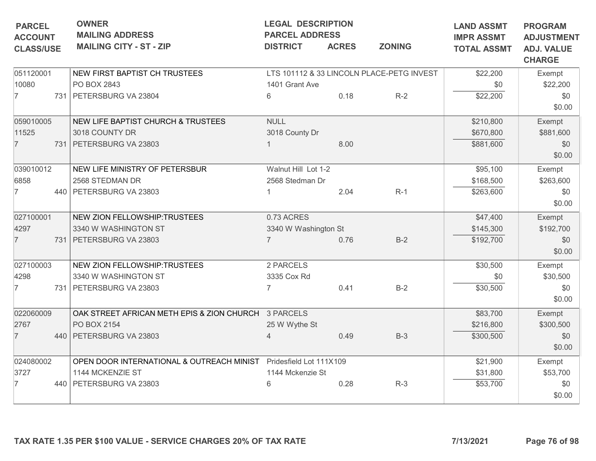| <b>PARCEL</b><br><b>ACCOUNT</b> | <b>OWNER</b><br><b>MAILING ADDRESS</b>                            | <b>LEGAL DESCRIPTION</b><br><b>PARCEL ADDRESS</b> |              |                                           | <b>LAND ASSMT</b><br><b>IMPR ASSMT</b> | <b>PROGRAM</b><br><b>ADJUSTMENT</b> |
|---------------------------------|-------------------------------------------------------------------|---------------------------------------------------|--------------|-------------------------------------------|----------------------------------------|-------------------------------------|
| <b>CLASS/USE</b>                | <b>MAILING CITY - ST - ZIP</b>                                    | <b>DISTRICT</b>                                   | <b>ACRES</b> | <b>ZONING</b>                             | <b>TOTAL ASSMT</b>                     | <b>ADJ. VALUE</b><br><b>CHARGE</b>  |
| 051120001                       | NEW FIRST BAPTIST CH TRUSTEES                                     |                                                   |              | LTS 101112 & 33 LINCOLN PLACE-PETG INVEST | \$22,200                               | Exempt                              |
| 10080                           | PO BOX 2843                                                       | 1401 Grant Ave                                    |              |                                           | \$0                                    | \$22,200                            |
| $\overline{7}$                  | 731 PETERSBURG VA 23804                                           | 6                                                 | 0.18         | $R-2$                                     | \$22,200                               | \$0                                 |
|                                 |                                                                   |                                                   |              |                                           |                                        | \$0.00                              |
| 059010005                       | NEW LIFE BAPTIST CHURCH & TRUSTEES                                | <b>NULL</b>                                       |              |                                           | \$210,800                              | Exempt                              |
| 11525                           | 3018 COUNTY DR                                                    | 3018 County Dr                                    |              |                                           | \$670,800                              | \$881,600                           |
| $\overline{7}$                  | 731 PETERSBURG VA 23803                                           |                                                   | 8.00         |                                           | \$881,600                              | \$0                                 |
|                                 |                                                                   |                                                   |              |                                           |                                        | \$0.00                              |
| 039010012                       | NEW LIFE MINISTRY OF PETERSBUR                                    | Walnut Hill Lot 1-2                               |              |                                           | \$95,100                               | Exempt                              |
| 6858                            | 2568 STEDMAN DR                                                   | 2568 Stedman Dr                                   |              |                                           | \$168,500                              | \$263,600                           |
| $\overline{7}$                  | 440 PETERSBURG VA 23803                                           |                                                   | 2.04         | $R-1$                                     | \$263,600                              | \$0                                 |
|                                 |                                                                   |                                                   |              |                                           |                                        | \$0.00                              |
| 027100001                       | NEW ZION FELLOWSHIP:TRUSTEES                                      | 0.73 ACRES                                        |              |                                           | \$47,400                               | Exempt                              |
| 4297                            | 3340 W WASHINGTON ST                                              | 3340 W Washington St                              |              |                                           | \$145,300                              | \$192,700                           |
| $\overline{7}$                  | 731   PETERSBURG VA 23803                                         | $\overline{7}$                                    | 0.76         | $B-2$                                     | \$192,700                              | \$0                                 |
|                                 |                                                                   |                                                   |              |                                           |                                        | \$0.00                              |
| 027100003                       | NEW ZION FELLOWSHIP:TRUSTEES                                      | 2 PARCELS                                         |              |                                           | \$30,500                               | Exempt                              |
| 4298                            | 3340 W WASHINGTON ST                                              | 3335 Cox Rd                                       |              |                                           | \$0                                    | \$30,500                            |
| $\overline{7}$                  | 731 PETERSBURG VA 23803                                           |                                                   | 0.41         | $B-2$                                     | \$30,500                               | \$0                                 |
|                                 |                                                                   |                                                   |              |                                           |                                        | \$0.00                              |
| 022060009                       | OAK STREET AFRICAN METH EPIS & ZION CHURCH 3 PARCELS              |                                                   |              |                                           | \$83,700                               | Exempt                              |
| 2767                            | PO BOX 2154                                                       | 25 W Wythe St                                     |              |                                           | \$216,800                              | \$300,500                           |
| $\overline{7}$                  | 440   PETERSBURG VA 23803                                         | $\overline{4}$                                    | 0.49         | $B-3$                                     | \$300,500                              | \$0                                 |
|                                 |                                                                   |                                                   |              |                                           |                                        | \$0.00                              |
| 024080002                       | OPEN DOOR INTERNATIONAL & OUTREACH MINIST Pridesfield Lot 111X109 |                                                   |              |                                           | \$21,900                               | Exempt                              |
| 3727                            | 1144 MCKENZIE ST                                                  | 1144 Mckenzie St                                  |              |                                           | \$31,800                               | \$53,700                            |
| $\overline{7}$                  | 440   PETERSBURG VA 23803                                         | 6                                                 | 0.28         | $R-3$                                     | \$53,700                               | \$0                                 |
|                                 |                                                                   |                                                   |              |                                           |                                        | \$0.00                              |
|                                 | TAX RATE 1.35 PER \$100 VALUE - SERVICE CHARGES 20% OF TAX RATE   |                                                   |              |                                           | 7/13/2021                              | Page 76 of 98                       |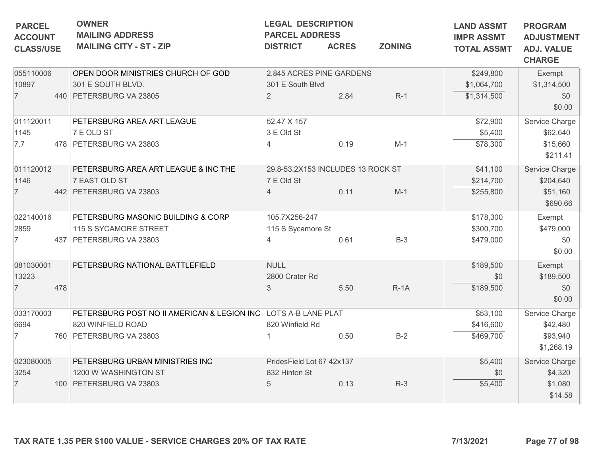| <b>ACCOUNT</b><br><b>CLASS/USE</b> | <b>OWNER</b><br><b>MAILING ADDRESS</b><br><b>MAILING CITY - ST - ZIP</b> | <b>LEGAL DESCRIPTION</b><br><b>PARCEL ADDRESS</b>                                                                                                                                                                                                    | <b>ACRES</b>                                 | <b>ZONING</b>                                                                                                                                                   | <b>LAND ASSMT</b><br><b>IMPR ASSMT</b><br><b>TOTAL ASSMT</b>           | <b>PROGRAM</b><br><b>ADJUSTMENT</b><br><b>ADJ. VALUE</b><br><b>CHARGE</b> |
|------------------------------------|--------------------------------------------------------------------------|------------------------------------------------------------------------------------------------------------------------------------------------------------------------------------------------------------------------------------------------------|----------------------------------------------|-----------------------------------------------------------------------------------------------------------------------------------------------------------------|------------------------------------------------------------------------|---------------------------------------------------------------------------|
| 055110006                          | OPEN DOOR MINISTRIES CHURCH OF GOD                                       |                                                                                                                                                                                                                                                      |                                              |                                                                                                                                                                 | \$249,800                                                              | Exempt                                                                    |
|                                    | 301 E SOUTH BLVD.                                                        |                                                                                                                                                                                                                                                      |                                              |                                                                                                                                                                 | \$1,064,700                                                            | \$1,314,500                                                               |
|                                    |                                                                          | 2                                                                                                                                                                                                                                                    | 2.84                                         | $R-1$                                                                                                                                                           | \$1,314,500                                                            | \$0<br>\$0.00                                                             |
|                                    |                                                                          |                                                                                                                                                                                                                                                      |                                              |                                                                                                                                                                 |                                                                        | Service Charge                                                            |
|                                    |                                                                          |                                                                                                                                                                                                                                                      |                                              |                                                                                                                                                                 |                                                                        | \$62,640                                                                  |
|                                    |                                                                          |                                                                                                                                                                                                                                                      |                                              |                                                                                                                                                                 |                                                                        | \$15,660                                                                  |
|                                    |                                                                          |                                                                                                                                                                                                                                                      |                                              |                                                                                                                                                                 |                                                                        | \$211.41                                                                  |
| 011120012                          | PETERSBURG AREA ART LEAGUE & INC THE                                     |                                                                                                                                                                                                                                                      |                                              | \$41,100                                                                                                                                                        | Service Charge                                                         |                                                                           |
|                                    |                                                                          | 7 E Old St                                                                                                                                                                                                                                           |                                              |                                                                                                                                                                 | \$214,700                                                              | \$204,640                                                                 |
|                                    |                                                                          | $\overline{4}$                                                                                                                                                                                                                                       | 0.11                                         | $M-1$                                                                                                                                                           | \$255,800                                                              | \$51,160                                                                  |
|                                    |                                                                          |                                                                                                                                                                                                                                                      |                                              |                                                                                                                                                                 |                                                                        | \$690.66                                                                  |
| 022140016                          | PETERSBURG MASONIC BUILDING & CORP                                       | 105.7X256-247                                                                                                                                                                                                                                        |                                              |                                                                                                                                                                 | \$178,300                                                              | Exempt                                                                    |
|                                    | 115 S SYCAMORE STREET                                                    |                                                                                                                                                                                                                                                      |                                              |                                                                                                                                                                 | \$300,700                                                              | \$479,000                                                                 |
|                                    |                                                                          | $\Delta$                                                                                                                                                                                                                                             | 0.61                                         | $B-3$                                                                                                                                                           | \$479,000                                                              | \$0                                                                       |
|                                    |                                                                          |                                                                                                                                                                                                                                                      |                                              |                                                                                                                                                                 |                                                                        | \$0.00                                                                    |
| 081030001                          | PETERSBURG NATIONAL BATTLEFIELD                                          | <b>NULL</b>                                                                                                                                                                                                                                          |                                              |                                                                                                                                                                 | \$189,500                                                              | Exempt                                                                    |
|                                    |                                                                          | 2800 Crater Rd                                                                                                                                                                                                                                       |                                              |                                                                                                                                                                 | \$0                                                                    | \$189,500                                                                 |
| 478                                |                                                                          | 3                                                                                                                                                                                                                                                    | 5.50                                         | $R-1A$                                                                                                                                                          | \$189,500                                                              | \$0                                                                       |
|                                    |                                                                          |                                                                                                                                                                                                                                                      |                                              |                                                                                                                                                                 |                                                                        | \$0.00                                                                    |
| 033170003                          |                                                                          |                                                                                                                                                                                                                                                      |                                              |                                                                                                                                                                 | \$53,100                                                               | Service Charge                                                            |
|                                    |                                                                          |                                                                                                                                                                                                                                                      |                                              |                                                                                                                                                                 | \$416,600                                                              | \$42,480                                                                  |
|                                    |                                                                          |                                                                                                                                                                                                                                                      | 0.50                                         | $B-2$                                                                                                                                                           | \$469,700                                                              | \$93,940                                                                  |
|                                    |                                                                          |                                                                                                                                                                                                                                                      |                                              |                                                                                                                                                                 |                                                                        | \$1,268.19                                                                |
| 023080005                          | PETERSBURG URBAN MINISTRIES INC                                          |                                                                                                                                                                                                                                                      |                                              |                                                                                                                                                                 | \$5,400                                                                | Service Charge                                                            |
|                                    | 1200 W WASHINGTON ST                                                     | 832 Hinton St                                                                                                                                                                                                                                        |                                              |                                                                                                                                                                 | \$0                                                                    | \$4,320                                                                   |
|                                    |                                                                          | 5                                                                                                                                                                                                                                                    | 0.13                                         | $R-3$                                                                                                                                                           | \$5,400                                                                | \$1,080                                                                   |
|                                    |                                                                          |                                                                                                                                                                                                                                                      |                                              |                                                                                                                                                                 |                                                                        | \$14.58                                                                   |
|                                    | 011120011                                                                | 440 PETERSBURG VA 23805<br>PETERSBURG AREA ART LEAGUE<br>7 E OLD ST<br>478 PETERSBURG VA 23803<br>7 EAST OLD ST<br>442   PETERSBURG VA 23803<br>437 PETERSBURG VA 23803<br>820 WINFIELD ROAD<br>760 PETERSBURG VA 23803<br>100   PETERSBURG VA 23803 | <b>DISTRICT</b><br>52.47 X 157<br>3 E Old St | 301 E South Blvd<br>0.19<br>115 S Sycamore St<br>PETERSBURG POST NO II AMERICAN & LEGION INC LOTS A-B LANE PLAT<br>820 Winfield Rd<br>PridesField Lot 67 42x137 | 2.845 ACRES PINE GARDENS<br>$M-1$<br>29.8-53.2X153 INCLUDES 13 ROCK ST | \$72,900<br>\$5,400<br>\$78,300                                           |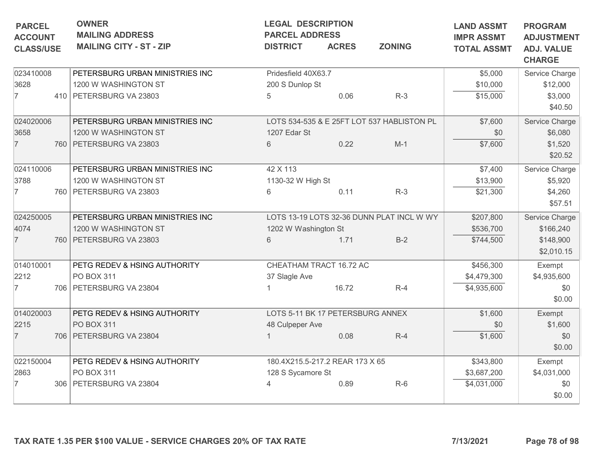| <b>PARCEL</b><br><b>ACCOUNT</b><br><b>CLASS/USE</b> | <b>OWNER</b><br><b>MAILING ADDRESS</b><br><b>MAILING CITY - ST - ZIP</b> | <b>DISTRICT</b>      | <b>LEGAL DESCRIPTION</b><br><b>PARCEL ADDRESS</b><br><b>ZONING</b><br><b>ACRES</b> |                                            | <b>LAND ASSMT</b><br><b>IMPR ASSMT</b><br><b>TOTAL ASSMT</b> | <b>PROGRAM</b><br><b>ADJUSTMENT</b><br><b>ADJ. VALUE</b><br><b>CHARGE</b> |
|-----------------------------------------------------|--------------------------------------------------------------------------|----------------------|------------------------------------------------------------------------------------|--------------------------------------------|--------------------------------------------------------------|---------------------------------------------------------------------------|
|                                                     |                                                                          |                      |                                                                                    |                                            |                                                              |                                                                           |
| 023410008                                           | PETERSBURG URBAN MINISTRIES INC                                          | Pridesfield 40X63.7  |                                                                                    |                                            | \$5,000                                                      | Service Charge                                                            |
| 3628                                                | 1200 W WASHINGTON ST                                                     | 200 S Dunlop St      |                                                                                    |                                            | \$10,000                                                     | \$12,000                                                                  |
| $\overline{7}$                                      | 410   PETERSBURG VA 23803                                                | 5                    | 0.06                                                                               | $R-3$                                      | \$15,000                                                     | \$3,000<br>\$40.50                                                        |
| 024020006                                           | PETERSBURG URBAN MINISTRIES INC                                          |                      |                                                                                    | LOTS 534-535 & E 25FT LOT 537 HABLISTON PL | \$7,600                                                      | Service Charge                                                            |
| 3658                                                | 1200 W WASHINGTON ST                                                     | 1207 Edar St         |                                                                                    |                                            | \$0                                                          | \$6,080                                                                   |
| $\overline{7}$                                      | 760   PETERSBURG VA 23803                                                | 6                    | 0.22                                                                               | $M-1$                                      | \$7,600                                                      | \$1,520<br>\$20.52                                                        |
| 024110006                                           | PETERSBURG URBAN MINISTRIES INC                                          | 42 X 113             |                                                                                    |                                            | \$7,400                                                      | Service Charge                                                            |
| 3788                                                | 1200 W WASHINGTON ST                                                     | 1130-32 W High St    |                                                                                    |                                            | \$13,900                                                     | \$5,920                                                                   |
| 7                                                   | 760   PETERSBURG VA 23803                                                | 6                    | 0.11                                                                               | $R-3$                                      | \$21,300                                                     | \$4,260<br>\$57.51                                                        |
| 024250005                                           | PETERSBURG URBAN MINISTRIES INC                                          |                      |                                                                                    | LOTS 13-19 LOTS 32-36 DUNN PLAT INCL W WY  | \$207,800                                                    | Service Charge                                                            |
| 4074                                                | 1200 W WASHINGTON ST                                                     | 1202 W Washington St |                                                                                    |                                            | \$536,700                                                    | \$166,240                                                                 |
| $\overline{7}$                                      | 760   PETERSBURG VA 23803                                                | 6                    | 1.71                                                                               | $B-2$                                      | \$744,500                                                    | \$148,900<br>\$2,010.15                                                   |
| 014010001                                           | PETG REDEV & HSING AUTHORITY                                             |                      | CHEATHAM TRACT 16.72 AC                                                            |                                            | \$456,300                                                    | Exempt                                                                    |
| 2212                                                | PO BOX 311                                                               | 37 Slagle Ave        |                                                                                    |                                            | \$4,479,300                                                  | \$4,935,600                                                               |
| 7                                                   | 706   PETERSBURG VA 23804                                                |                      | 16.72                                                                              | $R-4$                                      | \$4,935,600                                                  | \$0<br>\$0.00                                                             |
| 014020003                                           | PETG REDEV & HSING AUTHORITY                                             |                      | LOTS 5-11 BK 17 PETERSBURG ANNEX                                                   |                                            | \$1,600                                                      | Exempt                                                                    |
| 2215                                                | PO BOX 311                                                               | 48 Culpeper Ave      |                                                                                    |                                            | \$0                                                          | \$1,600                                                                   |
| $\overline{7}$                                      | 706 PETERSBURG VA 23804                                                  |                      | 0.08                                                                               | $R-4$                                      | \$1,600                                                      | \$0<br>\$0.00                                                             |
| 022150004                                           | PETG REDEV & HSING AUTHORITY                                             |                      | 180.4X215.5-217.2 REAR 173 X 65                                                    |                                            | \$343,800                                                    | Exempt                                                                    |
| 2863                                                | PO BOX 311                                                               | 128 S Sycamore St    |                                                                                    |                                            | \$3,687,200                                                  | \$4,031,000                                                               |
| 7                                                   | 306   PETERSBURG VA 23804                                                | 4                    | 0.89                                                                               | $R-6$                                      | \$4,031,000                                                  | \$0<br>\$0.00                                                             |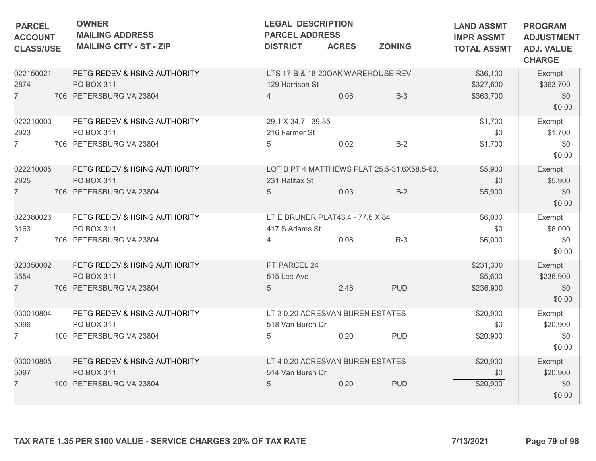| <b>PARCEL</b><br><b>ACCOUNT</b> | <b>OWNER</b><br><b>MAILING ADDRESS</b>                          | <b>LEGAL DESCRIPTION</b><br><b>PARCEL ADDRESS</b> |              |                                             | <b>LAND ASSMT</b><br><b>IMPR ASSMT</b> | <b>PROGRAM</b><br><b>ADJUSTMENT</b> |
|---------------------------------|-----------------------------------------------------------------|---------------------------------------------------|--------------|---------------------------------------------|----------------------------------------|-------------------------------------|
| <b>CLASS/USE</b>                | <b>MAILING CITY - ST - ZIP</b>                                  | <b>DISTRICT</b>                                   | <b>ACRES</b> | <b>ZONING</b>                               | <b>TOTAL ASSMT</b>                     | <b>ADJ. VALUE</b><br><b>CHARGE</b>  |
| 022150021                       | PETG REDEV & HSING AUTHORITY                                    | LTS 17-B & 18-200AK WAREHOUSE REV                 |              |                                             | \$36,100                               | Exempt                              |
| 2874                            | <b>PO BOX 311</b>                                               | 129 Harrison St                                   |              |                                             | \$327,600                              | \$363,700                           |
| $\overline{7}$                  | 706   PETERSBURG VA 23804                                       | $\overline{\mathcal{A}}$                          | 0.08         | $B-3$                                       | \$363,700                              | \$0                                 |
|                                 |                                                                 |                                                   |              |                                             |                                        | \$0.00                              |
| 022210003                       | PETG REDEV & HSING AUTHORITY                                    | 29.1 X 34.7 - 39.35                               |              |                                             | \$1,700                                | Exempt                              |
| 2923                            | PO BOX 311                                                      | 216 Farmer St                                     |              |                                             | \$0                                    | \$1,700                             |
| $\overline{7}$                  | 706 PETERSBURG VA 23804                                         | 5                                                 | 0.02         | $B-2$                                       | \$1,700                                | \$0                                 |
|                                 |                                                                 |                                                   |              |                                             |                                        | \$0.00                              |
| 022210005                       | PETG REDEV & HSING AUTHORITY                                    |                                                   |              | LOT B PT 4 MATTHEWS PLAT 25.5-31.6X58.5-60. | \$5,900                                | Exempt                              |
| 2925                            | PO BOX 311                                                      | 231 Halifax St                                    |              |                                             | \$0                                    | \$5,900                             |
| $\overline{7}$                  | 706 PETERSBURG VA 23804                                         | 5                                                 | 0.03         | $B-2$                                       | \$5,900                                | \$0                                 |
|                                 |                                                                 |                                                   |              |                                             |                                        | \$0.00                              |
| 022380026                       | PETG REDEV & HSING AUTHORITY                                    | LT E BRUNER PLAT43.4 - 77.6 X 84                  |              |                                             | \$6,000                                | Exempt                              |
| 3163                            | PO BOX 311                                                      | 417 S Adams St                                    |              |                                             | \$0                                    | \$6,000                             |
| $\overline{7}$                  | 706 PETERSBURG VA 23804                                         | 4                                                 | 0.08         | $R-3$                                       | \$6,000                                | \$0                                 |
|                                 |                                                                 |                                                   |              |                                             |                                        | \$0.00                              |
| 023350002                       | PETG REDEV & HSING AUTHORITY                                    | PT PARCEL 24                                      |              |                                             | \$231,300                              | Exempt                              |
| 3554                            | PO BOX 311                                                      | 515 Lee Ave                                       |              |                                             | \$5,600                                | \$236,900                           |
| $\overline{7}$                  | 706 PETERSBURG VA 23804                                         | 5                                                 | 2.48         | <b>PUD</b>                                  | \$236,900                              | \$0                                 |
|                                 |                                                                 |                                                   |              |                                             |                                        | \$0.00                              |
| 030010804                       | PETG REDEV & HSING AUTHORITY                                    | LT 3 0.20 ACRESVAN BUREN ESTATES                  |              |                                             | \$20,900                               | Exempt                              |
| 5096                            | PO BOX 311                                                      | 518 Van Buren Dr                                  |              |                                             | \$0                                    | \$20,900                            |
| $\overline{7}$                  | 100   PETERSBURG VA 23804                                       | 5                                                 | 0.20         | <b>PUD</b>                                  | \$20,900                               | \$0                                 |
|                                 |                                                                 |                                                   |              |                                             |                                        | \$0.00                              |
| 030010805                       | PETG REDEV & HSING AUTHORITY                                    | LT 4 0.20 ACRESVAN BUREN ESTATES                  |              |                                             | \$20,900                               | Exempt                              |
| 5097                            | <b>PO BOX 311</b>                                               | 514 Van Buren Dr                                  |              |                                             | \$0                                    | \$20,900                            |
| $\overline{7}$                  | 100   PETERSBURG VA 23804                                       | 5                                                 | 0.20         | <b>PUD</b>                                  | \$20,900                               | \$0                                 |
|                                 |                                                                 |                                                   |              |                                             |                                        | \$0.00                              |
|                                 | TAX RATE 1.35 PER \$100 VALUE - SERVICE CHARGES 20% OF TAX RATE |                                                   |              |                                             | 7/13/2021                              | Page 79 of 98                       |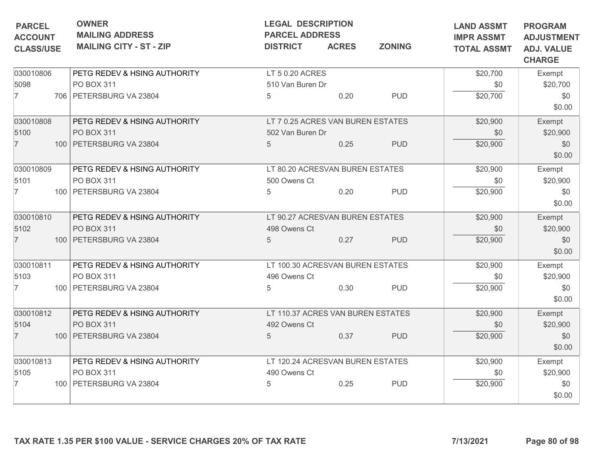| <b>OWNER</b><br><b>MAILING ADDRESS</b><br><b>MAILING CITY - ST - ZIP</b> | <b>LEGAL DESCRIPTION</b><br><b>PARCEL ADDRESS</b><br><b>DISTRICT</b>                                                                                                                                                                       | <b>ACRES</b>                                                    | <b>LAND ASSMT</b><br><b>IMPR ASSMT</b><br><b>TOTAL ASSMT</b>                    | <b>PROGRAM</b><br><b>ADJUSTMENT</b><br><b>ADJ. VALUE</b>                                                                                                                                                                                                                        |                                                                                                              |
|--------------------------------------------------------------------------|--------------------------------------------------------------------------------------------------------------------------------------------------------------------------------------------------------------------------------------------|-----------------------------------------------------------------|---------------------------------------------------------------------------------|---------------------------------------------------------------------------------------------------------------------------------------------------------------------------------------------------------------------------------------------------------------------------------|--------------------------------------------------------------------------------------------------------------|
|                                                                          |                                                                                                                                                                                                                                            |                                                                 |                                                                                 |                                                                                                                                                                                                                                                                                 | <b>CHARGE</b>                                                                                                |
| PETG REDEV & HSING AUTHORITY                                             |                                                                                                                                                                                                                                            |                                                                 |                                                                                 | \$20,700                                                                                                                                                                                                                                                                        | Exempt                                                                                                       |
| PO BOX 311                                                               |                                                                                                                                                                                                                                            |                                                                 |                                                                                 | \$0                                                                                                                                                                                                                                                                             | \$20,700                                                                                                     |
| 706 PETERSBURG VA 23804                                                  | 5                                                                                                                                                                                                                                          | 0.20                                                            | <b>PUD</b>                                                                      | \$20,700                                                                                                                                                                                                                                                                        | \$0                                                                                                          |
|                                                                          |                                                                                                                                                                                                                                            |                                                                 |                                                                                 |                                                                                                                                                                                                                                                                                 | \$0.00                                                                                                       |
|                                                                          |                                                                                                                                                                                                                                            |                                                                 |                                                                                 |                                                                                                                                                                                                                                                                                 | Exempt                                                                                                       |
|                                                                          |                                                                                                                                                                                                                                            |                                                                 |                                                                                 |                                                                                                                                                                                                                                                                                 | \$20,900                                                                                                     |
|                                                                          | 5                                                                                                                                                                                                                                          |                                                                 |                                                                                 |                                                                                                                                                                                                                                                                                 | \$0<br>\$0.00                                                                                                |
| PETG REDEV & HSING AUTHORITY                                             |                                                                                                                                                                                                                                            |                                                                 |                                                                                 | \$20,900                                                                                                                                                                                                                                                                        | Exempt                                                                                                       |
| PO BOX 311                                                               | 500 Owens Ct                                                                                                                                                                                                                               |                                                                 |                                                                                 | \$0                                                                                                                                                                                                                                                                             | \$20,900                                                                                                     |
| 100 PETERSBURG VA 23804                                                  | 5                                                                                                                                                                                                                                          | 0.20                                                            | <b>PUD</b>                                                                      | \$20,900                                                                                                                                                                                                                                                                        | \$0<br>\$0.00                                                                                                |
|                                                                          |                                                                                                                                                                                                                                            |                                                                 |                                                                                 |                                                                                                                                                                                                                                                                                 | Exempt                                                                                                       |
|                                                                          |                                                                                                                                                                                                                                            |                                                                 |                                                                                 |                                                                                                                                                                                                                                                                                 | \$20,900                                                                                                     |
|                                                                          |                                                                                                                                                                                                                                            |                                                                 |                                                                                 |                                                                                                                                                                                                                                                                                 | \$0                                                                                                          |
|                                                                          |                                                                                                                                                                                                                                            |                                                                 |                                                                                 |                                                                                                                                                                                                                                                                                 | \$0.00                                                                                                       |
| PETG REDEV & HSING AUTHORITY                                             |                                                                                                                                                                                                                                            |                                                                 |                                                                                 | \$20,900                                                                                                                                                                                                                                                                        | Exempt                                                                                                       |
| PO BOX 311                                                               | 496 Owens Ct                                                                                                                                                                                                                               |                                                                 |                                                                                 | \$0                                                                                                                                                                                                                                                                             | \$20,900                                                                                                     |
| 100 PETERSBURG VA 23804                                                  | 5                                                                                                                                                                                                                                          | 0.30                                                            | <b>PUD</b>                                                                      | \$20,900                                                                                                                                                                                                                                                                        | \$0<br>\$0.00                                                                                                |
|                                                                          |                                                                                                                                                                                                                                            |                                                                 |                                                                                 |                                                                                                                                                                                                                                                                                 | Exempt                                                                                                       |
|                                                                          |                                                                                                                                                                                                                                            |                                                                 |                                                                                 |                                                                                                                                                                                                                                                                                 | \$20,900                                                                                                     |
| 100 PETERSBURG VA 23804                                                  | $5\phantom{.0}$                                                                                                                                                                                                                            | 0.37                                                            | <b>PUD</b>                                                                      | \$20,900                                                                                                                                                                                                                                                                        | \$0<br>\$0.00                                                                                                |
|                                                                          |                                                                                                                                                                                                                                            |                                                                 |                                                                                 |                                                                                                                                                                                                                                                                                 | Exempt                                                                                                       |
|                                                                          |                                                                                                                                                                                                                                            |                                                                 |                                                                                 |                                                                                                                                                                                                                                                                                 | \$20,900                                                                                                     |
| 100 PETERSBURG VA 23804                                                  | 5                                                                                                                                                                                                                                          |                                                                 |                                                                                 |                                                                                                                                                                                                                                                                                 | \$0                                                                                                          |
|                                                                          |                                                                                                                                                                                                                                            |                                                                 |                                                                                 |                                                                                                                                                                                                                                                                                 | \$0.00                                                                                                       |
|                                                                          | PETG REDEV & HSING AUTHORITY<br>PO BOX 311<br>100 PETERSBURG VA 23804<br>PETG REDEV & HSING AUTHORITY<br>PO BOX 311<br>100 PETERSBURG VA 23804<br>PETG REDEV & HSING AUTHORITY<br>PO BOX 311<br>PETG REDEV & HSING AUTHORITY<br>PO BOX 311 | 498 Owens Ct<br>$5\overline{)}$<br>492 Owens Ct<br>490 Owens Ct | LT 5 0.20 ACRES<br>510 Van Buren Dr<br>502 Van Buren Dr<br>0.25<br>0.27<br>0.25 | <b>ZONING</b><br>LT 7 0.25 ACRES VAN BUREN ESTATES<br><b>PUD</b><br>LT 80.20 ACRESVAN BUREN ESTATES<br>LT 90.27 ACRESVAN BUREN ESTATES<br><b>PUD</b><br>LT 100.30 ACRESVAN BUREN ESTATES<br>LT 110.37 ACRES VAN BUREN ESTATES<br>LT 120.24 ACRESVAN BUREN ESTATES<br><b>PUD</b> | \$20,900<br>\$0<br>\$20,900<br>\$20,900<br>\$0<br>\$20,900<br>\$20,900<br>\$0<br>\$20,900<br>\$0<br>\$20,900 |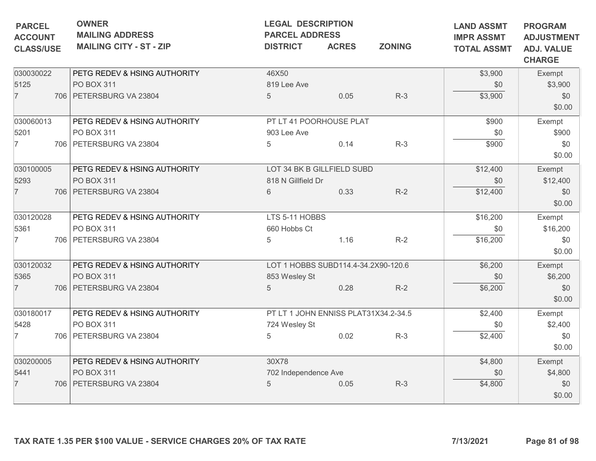| <b>PARCEL</b><br><b>ACCOUNT</b><br><b>CLASS/USE</b> | <b>OWNER</b><br><b>MAILING ADDRESS</b><br><b>MAILING CITY - ST - ZIP</b> | <b>LEGAL DESCRIPTION</b><br><b>PARCEL ADDRESS</b><br><b>DISTRICT</b> | <b>ACRES</b>                         | <b>ZONING</b> | <b>LAND ASSMT</b><br><b>IMPR ASSMT</b><br><b>TOTAL ASSMT</b> | <b>PROGRAM</b><br><b>ADJUSTMENT</b><br><b>ADJ. VALUE</b><br><b>CHARGE</b> |
|-----------------------------------------------------|--------------------------------------------------------------------------|----------------------------------------------------------------------|--------------------------------------|---------------|--------------------------------------------------------------|---------------------------------------------------------------------------|
| 030030022                                           | PETG REDEV & HSING AUTHORITY                                             | 46X50                                                                |                                      |               | \$3,900                                                      | Exempt                                                                    |
| 5125                                                | PO BOX 311                                                               | 819 Lee Ave                                                          |                                      |               | \$0                                                          | \$3,900                                                                   |
| $\overline{7}$                                      | 706   PETERSBURG VA 23804                                                | $5\overline{)}$                                                      | 0.05                                 | $R-3$         | \$3,900                                                      | \$0<br>\$0.00                                                             |
| 030060013                                           | PETG REDEV & HSING AUTHORITY                                             |                                                                      | PT LT 41 POORHOUSE PLAT              |               | \$900                                                        | Exempt                                                                    |
| 5201                                                | PO BOX 311                                                               | 903 Lee Ave                                                          |                                      |               | \$0                                                          | \$900                                                                     |
| $\overline{7}$                                      | 706 PETERSBURG VA 23804                                                  | 5                                                                    | 0.14                                 | $R-3$         | \$900                                                        | \$0<br>\$0.00                                                             |
| 030100005                                           | PETG REDEV & HSING AUTHORITY                                             |                                                                      | LOT 34 BK B GILLFIELD SUBD           |               | \$12,400                                                     | Exempt                                                                    |
| 5293                                                | PO BOX 311                                                               | 818 N Gillfield Dr                                                   |                                      |               | \$0                                                          | \$12,400                                                                  |
| $\overline{7}$                                      | 706   PETERSBURG VA 23804                                                | 6                                                                    | 0.33                                 | $R-2$         | \$12,400                                                     | \$0<br>\$0.00                                                             |
| 030120028                                           | PETG REDEV & HSING AUTHORITY                                             | LTS 5-11 HOBBS                                                       |                                      |               | \$16,200                                                     | Exempt                                                                    |
| 5361                                                | PO BOX 311                                                               | 660 Hobbs Ct                                                         |                                      |               | \$0                                                          | \$16,200                                                                  |
| $\overline{7}$                                      | 706 PETERSBURG VA 23804                                                  | 5                                                                    | 1.16                                 | $R-2$         | \$16,200                                                     | \$0<br>\$0.00                                                             |
| 030120032                                           | PETG REDEV & HSING AUTHORITY                                             |                                                                      | LOT 1 HOBBS SUBD114.4-34.2X90-120.6  |               | \$6,200                                                      | Exempt                                                                    |
| 5365                                                | PO BOX 311                                                               | 853 Wesley St                                                        |                                      |               | \$0                                                          | \$6,200                                                                   |
| $\overline{7}$                                      | 706   PETERSBURG VA 23804                                                | 5                                                                    | 0.28                                 | $R-2$         | \$6,200                                                      | \$0<br>\$0.00                                                             |
| 030180017                                           | PETG REDEV & HSING AUTHORITY                                             |                                                                      | PT LT 1 JOHN ENNISS PLAT31X34.2-34.5 |               | \$2,400                                                      | Exempt                                                                    |
| 5428                                                | PO BOX 311                                                               | 724 Wesley St                                                        |                                      |               | \$0                                                          | \$2,400                                                                   |
| $\overline{7}$                                      | 706 PETERSBURG VA 23804                                                  | $5\phantom{.0}$                                                      | 0.02                                 | $R-3$         | \$2,400                                                      | \$0<br>\$0.00                                                             |
| 030200005                                           | PETG REDEV & HSING AUTHORITY                                             | 30X78                                                                |                                      |               | \$4,800                                                      | Exempt                                                                    |
| 5441                                                | <b>PO BOX 311</b>                                                        | 702 Independence Ave                                                 |                                      |               | \$0                                                          | \$4,800                                                                   |
| $\overline{7}$                                      | 706   PETERSBURG VA 23804                                                | 5                                                                    | 0.05                                 | $R-3$         | \$4,800                                                      | \$0<br>\$0.00                                                             |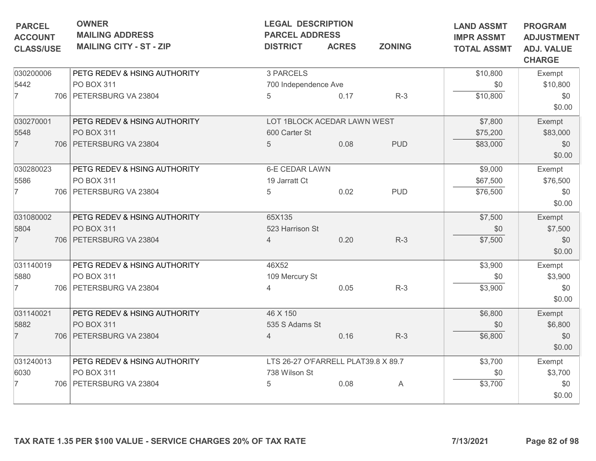| <b>PARCEL</b><br><b>ACCOUNT</b> | <b>OWNER</b><br><b>MAILING ADDRESS</b> | <b>LEGAL DESCRIPTION</b><br><b>PARCEL ADDRESS</b> |              |               | <b>LAND ASSMT</b><br><b>IMPR ASSMT</b> | <b>PROGRAM</b><br><b>ADJUSTMENT</b> |
|---------------------------------|----------------------------------------|---------------------------------------------------|--------------|---------------|----------------------------------------|-------------------------------------|
| <b>CLASS/USE</b>                | <b>MAILING CITY - ST - ZIP</b>         | <b>DISTRICT</b>                                   | <b>ACRES</b> | <b>ZONING</b> | <b>TOTAL ASSMT</b>                     | <b>ADJ. VALUE</b><br><b>CHARGE</b>  |
| 030200006                       | PETG REDEV & HSING AUTHORITY           | 3 PARCELS                                         |              |               | \$10,800                               | Exempt                              |
| 5442                            | PO BOX 311                             | 700 Independence Ave                              |              |               | \$0                                    | \$10,800                            |
| $\overline{7}$                  | 706 PETERSBURG VA 23804                | 5                                                 | 0.17         | $R-3$         | \$10,800                               | \$0<br>\$0.00                       |
| 030270001                       | PETG REDEV & HSING AUTHORITY           | LOT 1BLOCK ACEDAR LAWN WEST                       |              |               | \$7,800                                | Exempt                              |
| 5548                            | PO BOX 311                             | 600 Carter St                                     |              |               | \$75,200                               | \$83,000                            |
| $\overline{7}$                  | 706   PETERSBURG VA 23804              | 5                                                 | 0.08         | <b>PUD</b>    | \$83,000                               | \$0<br>\$0.00                       |
| 030280023                       | PETG REDEV & HSING AUTHORITY           | <b>6-E CEDAR LAWN</b>                             |              |               | \$9,000                                | Exempt                              |
| 5586                            | PO BOX 311                             | 19 Jarratt Ct                                     |              |               | \$67,500                               | \$76,500                            |
| $\overline{7}$                  | 706 PETERSBURG VA 23804                | 5                                                 | 0.02         | <b>PUD</b>    | \$76,500                               | \$0<br>\$0.00                       |
| 031080002                       | PETG REDEV & HSING AUTHORITY           | 65X135                                            |              |               | \$7,500                                | Exempt                              |
| 5804                            | PO BOX 311                             | 523 Harrison St                                   |              |               | \$0                                    | \$7,500                             |
| $\overline{7}$                  | 706   PETERSBURG VA 23804              | $\overline{4}$                                    | 0.20         | $R-3$         | \$7,500                                | \$0<br>\$0.00                       |
| 031140019                       | PETG REDEV & HSING AUTHORITY           | 46X52                                             |              |               | \$3,900                                | Exempt                              |
| 5880                            | PO BOX 311                             | 109 Mercury St                                    |              |               | \$0                                    | \$3,900                             |
| $\overline{7}$                  | 706   PETERSBURG VA 23804              | 4                                                 | 0.05         | $R-3$         | \$3,900                                | \$0<br>\$0.00                       |
| 031140021                       | PETG REDEV & HSING AUTHORITY           | 46 X 150                                          |              |               | \$6,800                                | Exempt                              |
| 5882                            | PO BOX 311                             | 535 S Adams St                                    |              |               | \$0                                    | \$6,800                             |
| $\overline{7}$                  | 706 PETERSBURG VA 23804                | 4                                                 | 0.16         | $R-3$         | \$6,800                                | \$0<br>\$0.00                       |
| 031240013                       | PETG REDEV & HSING AUTHORITY           | LTS 26-27 O'FARRELL PLAT39.8 X 89.7               |              |               | \$3,700                                | Exempt                              |
| 6030                            | PO BOX 311                             | 738 Wilson St                                     |              |               | \$0                                    | \$3,700                             |
| 7                               | 706   PETERSBURG VA 23804              | 5                                                 | 0.08         | A             | \$3,700                                | \$0<br>\$0.00                       |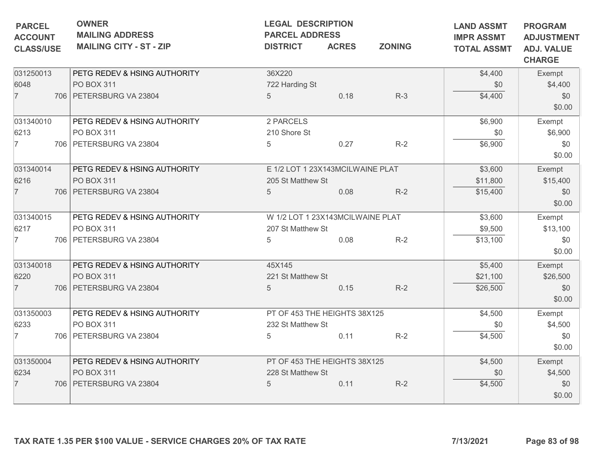| PETG REDEV & HSING AUTHORITY<br>PO BOX 311<br>706 PETERSBURG VA 23804<br>PETG REDEV & HSING AUTHORITY<br>PO BOX 311 | 36X220<br>722 Harding St<br>$5\overline{)}$<br>2 PARCELS | 0.18 | $R-3$                                                                                                 | \$4,400<br>\$0                                                                                                                       | Exempt<br>\$4,400 |
|---------------------------------------------------------------------------------------------------------------------|----------------------------------------------------------|------|-------------------------------------------------------------------------------------------------------|--------------------------------------------------------------------------------------------------------------------------------------|-------------------|
|                                                                                                                     |                                                          |      |                                                                                                       |                                                                                                                                      |                   |
|                                                                                                                     |                                                          |      |                                                                                                       |                                                                                                                                      |                   |
|                                                                                                                     |                                                          |      |                                                                                                       | \$4,400                                                                                                                              | \$0<br>\$0.00     |
|                                                                                                                     |                                                          |      |                                                                                                       | \$6,900                                                                                                                              | Exempt            |
|                                                                                                                     | 210 Shore St                                             |      |                                                                                                       | \$0                                                                                                                                  | \$6,900           |
| 706 PETERSBURG VA 23804                                                                                             | 5                                                        | 0.27 | $R-2$                                                                                                 | \$6,900                                                                                                                              | \$0<br>\$0.00     |
|                                                                                                                     |                                                          |      |                                                                                                       | \$3,600                                                                                                                              | Exempt            |
| PO BOX 311                                                                                                          |                                                          |      |                                                                                                       | \$11,800                                                                                                                             | \$15,400          |
| 706 PETERSBURG VA 23804                                                                                             | 5                                                        | 0.08 | $R-2$                                                                                                 | \$15,400                                                                                                                             | \$0<br>\$0.00     |
| PETG REDEV & HSING AUTHORITY                                                                                        |                                                          |      |                                                                                                       | \$3,600                                                                                                                              | Exempt            |
| PO BOX 311                                                                                                          |                                                          |      |                                                                                                       | \$9,500                                                                                                                              | \$13,100          |
| 706 PETERSBURG VA 23804                                                                                             | 5                                                        | 0.08 | $R-2$                                                                                                 | \$13,100                                                                                                                             | \$0<br>\$0.00     |
| PETG REDEV & HSING AUTHORITY                                                                                        | 45X145                                                   |      |                                                                                                       | \$5,400                                                                                                                              | Exempt            |
| PO BOX 311                                                                                                          |                                                          |      |                                                                                                       | \$21,100                                                                                                                             | \$26,500          |
| 706   PETERSBURG VA 23804                                                                                           | 5                                                        | 0.15 | $R-2$                                                                                                 | \$26,500                                                                                                                             | \$0<br>\$0.00     |
| PETG REDEV & HSING AUTHORITY                                                                                        |                                                          |      |                                                                                                       | \$4,500                                                                                                                              | Exempt            |
| PO BOX 311                                                                                                          |                                                          |      |                                                                                                       | \$0                                                                                                                                  | \$4,500           |
| 706 PETERSBURG VA 23804                                                                                             | 5                                                        | 0.11 | $R-2$                                                                                                 | \$4,500                                                                                                                              | \$0<br>\$0.00     |
| PETG REDEV & HSING AUTHORITY                                                                                        |                                                          |      |                                                                                                       | \$4,500                                                                                                                              | Exempt            |
| <b>PO BOX 311</b>                                                                                                   |                                                          |      |                                                                                                       | \$0                                                                                                                                  | \$4,500           |
| 706   PETERSBURG VA 23804                                                                                           | 5                                                        | 0.11 | $R-2$                                                                                                 | \$4,500                                                                                                                              | \$0<br>\$0.00     |
|                                                                                                                     | PETG REDEV & HSING AUTHORITY                             |      | 205 St Matthew St<br>207 St Matthew St<br>221 St Matthew St<br>232 St Matthew St<br>228 St Matthew St | E 1/2 LOT 1 23X143MCILWAINE PLAT<br>W 1/2 LOT 1 23X143MCILWAINE PLAT<br>PT OF 453 THE HEIGHTS 38X125<br>PT OF 453 THE HEIGHTS 38X125 |                   |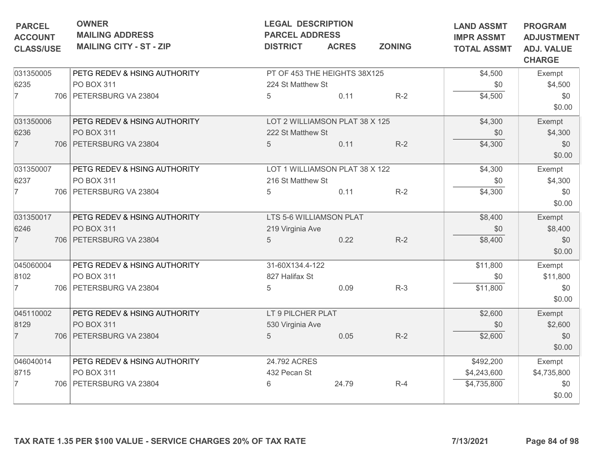| <b>PARCEL</b>                      | <b>OWNER</b><br><b>MAILING ADDRESS</b> | <b>LEGAL DESCRIPTION</b><br><b>PARCEL ADDRESS</b> |              | <b>LAND ASSMT</b><br><b>IMPR ASSMT</b> | <b>PROGRAM</b><br><b>ADJUSTMENT</b> |                                    |
|------------------------------------|----------------------------------------|---------------------------------------------------|--------------|----------------------------------------|-------------------------------------|------------------------------------|
| <b>ACCOUNT</b><br><b>CLASS/USE</b> | <b>MAILING CITY - ST - ZIP</b>         | <b>DISTRICT</b>                                   | <b>ACRES</b> | <b>ZONING</b>                          | <b>TOTAL ASSMT</b>                  | <b>ADJ. VALUE</b><br><b>CHARGE</b> |
| 031350005                          | PETG REDEV & HSING AUTHORITY           | PT OF 453 THE HEIGHTS 38X125                      |              |                                        | \$4,500                             | Exempt                             |
| 6235                               | PO BOX 311                             | 224 St Matthew St                                 |              |                                        | \$0                                 | \$4,500                            |
| $\overline{7}$                     | 706 PETERSBURG VA 23804                | 5                                                 | 0.11         | $R-2$                                  | \$4,500                             | \$0<br>\$0.00                      |
| 031350006                          | PETG REDEV & HSING AUTHORITY           | LOT 2 WILLIAMSON PLAT 38 X 125                    |              |                                        | \$4,300                             | Exempt                             |
| 6236                               | <b>PO BOX 311</b>                      | 222 St Matthew St                                 |              |                                        | \$0                                 | \$4,300                            |
| $\overline{7}$                     | 706   PETERSBURG VA 23804              | 5                                                 | 0.11         | $R-2$                                  | \$4,300                             | \$0<br>\$0.00                      |
| 031350007                          | PETG REDEV & HSING AUTHORITY           | LOT 1 WILLIAMSON PLAT 38 X 122                    |              |                                        | \$4,300                             | Exempt                             |
| 6237                               | PO BOX 311                             | 216 St Matthew St                                 |              |                                        | \$0                                 | \$4,300                            |
| 7                                  | 706   PETERSBURG VA 23804              | 5                                                 | 0.11         | $R-2$                                  | \$4,300                             | \$0<br>\$0.00                      |
| 031350017                          | PETG REDEV & HSING AUTHORITY           | LTS 5-6 WILLIAMSON PLAT                           |              |                                        | \$8,400                             | Exempt                             |
| 6246                               | PO BOX 311                             | 219 Virginia Ave                                  |              |                                        | \$0                                 | \$8,400                            |
| $\overline{7}$                     | 706   PETERSBURG VA 23804              | $5\overline{)}$                                   | 0.22         | $R-2$                                  | \$8,400                             | \$0<br>\$0.00                      |
| 045060004                          | PETG REDEV & HSING AUTHORITY           | 31-60X134.4-122                                   |              |                                        | \$11,800                            | Exempt                             |
| 8102                               | PO BOX 311                             | 827 Halifax St                                    |              |                                        | \$0                                 | \$11,800                           |
| $\overline{7}$                     | 706   PETERSBURG VA 23804              | 5                                                 | 0.09         | $R-3$                                  | \$11,800                            | \$0<br>\$0.00                      |
| 045110002                          | PETG REDEV & HSING AUTHORITY           | LT 9 PILCHER PLAT                                 |              |                                        | \$2,600                             | Exempt                             |
| 8129                               | PO BOX 311                             | 530 Virginia Ave                                  |              |                                        | \$0                                 | \$2,600                            |
| $\overline{7}$                     | 706 PETERSBURG VA 23804                | 5                                                 | 0.05         | $R-2$                                  | \$2,600                             | \$0<br>\$0.00                      |
| 046040014                          | PETG REDEV & HSING AUTHORITY           | 24.792 ACRES                                      |              |                                        | \$492,200                           | Exempt                             |
| 8715                               | PO BOX 311                             | 432 Pecan St                                      |              |                                        | \$4,243,600                         | \$4,735,800                        |
| 7                                  | 706   PETERSBURG VA 23804              | 6                                                 | 24.79        | $R-4$                                  | \$4,735,800                         | \$0<br>\$0.00                      |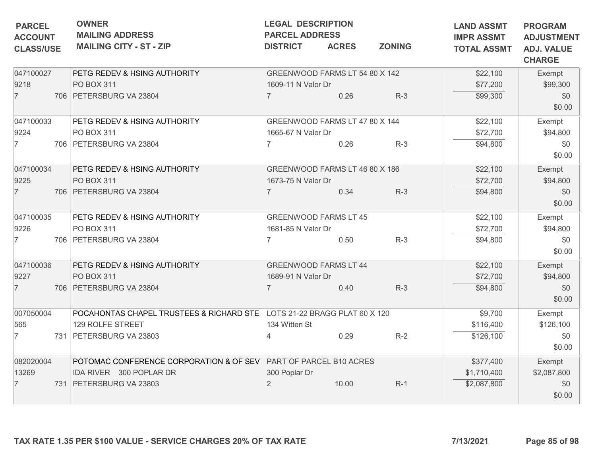| <b>PARCEL</b><br><b>ACCOUNT</b><br><b>CLASS/USE</b> | <b>OWNER</b><br><b>MAILING ADDRESS</b><br><b>MAILING CITY - ST - ZIP</b> | <b>LEGAL DESCRIPTION</b><br><b>PARCEL ADDRESS</b><br><b>DISTRICT</b> | <b>ACRES</b> | <b>ZONING</b> | <b>LAND ASSMT</b><br><b>IMPR ASSMT</b><br><b>TOTAL ASSMT</b> | <b>PROGRAM</b><br><b>ADJUSTMENT</b><br><b>ADJ. VALUE</b> |
|-----------------------------------------------------|--------------------------------------------------------------------------|----------------------------------------------------------------------|--------------|---------------|--------------------------------------------------------------|----------------------------------------------------------|
|                                                     |                                                                          |                                                                      |              |               |                                                              | <b>CHARGE</b>                                            |
| 047100027                                           | PETG REDEV & HSING AUTHORITY                                             | GREENWOOD FARMS LT 54 80 X 142                                       |              |               | \$22,100                                                     | Exempt                                                   |
| 9218                                                | PO BOX 311                                                               | 1609-11 N Valor Dr                                                   |              |               | \$77,200                                                     | \$99,300                                                 |
| $\overline{7}$                                      | 706   PETERSBURG VA 23804                                                | $\overline{7}$                                                       | 0.26         | $R-3$         | \$99,300                                                     | \$0<br>\$0.00                                            |
| 047100033                                           | PETG REDEV & HSING AUTHORITY                                             | GREENWOOD FARMS LT 47 80 X 144                                       |              |               | \$22,100                                                     | Exempt                                                   |
| 9224                                                | PO BOX 311                                                               | 1665-67 N Valor Dr                                                   |              |               | \$72,700                                                     | \$94,800                                                 |
| $\overline{7}$                                      | 706   PETERSBURG VA 23804                                                |                                                                      | 0.26         | $R-3$         | \$94,800                                                     | \$0<br>\$0.00                                            |
| 047100034                                           | PETG REDEV & HSING AUTHORITY                                             | GREENWOOD FARMS LT 46 80 X 186                                       |              |               | \$22,100                                                     | Exempt                                                   |
| 9225                                                | PO BOX 311                                                               | 1673-75 N Valor Dr                                                   |              |               | \$72,700                                                     | \$94,800                                                 |
| $\overline{7}$                                      | 706   PETERSBURG VA 23804                                                | $\overline{7}$                                                       | 0.34         | $R-3$         | \$94,800                                                     | \$0<br>\$0.00                                            |
| 047100035                                           | PETG REDEV & HSING AUTHORITY                                             | <b>GREENWOOD FARMS LT 45</b>                                         |              |               | \$22,100                                                     | Exempt                                                   |
| 9226                                                | PO BOX 311                                                               | 1681-85 N Valor Dr                                                   |              |               | \$72,700                                                     | \$94,800                                                 |
| $\overline{7}$                                      | 706 PETERSBURG VA 23804                                                  | 7                                                                    | 0.50         | $R-3$         | \$94,800                                                     | \$0<br>\$0.00                                            |
| 047100036                                           | PETG REDEV & HSING AUTHORITY                                             | <b>GREENWOOD FARMS LT 44</b>                                         |              |               | \$22,100                                                     | Exempt                                                   |
| 9227                                                | PO BOX 311                                                               | 1689-91 N Valor Dr                                                   |              |               | \$72,700                                                     | \$94,800                                                 |
| $\overline{7}$                                      | 706   PETERSBURG VA 23804                                                |                                                                      | 0.40         | $R-3$         | \$94,800                                                     | \$0<br>\$0.00                                            |
| 007050004                                           | POCAHONTAS CHAPEL TRUSTEES & RICHARD STE LOTS 21-22 BRAGG PLAT 60 X 120  |                                                                      |              |               | \$9,700                                                      | Exempt                                                   |
| 565                                                 | 129 ROLFE STREET                                                         | 134 Witten St                                                        |              |               | \$116,400                                                    | \$126,100                                                |
| $\overline{7}$                                      | 731 PETERSBURG VA 23803                                                  | 4                                                                    | 0.29         | $R-2$         | \$126,100                                                    | \$0<br>\$0.00                                            |
| 082020004                                           | POTOMAC CONFERENCE CORPORATION & OF SEV PART OF PARCEL B10 ACRES         |                                                                      |              |               | \$377,400                                                    | Exempt                                                   |
| 13269                                               | IDA RIVER 300 POPLAR DR                                                  | 300 Poplar Dr                                                        |              |               | \$1,710,400                                                  | \$2,087,800                                              |
| $\overline{7}$                                      | 731   PETERSBURG VA 23803                                                | 2                                                                    | 10.00        | $R-1$         | \$2,087,800                                                  | \$0<br>\$0.00                                            |
|                                                     | TAX RATE 1.35 PER \$100 VALUE - SERVICE CHARGES 20% OF TAX RATE          |                                                                      |              |               | 7/13/2021                                                    | Page 85 of 98                                            |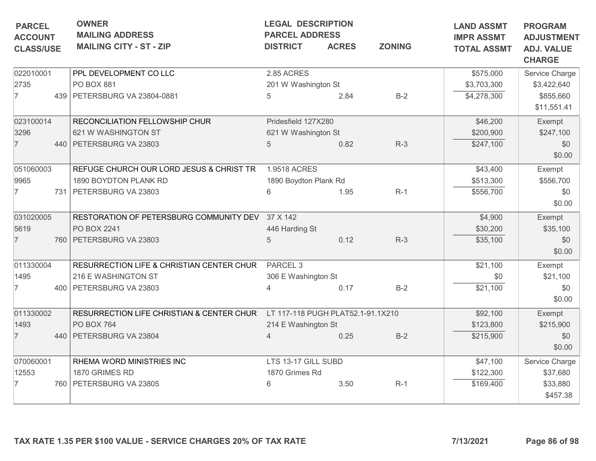| <b>PARCEL</b><br><b>ACCOUNT</b><br><b>CLASS/USE</b> | <b>OWNER</b><br><b>MAILING ADDRESS</b><br><b>MAILING CITY - ST - ZIP</b> | <b>LEGAL DESCRIPTION</b><br><b>PARCEL ADDRESS</b><br><b>DISTRICT</b> | <b>ACRES</b> | <b>ZONING</b> | <b>LAND ASSMT</b><br><b>IMPR ASSMT</b><br><b>TOTAL ASSMT</b> | <b>PROGRAM</b><br><b>ADJUSTMENT</b><br><b>ADJ. VALUE</b><br><b>CHARGE</b> |
|-----------------------------------------------------|--------------------------------------------------------------------------|----------------------------------------------------------------------|--------------|---------------|--------------------------------------------------------------|---------------------------------------------------------------------------|
| 022010001                                           | PPL DEVELOPMENT CO LLC                                                   | 2.85 ACRES                                                           |              |               | \$575,000                                                    | Service Charge                                                            |
| 2735                                                | <b>PO BOX 881</b>                                                        | 201 W Washington St                                                  |              |               | \$3,703,300                                                  | \$3,422,640                                                               |
| $\overline{7}$                                      | 439   PETERSBURG VA 23804-0881                                           | 5                                                                    | 2.84         | $B-2$         | \$4,278,300                                                  | \$855,660<br>\$11,551.41                                                  |
| 023100014                                           | RECONCILIATION FELLOWSHIP CHUR                                           | Pridesfield 127X280                                                  |              |               | \$46,200                                                     | Exempt                                                                    |
| 3296                                                | 621 W WASHINGTON ST                                                      | 621 W Washington St                                                  |              |               | \$200,900                                                    | \$247,100                                                                 |
| $\overline{7}$                                      | 440   PETERSBURG VA 23803                                                | 5                                                                    | 0.82         | $R-3$         | \$247,100                                                    | \$0<br>\$0.00                                                             |
| 051060003                                           | REFUGE CHURCH OUR LORD JESUS & CHRIST TR                                 | 1.9518 ACRES                                                         |              |               | \$43,400                                                     | Exempt                                                                    |
| 9965                                                | 1890 BOYDTON PLANK RD                                                    | 1890 Boydton Plank Rd                                                |              |               | \$513,300                                                    | \$556,700                                                                 |
|                                                     | 731   PETERSBURG VA 23803                                                | 6                                                                    | 1.95         | $R-1$         | \$556,700                                                    | \$0<br>\$0.00                                                             |
| 031020005                                           | RESTORATION OF PETERSBURG COMMUNITY DEV                                  | 37 X 142                                                             |              |               | \$4,900                                                      | Exempt                                                                    |
| 5619                                                | PO BOX 2241                                                              | 446 Harding St                                                       |              |               | \$30,200                                                     | \$35,100                                                                  |
| $\overline{7}$                                      | 760   PETERSBURG VA 23803                                                | 5                                                                    | 0.12         | $R-3$         | \$35,100                                                     | \$0<br>\$0.00                                                             |
| 011330004                                           | RESURRECTION LIFE & CHRISTIAN CENTER CHUR                                | PARCEL <sub>3</sub>                                                  |              |               | \$21,100                                                     | Exempt                                                                    |
| 1495                                                | 216 E WASHINGTON ST                                                      | 306 E Washington St                                                  |              |               | \$0                                                          | \$21,100                                                                  |
| $\overline{7}$                                      | 400 PETERSBURG VA 23803                                                  |                                                                      | 0.17         | $B-2$         | \$21,100                                                     | \$0<br>\$0.00                                                             |
| 011330002                                           | RESURRECTION LIFE CHRISTIAN & CENTER CHUR                                | LT 117-118 PUGH PLAT52.1-91.1X210                                    |              |               | \$92,100                                                     | Exempt                                                                    |
| 1493                                                | PO BOX 764                                                               | 214 E Washington St                                                  |              |               | \$123,800                                                    | \$215,900                                                                 |
| $\overline{7}$                                      | 440   PETERSBURG VA 23804                                                | $\overline{4}$                                                       | 0.25         | $B-2$         | \$215,900                                                    | \$0<br>\$0.00                                                             |
| 070060001                                           | RHEMA WORD MINISTRIES INC                                                | LTS 13-17 GILL SUBD                                                  |              |               | \$47,100                                                     | Service Charge                                                            |
| 12553                                               | 1870 GRIMES RD                                                           | 1870 Grimes Rd                                                       |              |               | \$122,300                                                    | \$37,680                                                                  |
|                                                     | 760   PETERSBURG VA 23805                                                | 6                                                                    | 3.50         | $R-1$         | \$169,400                                                    | \$33,880<br>\$457.38                                                      |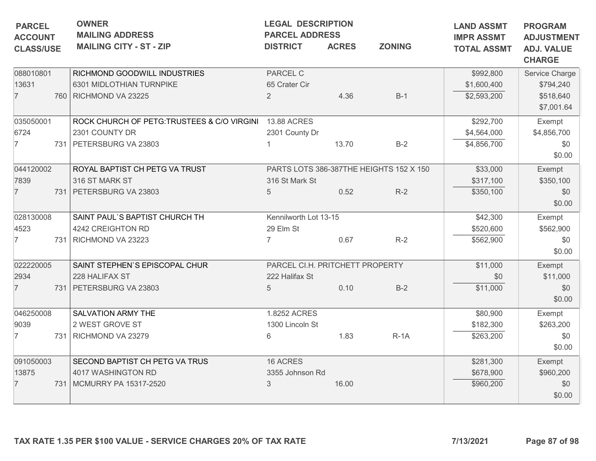| <b>OWNER</b><br><b>MAILING ADDRESS</b><br><b>MAILING CITY - ST - ZIP</b> | <b>LEGAL DESCRIPTION</b><br><b>PARCEL ADDRESS</b><br><b>DISTRICT</b>                                                                                                                                                                                                 | <b>ACRES</b>                    | <b>LAND ASSMT</b><br><b>IMPR ASSMT</b><br><b>TOTAL ASSMT</b> | <b>PROGRAM</b><br><b>ADJUSTMENT</b><br><b>ADJ. VALUE</b><br><b>CHARGE</b>                            |                                                     |
|--------------------------------------------------------------------------|----------------------------------------------------------------------------------------------------------------------------------------------------------------------------------------------------------------------------------------------------------------------|---------------------------------|--------------------------------------------------------------|------------------------------------------------------------------------------------------------------|-----------------------------------------------------|
| RICHMOND GOODWILL INDUSTRIES                                             | PARCEL C                                                                                                                                                                                                                                                             |                                 |                                                              | \$992,800                                                                                            | Service Charge                                      |
|                                                                          |                                                                                                                                                                                                                                                                      |                                 |                                                              |                                                                                                      | \$794,240                                           |
|                                                                          |                                                                                                                                                                                                                                                                      |                                 |                                                              |                                                                                                      | \$518,640<br>\$7,001.64                             |
|                                                                          | <b>13.88 ACRES</b>                                                                                                                                                                                                                                                   |                                 |                                                              | \$292,700                                                                                            | Exempt                                              |
| 2301 COUNTY DR                                                           | 2301 County Dr                                                                                                                                                                                                                                                       |                                 |                                                              | \$4,564,000                                                                                          | \$4,856,700                                         |
|                                                                          |                                                                                                                                                                                                                                                                      | 13.70                           | $B-2$                                                        | \$4,856,700                                                                                          | \$0<br>\$0.00                                       |
| ROYAL BAPTIST CH PETG VA TRUST                                           |                                                                                                                                                                                                                                                                      |                                 |                                                              | \$33,000                                                                                             | Exempt                                              |
| 316 ST MARK ST                                                           | 316 St Mark St                                                                                                                                                                                                                                                       |                                 |                                                              | \$317,100                                                                                            | \$350,100                                           |
|                                                                          | 5                                                                                                                                                                                                                                                                    | 0.52                            | $R-2$                                                        | \$350,100                                                                                            | \$0                                                 |
|                                                                          |                                                                                                                                                                                                                                                                      |                                 |                                                              |                                                                                                      | \$0.00                                              |
| SAINT PAUL'S BAPTIST CHURCH TH                                           |                                                                                                                                                                                                                                                                      |                                 |                                                              |                                                                                                      | Exempt                                              |
| 4242 CREIGHTON RD                                                        | 29 Elm St                                                                                                                                                                                                                                                            |                                 |                                                              |                                                                                                      | \$562,900                                           |
|                                                                          | $\overline{7}$                                                                                                                                                                                                                                                       | 0.67                            | $R-2$                                                        | \$562,900                                                                                            | \$0                                                 |
|                                                                          |                                                                                                                                                                                                                                                                      |                                 |                                                              |                                                                                                      | \$0.00                                              |
| SAINT STEPHEN'S EPISCOPAL CHUR                                           |                                                                                                                                                                                                                                                                      |                                 |                                                              | \$11,000                                                                                             | Exempt                                              |
| 228 HALIFAX ST                                                           | 222 Halifax St                                                                                                                                                                                                                                                       |                                 |                                                              | \$0                                                                                                  | \$11,000                                            |
|                                                                          | 5                                                                                                                                                                                                                                                                    | 0.10                            | $B-2$                                                        | \$11,000                                                                                             | \$0                                                 |
|                                                                          |                                                                                                                                                                                                                                                                      |                                 |                                                              |                                                                                                      | \$0.00                                              |
| SALVATION ARMY THE                                                       | 1.8252 ACRES                                                                                                                                                                                                                                                         |                                 |                                                              | \$80,900                                                                                             | Exempt                                              |
| 2 WEST GROVE ST                                                          | 1300 Lincoln St                                                                                                                                                                                                                                                      |                                 |                                                              | \$182,300                                                                                            | \$263,200                                           |
|                                                                          | 6                                                                                                                                                                                                                                                                    | 1.83                            | $R-1A$                                                       | \$263,200                                                                                            | \$0                                                 |
|                                                                          |                                                                                                                                                                                                                                                                      |                                 |                                                              |                                                                                                      | \$0.00                                              |
| SECOND BAPTIST CH PETG VA TRUS                                           | 16 ACRES                                                                                                                                                                                                                                                             |                                 |                                                              | \$281,300                                                                                            | Exempt                                              |
| 4017 WASHINGTON RD                                                       |                                                                                                                                                                                                                                                                      |                                 |                                                              | \$678,900                                                                                            | \$960,200                                           |
|                                                                          | 3                                                                                                                                                                                                                                                                    | 16.00                           |                                                              | \$960,200                                                                                            | \$0                                                 |
|                                                                          |                                                                                                                                                                                                                                                                      |                                 |                                                              |                                                                                                      | \$0.00                                              |
|                                                                          | 6301 MIDLOTHIAN TURNPIKE<br>760 RICHMOND VA 23225<br>ROCK CHURCH OF PETG: TRUSTEES & C/O VIRGINI<br>731   PETERSBURG VA 23803<br>731 PETERSBURG VA 23803<br>731 RICHMOND VA 23223<br>731 PETERSBURG VA 23803<br>731 RICHMOND VA 23279<br>731   MCMURRY PA 15317-2520 | 65 Crater Cir<br>$\overline{2}$ | 4.36<br>Kennilworth Lot 13-15<br>3355 Johnson Rd             | <b>ZONING</b><br>$B-1$<br>PARTS LOTS 386-387THE HEIGHTS 152 X 150<br>PARCEL CI.H. PRITCHETT PROPERTY | \$1,600,400<br>\$2,593,200<br>\$42,300<br>\$520,600 |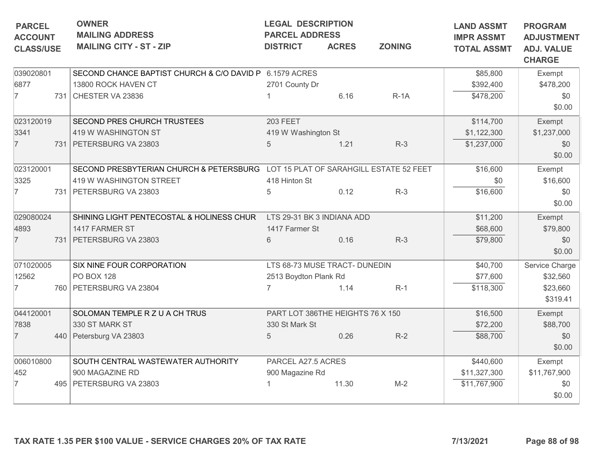| <b>PARCEL</b><br><b>ACCOUNT</b><br><b>CLASS/USE</b> | <b>OWNER</b><br><b>LEGAL DESCRIPTION</b><br><b>MAILING ADDRESS</b><br><b>PARCEL ADDRESS</b><br><b>MAILING CITY - ST - ZIP</b><br><b>ZONING</b><br><b>DISTRICT</b><br><b>ACRES</b> |                                                                                 | <b>LAND ASSMT</b><br><b>IMPR ASSMT</b><br><b>TOTAL ASSMT</b> | <b>PROGRAM</b><br><b>ADJUSTMENT</b><br><b>ADJ. VALUE</b><br><b>CHARGE</b> |        |              |                      |
|-----------------------------------------------------|-----------------------------------------------------------------------------------------------------------------------------------------------------------------------------------|---------------------------------------------------------------------------------|--------------------------------------------------------------|---------------------------------------------------------------------------|--------|--------------|----------------------|
| 039020801                                           |                                                                                                                                                                                   | SECOND CHANCE BAPTIST CHURCH & C/O DAVID P 6.1579 ACRES                         |                                                              |                                                                           |        | \$85,800     | Exempt               |
| 6877                                                |                                                                                                                                                                                   | 13800 ROCK HAVEN CT                                                             | 2701 County Dr                                               |                                                                           |        | \$392,400    | \$478,200            |
| 7                                                   |                                                                                                                                                                                   | 731 CHESTER VA 23836                                                            |                                                              | 6.16                                                                      | $R-1A$ | \$478,200    | \$0<br>\$0.00        |
| 023120019                                           |                                                                                                                                                                                   | SECOND PRES CHURCH TRUSTEES                                                     | <b>203 FEET</b>                                              |                                                                           |        | \$114,700    | Exempt               |
| 3341                                                |                                                                                                                                                                                   | 419 W WASHINGTON ST                                                             | 419 W Washington St                                          |                                                                           |        | \$1,122,300  | \$1,237,000          |
| $\overline{7}$                                      |                                                                                                                                                                                   | 731 PETERSBURG VA 23803                                                         | 5                                                            | 1.21                                                                      | $R-3$  | \$1,237,000  | \$0<br>\$0.00        |
| 023120001                                           |                                                                                                                                                                                   | SECOND PRESBYTERIAN CHURCH & PETERSBURG LOT 15 PLAT OF SARAHGILL ESTATE 52 FEET |                                                              |                                                                           |        | \$16,600     | Exempt               |
| 3325                                                |                                                                                                                                                                                   | 419 W WASHINGTON STREET                                                         | 418 Hinton St                                                |                                                                           |        | \$0          | \$16,600             |
|                                                     |                                                                                                                                                                                   | 731 PETERSBURG VA 23803                                                         | 5                                                            | 0.12                                                                      | $R-3$  | \$16,600     | \$0<br>\$0.00        |
| 029080024                                           |                                                                                                                                                                                   | SHINING LIGHT PENTECOSTAL & HOLINESS CHUR                                       | LTS 29-31 BK 3 INDIANA ADD                                   |                                                                           |        | \$11,200     | Exempt               |
| 4893                                                |                                                                                                                                                                                   | 1417 FARMER ST                                                                  | 1417 Farmer St                                               |                                                                           |        | \$68,600     | \$79,800             |
| $\overline{7}$                                      |                                                                                                                                                                                   | 731 PETERSBURG VA 23803                                                         | 6                                                            | 0.16                                                                      | $R-3$  | \$79,800     | \$0<br>\$0.00        |
| 071020005                                           |                                                                                                                                                                                   | SIX NINE FOUR CORPORATION                                                       | LTS 68-73 MUSE TRACT- DUNEDIN                                |                                                                           |        | \$40,700     | Service Charge       |
| 12562                                               |                                                                                                                                                                                   | PO BOX 128                                                                      | 2513 Boydton Plank Rd                                        |                                                                           |        | \$77,600     | \$32,560             |
|                                                     |                                                                                                                                                                                   | 760   PETERSBURG VA 23804                                                       |                                                              | 1.14                                                                      | $R-1$  | \$118,300    | \$23,660<br>\$319.41 |
| 044120001                                           |                                                                                                                                                                                   | SOLOMAN TEMPLE R Z U A CH TRUS                                                  | PART LOT 386THE HEIGHTS 76 X 150                             |                                                                           |        | \$16,500     | Exempt               |
| 7838                                                |                                                                                                                                                                                   | 330 ST MARK ST                                                                  | 330 St Mark St                                               |                                                                           |        | \$72,200     | \$88,700             |
| $\overline{7}$                                      |                                                                                                                                                                                   | 440   Petersburg VA 23803                                                       | $\overline{5}$                                               | 0.26                                                                      | $R-2$  | \$88,700     | \$0<br>\$0.00        |
| 006010800                                           |                                                                                                                                                                                   | SOUTH CENTRAL WASTEWATER AUTHORITY                                              | PARCEL A27.5 ACRES                                           |                                                                           |        | \$440,600    | Exempt               |
| 452                                                 |                                                                                                                                                                                   | 900 MAGAZINE RD                                                                 | 900 Magazine Rd                                              |                                                                           |        | \$11,327,300 | \$11,767,900         |
| 7                                                   |                                                                                                                                                                                   | 495   PETERSBURG VA 23803                                                       |                                                              | 11.30                                                                     | $M-2$  | \$11,767,900 | \$0<br>\$0.00        |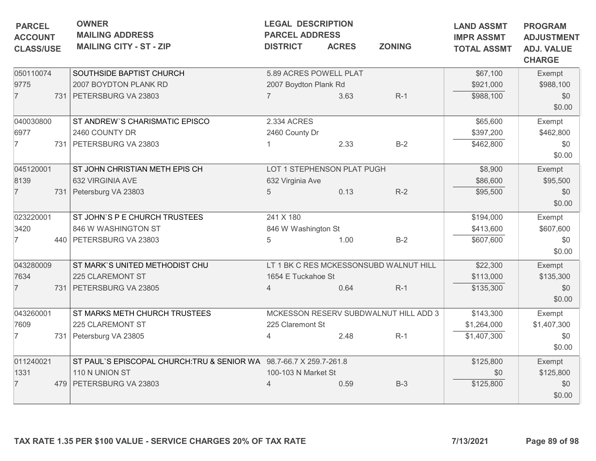| <b>PARCEL</b><br><b>ACCOUNT</b><br><b>CLASS/USE</b> | <b>OWNER</b><br><b>MAILING ADDRESS</b><br><b>MAILING CITY - ST - ZIP</b> | <b>LEGAL DESCRIPTION</b><br><b>PARCEL ADDRESS</b><br><b>DISTRICT</b> | <b>ACRES</b> | <b>ZONING</b>                          | <b>LAND ASSMT</b><br><b>IMPR ASSMT</b><br><b>TOTAL ASSMT</b> | <b>PROGRAM</b><br><b>ADJUSTMENT</b><br><b>ADJ. VALUE</b><br><b>CHARGE</b> |
|-----------------------------------------------------|--------------------------------------------------------------------------|----------------------------------------------------------------------|--------------|----------------------------------------|--------------------------------------------------------------|---------------------------------------------------------------------------|
| 050110074<br>9775                                   | SOUTHSIDE BAPTIST CHURCH<br>2007 BOYDTON PLANK RD                        | 5.89 ACRES POWELL PLAT<br>2007 Boydton Plank Rd                      |              |                                        | \$67,100<br>\$921,000                                        | Exempt<br>\$988,100                                                       |
| $\overline{7}$                                      | 731 PETERSBURG VA 23803                                                  | $\overline{7}$                                                       | 3.63         | $R-1$                                  | \$988,100                                                    | \$0<br>\$0.00                                                             |
| 040030800                                           | ST ANDREW'S CHARISMATIC EPISCO                                           | 2.334 ACRES                                                          |              |                                        | \$65,600                                                     | Exempt                                                                    |
| 6977                                                | 2460 COUNTY DR                                                           | 2460 County Dr                                                       |              |                                        | \$397,200                                                    | \$462,800                                                                 |
| $\overline{7}$                                      | 731 PETERSBURG VA 23803                                                  |                                                                      | 2.33         | $B-2$                                  | \$462,800                                                    | \$0<br>\$0.00                                                             |
| 045120001                                           | ST JOHN CHRISTIAN METH EPIS CH                                           | LOT 1 STEPHENSON PLAT PUGH                                           |              |                                        | \$8,900                                                      | Exempt                                                                    |
| 8139                                                | 632 VIRGINIA AVE                                                         | 632 Virginia Ave                                                     |              |                                        | \$86,600                                                     | \$95,500                                                                  |
| $\overline{7}$                                      | 731 Petersburg VA 23803                                                  | 5                                                                    | 0.13         | $R-2$                                  | \$95,500                                                     | \$0<br>\$0.00                                                             |
| 023220001                                           | ST JOHN'S P E CHURCH TRUSTEES                                            | 241 X 180                                                            |              |                                        | \$194,000                                                    | Exempt                                                                    |
| 3420                                                | 846 W WASHINGTON ST                                                      | 846 W Washington St                                                  |              |                                        | \$413,600                                                    | \$607,600                                                                 |
| 7                                                   | 440   PETERSBURG VA 23803                                                | 5                                                                    | 1.00         | $B-2$                                  | \$607,600                                                    | \$0<br>\$0.00                                                             |
| 043280009                                           | ST MARK'S UNITED METHODIST CHU                                           |                                                                      |              | LT 1 BK C RES MCKESSONSUBD WALNUT HILL | \$22,300                                                     | Exempt                                                                    |
| 7634                                                | 225 CLAREMONT ST                                                         | 1654 E Tuckahoe St                                                   |              |                                        | \$113,000                                                    | \$135,300                                                                 |
| $\overline{7}$                                      | 731 PETERSBURG VA 23805                                                  | 4                                                                    | 0.64         | $R-1$                                  | \$135,300                                                    | \$0<br>\$0.00                                                             |
| 043260001                                           | ST MARKS METH CHURCH TRUSTEES                                            |                                                                      |              | MCKESSON RESERV SUBDWALNUT HILL ADD 3  | \$143,300                                                    | Exempt                                                                    |
| 7609                                                | 225 CLAREMONT ST                                                         | 225 Claremont St                                                     |              |                                        | \$1,264,000                                                  | \$1,407,300                                                               |
| 7                                                   | 731 Petersburg VA 23805                                                  | $\overline{4}$                                                       | 2.48         | $R-1$                                  | \$1,407,300                                                  | \$0<br>\$0.00                                                             |
| 011240021                                           | ST PAUL'S EPISCOPAL CHURCH: TRU & SENIOR WA 98.7-66.7 X 259.7-261.8      |                                                                      |              |                                        | \$125,800                                                    | Exempt                                                                    |
| 1331                                                | 110 N UNION ST                                                           | 100-103 N Market St                                                  |              |                                        | \$0                                                          | \$125,800                                                                 |
| $\overline{7}$                                      | 479   PETERSBURG VA 23803                                                |                                                                      | 0.59         | $B-3$                                  | \$125,800                                                    | \$0<br>\$0.00                                                             |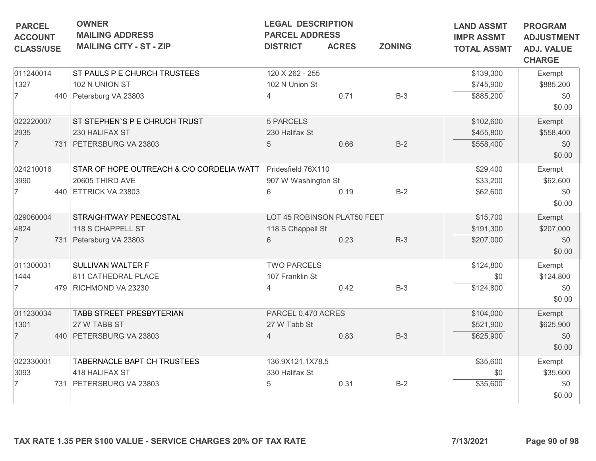| <b>PARCEL</b>                      | <b>OWNER</b><br><b>MAILING ADDRESS</b>    | <b>LEGAL DESCRIPTION</b><br><b>PARCEL ADDRESS</b> |              | <b>LAND ASSMT</b> | <b>PROGRAM</b>                          |                                                         |
|------------------------------------|-------------------------------------------|---------------------------------------------------|--------------|-------------------|-----------------------------------------|---------------------------------------------------------|
| <b>ACCOUNT</b><br><b>CLASS/USE</b> | <b>MAILING CITY - ST - ZIP</b>            | <b>DISTRICT</b>                                   | <b>ACRES</b> | <b>ZONING</b>     | <b>IMPR ASSMT</b><br><b>TOTAL ASSMT</b> | <b>ADJUSTMENT</b><br><b>ADJ. VALUE</b><br><b>CHARGE</b> |
| 011240014                          | ST PAULS P E CHURCH TRUSTEES              | 120 X 262 - 255                                   |              |                   | \$139,300                               | Exempt                                                  |
| 1327                               | 102 N UNION ST                            | 102 N Union St                                    |              |                   | \$745,900                               | \$885,200                                               |
| $\overline{7}$                     | 440 Petersburg VA 23803                   | 4                                                 | 0.71         | $B-3$             | \$885,200                               | \$0<br>\$0.00                                           |
| 022220007                          | ST STEPHEN'S P E CHRUCH TRUST             | 5 PARCELS                                         |              |                   | \$102,600                               | Exempt                                                  |
| 2935                               | 230 HALIFAX ST                            | 230 Halifax St                                    |              |                   | \$455,800                               | \$558,400                                               |
| $\overline{7}$                     | 731 PETERSBURG VA 23803                   | 5                                                 | 0.66         | $B-2$             | \$558,400                               | \$0<br>\$0.00                                           |
| 024210016                          | STAR OF HOPE OUTREACH & C/O CORDELIA WATT | Pridesfield 76X110                                |              |                   | \$29,400                                | Exempt                                                  |
| 3990                               | 20605 THIRD AVE                           | 907 W Washington St                               |              |                   | \$33,200                                | \$62,600                                                |
| 7                                  | 440 ETTRICK VA 23803                      | 6                                                 | 0.19         | $B-2$             | \$62,600                                | \$0<br>\$0.00                                           |
| 029060004                          | STRAIGHTWAY PENECOSTAL                    | LOT 45 ROBINSON PLAT50 FEET                       |              |                   | \$15,700                                | Exempt                                                  |
| 4824                               | 118 S CHAPPELL ST                         | 118 S Chappell St                                 |              |                   | \$191,300                               | \$207,000                                               |
| $\overline{7}$                     | 731 Petersburg VA 23803                   | 6                                                 | 0.23         | $R-3$             | \$207,000                               | \$0<br>\$0.00                                           |
| 011300031                          | SULLIVAN WALTER F                         | <b>TWO PARCELS</b>                                |              |                   | \$124,800                               | Exempt                                                  |
| 1444                               | 811 CATHEDRAL PLACE                       | 107 Franklin St                                   |              |                   | \$0                                     | \$124,800                                               |
| 7                                  | 479 RICHMOND VA 23230                     | 4                                                 | 0.42         | $B-3$             | \$124,800                               | \$0<br>\$0.00                                           |
| 011230034                          | TABB STREET PRESBYTERIAN                  | PARCEL 0.470 ACRES                                |              |                   | \$104,000                               | Exempt                                                  |
| 1301                               | 27 W TABB ST                              | 27 W Tabb St                                      |              |                   | \$521,900                               | \$625,900                                               |
| $\overline{7}$                     | 440   PETERSBURG VA 23803                 | $\overline{4}$                                    | 0.83         | $B-3$             | \$625,900                               | \$0<br>\$0.00                                           |
| 022330001                          | TABERNACLE BAPT CH TRUSTEES               | 136.9X121.1X78.5                                  |              |                   | \$35,600                                | Exempt                                                  |
| 3093                               | 418 HALIFAX ST                            | 330 Halifax St                                    |              |                   | \$0                                     | \$35,600                                                |
| 7                                  | 731 PETERSBURG VA 23803                   | 5                                                 | 0.31         | $B-2$             | \$35,600                                | \$0<br>\$0.00                                           |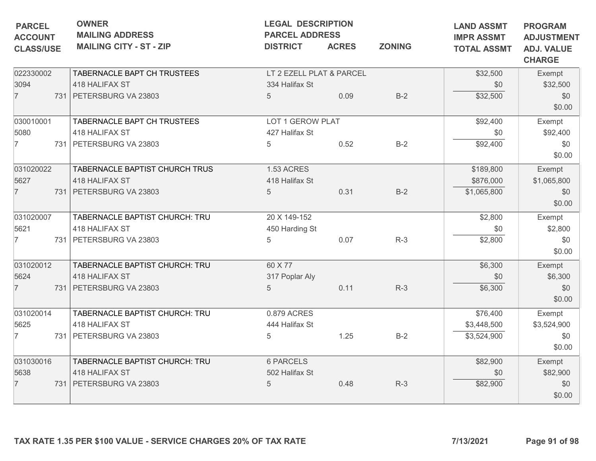| <b>PARCEL</b><br><b>ACCOUNT</b><br><b>CLASS/USE</b> | <b>OWNER</b><br><b>MAILING ADDRESS</b><br><b>MAILING CITY - ST - ZIP</b>      | <b>LEGAL DESCRIPTION</b><br><b>PARCEL ADDRESS</b><br><b>DISTRICT</b> | <b>ACRES</b> | <b>ZONING</b> | <b>LAND ASSMT</b><br><b>IMPR ASSMT</b><br><b>TOTAL ASSMT</b> | <b>PROGRAM</b><br><b>ADJUSTMENT</b><br><b>ADJ. VALUE</b><br><b>CHARGE</b> |
|-----------------------------------------------------|-------------------------------------------------------------------------------|----------------------------------------------------------------------|--------------|---------------|--------------------------------------------------------------|---------------------------------------------------------------------------|
| 022330002<br>3094<br>$\overline{7}$                 | TABERNACLE BAPT CH TRUSTEES<br>418 HALIFAX ST<br>731   PETERSBURG VA 23803    | LT 2 EZELL PLAT & PARCEL<br>334 Halifax St<br>$5\phantom{.0}$        | 0.09         | $B-2$         | \$32,500<br>\$0<br>\$32,500                                  | Exempt<br>\$32,500<br>\$0<br>\$0.00                                       |
| 030010001<br>5080<br>$\overline{7}$                 | TABERNACLE BAPT CH TRUSTEES<br>418 HALIFAX ST<br>731 PETERSBURG VA 23803      | LOT 1 GEROW PLAT<br>427 Halifax St<br>5                              | 0.52         | $B-2$         | \$92,400<br>\$0<br>\$92,400                                  | Exempt<br>\$92,400<br>\$0<br>\$0.00                                       |
| 031020022<br>5627<br>$\overline{7}$                 | TABERNACLE BAPTIST CHURCH TRUS<br>418 HALIFAX ST<br>731 PETERSBURG VA 23803   | 1.53 ACRES<br>418 Halifax St<br>5                                    | 0.31         | $B-2$         | \$189,800<br>\$876,000<br>\$1,065,800                        | Exempt<br>\$1,065,800<br>\$0<br>\$0.00                                    |
| 031020007<br>5621<br>$\overline{7}$                 | TABERNACLE BAPTIST CHURCH: TRU<br>418 HALIFAX ST<br>731   PETERSBURG VA 23803 | 20 X 149-152<br>450 Harding St<br>5                                  | 0.07         | $R-3$         | \$2,800<br>\$0<br>\$2,800                                    | Exempt<br>\$2,800<br>\$0<br>\$0.00                                        |
| 031020012<br>5624<br>$\overline{7}$                 | TABERNACLE BAPTIST CHURCH: TRU<br>418 HALIFAX ST<br>731 PETERSBURG VA 23803   | 60 X 77<br>317 Poplar Aly<br>5                                       | 0.11         | $R-3$         | \$6,300<br>\$0<br>\$6,300                                    | Exempt<br>\$6,300<br>\$0<br>\$0.00                                        |
| 031020014<br>5625<br>$\overline{7}$                 | TABERNACLE BAPTIST CHURCH: TRU<br>418 HALIFAX ST<br>731 PETERSBURG VA 23803   | 0.879 ACRES<br>444 Halifax St<br>5                                   | 1.25         | $B-2$         | \$76,400<br>\$3,448,500<br>\$3,524,900                       | Exempt<br>\$3,524,900<br>\$0<br>\$0.00                                    |
| 031030016<br>5638<br>$\overline{7}$                 | TABERNACLE BAPTIST CHURCH: TRU<br>418 HALIFAX ST<br>731 PETERSBURG VA 23803   | <b>6 PARCELS</b><br>502 Halifax St<br>5                              | 0.48         | $R-3$         | \$82,900<br>\$0<br>\$82,900                                  | Exempt<br>\$82,900<br>\$0<br>\$0.00                                       |
|                                                     | TAX RATE 1.35 PER \$100 VALUE - SERVICE CHARGES 20% OF TAX RATE               |                                                                      |              |               | 7/13/2021                                                    | Page 91 of 98                                                             |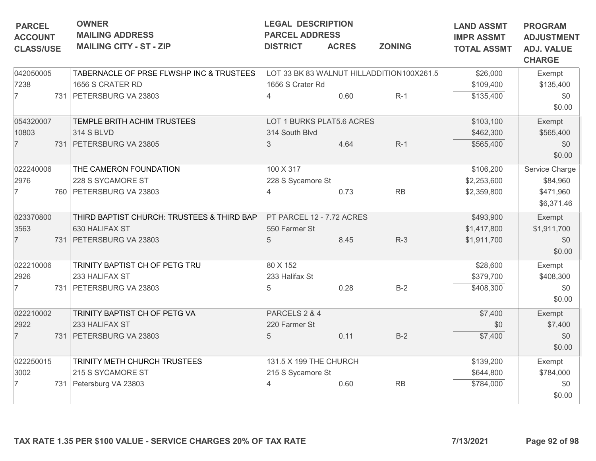| <b>PARCEL</b>                      | <b>OWNER</b><br><b>MAILING ADDRESS</b>                          | <b>LEGAL DESCRIPTION</b><br><b>PARCEL ADDRESS</b> |              |                                           | <b>LAND ASSMT</b>                       | <b>PROGRAM</b>                                          |
|------------------------------------|-----------------------------------------------------------------|---------------------------------------------------|--------------|-------------------------------------------|-----------------------------------------|---------------------------------------------------------|
| <b>ACCOUNT</b><br><b>CLASS/USE</b> | <b>MAILING CITY - ST - ZIP</b>                                  | <b>DISTRICT</b>                                   | <b>ACRES</b> | <b>ZONING</b>                             | <b>IMPR ASSMT</b><br><b>TOTAL ASSMT</b> | <b>ADJUSTMENT</b><br><b>ADJ. VALUE</b><br><b>CHARGE</b> |
| 042050005                          | TABERNACLE OF PRSE FLWSHP INC & TRUSTEES                        |                                                   |              | LOT 33 BK 83 WALNUT HILLADDITION100X261.5 | \$26,000                                | Exempt                                                  |
| 7238                               | 1656 S CRATER RD                                                | 1656 S Crater Rd                                  |              |                                           | \$109,400                               | \$135,400                                               |
| $\overline{7}$                     | 731 PETERSBURG VA 23803                                         | 4                                                 | 0.60         | $R-1$                                     | \$135,400                               | \$0                                                     |
|                                    |                                                                 |                                                   |              |                                           |                                         | \$0.00                                                  |
| 054320007                          | TEMPLE BRITH ACHIM TRUSTEES                                     | LOT 1 BURKS PLAT5.6 ACRES                         |              |                                           | \$103,100                               | Exempt                                                  |
| 10803                              | <b>314 S BLVD</b>                                               | 314 South Blvd                                    |              |                                           | \$462,300                               | \$565,400                                               |
| $\overline{7}$                     | 731 PETERSBURG VA 23805                                         | 3                                                 | 4.64         | $R-1$                                     | \$565,400                               | \$0                                                     |
|                                    |                                                                 |                                                   |              |                                           |                                         | \$0.00                                                  |
| 022240006                          | THE CAMERON FOUNDATION                                          | 100 X 317                                         |              |                                           | \$106,200                               | Service Charge                                          |
| 2976                               | 228 S SYCAMORE ST                                               | 228 S Sycamore St                                 |              |                                           | \$2,253,600                             | \$84,960                                                |
| $\overline{7}$                     | 760   PETERSBURG VA 23803                                       | 4                                                 | 0.73         | RB                                        | \$2,359,800                             | \$471,960                                               |
|                                    |                                                                 |                                                   |              |                                           |                                         | \$6,371.46                                              |
| 023370800                          | THIRD BAPTIST CHURCH: TRUSTEES & THIRD BAP                      | PT PARCEL 12 - 7.72 ACRES                         |              |                                           | \$493,900                               | Exempt                                                  |
| 3563                               | 630 HALIFAX ST                                                  | 550 Farmer St                                     |              |                                           | \$1,417,800                             | \$1,911,700                                             |
| $\overline{7}$                     | 731 PETERSBURG VA 23803                                         | 5                                                 | 8.45         | $R-3$                                     | \$1,911,700                             | \$0                                                     |
|                                    |                                                                 |                                                   |              |                                           |                                         | \$0.00                                                  |
| 022210006                          | TRINITY BAPTIST CH OF PETG TRU                                  | 80 X 152                                          |              |                                           | \$28,600                                | Exempt                                                  |
| 2926                               | 233 HALIFAX ST                                                  | 233 Halifax St                                    |              |                                           | \$379,700                               | \$408,300                                               |
| $\overline{7}$                     | 731 PETERSBURG VA 23803                                         | 5                                                 | 0.28         | $B-2$                                     | \$408,300                               | \$0                                                     |
|                                    |                                                                 |                                                   |              |                                           |                                         | \$0.00                                                  |
| 022210002                          | TRINITY BAPTIST CH OF PETG VA                                   | PARCELS 2 & 4                                     |              |                                           | \$7,400                                 | Exempt                                                  |
| 2922                               | 233 HALIFAX ST                                                  | 220 Farmer St                                     |              |                                           | \$0                                     | \$7,400                                                 |
| $\overline{7}$                     | 731 PETERSBURG VA 23803                                         | $5\overline{)}$                                   | 0.11         | $B-2$                                     | \$7,400                                 | \$0                                                     |
|                                    |                                                                 |                                                   |              |                                           |                                         | \$0.00                                                  |
| 022250015                          | TRINITY METH CHURCH TRUSTEES                                    | 131.5 X 199 THE CHURCH                            |              |                                           | \$139,200                               | Exempt                                                  |
| 3002                               | 215 S SYCAMORE ST                                               | 215 S Sycamore St                                 |              |                                           | \$644,800                               | \$784,000                                               |
| $\overline{7}$                     | 731 Petersburg VA 23803                                         |                                                   | 0.60         | RB                                        | \$784,000                               | \$0                                                     |
|                                    |                                                                 |                                                   |              |                                           |                                         | \$0.00                                                  |
|                                    | TAX RATE 1.35 PER \$100 VALUE - SERVICE CHARGES 20% OF TAX RATE |                                                   |              |                                           | 7/13/2021                               | Page 92 of 98                                           |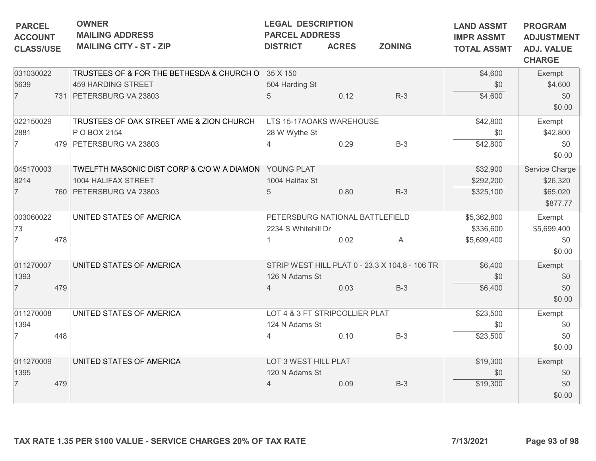| <b>PARCEL</b><br><b>ACCOUNT</b><br><b>CLASS/USE</b> |     | <b>OWNER</b><br><b>MAILING ADDRESS</b><br><b>MAILING CITY - ST - ZIP</b> | <b>LEGAL DESCRIPTION</b><br><b>PARCEL ADDRESS</b><br><b>DISTRICT</b> | <b>ACRES</b> | <b>ZONING</b>                                  | <b>LAND ASSMT</b><br><b>IMPR ASSMT</b><br><b>TOTAL ASSMT</b> | <b>PROGRAM</b><br><b>ADJUSTMENT</b><br><b>ADJ. VALUE</b><br><b>CHARGE</b> |
|-----------------------------------------------------|-----|--------------------------------------------------------------------------|----------------------------------------------------------------------|--------------|------------------------------------------------|--------------------------------------------------------------|---------------------------------------------------------------------------|
| 031030022                                           |     | TRUSTEES OF & FOR THE BETHESDA & CHURCH O 35 X 150                       |                                                                      |              |                                                | \$4,600                                                      | Exempt                                                                    |
| 5639                                                |     | 459 HARDING STREET                                                       | 504 Harding St                                                       |              |                                                | \$0                                                          | \$4,600                                                                   |
| $\overline{7}$                                      |     | 731 PETERSBURG VA 23803                                                  | 5                                                                    | 0.12         | $R-3$                                          | \$4,600                                                      | \$0<br>\$0.00                                                             |
| 022150029                                           |     | TRUSTEES OF OAK STREET AME & ZION CHURCH                                 | LTS 15-17AOAKS WAREHOUSE                                             |              |                                                | \$42,800                                                     | Exempt                                                                    |
| 2881                                                |     | P O BOX 2154                                                             | 28 W Wythe St                                                        |              |                                                | \$0                                                          | \$42,800                                                                  |
| 7                                                   |     | 479 PETERSBURG VA 23803                                                  |                                                                      | 0.29         | $B-3$                                          | \$42,800                                                     | \$0<br>\$0.00                                                             |
| 045170003                                           |     | TWELFTH MASONIC DIST CORP & C/O W A DIAMON YOUNG PLAT                    |                                                                      |              |                                                | \$32,900                                                     | Service Charge                                                            |
| 8214                                                |     | 1004 HALIFAX STREET                                                      | 1004 Halifax St                                                      |              |                                                | \$292,200                                                    | \$26,320                                                                  |
| $\overline{7}$                                      |     | 760 PETERSBURG VA 23803                                                  | 5                                                                    | 0.80         | $R-3$                                          | \$325,100                                                    | \$65,020<br>\$877.77                                                      |
| 003060022                                           |     | UNITED STATES OF AMERICA                                                 | PETERSBURG NATIONAL BATTLEFIELD                                      |              |                                                | \$5,362,800                                                  | Exempt                                                                    |
| 73                                                  |     |                                                                          | 2234 S Whitehill Dr                                                  |              |                                                | \$336,600                                                    | \$5,699,400                                                               |
| $\overline{7}$                                      | 478 |                                                                          |                                                                      | 0.02         | A                                              | \$5,699,400                                                  | \$0<br>\$0.00                                                             |
| 011270007                                           |     | UNITED STATES OF AMERICA                                                 |                                                                      |              | STRIP WEST HILL PLAT 0 - 23.3 X 104.8 - 106 TR | \$6,400                                                      | Exempt                                                                    |
| 1393                                                |     |                                                                          | 126 N Adams St                                                       |              |                                                | \$0                                                          | \$0                                                                       |
| $\overline{7}$                                      | 479 |                                                                          | $\overline{4}$                                                       | 0.03         | $B-3$                                          | \$6,400                                                      | \$0                                                                       |
|                                                     |     |                                                                          |                                                                      |              |                                                |                                                              | \$0.00                                                                    |
| 011270008                                           |     | UNITED STATES OF AMERICA                                                 | LOT 4 & 3 FT STRIPCOLLIER PLAT                                       |              |                                                | \$23,500                                                     | Exempt                                                                    |
| 1394                                                |     |                                                                          | 124 N Adams St                                                       |              |                                                | \$0                                                          | \$0                                                                       |
| $\overline{7}$                                      | 448 |                                                                          | $\overline{4}$                                                       | 0.10         | $B-3$                                          | \$23,500                                                     | \$0<br>\$0.00                                                             |
| 011270009                                           |     | UNITED STATES OF AMERICA                                                 | LOT 3 WEST HILL PLAT                                                 |              |                                                | \$19,300                                                     | Exempt                                                                    |
| 1395                                                |     |                                                                          | 120 N Adams St                                                       |              |                                                | \$0                                                          | \$0                                                                       |
| $\overline{7}$                                      | 479 |                                                                          | $\overline{4}$                                                       | 0.09         | $B-3$                                          | \$19,300                                                     | \$0<br>\$0.00                                                             |
|                                                     |     | TAX RATE 1.35 PER \$100 VALUE - SERVICE CHARGES 20% OF TAX RATE          |                                                                      |              |                                                | 7/13/2021                                                    | Page 93 of 98                                                             |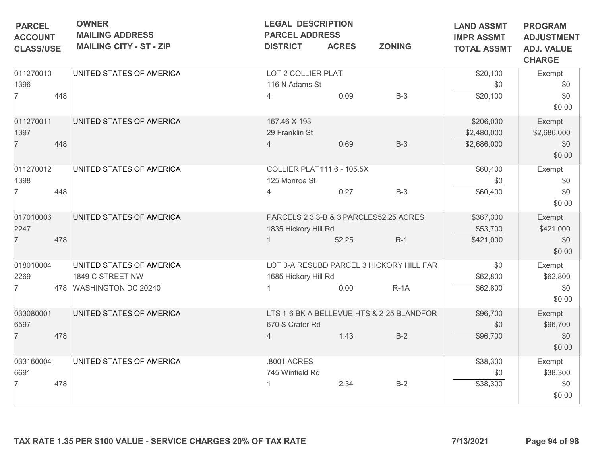| <b>PARCEL</b>                      | <b>OWNER</b><br><b>MAILING ADDRESS</b> | <b>LEGAL DESCRIPTION</b><br><b>PARCEL ADDRESS</b> |              |                                           | <b>LAND ASSMT</b>                       | <b>PROGRAM</b>                                          |
|------------------------------------|----------------------------------------|---------------------------------------------------|--------------|-------------------------------------------|-----------------------------------------|---------------------------------------------------------|
| <b>ACCOUNT</b><br><b>CLASS/USE</b> | <b>MAILING CITY - ST - ZIP</b>         | <b>DISTRICT</b>                                   | <b>ACRES</b> | <b>ZONING</b>                             | <b>IMPR ASSMT</b><br><b>TOTAL ASSMT</b> | <b>ADJUSTMENT</b><br><b>ADJ. VALUE</b><br><b>CHARGE</b> |
| 011270010                          | UNITED STATES OF AMERICA               | LOT 2 COLLIER PLAT                                |              |                                           | \$20,100                                | Exempt                                                  |
| 1396                               |                                        | 116 N Adams St                                    |              |                                           | \$0                                     | \$0                                                     |
| $\overline{7}$<br>448              |                                        | 4                                                 | 0.09         | $B-3$                                     | \$20,100                                | \$0<br>\$0.00                                           |
| 011270011                          | UNITED STATES OF AMERICA               | 167.46 X 193                                      |              |                                           | \$206,000                               | Exempt                                                  |
| 1397                               |                                        | 29 Franklin St                                    |              |                                           | \$2,480,000                             | \$2,686,000                                             |
| $\overline{7}$<br>448              |                                        | 4                                                 | 0.69         | $B-3$                                     | \$2,686,000                             | \$0<br>\$0.00                                           |
| 011270012                          | UNITED STATES OF AMERICA               | <b>COLLIER PLAT111.6 - 105.5X</b>                 |              |                                           | \$60,400                                | Exempt                                                  |
| 1398                               |                                        | 125 Monroe St                                     |              |                                           | \$0                                     | \$0                                                     |
| $\overline{7}$<br>448              |                                        | $\overline{4}$                                    | 0.27         | $B-3$                                     | \$60,400                                | \$0<br>\$0.00                                           |
| 017010006                          | UNITED STATES OF AMERICA               |                                                   |              | PARCELS 2 3 3-B & 3 PARCLES52.25 ACRES    | \$367,300                               | Exempt                                                  |
| 2247                               |                                        | 1835 Hickory Hill Rd                              |              |                                           | \$53,700                                | \$421,000                                               |
| $\overline{7}$<br>478              |                                        |                                                   | 52.25        | $R-1$                                     | \$421,000                               | \$0<br>\$0.00                                           |
| 018010004                          | UNITED STATES OF AMERICA               |                                                   |              | LOT 3-A RESUBD PARCEL 3 HICKORY HILL FAR  | \$0                                     | Exempt                                                  |
| 2269                               | 1849 C STREET NW                       | 1685 Hickory Hill Rd                              |              |                                           | \$62,800                                | \$62,800                                                |
| $\overline{7}$                     | 478 WASHINGTON DC 20240                |                                                   | 0.00         | $R-1A$                                    | \$62,800                                | \$0<br>\$0.00                                           |
| 033080001                          | UNITED STATES OF AMERICA               |                                                   |              | LTS 1-6 BK A BELLEVUE HTS & 2-25 BLANDFOR | \$96,700                                | Exempt                                                  |
| 6597                               |                                        | 670 S Crater Rd                                   |              |                                           | \$0                                     | \$96,700                                                |
| $\overline{7}$<br>478              |                                        | $\overline{4}$                                    | 1.43         | $B-2$                                     | \$96,700                                | \$0<br>\$0.00                                           |
| 033160004                          | UNITED STATES OF AMERICA               | .8001 ACRES                                       |              |                                           | \$38,300                                | Exempt                                                  |
| 6691                               |                                        | 745 Winfield Rd                                   |              |                                           | \$0                                     | \$38,300                                                |
| 478<br>7                           |                                        |                                                   | 2.34         | $B-2$                                     | \$38,300                                | \$0<br>\$0.00                                           |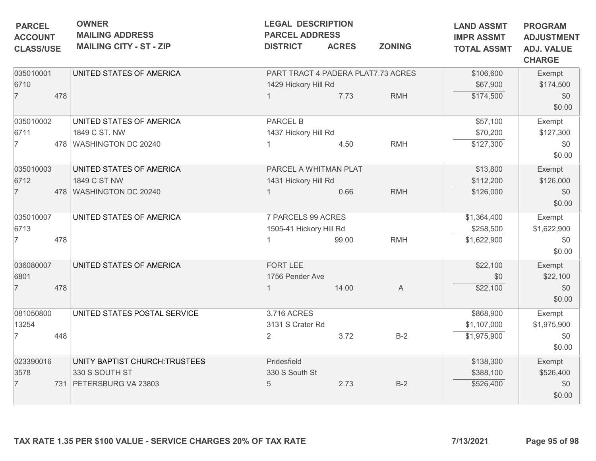| <b>PARCEL</b><br><b>ACCOUNT</b><br><b>CLASS/USE</b> |     | <b>OWNER</b><br><b>MAILING ADDRESS</b><br><b>MAILING CITY - ST - ZIP</b>   | <b>LEGAL DESCRIPTION</b><br><b>PARCEL ADDRESS</b><br><b>DISTRICT</b> | <b>ACRES</b> | <b>ZONING</b> | <b>LAND ASSMT</b><br><b>IMPR ASSMT</b><br><b>TOTAL ASSMT</b> | <b>PROGRAM</b><br><b>ADJUSTMENT</b><br><b>ADJ. VALUE</b><br><b>CHARGE</b> |
|-----------------------------------------------------|-----|----------------------------------------------------------------------------|----------------------------------------------------------------------|--------------|---------------|--------------------------------------------------------------|---------------------------------------------------------------------------|
| 035010001<br>6710<br>$\overline{7}$                 | 478 | UNITED STATES OF AMERICA                                                   | PART TRACT 4 PADERA PLAT7.73 ACRES<br>1429 Hickory Hill Rd           | 7.73         | <b>RMH</b>    | \$106,600<br>\$67,900<br>\$174,500                           | Exempt<br>\$174,500<br>\$0<br>\$0.00                                      |
| 035010002<br>6711<br>7                              |     | UNITED STATES OF AMERICA<br>1849 C ST. NW<br>478 WASHINGTON DC 20240       | <b>PARCEL B</b><br>1437 Hickory Hill Rd                              | 4.50         | <b>RMH</b>    | \$57,100<br>\$70,200<br>\$127,300                            | Exempt<br>\$127,300<br>\$0<br>\$0.00                                      |
| 035010003<br>6712<br>$\overline{7}$                 |     | UNITED STATES OF AMERICA<br>1849 C ST NW<br>478 WASHINGTON DC 20240        | PARCEL A WHITMAN PLAT<br>1431 Hickory Hill Rd                        | 0.66         | <b>RMH</b>    | \$13,800<br>\$112,200<br>\$126,000                           | Exempt<br>\$126,000<br>\$0<br>\$0.00                                      |
| 035010007<br>6713<br>$\overline{7}$                 | 478 | UNITED STATES OF AMERICA                                                   | 7 PARCELS 99 ACRES<br>1505-41 Hickory Hill Rd                        | 99.00        | <b>RMH</b>    | \$1,364,400<br>\$258,500<br>\$1,622,900                      | Exempt<br>\$1,622,900<br>\$0<br>\$0.00                                    |
| 036080007<br>6801<br>$\overline{7}$                 | 478 | UNITED STATES OF AMERICA                                                   | FORT LEE<br>1756 Pender Ave                                          | 14.00        | $\mathsf{A}$  | \$22,100<br>\$0<br>\$22,100                                  | Exempt<br>\$22,100<br>\$0<br>\$0.00                                       |
| 081050800<br>13254<br>7                             | 448 | UNITED STATES POSTAL SERVICE                                               | 3.716 ACRES<br>3131 S Crater Rd<br>2                                 | 3.72         | $B-2$         | \$868,900<br>\$1,107,000<br>\$1,975,900                      | Exempt<br>\$1,975,900<br>\$0<br>\$0.00                                    |
| 023390016<br>3578<br>$\overline{7}$                 |     | UNITY BAPTIST CHURCH:TRUSTEES<br>330 S SOUTH ST<br>731 PETERSBURG VA 23803 | Pridesfield<br>330 S South St<br>5                                   | 2.73         | $B-2$         | \$138,300<br>\$388,100<br>\$526,400                          | Exempt<br>\$526,400<br>\$0<br>\$0.00                                      |
|                                                     |     | TAX RATE 1.35 PER \$100 VALUE - SERVICE CHARGES 20% OF TAX RATE            |                                                                      |              |               | 7/13/2021                                                    | Page 95 of 98                                                             |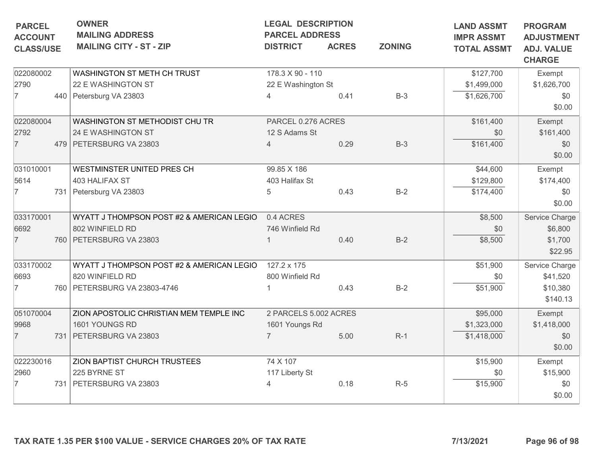| <b>PARCEL</b>                      | <b>OWNER</b><br><b>MAILING ADDRESS</b>                          | <b>LEGAL DESCRIPTION</b><br><b>PARCEL ADDRESS</b> |              |               | <b>LAND ASSMT</b>                       | <b>PROGRAM</b>                                          |
|------------------------------------|-----------------------------------------------------------------|---------------------------------------------------|--------------|---------------|-----------------------------------------|---------------------------------------------------------|
| <b>ACCOUNT</b><br><b>CLASS/USE</b> | <b>MAILING CITY - ST - ZIP</b>                                  | <b>DISTRICT</b>                                   | <b>ACRES</b> | <b>ZONING</b> | <b>IMPR ASSMT</b><br><b>TOTAL ASSMT</b> | <b>ADJUSTMENT</b><br><b>ADJ. VALUE</b><br><b>CHARGE</b> |
| 022080002                          | WASHINGTON ST METH CH TRUST                                     | 178.3 X 90 - 110                                  |              |               | \$127,700                               | Exempt                                                  |
| 2790                               | 22 E WASHINGTON ST                                              | 22 E Washington St                                |              |               | \$1,499,000                             | \$1,626,700                                             |
| $\overline{7}$                     | 440 Petersburg VA 23803                                         | $\Delta$                                          | 0.41         | $B-3$         | \$1,626,700                             | \$0<br>\$0.00                                           |
| 022080004                          | WASHINGTON ST METHODIST CHU TR                                  | PARCEL 0.276 ACRES                                |              |               | \$161,400                               | Exempt                                                  |
| 2792                               | 24 E WASHINGTON ST                                              | 12 S Adams St                                     |              |               | \$0                                     | \$161,400                                               |
| $\overline{7}$                     | 479   PETERSBURG VA 23803                                       | 4                                                 | 0.29         | $B-3$         | \$161,400                               | \$0<br>\$0.00                                           |
| 031010001                          | WESTMINSTER UNITED PRES CH                                      | 99.85 X 186                                       |              |               | \$44,600                                | Exempt                                                  |
| 5614                               | 403 HALIFAX ST                                                  | 403 Halifax St                                    |              |               | \$129,800                               | \$174,400                                               |
| 7                                  | 731 Petersburg VA 23803                                         | 5                                                 | 0.43         | $B-2$         | \$174,400                               | \$0<br>\$0.00                                           |
| 033170001                          | WYATT J THOMPSON POST #2 & AMERICAN LEGIO                       | 0.4 ACRES                                         |              |               | \$8,500                                 | Service Charge                                          |
| 6692                               | 802 WINFIELD RD                                                 | 746 Winfield Rd                                   |              |               | \$0                                     | \$6,800                                                 |
| $\overline{7}$                     | 760 PETERSBURG VA 23803                                         |                                                   | 0.40         | $B-2$         | \$8,500                                 | \$1,700<br>\$22.95                                      |
| 033170002                          | WYATT J THOMPSON POST #2 & AMERICAN LEGIO                       | 127.2 x 175                                       |              |               | \$51,900                                | Service Charge                                          |
| 6693                               | 820 WINFIELD RD                                                 | 800 Winfield Rd                                   |              |               | \$0                                     | \$41,520                                                |
| $\overline{7}$                     | 760   PETERSBURG VA 23803-4746                                  |                                                   | 0.43         | $B-2$         | \$51,900                                | \$10,380<br>\$140.13                                    |
| 051070004                          | ZION APOSTOLIC CHRISTIAN MEM TEMPLE INC                         | 2 PARCELS 5.002 ACRES                             |              |               | \$95,000                                | Exempt                                                  |
| 9968                               | 1601 YOUNGS RD                                                  | 1601 Youngs Rd                                    |              |               | \$1,323,000                             | \$1,418,000                                             |
| $\overline{7}$                     | 731   PETERSBURG VA 23803                                       | $\overline{7}$                                    | 5.00         | $R-1$         | \$1,418,000                             | \$0<br>\$0.00                                           |
| 022230016                          | ZION BAPTIST CHURCH TRUSTEES                                    | 74 X 107                                          |              |               | \$15,900                                |                                                         |
| 2960                               | 225 BYRNE ST                                                    | 117 Liberty St                                    |              |               | \$0                                     | \$15,900                                                |
| 7                                  | 731 PETERSBURG VA 23803                                         | 4                                                 | 0.18         | $R-5$         | \$15,900                                | \$0                                                     |
|                                    |                                                                 |                                                   |              |               |                                         | \$0.00                                                  |
|                                    | TAX RATE 1.35 PER \$100 VALUE - SERVICE CHARGES 20% OF TAX RATE |                                                   |              |               | 7/13/2021                               | Exempt<br>Page 96 of 98                                 |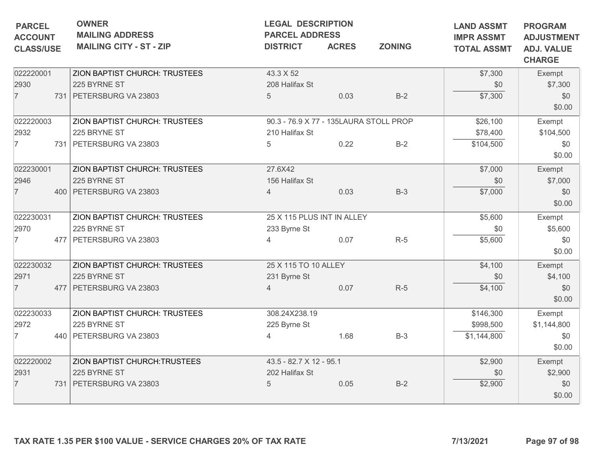| <b>PARCEL</b><br><b>ACCOUNT</b><br><b>CLASS/USE</b> | <b>OWNER</b><br><b>MAILING ADDRESS</b><br><b>MAILING CITY - ST - ZIP</b>        | <b>LEGAL DESCRIPTION</b><br><b>PARCEL ADDRESS</b><br><b>DISTRICT</b> | <b>ACRES</b> | <b>LAND ASSMT</b><br><b>IMPR ASSMT</b><br><b>TOTAL ASSMT</b> | <b>PROGRAM</b><br><b>ADJUSTMENT</b><br><b>ADJ. VALUE</b><br><b>CHARGE</b> |                                        |
|-----------------------------------------------------|---------------------------------------------------------------------------------|----------------------------------------------------------------------|--------------|--------------------------------------------------------------|---------------------------------------------------------------------------|----------------------------------------|
| 022220001<br>2930<br>$\overline{7}$                 | ZION BAPTIST CHURCH: TRUSTEES<br>225 BYRNE ST<br>731 PETERSBURG VA 23803        | 43.3 X 52<br>208 Halifax St<br>$5\overline{)}$                       | 0.03         | $B-2$                                                        | \$7,300<br>\$0<br>\$7,300                                                 | Exempt<br>\$7,300<br>\$0<br>\$0.00     |
| 022220003<br>2932<br>$\overline{7}$                 | ZION BAPTIST CHURCH: TRUSTEES<br>225 BRYNE ST<br>731 PETERSBURG VA 23803        | 90.3 - 76.9 X 77 - 135LAURA STOLL PROP<br>210 Halifax St<br>5        | 0.22         | $B-2$                                                        | \$26,100<br>\$78,400<br>\$104,500                                         | Exempt<br>\$104,500<br>\$0<br>\$0.00   |
| 022230001<br>2946<br>$\overline{7}$                 | ZION BAPTIST CHURCH: TRUSTEES<br>225 BYRNE ST<br>400 PETERSBURG VA 23803        | 27.6X42<br>156 Halifax St<br>$\overline{4}$                          | 0.03         | $B-3$                                                        | \$7,000<br>\$0<br>\$7,000                                                 | Exempt<br>\$7,000<br>\$0<br>\$0.00     |
| 022230031<br>2970<br>$\overline{7}$                 | ZION BAPTIST CHURCH: TRUSTEES<br>225 BYRNE ST<br>477 PETERSBURG VA 23803        | 25 X 115 PLUS INT IN ALLEY<br>233 Byrne St<br>$\overline{4}$         | 0.07         | $R-5$                                                        | \$5,600<br>\$0<br>\$5,600                                                 | Exempt<br>\$5,600<br>\$0<br>\$0.00     |
| 022230032<br>2971<br>$\overline{7}$                 | ZION BAPTIST CHURCH: TRUSTEES<br>225 BYRNE ST<br>477   PETERSBURG VA 23803      | 25 X 115 TO 10 ALLEY<br>231 Byrne St<br>Δ                            | 0.07         | $R-5$                                                        | \$4,100<br>\$0<br>\$4,100                                                 | Exempt<br>\$4,100<br>\$0<br>\$0.00     |
| 022230033<br>2972<br>$\overline{7}$                 | ZION BAPTIST CHURCH: TRUSTEES<br>225 BYRNE ST<br>440 PETERSBURG VA 23803        | 308.24X238.19<br>225 Byrne St<br>4                                   | 1.68         | $B-3$                                                        | \$146,300<br>\$998,500<br>\$1,144,800                                     | Exempt<br>\$1,144,800<br>\$0<br>\$0.00 |
| 022220002<br>2931<br>$\overline{7}$                 | <b>ZION BAPTIST CHURCH: TRUSTEES</b><br>225 BYRNE ST<br>731 PETERSBURG VA 23803 | 43.5 - 82.7 X 12 - 95.1<br>202 Halifax St<br>5                       | 0.05         | $B-2$                                                        | \$2,900<br>\$0<br>\$2,900                                                 | Exempt<br>\$2,900<br>\$0<br>\$0.00     |
|                                                     | TAX RATE 1.35 PER \$100 VALUE - SERVICE CHARGES 20% OF TAX RATE                 |                                                                      |              |                                                              | 7/13/2021                                                                 | Page 97 of 98                          |